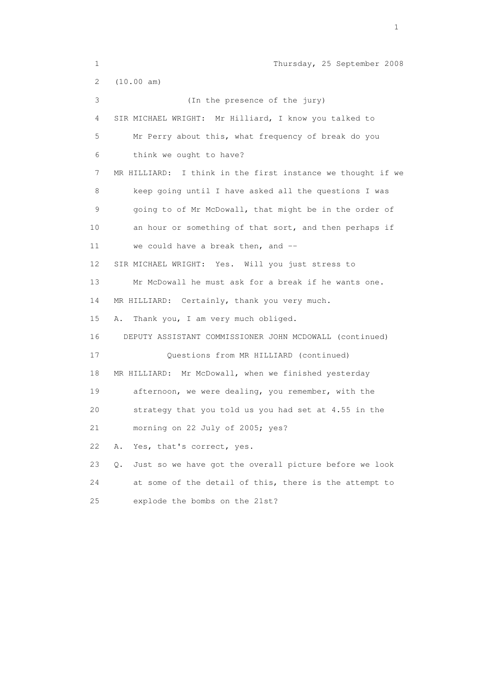1 Thursday, 25 September 2008 2 (10.00 am) 3 (In the presence of the jury) 4 SIR MICHAEL WRIGHT: Mr Hilliard, I know you talked to 5 Mr Perry about this, what frequency of break do you 6 think we ought to have? 7 MR HILLIARD: I think in the first instance we thought if we 8 keep going until I have asked all the questions I was 9 going to of Mr McDowall, that might be in the order of 10 an hour or something of that sort, and then perhaps if 11 we could have a break then, and -- 12 SIR MICHAEL WRIGHT: Yes. Will you just stress to 13 Mr McDowall he must ask for a break if he wants one. 14 MR HILLIARD: Certainly, thank you very much. 15 A. Thank you, I am very much obliged. 16 DEPUTY ASSISTANT COMMISSIONER JOHN MCDOWALL (continued) 17 Questions from MR HILLIARD (continued) 18 MR HILLIARD: Mr McDowall, when we finished yesterday 19 afternoon, we were dealing, you remember, with the 20 strategy that you told us you had set at 4.55 in the 21 morning on 22 July of 2005; yes? 22 A. Yes, that's correct, yes. 23 Q. Just so we have got the overall picture before we look 24 at some of the detail of this, there is the attempt to 25 explode the bombs on the 21st?

the contract of the contract of the contract of the contract of the contract of the contract of the contract of the contract of the contract of the contract of the contract of the contract of the contract of the contract o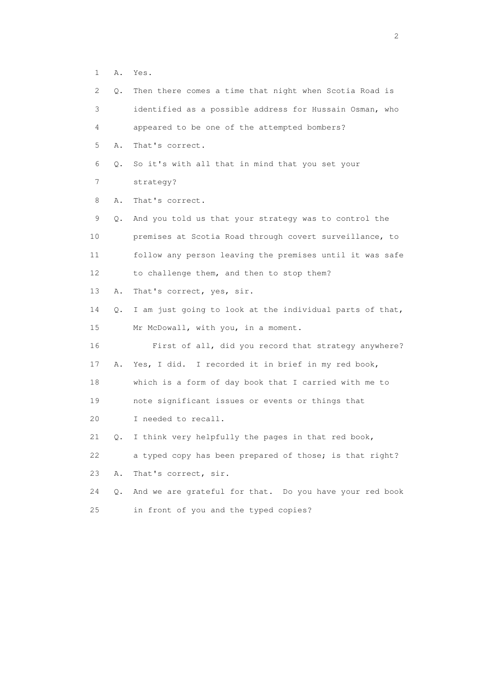1 A. Yes.

| 2               | Q. | Then there comes a time that night when Scotia Road is   |
|-----------------|----|----------------------------------------------------------|
| 3               |    | identified as a possible address for Hussain Osman, who  |
| 4               |    | appeared to be one of the attempted bombers?             |
| 5               | Α. | That's correct.                                          |
| 6               | О. | So it's with all that in mind that you set your          |
| 7               |    | strategy?                                                |
| 8               | Α. | That's correct.                                          |
| 9               | Q. | And you told us that your strategy was to control the    |
| 10              |    | premises at Scotia Road through covert surveillance, to  |
| 11              |    | follow any person leaving the premises until it was safe |
| 12 <sup>°</sup> |    | to challenge them, and then to stop them?                |
| 13              | Α. | That's correct, yes, sir.                                |
| 14              | Q. | I am just going to look at the individual parts of that, |
| 15              |    | Mr McDowall, with you, in a moment.                      |
| 16              |    | First of all, did you record that strategy anywhere?     |
| 17              | Α. | Yes, I did. I recorded it in brief in my red book,       |
| 18              |    | which is a form of day book that I carried with me to    |
| 19              |    | note significant issues or events or things that         |
| 20              |    | I needed to recall.                                      |
| 21              | Q. | I think very helpfully the pages in that red book,       |
| 22              |    | a typed copy has been prepared of those; is that right?  |
| 23              | Α. | That's correct, sir.                                     |
| 24              | Q. | And we are grateful for that. Do you have your red book  |
|                 |    |                                                          |

25 in front of you and the typed copies?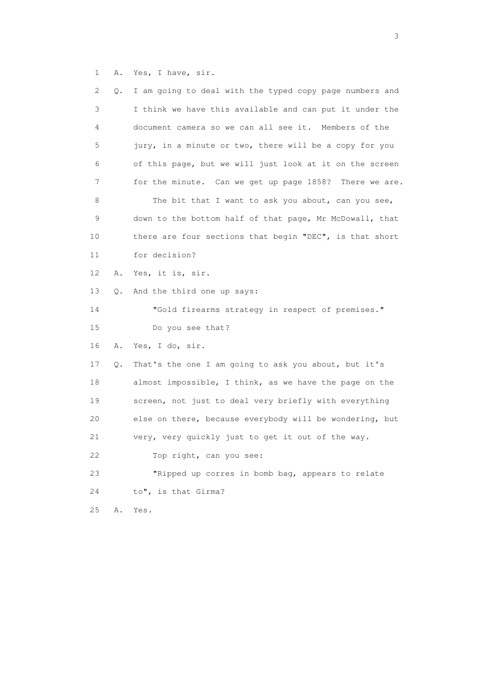1 A. Yes, I have, sir.

| $\mathbf{2}^{\mathsf{I}}$ | Q. | I am going to deal with the typed copy page numbers and |
|---------------------------|----|---------------------------------------------------------|
| 3                         |    | I think we have this available and can put it under the |
| 4                         |    | document camera so we can all see it. Members of the    |
| 5                         |    | jury, in a minute or two, there will be a copy for you  |
| 6                         |    | of this page, but we will just look at it on the screen |
| 7                         |    | for the minute. Can we get up page 1858? There we are.  |
| 8                         |    | The bit that I want to ask you about, can you see,      |
| 9                         |    | down to the bottom half of that page, Mr McDowall, that |
| 10                        |    | there are four sections that begin "DEC", is that short |
| 11                        |    | for decision?                                           |
| 12                        | Α. | Yes, it is, sir.                                        |
| 13                        | Q. | And the third one up says:                              |
| 14                        |    | "Gold firearms strategy in respect of premises."        |
| 15                        |    | Do you see that?                                        |
| 16                        | Α. | Yes, I do, sir.                                         |
| 17                        | Q. | That's the one I am going to ask you about, but it's    |
| 18                        |    | almost impossible, I think, as we have the page on the  |
| 19                        |    | screen, not just to deal very briefly with everything   |
| 20                        |    | else on there, because everybody will be wondering, but |
| 21                        |    | very, very quickly just to get it out of the way.       |
| 22                        |    | Top right, can you see:                                 |
| 23                        |    | "Ripped up corres in bomb bag, appears to relate        |
| 24                        |    | to", is that Girma?                                     |
| $25$                      | Α. | Yes.                                                    |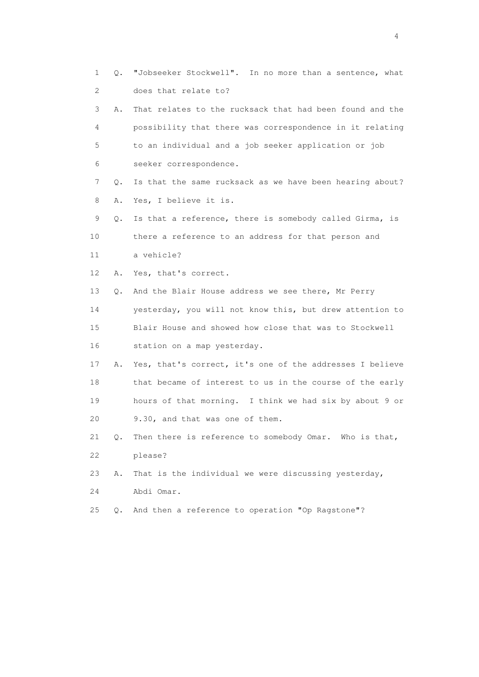1 Q. "Jobseeker Stockwell". In no more than a sentence, what 2 does that relate to? 3 A. That relates to the rucksack that had been found and the 4 possibility that there was correspondence in it relating 5 to an individual and a job seeker application or job 6 seeker correspondence. 7 Q. Is that the same rucksack as we have been hearing about? 8 A. Yes, I believe it is. 9 Q. Is that a reference, there is somebody called Girma, is 10 there a reference to an address for that person and 11 a vehicle? 12 A. Yes, that's correct. 13 Q. And the Blair House address we see there, Mr Perry 14 yesterday, you will not know this, but drew attention to 15 Blair House and showed how close that was to Stockwell 16 station on a map yesterday. 17 A. Yes, that's correct, it's one of the addresses I believe 18 that became of interest to us in the course of the early 19 hours of that morning. I think we had six by about 9 or 20 9.30, and that was one of them. 21 Q. Then there is reference to somebody Omar. Who is that, 22 please? 23 A. That is the individual we were discussing yesterday, 24 Abdi Omar. 25 Q. And then a reference to operation "Op Ragstone"?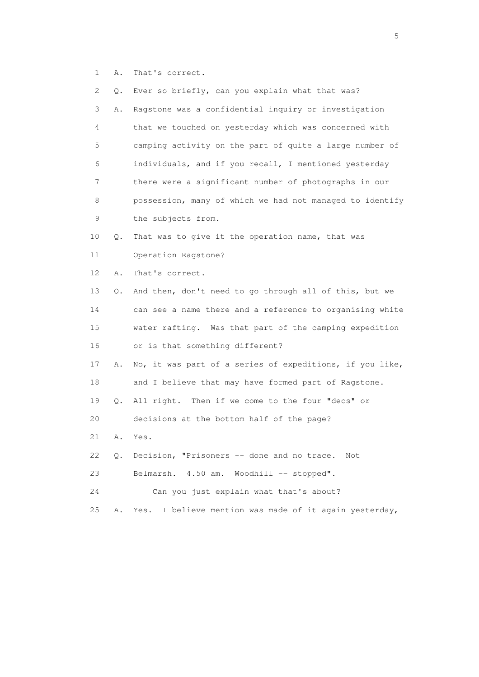1 A. That's correct.

| 2  | Q. | Ever so briefly, can you explain what that was?           |
|----|----|-----------------------------------------------------------|
| 3  | Α. | Ragstone was a confidential inquiry or investigation      |
| 4  |    | that we touched on yesterday which was concerned with     |
| 5  |    | camping activity on the part of quite a large number of   |
| 6  |    | individuals, and if you recall, I mentioned yesterday     |
| 7  |    | there were a significant number of photographs in our     |
| 8  |    | possession, many of which we had not managed to identify  |
| 9  |    | the subjects from.                                        |
| 10 | Q. | That was to give it the operation name, that was          |
| 11 |    | Operation Ragstone?                                       |
| 12 | Α. | That's correct.                                           |
| 13 | Q. | And then, don't need to go through all of this, but we    |
| 14 |    | can see a name there and a reference to organising white  |
| 15 |    | water rafting. Was that part of the camping expedition    |
| 16 |    | or is that something different?                           |
| 17 | Α. | No, it was part of a series of expeditions, if you like,  |
| 18 |    | and I believe that may have formed part of Ragstone.      |
| 19 | Q. | All right. Then if we come to the four "decs" or          |
| 20 |    | decisions at the bottom half of the page?                 |
| 21 | Α. | Yes.                                                      |
| 22 | Q. | Decision, "Prisoners -- done and no trace.<br>Not         |
| 23 |    | Belmarsh.<br>$4.50$ am.<br>Woodhill -- stopped".          |
| 24 |    | Can you just explain what that's about?                   |
| 25 | Α. | I believe mention was made of it again yesterday,<br>Yes. |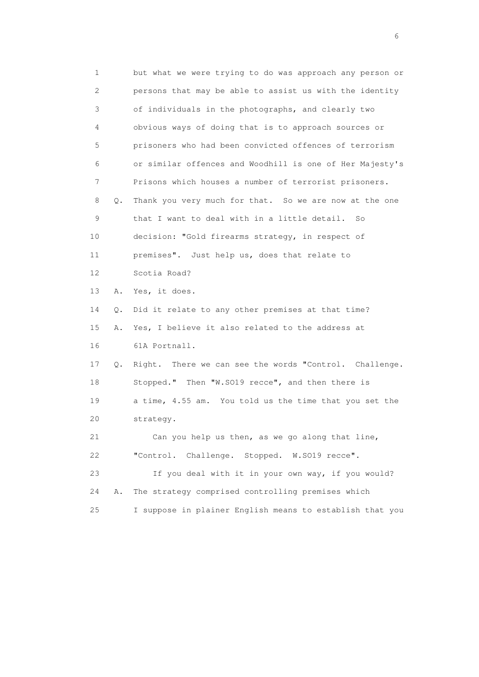1 but what we were trying to do was approach any person or 2 persons that may be able to assist us with the identity 3 of individuals in the photographs, and clearly two 4 obvious ways of doing that is to approach sources or 5 prisoners who had been convicted offences of terrorism 6 or similar offences and Woodhill is one of Her Majesty's 7 Prisons which houses a number of terrorist prisoners. 8 Q. Thank you very much for that. So we are now at the one 9 that I want to deal with in a little detail. So 10 decision: "Gold firearms strategy, in respect of 11 premises". Just help us, does that relate to 12 Scotia Road? 13 A. Yes, it does. 14 Q. Did it relate to any other premises at that time? 15 A. Yes, I believe it also related to the address at 16 61A Portnall. 17 Q. Right. There we can see the words "Control. Challenge. 18 Stopped." Then "W.SO19 recce", and then there is 19 a time, 4.55 am. You told us the time that you set the 20 strategy. 21 Can you help us then, as we go along that line, 22 "Control. Challenge. Stopped. W.SO19 recce". 23 If you deal with it in your own way, if you would? 24 A. The strategy comprised controlling premises which 25 I suppose in plainer English means to establish that you

 $\sim$  6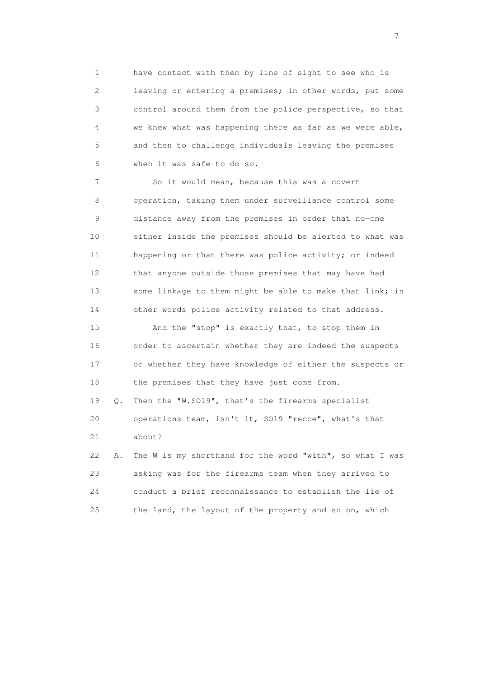1 have contact with them by line of sight to see who is 2 leaving or entering a premises; in other words, put some 3 control around them from the police perspective, so that 4 we knew what was happening there as far as we were able, 5 and then to challenge individuals leaving the premises 6 when it was safe to do so.

 7 So it would mean, because this was a covert 8 operation, taking them under surveillance control some 9 distance away from the premises in order that no-one 10 either inside the premises should be alerted to what was 11 happening or that there was police activity; or indeed 12 that anyone outside those premises that may have had 13 some linkage to them might be able to make that link; in 14 other words police activity related to that address.

 15 And the "stop" is exactly that, to stop them in 16 order to ascertain whether they are indeed the suspects 17 or whether they have knowledge of either the suspects or 18 the premises that they have just come from. 19 Q. Then the "W.SO19", that's the firearms specialist 20 operations team, isn't it, SO19 "recce", what's that 21 about?

 22 A. The W is my shorthand for the word "with", so what I was 23 asking was for the firearms team when they arrived to 24 conduct a brief reconnaissance to establish the lie of 25 the land, the layout of the property and so on, which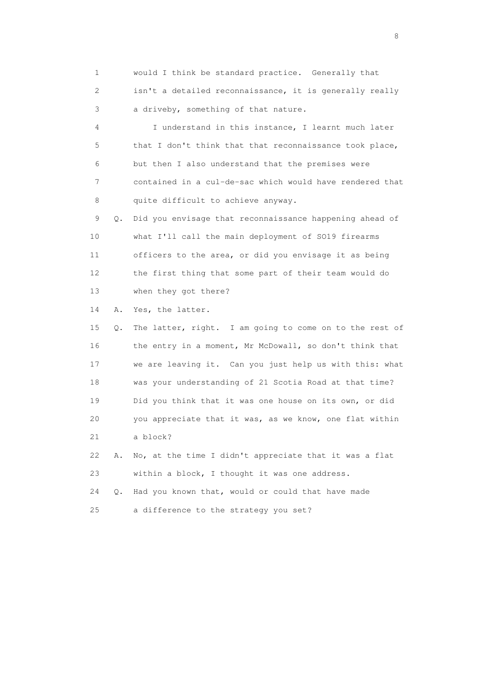1 would I think be standard practice. Generally that 2 isn't a detailed reconnaissance, it is generally really 3 a driveby, something of that nature.

 4 I understand in this instance, I learnt much later 5 that I don't think that that reconnaissance took place, 6 but then I also understand that the premises were 7 contained in a cul-de-sac which would have rendered that 8 quite difficult to achieve anyway.

 9 Q. Did you envisage that reconnaissance happening ahead of 10 what I'll call the main deployment of SO19 firearms 11 officers to the area, or did you envisage it as being 12 the first thing that some part of their team would do 13 when they got there?

14 A. Yes, the latter.

 15 Q. The latter, right. I am going to come on to the rest of 16 the entry in a moment, Mr McDowall, so don't think that 17 we are leaving it. Can you just help us with this: what 18 was your understanding of 21 Scotia Road at that time? 19 Did you think that it was one house on its own, or did 20 you appreciate that it was, as we know, one flat within 21 a block?

 22 A. No, at the time I didn't appreciate that it was a flat 23 within a block, I thought it was one address.

 24 Q. Had you known that, would or could that have made 25 a difference to the strategy you set?

en de la construction de la construction de la construction de la construction de la construction de la constr<br>18 de juny : la construction de la construction de la construction de la construction de la construction de l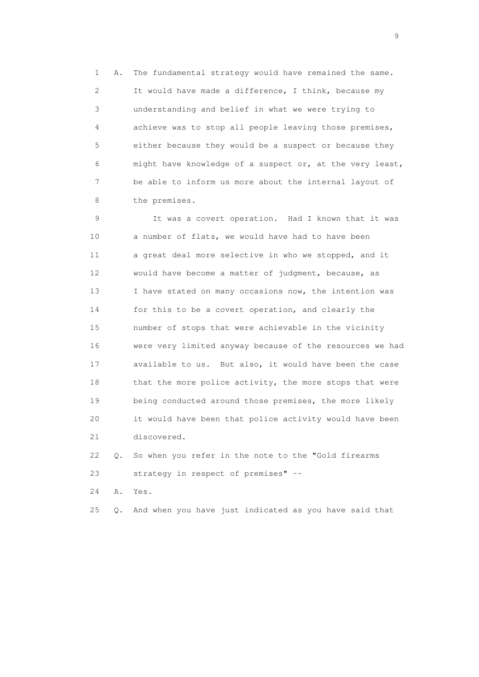1 A. The fundamental strategy would have remained the same. 2 It would have made a difference, I think, because my 3 understanding and belief in what we were trying to 4 achieve was to stop all people leaving those premises, 5 either because they would be a suspect or because they 6 might have knowledge of a suspect or, at the very least, 7 be able to inform us more about the internal layout of 8 the premises.

 9 It was a covert operation. Had I known that it was 10 a number of flats, we would have had to have been 11 a great deal more selective in who we stopped, and it 12 would have become a matter of judgment, because, as 13 I have stated on many occasions now, the intention was 14 for this to be a covert operation, and clearly the 15 number of stops that were achievable in the vicinity 16 were very limited anyway because of the resources we had 17 available to us. But also, it would have been the case 18 that the more police activity, the more stops that were 19 being conducted around those premises, the more likely 20 it would have been that police activity would have been 21 discovered.

 22 Q. So when you refer in the note to the "Gold firearms 23 strategy in respect of premises" --

24 A. Yes.

25 Q. And when you have just indicated as you have said that

en de la construction de la construction de la construction de la construction de la construction de la constr<br>1911 : la construction de la construction de la construction de la construction de la construction de la const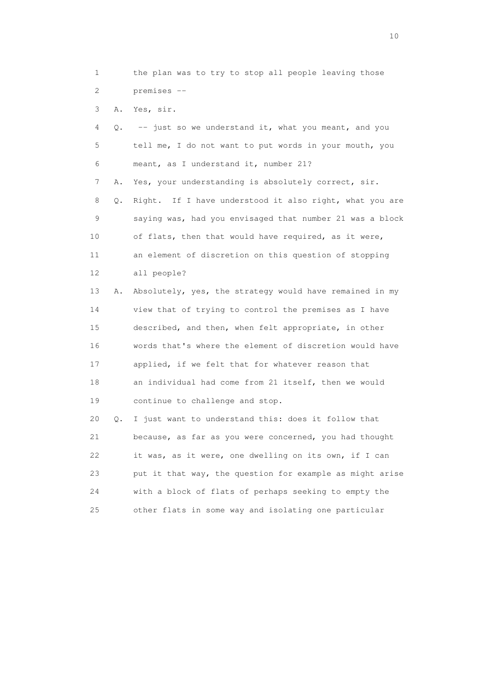1 the plan was to try to stop all people leaving those 2 premises --

3 A. Yes, sir.

| 4  | Q. | -- just so we understand it, what you meant, and you     |
|----|----|----------------------------------------------------------|
| 5  |    | tell me, I do not want to put words in your mouth, you   |
| 6  |    | meant, as I understand it, number 21?                    |
| 7  | Α. | Yes, your understanding is absolutely correct, sir.      |
| 8  | Q. | Right. If I have understood it also right, what you are  |
| 9  |    | saying was, had you envisaged that number 21 was a block |
| 10 |    | of flats, then that would have required, as it were,     |
| 11 |    | an element of discretion on this question of stopping    |
| 12 |    | all people?                                              |
| 13 | Α. | Absolutely, yes, the strategy would have remained in my  |
| 14 |    | view that of trying to control the premises as I have    |
| 15 |    | described, and then, when felt appropriate, in other     |
| 16 |    | words that's where the element of discretion would have  |
| 17 |    | applied, if we felt that for whatever reason that        |
| 18 |    | an individual had come from 21 itself, then we would     |
| 19 |    | continue to challenge and stop.                          |
| 20 | Q. | I just want to understand this: does it follow that      |
| 21 |    | because, as far as you were concerned, you had thought   |
| 22 |    | it was, as it were, one dwelling on its own, if I can    |
| 23 |    | put it that way, the question for example as might arise |

 24 with a block of flats of perhaps seeking to empty the 25 other flats in some way and isolating one particular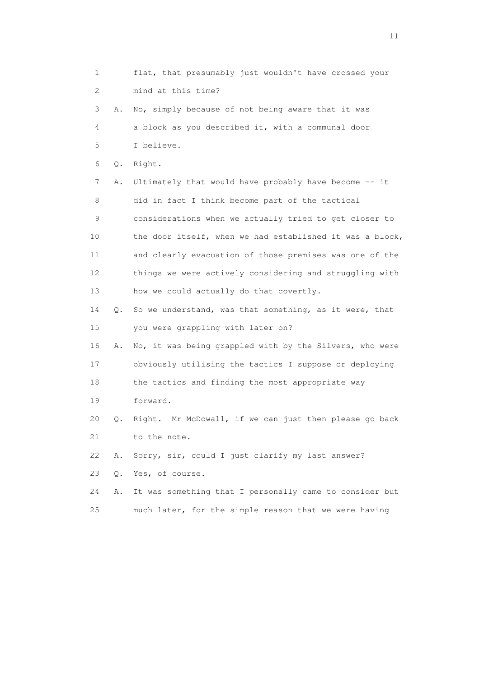1 flat, that presumably just wouldn't have crossed your 2 mind at this time? 3 A. No, simply because of not being aware that it was 4 a block as you described it, with a communal door 5 I believe. 6 Q. Right. 7 A. Ultimately that would have probably have become -- it 8 did in fact I think become part of the tactical 9 considerations when we actually tried to get closer to 10 the door itself, when we had established it was a block, 11 and clearly evacuation of those premises was one of the 12 things we were actively considering and struggling with 13 how we could actually do that covertly. 14 Q. So we understand, was that something, as it were, that 15 you were grappling with later on? 16 A. No, it was being grappled with by the Silvers, who were 17 obviously utilising the tactics I suppose or deploying 18 the tactics and finding the most appropriate way 19 forward. 20 Q. Right. Mr McDowall, if we can just then please go back 21 to the note. 22 A. Sorry, sir, could I just clarify my last answer? 23 Q. Yes, of course. 24 A. It was something that I personally came to consider but 25 much later, for the simple reason that we were having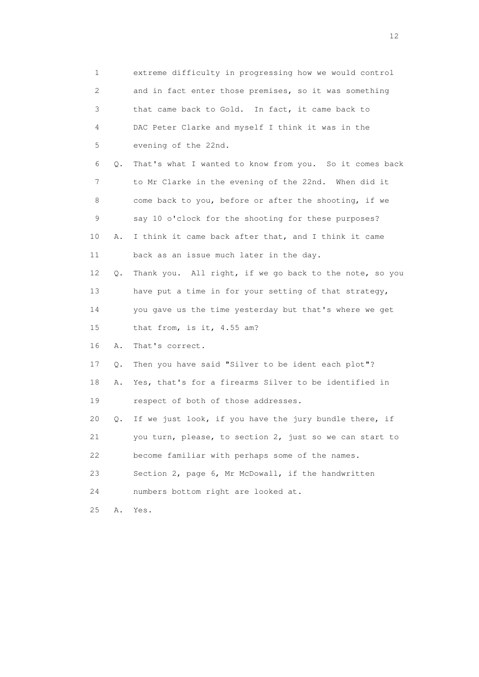1 extreme difficulty in progressing how we would control 2 and in fact enter those premises, so it was something 3 that came back to Gold. In fact, it came back to 4 DAC Peter Clarke and myself I think it was in the 5 evening of the 22nd. 6 Q. That's what I wanted to know from you. So it comes back 7 to Mr Clarke in the evening of the 22nd. When did it 8 come back to you, before or after the shooting, if we 9 say 10 o'clock for the shooting for these purposes? 10 A. I think it came back after that, and I think it came 11 back as an issue much later in the day. 12 Q. Thank you. All right, if we go back to the note, so you 13 have put a time in for your setting of that strategy, 14 you gave us the time yesterday but that's where we get 15 that from, is it, 4.55 am? 16 A. That's correct. 17 Q. Then you have said "Silver to be ident each plot"? 18 A. Yes, that's for a firearms Silver to be identified in 19 respect of both of those addresses. 20 Q. If we just look, if you have the jury bundle there, if 21 you turn, please, to section 2, just so we can start to 22 become familiar with perhaps some of the names. 23 Section 2, page 6, Mr McDowall, if the handwritten 24 numbers bottom right are looked at. 25 A. Yes.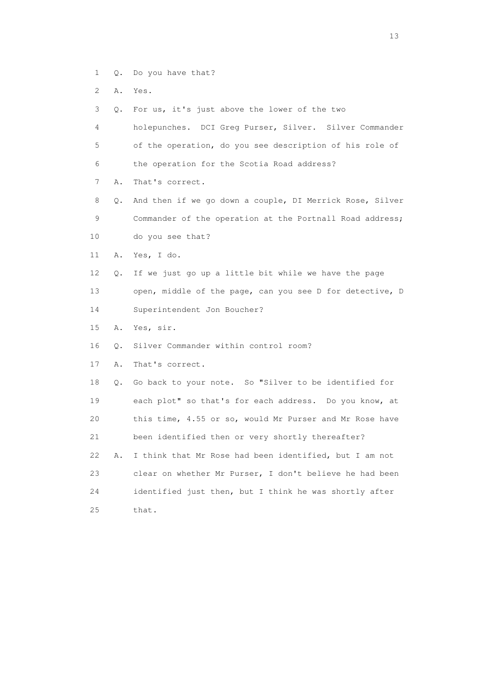- 1 Q. Do you have that?
- 2 A. Yes.
- 3 Q. For us, it's just above the lower of the two
- 4 holepunches. DCI Greg Purser, Silver. Silver Commander 5 of the operation, do you see description of his role of 6 the operation for the Scotia Road address?
- 7 A. That's correct.
- 8 Q. And then if we go down a couple, DI Merrick Rose, Silver 9 Commander of the operation at the Portnall Road address; 10 do you see that?
- 11 A. Yes, I do.
- 12 Q. If we just go up a little bit while we have the page 13 open, middle of the page, can you see D for detective, D 14 Superintendent Jon Boucher?
- 15 A. Yes, sir.
- 16 Q. Silver Commander within control room?
- 17 A. That's correct.

 18 Q. Go back to your note. So "Silver to be identified for 19 each plot" so that's for each address. Do you know, at 20 this time, 4.55 or so, would Mr Purser and Mr Rose have 21 been identified then or very shortly thereafter? 22 A. I think that Mr Rose had been identified, but I am not 23 clear on whether Mr Purser, I don't believe he had been 24 identified just then, but I think he was shortly after 25 that.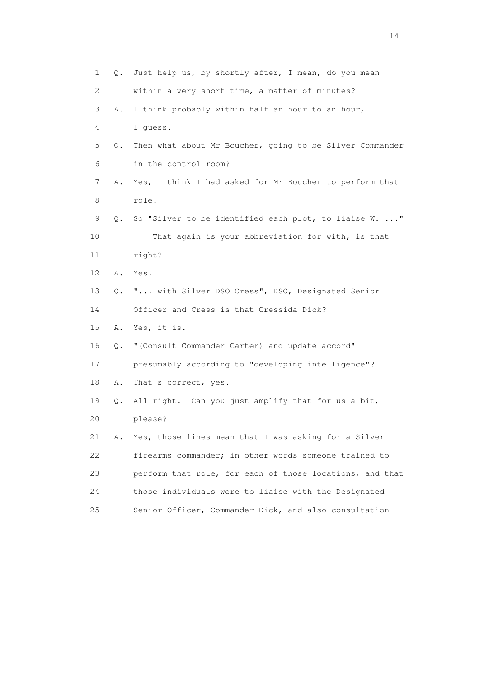| $\mathbf 1$     | Q. | Just help us, by shortly after, I mean, do you mean      |
|-----------------|----|----------------------------------------------------------|
| 2               |    | within a very short time, a matter of minutes?           |
| 3               | Α. | I think probably within half an hour to an hour,         |
| 4               |    | I quess.                                                 |
| 5               | Q. | Then what about Mr Boucher, going to be Silver Commander |
| 6               |    | in the control room?                                     |
| 7               | Α. | Yes, I think I had asked for Mr Boucher to perform that  |
| 8               |    | role.                                                    |
| 9               | О. | So "Silver to be identified each plot, to liaise W. "    |
| 10              |    | That again is your abbreviation for with; is that        |
| 11              |    | right?                                                   |
| 12 <sup>°</sup> | Α. | Yes.                                                     |
| 13              | Q. | " with Silver DSO Cress", DSO, Designated Senior         |
| 14              |    | Officer and Cress is that Cressida Dick?                 |
| 15              | Α. | Yes, it is.                                              |
| 16              | Q. | " (Consult Commander Carter) and update accord"          |
| 17              |    | presumably according to "developing intelligence"?       |
| 18              | Α. | That's correct, yes.                                     |
| 19              | Q. | All right. Can you just amplify that for us a bit,       |
| 20              |    | please?                                                  |
| 21              | Α. | Yes, those lines mean that I was asking for a Silver     |
| 22              |    | firearms commander; in other words someone trained to    |
| 23              |    | perform that role, for each of those locations, and that |
| 24              |    | those individuals were to liaise with the Designated     |
| 25              |    | Senior Officer, Commander Dick, and also consultation    |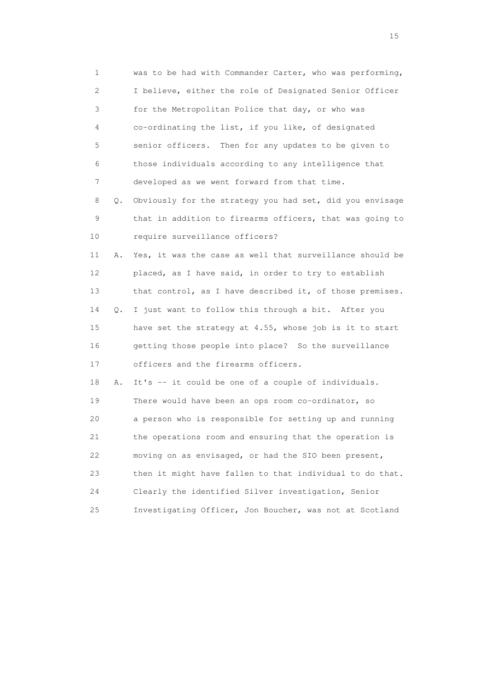1 was to be had with Commander Carter, who was performing, 2 I believe, either the role of Designated Senior Officer 3 for the Metropolitan Police that day, or who was 4 co-ordinating the list, if you like, of designated 5 senior officers. Then for any updates to be given to 6 those individuals according to any intelligence that 7 developed as we went forward from that time. 8 Q. Obviously for the strategy you had set, did you envisage 9 that in addition to firearms officers, that was going to 10 require surveillance officers? 11 A. Yes, it was the case as well that surveillance should be 12 placed, as I have said, in order to try to establish 13 that control, as I have described it, of those premises. 14 Q. I just want to follow this through a bit. After you 15 have set the strategy at 4.55, whose job is it to start 16 getting those people into place? So the surveillance 17 officers and the firearms officers. 18 A. It's -- it could be one of a couple of individuals. 19 There would have been an ops room co-ordinator, so 20 a person who is responsible for setting up and running 21 the operations room and ensuring that the operation is 22 moving on as envisaged, or had the SIO been present, 23 then it might have fallen to that individual to do that. 24 Clearly the identified Silver investigation, Senior 25 Investigating Officer, Jon Boucher, was not at Scotland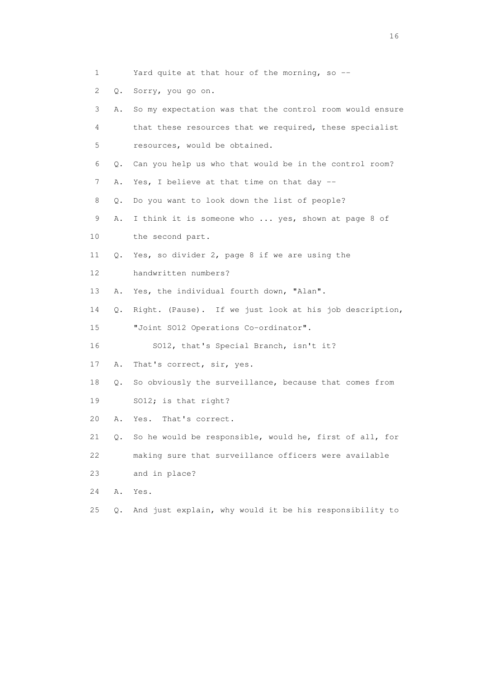- 1 Yard quite at that hour of the morning, so --
- 2 Q. Sorry, you go on.

| 3  | Α. | So my expectation was that the control room would ensure |
|----|----|----------------------------------------------------------|
| 4  |    | that these resources that we required, these specialist  |
| 5  |    | resources, would be obtained.                            |
| 6  | Q. | Can you help us who that would be in the control room?   |
| 7  | Α. | Yes, I believe at that time on that day $-$              |
| 8  | Q. | Do you want to look down the list of people?             |
| 9  | Α. | I think it is someone who  yes, shown at page 8 of       |
| 10 |    | the second part.                                         |
| 11 | Q. | Yes, so divider 2, page 8 if we are using the            |
| 12 |    | handwritten numbers?                                     |
| 13 | Α. | Yes, the individual fourth down, "Alan".                 |
| 14 | Q. | Right. (Pause). If we just look at his job description,  |
| 15 |    | "Joint S012 Operations Co-ordinator".                    |
| 16 |    | SO12, that's Special Branch, isn't it?                   |
| 17 | Α. | That's correct, sir, yes.                                |
| 18 | Q. | So obviously the surveillance, because that comes from   |
| 19 |    | SO12; is that right?                                     |
| 20 | Α. | That's correct.<br>Yes.                                  |
| 21 | Q. | So he would be responsible, would he, first of all, for  |
| 22 |    | making sure that surveillance officers were available    |
| 23 |    | and in place?                                            |
| 24 | Α. | Yes.                                                     |
| 25 | Q. | And just explain, why would it be his responsibility to  |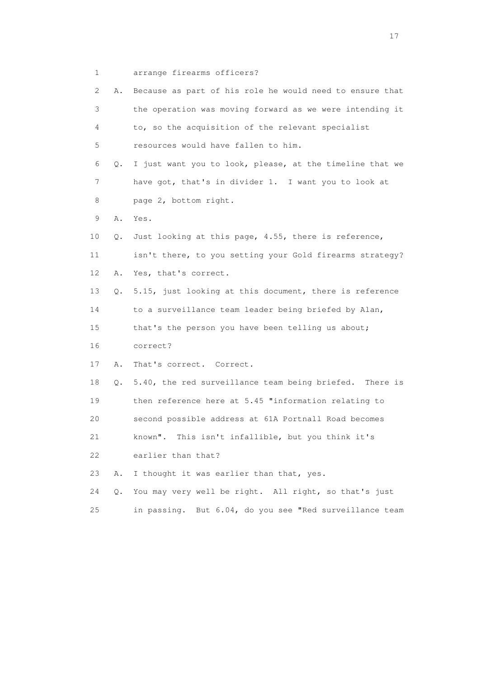1 arrange firearms officers?

| 2  | Α.        | Because as part of his role he would need to ensure that |
|----|-----------|----------------------------------------------------------|
| 3  |           | the operation was moving forward as we were intending it |
| 4  |           | to, so the acquisition of the relevant specialist        |
| 5  |           | resources would have fallen to him.                      |
| 6  | Q.        | I just want you to look, please, at the timeline that we |
| 7  |           | have got, that's in divider 1. I want you to look at     |
| 8  |           | page 2, bottom right.                                    |
| 9  | Α.        | Yes.                                                     |
| 10 | Q.        | Just looking at this page, 4.55, there is reference,     |
| 11 |           | isn't there, to you setting your Gold firearms strategy? |
| 12 | Α.        | Yes, that's correct.                                     |
| 13 | Q.        | 5.15, just looking at this document, there is reference  |
| 14 |           | to a surveillance team leader being briefed by Alan,     |
| 15 |           | that's the person you have been telling us about;        |
| 16 |           | correct?                                                 |
| 17 | Α.        | That's correct. Correct.                                 |
| 18 | $\circ$ . | 5.40, the red surveillance team being briefed. There is  |
| 19 |           | then reference here at 5.45 "information relating to     |
| 20 |           | second possible address at 61A Portnall Road becomes     |
| 21 |           | known". This isn't infallible, but you think it's        |
| 22 |           | earlier than that?                                       |
| 23 | Α.        | I thought it was earlier than that, yes.                 |
| 24 | $Q$ .     | You may very well be right. All right, so that's just    |
| 25 |           | in passing. But 6.04, do you see "Red surveillance team  |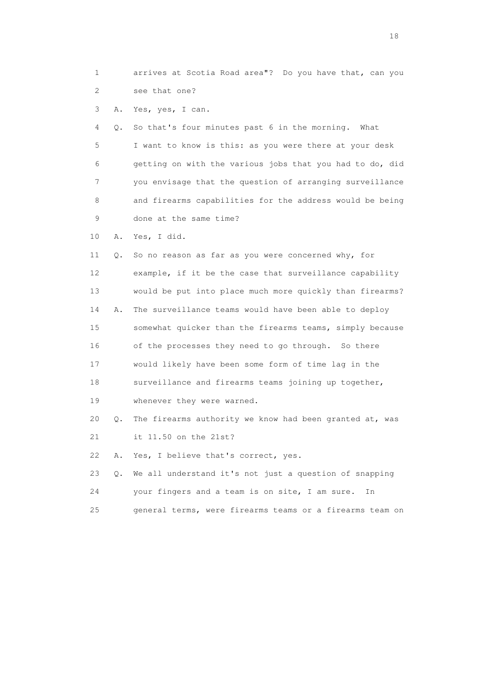1 arrives at Scotia Road area"? Do you have that, can you 2 see that one?

3 A. Yes, yes, I can.

 4 Q. So that's four minutes past 6 in the morning. What 5 I want to know is this: as you were there at your desk 6 getting on with the various jobs that you had to do, did 7 you envisage that the question of arranging surveillance 8 and firearms capabilities for the address would be being 9 done at the same time?

10 A. Yes, I did.

 11 Q. So no reason as far as you were concerned why, for 12 example, if it be the case that surveillance capability 13 would be put into place much more quickly than firearms? 14 A. The surveillance teams would have been able to deploy 15 somewhat quicker than the firearms teams, simply because 16 of the processes they need to go through. So there 17 would likely have been some form of time lag in the 18 surveillance and firearms teams joining up together, 19 whenever they were warned. 20 Q. The firearms authority we know had been granted at, was

21 it 11.50 on the 21st?

22 A. Yes, I believe that's correct, yes.

 23 Q. We all understand it's not just a question of snapping 24 your fingers and a team is on site, I am sure. In

25 general terms, were firearms teams or a firearms team on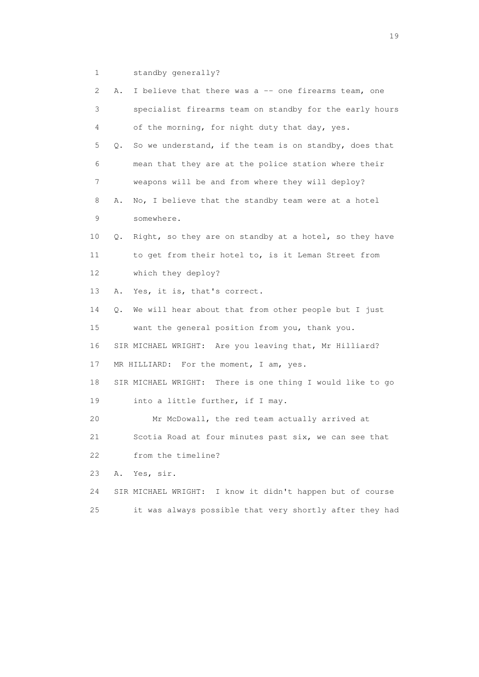1 standby generally?

| 2  | Α.        | I believe that there was a -- one firearms team, one      |
|----|-----------|-----------------------------------------------------------|
| 3  |           | specialist firearms team on standby for the early hours   |
|    | 4         | of the morning, for night duty that day, yes.             |
| 5  | Q.        | So we understand, if the team is on standby, does that    |
|    | 6         | mean that they are at the police station where their      |
|    | 7         | weapons will be and from where they will deploy?          |
| 8  | Α.        | No, I believe that the standby team were at a hotel       |
|    | 9         | somewhere.                                                |
| 10 | Q.        | Right, so they are on standby at a hotel, so they have    |
| 11 |           | to get from their hotel to, is it Leman Street from       |
| 12 |           | which they deploy?                                        |
| 13 | Α.        | Yes, it is, that's correct.                               |
| 14 | $\circ$ . | We will hear about that from other people but I just      |
| 15 |           | want the general position from you, thank you.            |
| 16 |           | SIR MICHAEL WRIGHT: Are you leaving that, Mr Hilliard?    |
| 17 |           | MR HILLIARD: For the moment, I am, yes.                   |
| 18 |           | SIR MICHAEL WRIGHT: There is one thing I would like to go |
| 19 |           | into a little further, if I may.                          |
| 20 |           | Mr McDowall, the red team actually arrived at             |
| 21 |           | Scotia Road at four minutes past six, we can see that     |
| 22 |           | from the timeline?                                        |
| 23 | Α.        | Yes, sir.                                                 |
| 24 |           | SIR MICHAEL WRIGHT: I know it didn't happen but of course |
| 25 |           | it was always possible that very shortly after they had   |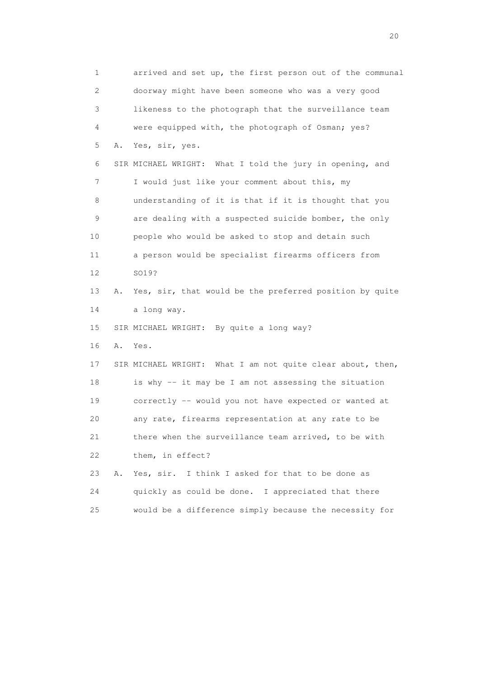1 arrived and set up, the first person out of the communal 2 doorway might have been someone who was a very good 3 likeness to the photograph that the surveillance team 4 were equipped with, the photograph of Osman; yes? 5 A. Yes, sir, yes. 6 SIR MICHAEL WRIGHT: What I told the jury in opening, and 7 I would just like your comment about this, my 8 understanding of it is that if it is thought that you 9 are dealing with a suspected suicide bomber, the only 10 people who would be asked to stop and detain such 11 a person would be specialist firearms officers from 12 SO19? 13 A. Yes, sir, that would be the preferred position by quite 14 a long way. 15 SIR MICHAEL WRIGHT: By quite a long way? 16 A. Yes. 17 SIR MICHAEL WRIGHT: What I am not quite clear about, then, 18 is why -- it may be I am not assessing the situation 19 correctly -- would you not have expected or wanted at 20 any rate, firearms representation at any rate to be 21 there when the surveillance team arrived, to be with 22 them, in effect? 23 A. Yes, sir. I think I asked for that to be done as 24 quickly as could be done. I appreciated that there 25 would be a difference simply because the necessity for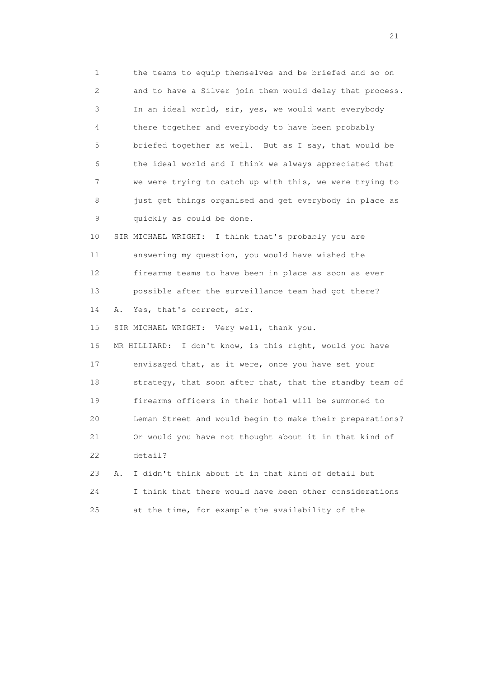1 the teams to equip themselves and be briefed and so on 2 and to have a Silver join them would delay that process. 3 In an ideal world, sir, yes, we would want everybody 4 there together and everybody to have been probably 5 briefed together as well. But as I say, that would be 6 the ideal world and I think we always appreciated that 7 we were trying to catch up with this, we were trying to 8 just get things organised and get everybody in place as 9 quickly as could be done. 10 SIR MICHAEL WRIGHT: I think that's probably you are 11 answering my question, you would have wished the

 12 firearms teams to have been in place as soon as ever 13 possible after the surveillance team had got there? 14 A. Yes, that's correct, sir.

15 SIR MICHAEL WRIGHT: Very well, thank you.

 16 MR HILLIARD: I don't know, is this right, would you have 17 envisaged that, as it were, once you have set your 18 strategy, that soon after that, that the standby team of 19 firearms officers in their hotel will be summoned to 20 Leman Street and would begin to make their preparations? 21 Or would you have not thought about it in that kind of 22 detail?

 23 A. I didn't think about it in that kind of detail but 24 I think that there would have been other considerations 25 at the time, for example the availability of the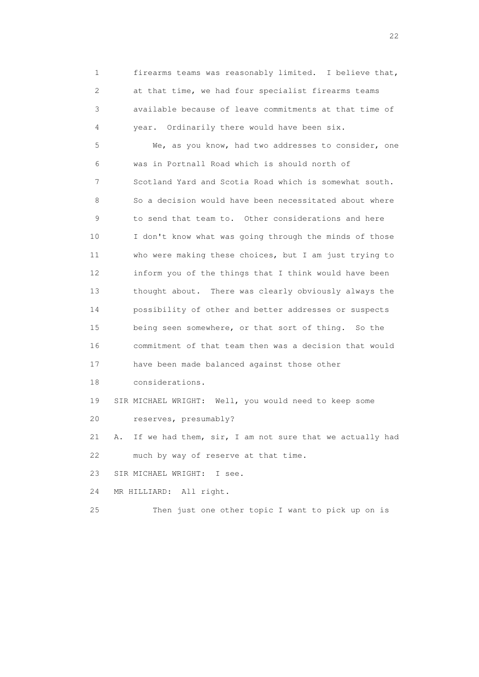1 firearms teams was reasonably limited. I believe that, 2 at that time, we had four specialist firearms teams 3 available because of leave commitments at that time of 4 year. Ordinarily there would have been six.

 5 We, as you know, had two addresses to consider, one 6 was in Portnall Road which is should north of 7 Scotland Yard and Scotia Road which is somewhat south. 8 So a decision would have been necessitated about where 9 to send that team to. Other considerations and here 10 I don't know what was going through the minds of those 11 who were making these choices, but I am just trying to 12 inform you of the things that I think would have been 13 thought about. There was clearly obviously always the 14 possibility of other and better addresses or suspects 15 being seen somewhere, or that sort of thing. So the 16 commitment of that team then was a decision that would 17 have been made balanced against those other 18 considerations.

19 SIR MICHAEL WRIGHT: Well, you would need to keep some

20 reserves, presumably?

 21 A. If we had them, sir, I am not sure that we actually had 22 much by way of reserve at that time.

23 SIR MICHAEL WRIGHT: I see.

24 MR HILLIARD: All right.

25 Then just one other topic I want to pick up on is

22 and 22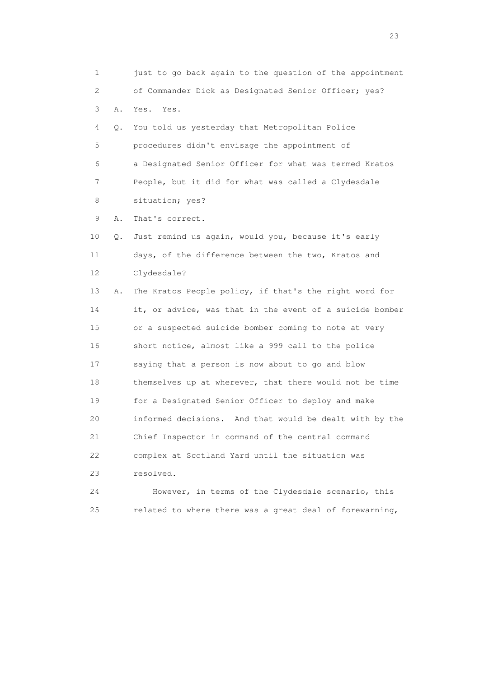1 just to go back again to the question of the appointment 2 of Commander Dick as Designated Senior Officer; yes? 3 A. Yes. Yes. 4 Q. You told us yesterday that Metropolitan Police 5 procedures didn't envisage the appointment of 6 a Designated Senior Officer for what was termed Kratos 7 People, but it did for what was called a Clydesdale 8 situation; yes? 9 A. That's correct. 10 Q. Just remind us again, would you, because it's early 11 days, of the difference between the two, Kratos and 12 Clydesdale? 13 A. The Kratos People policy, if that's the right word for 14 it, or advice, was that in the event of a suicide bomber 15 or a suspected suicide bomber coming to note at very 16 short notice, almost like a 999 call to the police 17 saying that a person is now about to go and blow 18 themselves up at wherever, that there would not be time 19 for a Designated Senior Officer to deploy and make 20 informed decisions. And that would be dealt with by the 21 Chief Inspector in command of the central command 22 complex at Scotland Yard until the situation was 23 resolved. 24 However, in terms of the Clydesdale scenario, this 25 related to where there was a great deal of forewarning,

23 and 23 and 23 and 23 and 23 and 23 and 23 and 23 and 23 and 23 and 23 and 23 and 23 and 23 and 23 and 23 and 24 and 25 and 25 and 25 and 26 and 26 and 26 and 26 and 26 and 26 and 26 and 26 and 26 and 26 and 26 and 26 an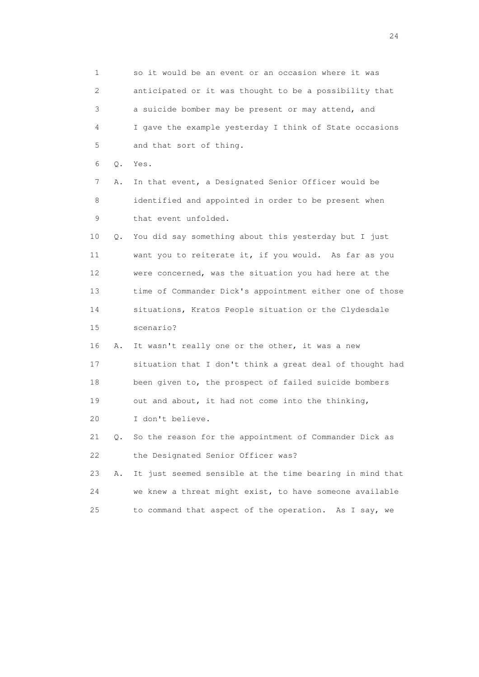1 so it would be an event or an occasion where it was 2 anticipated or it was thought to be a possibility that 3 a suicide bomber may be present or may attend, and 4 I gave the example yesterday I think of State occasions 5 and that sort of thing. 6 Q. Yes. 7 A. In that event, a Designated Senior Officer would be 8 identified and appointed in order to be present when 9 that event unfolded. 10 Q. You did say something about this yesterday but I just 11 want you to reiterate it, if you would. As far as you 12 were concerned, was the situation you had here at the 13 time of Commander Dick's appointment either one of those 14 situations, Kratos People situation or the Clydesdale 15 scenario? 16 A. It wasn't really one or the other, it was a new 17 situation that I don't think a great deal of thought had 18 been given to, the prospect of failed suicide bombers 19 out and about, it had not come into the thinking, 20 I don't believe. 21 Q. So the reason for the appointment of Commander Dick as 22 the Designated Senior Officer was? 23 A. It just seemed sensible at the time bearing in mind that 24 we knew a threat might exist, to have someone available 25 to command that aspect of the operation. As I say, we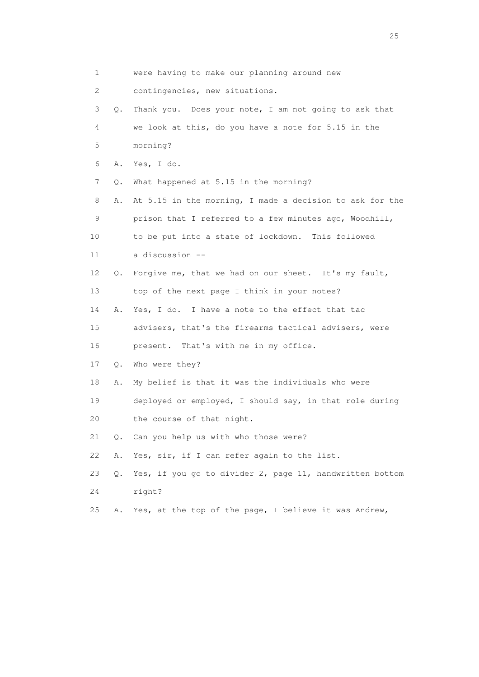| 1  |    | were having to make our planning around new              |
|----|----|----------------------------------------------------------|
| 2  |    | contingencies, new situations.                           |
| 3  | Q. | Thank you. Does your note, I am not going to ask that    |
| 4  |    | we look at this, do you have a note for 5.15 in the      |
| 5  |    | morning?                                                 |
| 6  | Α. | Yes, I do.                                               |
| 7  | Q. | What happened at 5.15 in the morning?                    |
| 8  | Α. | At 5.15 in the morning, I made a decision to ask for the |
| 9  |    | prison that I referred to a few minutes ago, Woodhill,   |
| 10 |    | to be put into a state of lockdown. This followed        |
| 11 |    | a discussion --                                          |
| 12 | Q. | Forgive me, that we had on our sheet. It's my fault,     |
| 13 |    | top of the next page I think in your notes?              |
| 14 | Α. | Yes, I do. I have a note to the effect that tac          |
| 15 |    | advisers, that's the firearms tactical advisers, were    |
| 16 |    | present. That's with me in my office.                    |
| 17 | Q. | Who were they?                                           |
| 18 | Α. | My belief is that it was the individuals who were        |
| 19 |    | deployed or employed, I should say, in that role during  |
| 20 |    | the course of that night.                                |
| 21 | Q. | Can you help us with who those were?                     |
| 22 | Α. | Yes, sir, if I can refer again to the list.              |
| 23 | Q. | Yes, if you go to divider 2, page 11, handwritten bottom |
| 24 |    | right?                                                   |
| 25 | Α. | Yes, at the top of the page, I believe it was Andrew,    |
|    |    |                                                          |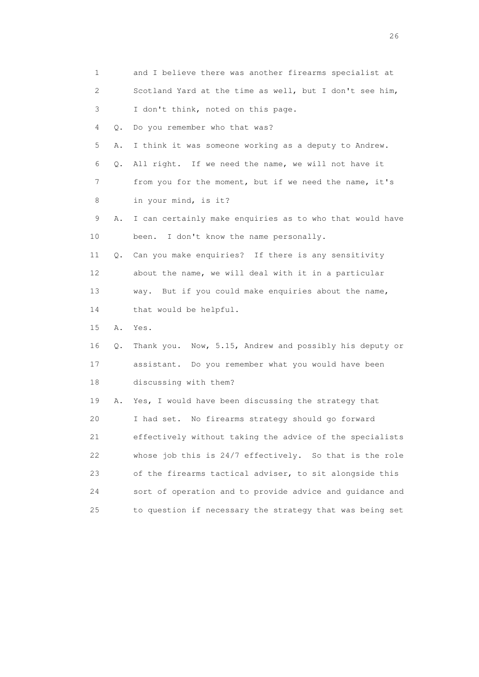| 1                         |    | and I believe there was another firearms specialist at   |
|---------------------------|----|----------------------------------------------------------|
| $\mathbf{2}^{\mathsf{I}}$ |    | Scotland Yard at the time as well, but I don't see him,  |
| 3                         |    | I don't think, noted on this page.                       |
| 4                         | Q. | Do you remember who that was?                            |
| 5                         | Α. | I think it was someone working as a deputy to Andrew.    |
| 6                         | Q. | All right. If we need the name, we will not have it      |
| 7                         |    | from you for the moment, but if we need the name, it's   |
| 8                         |    | in your mind, is it?                                     |
| 9                         | Α. | I can certainly make enquiries as to who that would have |
| 10                        |    | I don't know the name personally.<br>been.               |
| 11                        | 0. | Can you make enquiries? If there is any sensitivity      |
| 12                        |    | about the name, we will deal with it in a particular     |
| 13                        |    | But if you could make enquiries about the name,<br>way.  |
| 14                        |    | that would be helpful.                                   |
| 15                        | Α. | Yes.                                                     |
| 16                        | Q. | Thank you. Now, 5.15, Andrew and possibly his deputy or  |
| 17                        |    | assistant. Do you remember what you would have been      |
| 18                        |    | discussing with them?                                    |
| 19                        | Α. | Yes, I would have been discussing the strategy that      |
| 20                        |    | No firearms strategy should go forward<br>I had set.     |
| 21                        |    | effectively without taking the advice of the specialists |
| 22                        |    | whose job this is 24/7 effectively. So that is the role  |
| 23                        |    | of the firearms tactical adviser, to sit alongside this  |
| 24                        |    | sort of operation and to provide advice and quidance and |
| 25                        |    | to question if necessary the strategy that was being set |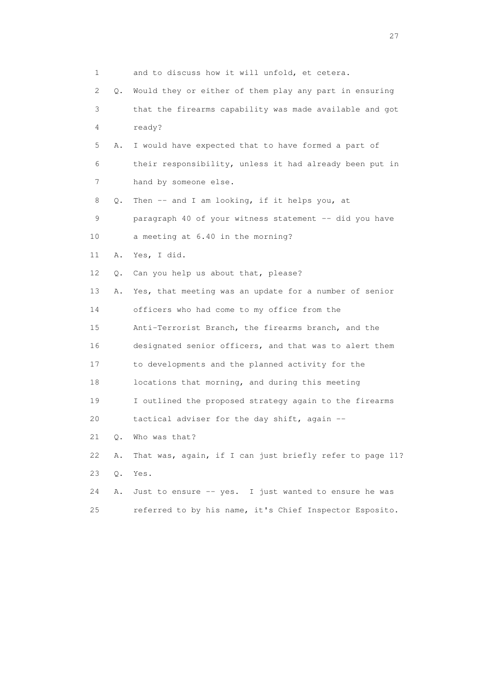| 1  |       | and to discuss how it will unfold, et cetera.            |
|----|-------|----------------------------------------------------------|
| 2  | Q.    | Would they or either of them play any part in ensuring   |
| 3  |       | that the firearms capability was made available and got  |
| 4  |       | ready?                                                   |
| 5  | Α.    | I would have expected that to have formed a part of      |
| 6  |       | their responsibility, unless it had already been put in  |
| 7  |       | hand by someone else.                                    |
| 8  | Q.    | Then -- and I am looking, if it helps you, at            |
| 9  |       | paragraph 40 of your witness statement -- did you have   |
| 10 |       | a meeting at 6.40 in the morning?                        |
| 11 | Α.    | Yes, I did.                                              |
| 12 | Q.    | Can you help us about that, please?                      |
| 13 | Α.    | Yes, that meeting was an update for a number of senior   |
| 14 |       | officers who had come to my office from the              |
| 15 |       | Anti-Terrorist Branch, the firearms branch, and the      |
| 16 |       | designated senior officers, and that was to alert them   |
| 17 |       | to developments and the planned activity for the         |
| 18 |       | locations that morning, and during this meeting          |
| 19 |       | I outlined the proposed strategy again to the firearms   |
| 20 |       | tactical adviser for the day shift, again --             |
| 21 | Q.    | Who was that?                                            |
| 22 | Α.    | That was, again, if I can just briefly refer to page 11? |
| 23 | $Q$ . | Yes.                                                     |
| 24 | Α.    | Just to ensure -- yes. I just wanted to ensure he was    |
| 25 |       | referred to by his name, it's Chief Inspector Esposito.  |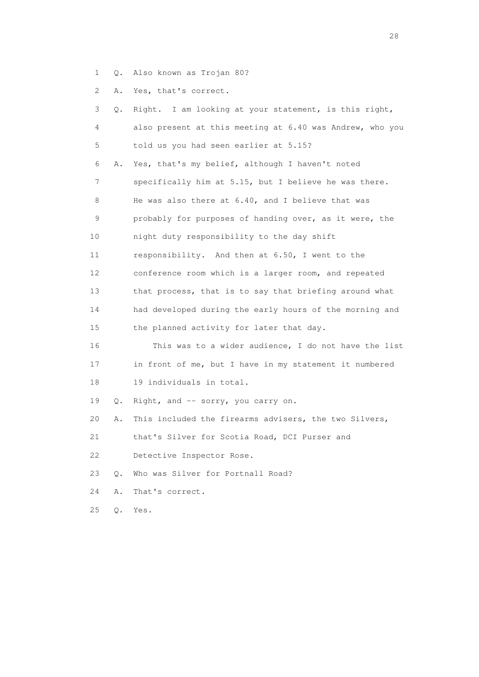- 1 Q. Also known as Trojan 80?
- 2 A. Yes, that's correct.

| 3               | Q.        | Right. I am looking at your statement, is this right,    |
|-----------------|-----------|----------------------------------------------------------|
| 4               |           | also present at this meeting at 6.40 was Andrew, who you |
| 5               |           | told us you had seen earlier at 5.15?                    |
| 6               | Α.        | Yes, that's my belief, although I haven't noted          |
| 7               |           | specifically him at 5.15, but I believe he was there.    |
| 8               |           | He was also there at 6.40, and I believe that was        |
| 9               |           | probably for purposes of handing over, as it were, the   |
| 10              |           | night duty responsibility to the day shift               |
| 11              |           | responsibility. And then at 6.50, I went to the          |
| 12 <sup>°</sup> |           | conference room which is a larger room, and repeated     |
| 13              |           | that process, that is to say that briefing around what   |
| 14              |           | had developed during the early hours of the morning and  |
| 15              |           | the planned activity for later that day.                 |
| 16              |           | This was to a wider audience, I do not have the list     |
| 17              |           | in front of me, but I have in my statement it numbered   |
| 18              |           | 19 individuals in total.                                 |
| 19              | $\circ$ . | Right, and -- sorry, you carry on.                       |
| 20              | Α.        | This included the firearms advisers, the two Silvers,    |
| 21              |           | that's Silver for Scotia Road, DCI Purser and            |
| 22              |           | Detective Inspector Rose.                                |
| 23              | Q.        | Who was Silver for Portnall Road?                        |
| 24              | Α.        | That's correct.                                          |
| 25              | Q.        | Yes.                                                     |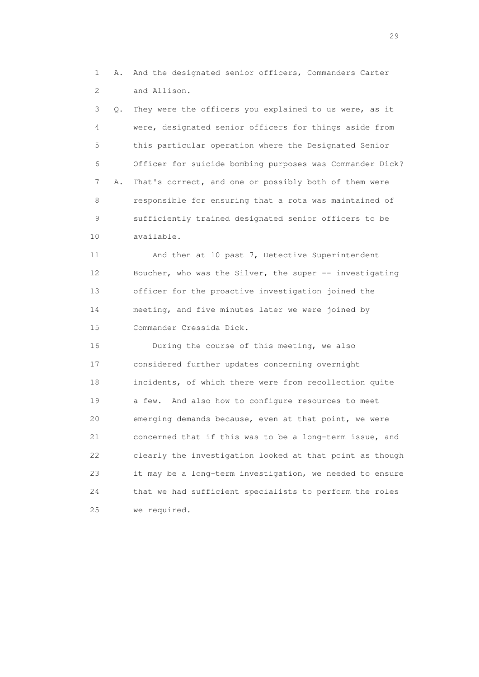1 A. And the designated senior officers, Commanders Carter 2 and Allison.

 3 Q. They were the officers you explained to us were, as it 4 were, designated senior officers for things aside from 5 this particular operation where the Designated Senior 6 Officer for suicide bombing purposes was Commander Dick? 7 A. That's correct, and one or possibly both of them were 8 responsible for ensuring that a rota was maintained of 9 sufficiently trained designated senior officers to be 10 available.

 11 And then at 10 past 7, Detective Superintendent 12 Boucher, who was the Silver, the super -- investigating 13 officer for the proactive investigation joined the 14 meeting, and five minutes later we were joined by 15 Commander Cressida Dick.

 16 During the course of this meeting, we also 17 considered further updates concerning overnight 18 incidents, of which there were from recollection quite 19 a few. And also how to configure resources to meet 20 emerging demands because, even at that point, we were 21 concerned that if this was to be a long-term issue, and 22 clearly the investigation looked at that point as though 23 it may be a long-term investigation, we needed to ensure 24 that we had sufficient specialists to perform the roles 25 we required.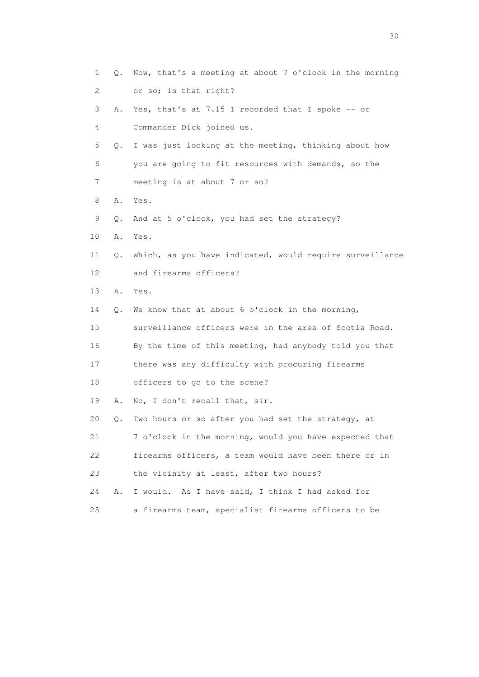| 1                         | Q. | Now, that's a meeting at about 7 o'clock in the morning  |
|---------------------------|----|----------------------------------------------------------|
| $\mathbf{2}^{\mathsf{I}}$ |    | or so; is that right?                                    |
| 3                         | Α. | Yes, that's at 7.15 I recorded that I spoke -- or        |
| 4                         |    | Commander Dick joined us.                                |
| 5                         | Q. | I was just looking at the meeting, thinking about how    |
| 6                         |    | you are going to fit resources with demands, so the      |
| 7                         |    | meeting is at about 7 or so?                             |
| 8                         | Α. | Yes.                                                     |
| 9                         | Q. | And at 5 o'clock, you had set the strategy?              |
| 10                        | Α. | Yes.                                                     |
| 11                        | Q. | Which, as you have indicated, would require surveillance |
| 12                        |    | and firearms officers?                                   |
| 13                        | Α. | Yes.                                                     |
| 14                        | Q. | We know that at about 6 o'clock in the morning,          |
| 15                        |    | surveillance officers were in the area of Scotia Road.   |
| 16                        |    | By the time of this meeting, had anybody told you that   |
| 17                        |    | there was any difficulty with procuring firearms         |
| 18                        |    | officers to go to the scene?                             |
| 19                        | Α. | No, I don't recall that, sir.                            |
| 20                        | Q. | Two hours or so after you had set the strategy, at       |
| 21                        |    | 7 o'clock in the morning, would you have expected that   |
| 22                        |    | firearms officers, a team would have been there or in    |
| 23                        |    | the vicinity at least, after two hours?                  |
| 24                        | Α. | As I have said, I think I had asked for<br>I would.      |
| 25                        |    | a firearms team, specialist firearms officers to be      |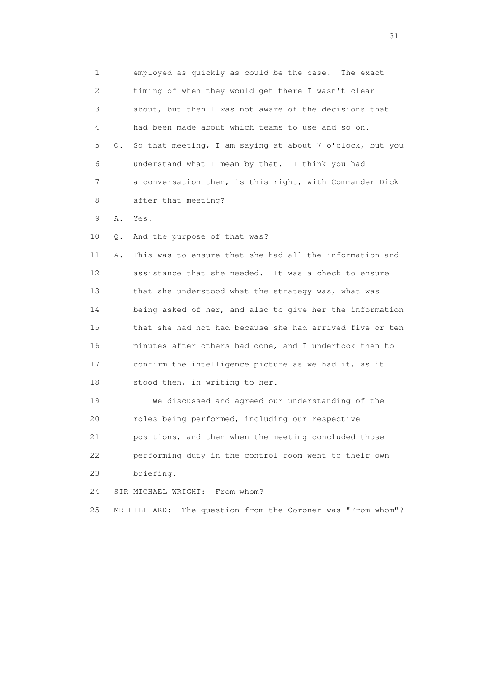1 employed as quickly as could be the case. The exact 2 timing of when they would get there I wasn't clear 3 about, but then I was not aware of the decisions that 4 had been made about which teams to use and so on. 5 Q. So that meeting, I am saying at about 7 o'clock, but you 6 understand what I mean by that. I think you had 7 a conversation then, is this right, with Commander Dick 8 after that meeting?

9 A. Yes.

10 Q. And the purpose of that was?

 11 A. This was to ensure that she had all the information and 12 assistance that she needed. It was a check to ensure 13 that she understood what the strategy was, what was 14 being asked of her, and also to give her the information 15 that she had not had because she had arrived five or ten 16 minutes after others had done, and I undertook then to 17 confirm the intelligence picture as we had it, as it 18 stood then, in writing to her.

 19 We discussed and agreed our understanding of the 20 roles being performed, including our respective 21 positions, and then when the meeting concluded those 22 performing duty in the control room went to their own 23 briefing.

24 SIR MICHAEL WRIGHT: From whom?

25 MR HILLIARD: The question from the Coroner was "From whom"?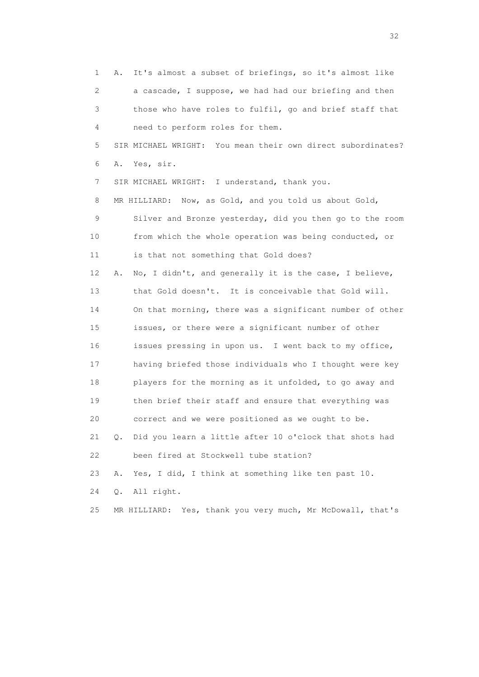1 A. It's almost a subset of briefings, so it's almost like 2 a cascade, I suppose, we had had our briefing and then 3 those who have roles to fulfil, go and brief staff that 4 need to perform roles for them. 5 SIR MICHAEL WRIGHT: You mean their own direct subordinates? 6 A. Yes, sir. 7 SIR MICHAEL WRIGHT: I understand, thank you. 8 MR HILLIARD: Now, as Gold, and you told us about Gold, 9 Silver and Bronze yesterday, did you then go to the room 10 from which the whole operation was being conducted, or 11 is that not something that Gold does? 12 A. No, I didn't, and generally it is the case, I believe, 13 that Gold doesn't. It is conceivable that Gold will. 14 On that morning, there was a significant number of other 15 issues, or there were a significant number of other 16 issues pressing in upon us. I went back to my office, 17 having briefed those individuals who I thought were key 18 players for the morning as it unfolded, to go away and 19 then brief their staff and ensure that everything was 20 correct and we were positioned as we ought to be. 21 Q. Did you learn a little after 10 o'clock that shots had 22 been fired at Stockwell tube station? 23 A. Yes, I did, I think at something like ten past 10. 24 Q. All right. 25 MR HILLIARD: Yes, thank you very much, Mr McDowall, that's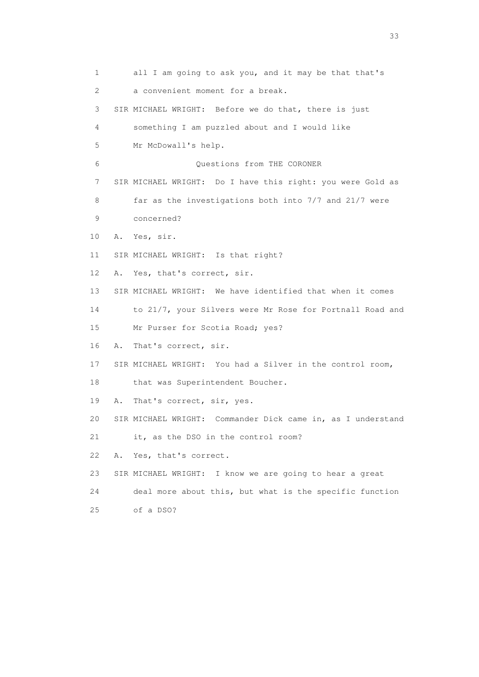1 all I am going to ask you, and it may be that that's 2 a convenient moment for a break. 3 SIR MICHAEL WRIGHT: Before we do that, there is just 4 something I am puzzled about and I would like 5 Mr McDowall's help. 6 Questions from THE CORONER 7 SIR MICHAEL WRIGHT: Do I have this right: you were Gold as 8 far as the investigations both into 7/7 and 21/7 were 9 concerned? 10 A. Yes, sir. 11 SIR MICHAEL WRIGHT: Is that right? 12 A. Yes, that's correct, sir. 13 SIR MICHAEL WRIGHT: We have identified that when it comes 14 to 21/7, your Silvers were Mr Rose for Portnall Road and 15 Mr Purser for Scotia Road; yes? 16 A. That's correct, sir. 17 SIR MICHAEL WRIGHT: You had a Silver in the control room, 18 that was Superintendent Boucher. 19 A. That's correct, sir, yes. 20 SIR MICHAEL WRIGHT: Commander Dick came in, as I understand 21 it, as the DSO in the control room? 22 A. Yes, that's correct. 23 SIR MICHAEL WRIGHT: I know we are going to hear a great 24 deal more about this, but what is the specific function 25 of a DSO?

<u>33</u> and the state of the state of the state of the state of the state of the state of the state of the state of the state of the state of the state of the state of the state of the state of the state of the state of the s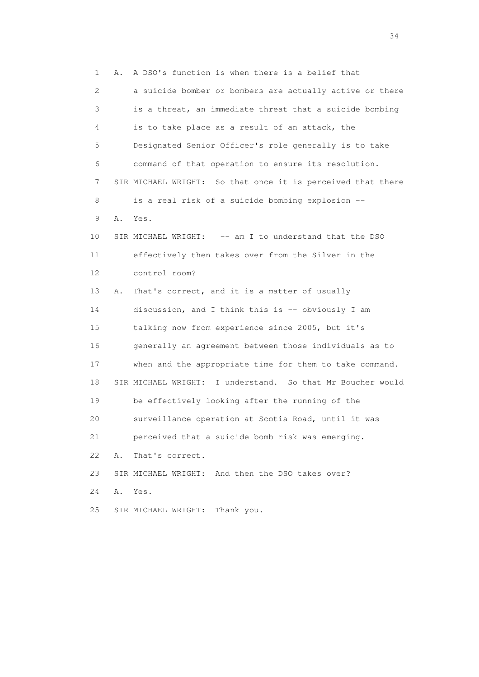1 A. A DSO's function is when there is a belief that 2 a suicide bomber or bombers are actually active or there 3 is a threat, an immediate threat that a suicide bombing 4 is to take place as a result of an attack, the 5 Designated Senior Officer's role generally is to take 6 command of that operation to ensure its resolution. 7 SIR MICHAEL WRIGHT: So that once it is perceived that there 8 is a real risk of a suicide bombing explosion -- 9 A. Yes. 10 SIR MICHAEL WRIGHT: -- am I to understand that the DSO 11 effectively then takes over from the Silver in the 12 control room? 13 A. That's correct, and it is a matter of usually 14 discussion, and I think this is -- obviously I am 15 talking now from experience since 2005, but it's 16 generally an agreement between those individuals as to 17 when and the appropriate time for them to take command. 18 SIR MICHAEL WRIGHT: I understand. So that Mr Boucher would 19 be effectively looking after the running of the 20 surveillance operation at Scotia Road, until it was 21 perceived that a suicide bomb risk was emerging. 22 A. That's correct. 23 SIR MICHAEL WRIGHT: And then the DSO takes over? 24 A. Yes. 25 SIR MICHAEL WRIGHT: Thank you.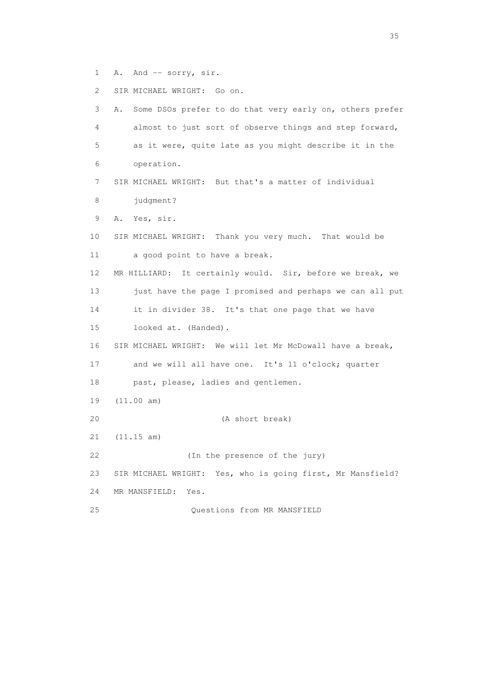1 A. And -- sorry, sir.

2 SIR MICHAEL WRIGHT: Go on.

| 3  | Some DSOs prefer to do that very early on, others prefer<br>Α. |
|----|----------------------------------------------------------------|
| 4  | almost to just sort of observe things and step forward,        |
| 5  | as it were, quite late as you might describe it in the         |
| 6  | operation.                                                     |
| 7  | SIR MICHAEL WRIGHT: But that's a matter of individual          |
| 8  | judgment?                                                      |
| 9  | Yes, sir.<br>Α.                                                |
| 10 | SIR MICHAEL WRIGHT: Thank you very much. That would be         |
| 11 | a good point to have a break.                                  |
| 12 | It certainly would. Sir, before we break, we<br>MR HILLIARD:   |
| 13 | just have the page I promised and perhaps we can all put       |
| 14 | it in divider 38. It's that one page that we have              |
| 15 | looked at. (Handed).                                           |
| 16 | SIR MICHAEL WRIGHT: We will let Mr McDowall have a break,      |
| 17 | and we will all have one. It's 11 o'clock; quarter             |
| 18 | past, please, ladies and gentlemen.                            |
| 19 | (11.00 am)                                                     |
| 20 | (A short break)                                                |
| 21 | (11.15 am)                                                     |
| 22 | (In the presence of the jury)                                  |
| 23 | SIR MICHAEL WRIGHT: Yes, who is going first, Mr Mansfield?     |
| 24 | MR MANSFIELD:<br>Yes.                                          |
| 25 | Questions from MR MANSFIELD                                    |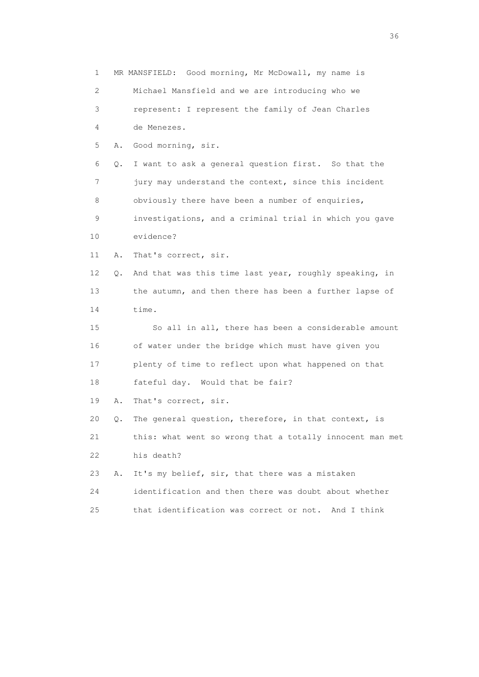1 MR MANSFIELD: Good morning, Mr McDowall, my name is 2 Michael Mansfield and we are introducing who we 3 represent: I represent the family of Jean Charles 4 de Menezes. 5 A. Good morning, sir. 6 Q. I want to ask a general question first. So that the 7 jury may understand the context, since this incident 8 obviously there have been a number of enquiries, 9 investigations, and a criminal trial in which you gave 10 evidence? 11 A. That's correct, sir. 12 Q. And that was this time last year, roughly speaking, in 13 the autumn, and then there has been a further lapse of 14 time. 15 So all in all, there has been a considerable amount 16 of water under the bridge which must have given you 17 plenty of time to reflect upon what happened on that 18 fateful day. Would that be fair? 19 A. That's correct, sir. 20 Q. The general question, therefore, in that context, is 21 this: what went so wrong that a totally innocent man met 22 his death? 23 A. It's my belief, sir, that there was a mistaken 24 identification and then there was doubt about whether 25 that identification was correct or not. And I think

 $36<sup>2</sup>$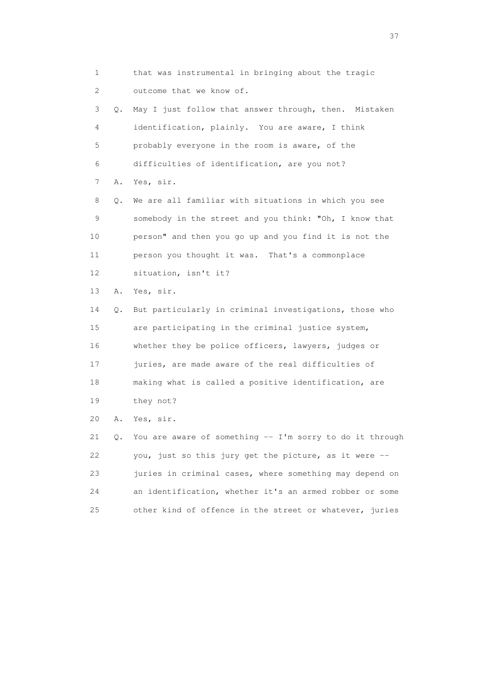1 that was instrumental in bringing about the tragic 2 outcome that we know of. 3 Q. May I just follow that answer through, then. Mistaken 4 identification, plainly. You are aware, I think 5 probably everyone in the room is aware, of the 6 difficulties of identification, are you not? 7 A. Yes, sir. 8 Q. We are all familiar with situations in which you see 9 somebody in the street and you think: "Oh, I know that 10 person" and then you go up and you find it is not the 11 person you thought it was. That's a commonplace 12 situation, isn't it? 13 A. Yes, sir. 14 Q. But particularly in criminal investigations, those who 15 are participating in the criminal justice system, 16 whether they be police officers, lawyers, judges or 17 juries, are made aware of the real difficulties of 18 making what is called a positive identification, are 19 they not? 20 A. Yes, sir.

 21 Q. You are aware of something -- I'm sorry to do it through 22 you, just so this jury get the picture, as it were -- 23 juries in criminal cases, where something may depend on 24 an identification, whether it's an armed robber or some 25 other kind of offence in the street or whatever, juries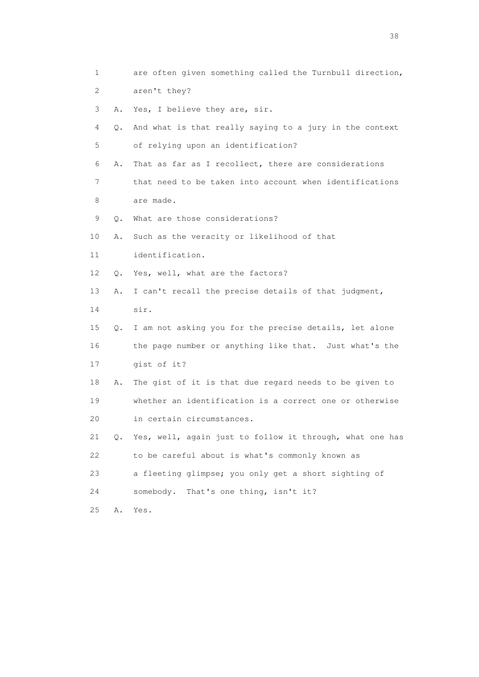1 are often given something called the Turnbull direction, 2 aren't they? 3 A. Yes, I believe they are, sir. 4 Q. And what is that really saying to a jury in the context 5 of relying upon an identification? 6 A. That as far as I recollect, there are considerations 7 that need to be taken into account when identifications 8 are made. 9 Q. What are those considerations? 10 A. Such as the veracity or likelihood of that 11 identification. 12 Q. Yes, well, what are the factors? 13 A. I can't recall the precise details of that judgment, 14 sir. 15 Q. I am not asking you for the precise details, let alone 16 the page number or anything like that. Just what's the 17 gist of it? 18 A. The gist of it is that due regard needs to be given to 19 whether an identification is a correct one or otherwise 20 in certain circumstances. 21 Q. Yes, well, again just to follow it through, what one has 22 to be careful about is what's commonly known as 23 a fleeting glimpse; you only get a short sighting of 24 somebody. That's one thing, isn't it? 25 A. Yes.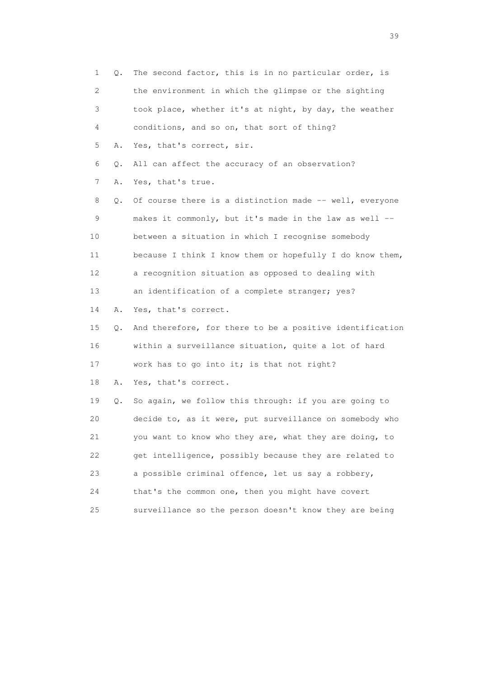| 1  | Q. | The second factor, this is in no particular order, is    |
|----|----|----------------------------------------------------------|
| 2  |    | the environment in which the glimpse or the sighting     |
| 3  |    | took place, whether it's at night, by day, the weather   |
| 4  |    | conditions, and so on, that sort of thing?               |
| 5  | Α. | Yes, that's correct, sir.                                |
| 6  | Q. | All can affect the accuracy of an observation?           |
| 7  | Α. | Yes, that's true.                                        |
| 8  | Q. | Of course there is a distinction made -- well, everyone  |
| 9  |    | makes it commonly, but it's made in the law as well --   |
| 10 |    | between a situation in which I recognise somebody        |
| 11 |    | because I think I know them or hopefully I do know them, |
| 12 |    | a recognition situation as opposed to dealing with       |
| 13 |    | an identification of a complete stranger; yes?           |
| 14 | Α. | Yes, that's correct.                                     |
| 15 | Q. | And therefore, for there to be a positive identification |
| 16 |    | within a surveillance situation, quite a lot of hard     |
| 17 |    | work has to go into it; is that not right?               |
| 18 | Α. | Yes, that's correct.                                     |
| 19 | Q. | So again, we follow this through: if you are going to    |
| 20 |    | decide to, as it were, put surveillance on somebody who  |
| 21 |    | you want to know who they are, what they are doing, to   |
| 22 |    | get intelligence, possibly because they are related to   |
| 23 |    | a possible criminal offence, let us say a robbery,       |
| 24 |    | that's the common one, then you might have covert        |
| 25 |    | surveillance so the person doesn't know they are being   |

 $39<sup>2</sup>$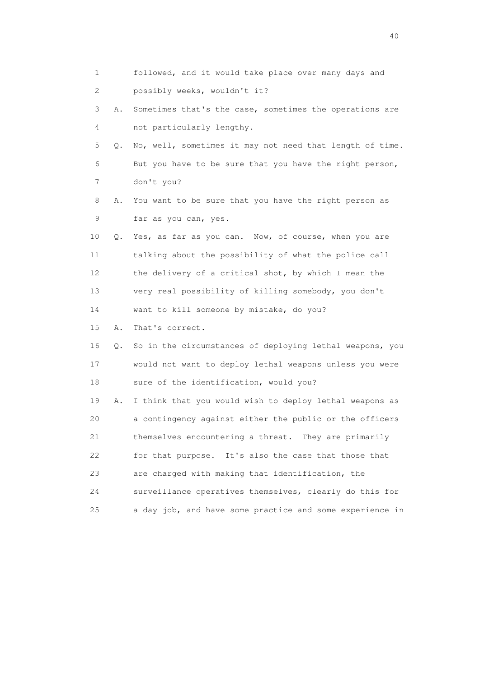| 1  |    | followed, and it would take place over many days and     |
|----|----|----------------------------------------------------------|
|    |    |                                                          |
| 2  |    | possibly weeks, wouldn't it?                             |
| 3  | Α. | Sometimes that's the case, sometimes the operations are  |
| 4  |    | not particularly lengthy.                                |
| 5  | О. | No, well, sometimes it may not need that length of time. |
| 6  |    | But you have to be sure that you have the right person,  |
| 7  |    | don't you?                                               |
| 8  | Α. | You want to be sure that you have the right person as    |
| 9  |    | far as you can, yes.                                     |
| 10 |    | Q. Yes, as far as you can. Now, of course, when you are  |
| 11 |    | talking about the possibility of what the police call    |
| 12 |    | the delivery of a critical shot, by which I mean the     |
| 13 |    | very real possibility of killing somebody, you don't     |
| 14 |    | want to kill someone by mistake, do you?                 |
| 15 | Α. | That's correct.                                          |
| 16 | Q. | So in the circumstances of deploying lethal weapons, you |
| 17 |    | would not want to deploy lethal weapons unless you were  |
| 18 |    | sure of the identification, would you?                   |
| 19 | Α. | I think that you would wish to deploy lethal weapons as  |
| 20 |    | a contingency against either the public or the officers  |
| 21 |    | themselves encountering a threat. They are primarily     |
| 22 |    | for that purpose. It's also the case that those that     |
| 23 |    | are charged with making that identification, the         |
| 24 |    | surveillance operatives themselves, clearly do this for  |
| 25 |    | a day job, and have some practice and some experience in |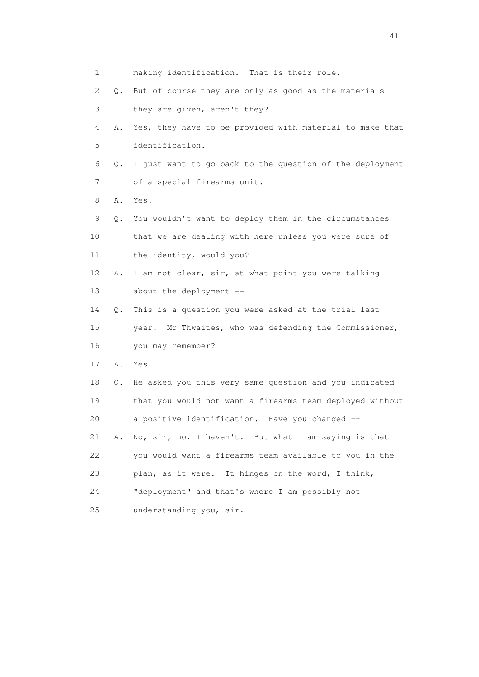| 1               |    | making identification. That is their role.                |
|-----------------|----|-----------------------------------------------------------|
|                 |    |                                                           |
| 2               | Q. | But of course they are only as good as the materials      |
| 3               |    | they are given, aren't they?                              |
| 4               | Α. | Yes, they have to be provided with material to make that  |
| 5               |    | identification.                                           |
| 6               | Q. | I just want to go back to the question of the deployment  |
| 7               |    | of a special firearms unit.                               |
| 8               | Α. | Yes.                                                      |
| 9               | Q. | You wouldn't want to deploy them in the circumstances     |
| 10              |    | that we are dealing with here unless you were sure of     |
| 11              |    | the identity, would you?                                  |
| 12 <sup>°</sup> | Α. | I am not clear, sir, at what point you were talking       |
| 13              |    | about the deployment --                                   |
| 14              | Q. | This is a question you were asked at the trial last       |
| 15              |    | Mr Thwaites, who was defending the Commissioner,<br>year. |
| 16              |    | you may remember?                                         |
| 17              | Α. | Yes.                                                      |
| 18              | Q. | He asked you this very same question and you indicated    |
| 19              |    | that you would not want a firearms team deployed without  |
| 20              |    | a positive identification. Have you changed --            |
| 21              | Α. | No, sir, no, I haven't. But what I am saying is that      |
| 22              |    | you would want a firearms team available to you in the    |
| 23              |    | plan, as it were. It hinges on the word, I think,         |
| 24              |    | "deployment" and that's where I am possibly not           |
| 25              |    | understanding you, sir.                                   |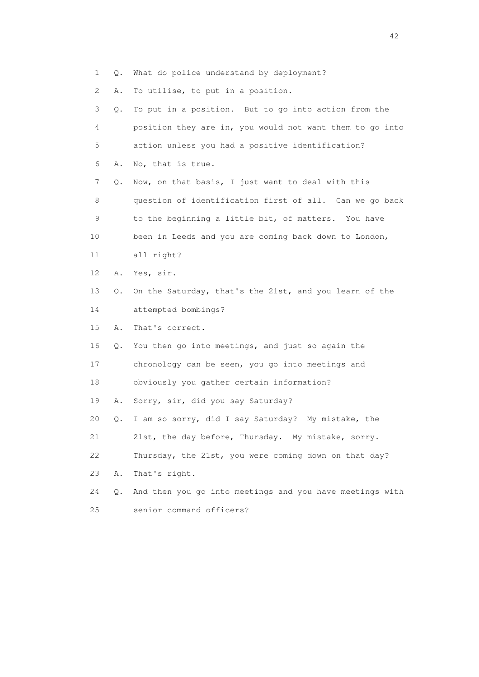1 Q. What do police understand by deployment?

2 A. To utilise, to put in a position.

| 3  | Q.        | To put in a position. But to go into action from the     |
|----|-----------|----------------------------------------------------------|
| 4  |           | position they are in, you would not want them to go into |
| 5  |           | action unless you had a positive identification?         |
| 6  | Α.        | No, that is true.                                        |
| 7  | Q.        | Now, on that basis, I just want to deal with this        |
| 8  |           | question of identification first of all. Can we go back  |
| 9  |           | to the beginning a little bit, of matters. You have      |
| 10 |           | been in Leeds and you are coming back down to London,    |
| 11 |           | all right?                                               |
| 12 | Α.        | Yes, sir.                                                |
| 13 | $\circ$ . | On the Saturday, that's the 21st, and you learn of the   |
| 14 |           | attempted bombings?                                      |
| 15 | Α.        | That's correct.                                          |
| 16 | Q.        | You then go into meetings, and just so again the         |
| 17 |           | chronology can be seen, you go into meetings and         |
| 18 |           | obviously you gather certain information?                |
| 19 | Α.        | Sorry, sir, did you say Saturday?                        |
| 20 | Q.        | I am so sorry, did I say Saturday? My mistake, the       |
| 21 |           | 21st, the day before, Thursday. My mistake, sorry.       |
| 22 |           | Thursday, the 21st, you were coming down on that day?    |
| 23 | Α.        | That's right.                                            |
| 24 | Q.        | And then you go into meetings and you have meetings with |
| 25 |           | senior command officers?                                 |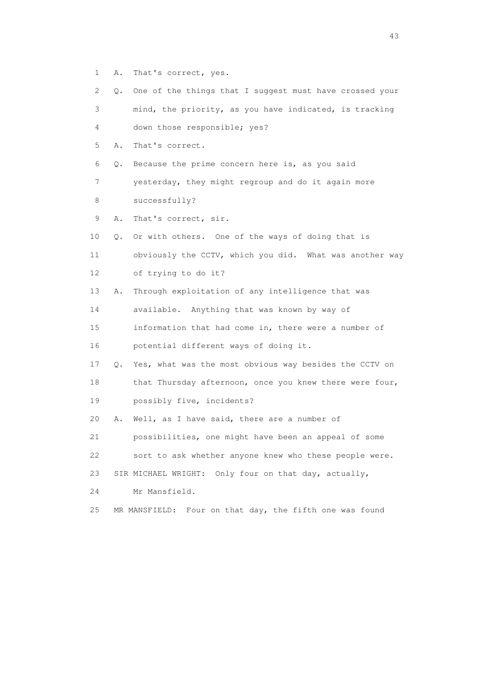- 1 A. That's correct, yes.
- 2 Q. One of the things that I suggest must have crossed your 3 mind, the priority, as you have indicated, is tracking
- 4 down those responsible; yes?
- 5 A. That's correct.
- 6 Q. Because the prime concern here is, as you said

 7 yesterday, they might regroup and do it again more 8 successfully?

- 9 A. That's correct, sir.
- 10 Q. Or with others. One of the ways of doing that is

 11 obviously the CCTV, which you did. What was another way 12 of trying to do it?

13 A. Through exploitation of any intelligence that was

14 available. Anything that was known by way of

 15 information that had come in, there were a number of 16 potential different ways of doing it.

17 Q. Yes, what was the most obvious way besides the CCTV on

18 that Thursday afternoon, once you knew there were four,

19 possibly five, incidents?

20 A. Well, as I have said, there are a number of

21 possibilities, one might have been an appeal of some

22 sort to ask whether anyone knew who these people were.

23 SIR MICHAEL WRIGHT: Only four on that day, actually,

- 24 Mr Mansfield.
- 25 MR MANSFIELD: Four on that day, the fifth one was found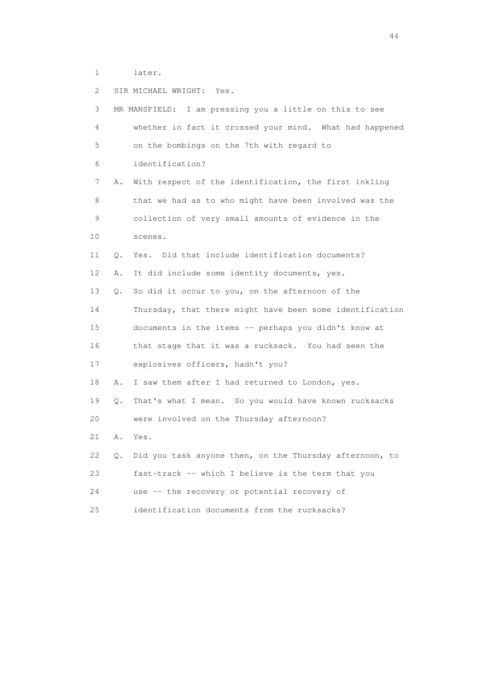1 later.

 2 SIR MICHAEL WRIGHT: Yes. 3 MR MANSFIELD: I am pressing you a little on this to see 4 whether in fact it crossed your mind. What had happened 5 on the bombings on the 7th with regard to 6 identification? 7 A. With respect of the identification, the first inkling 8 that we had as to who might have been involved was the 9 collection of very small amounts of evidence in the 10 scenes. 11 Q. Yes. Did that include identification documents? 12 A. It did include some identity documents, yes. 13 Q. So did it occur to you, on the afternoon of the 14 Thursday, that there might have been some identification 15 documents in the items -- perhaps you didn't know at 16 that stage that it was a rucksack. You had seen the 17 explosives officers, hadn't you? 18 A. I saw them after I had returned to London, yes. 19 Q. That's what I mean. So you would have known rucksacks 20 were involved on the Thursday afternoon? 21 A. Yes. 22 Q. Did you task anyone then, on the Thursday afternoon, to 23 fast-track -- which I believe is the term that you 24 use -- the recovery or potential recovery of 25 identification documents from the rucksacks?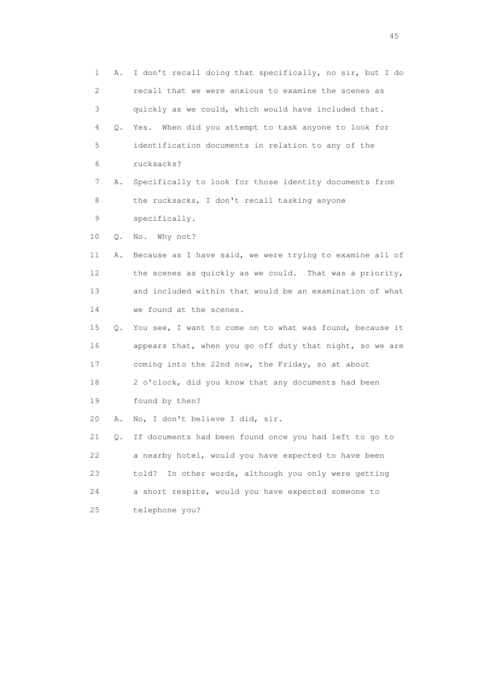1 A. I don't recall doing that specifically, no sir, but I do 2 recall that we were anxious to examine the scenes as 3 quickly as we could, which would have included that. 4 Q. Yes. When did you attempt to task anyone to look for 5 identification documents in relation to any of the 6 rucksacks? 7 A. Specifically to look for those identity documents from 8 the rucksacks, I don't recall tasking anyone 9 specifically. 10 Q. No. Why not? 11 A. Because as I have said, we were trying to examine all of 12 the scenes as quickly as we could. That was a priority, 13 and included within that would be an examination of what 14 we found at the scenes. 15 Q. You see, I want to come on to what was found, because it 16 appears that, when you go off duty that night, so we are 17 coming into the 22nd now, the Friday, so at about 18 2 o'clock, did you know that any documents had been 19 found by then? 20 A. No, I don't believe I did, sir. 21 Q. If documents had been found once you had left to go to 22 a nearby hotel, would you have expected to have been 23 told? In other words, although you only were getting 24 a short respite, would you have expected someone to 25 telephone you?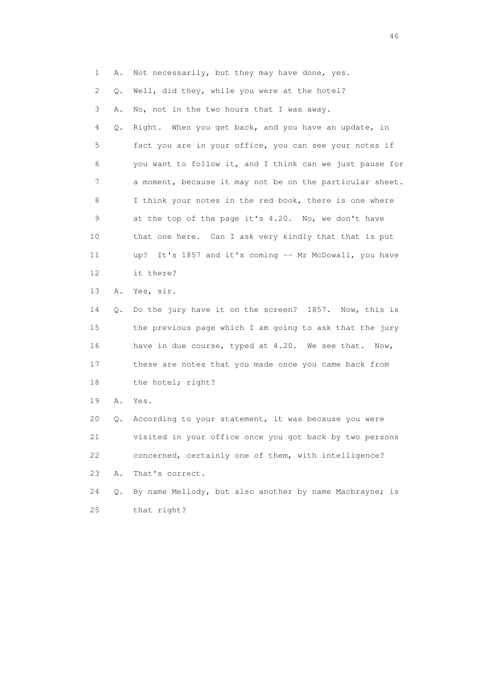1 A. Not necessarily, but they may have done, yes. 2 Q. Well, did they, while you were at the hotel? 3 A. No, not in the two hours that I was away. 4 Q. Right. When you get back, and you have an update, in 5 fact you are in your office, you can see your notes if 6 you want to follow it, and I think can we just pause for 7 a moment, because it may not be on the particular sheet. 8 I think your notes in the red book, there is one where 9 at the top of the page it's 4.20. No, we don't have 10 that one here. Can I ask very kindly that that is put 11 up? It's 1857 and it's coming -- Mr McDowall, you have 12 it there? 13 A. Yes, sir. 14 Q. Do the jury have it on the screen? 1857. Now, this is 15 the previous page which I am going to ask that the jury 16 have in due course, typed at 4.20. We see that. Now, 17 these are notes that you made once you came back from 18 the hotel; right? 19 A. Yes. 20 Q. According to your statement, it was because you were 21 visited in your office once you got back by two persons 22 concerned, certainly one of them, with intelligence? 23 A. That's correct.

 24 Q. By name Mellody, but also another by name Macbrayne; is 25 that right?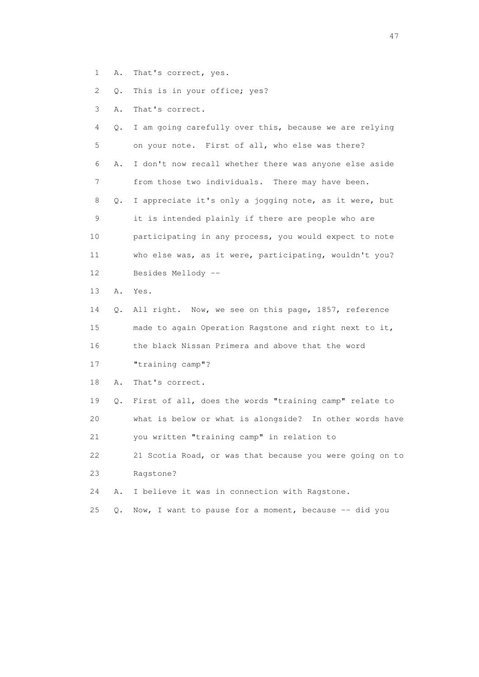1 A. That's correct, yes.

2 Q. This is in your office; yes?

3 A. That's correct.

 4 Q. I am going carefully over this, because we are relying 5 on your note. First of all, who else was there? 6 A. I don't now recall whether there was anyone else aside 7 from those two individuals. There may have been. 8 Q. I appreciate it's only a jogging note, as it were, but 9 it is intended plainly if there are people who are 10 participating in any process, you would expect to note 11 who else was, as it were, participating, wouldn't you? 12 Besides Mellody -- 13 A. Yes. 14 Q. All right. Now, we see on this page, 1857, reference 15 made to again Operation Ragstone and right next to it, 16 the black Nissan Primera and above that the word 17 "training camp"? 18 A. That's correct. 19 Q. First of all, does the words "training camp" relate to 20 what is below or what is alongside? In other words have 21 you written "training camp" in relation to 22 21 Scotia Road, or was that because you were going on to 23 Ragstone? 24 A. I believe it was in connection with Ragstone.

- 25  $Q.$  Now, I want to pause for a moment, because  $-$  did you
-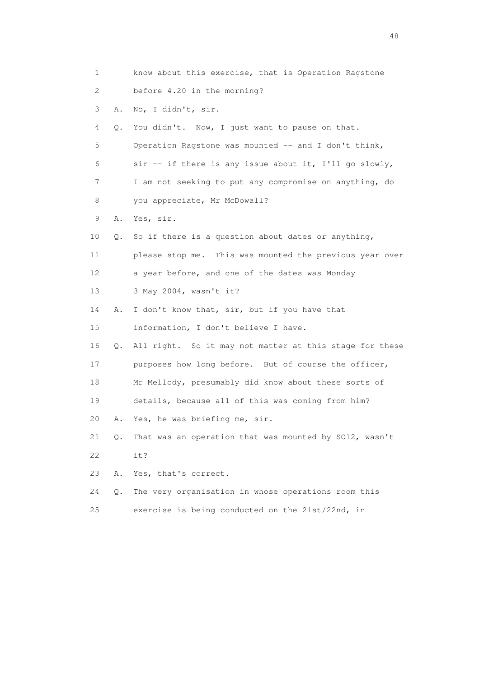| 1  |    | know about this exercise, that is Operation Ragstone      |
|----|----|-----------------------------------------------------------|
| 2  |    | before 4.20 in the morning?                               |
| 3  | Α. | No, I didn't, sir.                                        |
| 4  | Q. | You didn't. Now, I just want to pause on that.            |
| 5  |    | Operation Ragstone was mounted -- and I don't think,      |
| 6  |    | $\sin$ -- if there is any issue about it, I'll go slowly, |
| 7  |    | I am not seeking to put any compromise on anything, do    |
| 8  |    | you appreciate, Mr McDowall?                              |
| 9  | Α. | Yes, sir.                                                 |
| 10 | Q. | So if there is a question about dates or anything,        |
| 11 |    | please stop me. This was mounted the previous year over   |
| 12 |    | a year before, and one of the dates was Monday            |
| 13 |    | 3 May 2004, wasn't it?                                    |
| 14 | Α. | I don't know that, sir, but if you have that              |
| 15 |    | information, I don't believe I have.                      |
| 16 | Q. | All right. So it may not matter at this stage for these   |
| 17 |    | purposes how long before. But of course the officer,      |
| 18 |    | Mr Mellody, presumably did know about these sorts of      |
| 19 |    | details, because all of this was coming from him?         |
| 20 | Α. | Yes, he was briefing me, sir.                             |
| 21 | Q. | That was an operation that was mounted by SO12, wasn't    |
| 22 |    | it?                                                       |
| 23 | Α. | Yes, that's correct.                                      |
| 24 | Q. | The very organisation in whose operations room this       |
| 25 |    | exercise is being conducted on the 21st/22nd, in          |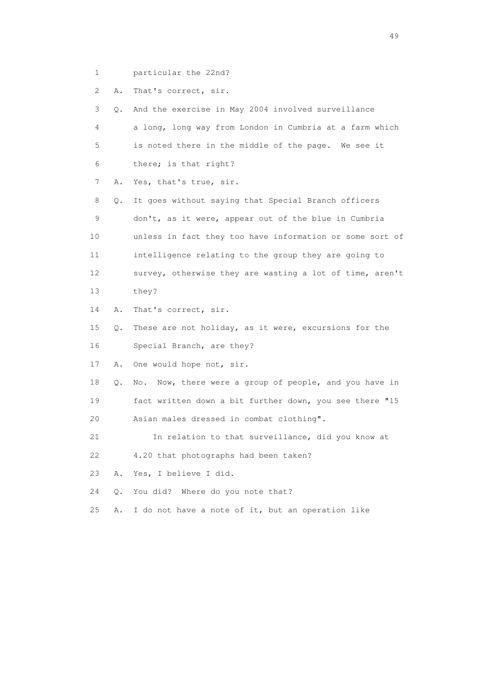1 particular the 22nd?

2 A. That's correct, sir.

 3 Q. And the exercise in May 2004 involved surveillance 4 a long, long way from London in Cumbria at a farm which 5 is noted there in the middle of the page. We see it 6 there; is that right? 7 A. Yes, that's true, sir. 8 Q. It goes without saying that Special Branch officers 9 don't, as it were, appear out of the blue in Cumbria 10 unless in fact they too have information or some sort of 11 intelligence relating to the group they are going to 12 survey, otherwise they are wasting a lot of time, aren't 13 they? 14 A. That's correct, sir. 15 Q. These are not holiday, as it were, excursions for the 16 Special Branch, are they? 17 A. One would hope not, sir. 18 Q. No. Now, there were a group of people, and you have in 19 fact written down a bit further down, you see there "15 20 Asian males dressed in combat clothing". 21 In relation to that surveillance, did you know at 22 4.20 that photographs had been taken? 23 A. Yes, I believe I did. 24 Q. You did? Where do you note that? 25 A. I do not have a note of it, but an operation like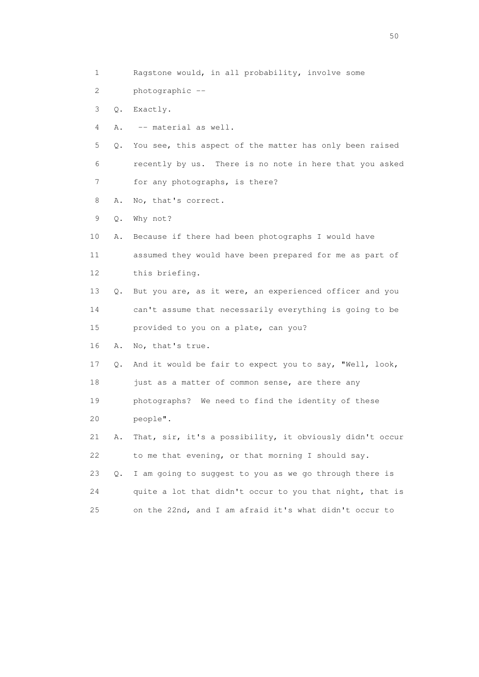1 Ragstone would, in all probability, involve some 2 photographic -- 3 Q. Exactly. 4 A. -- material as well. 5 Q. You see, this aspect of the matter has only been raised 6 recently by us. There is no note in here that you asked 7 for any photographs, is there? 8 A. No, that's correct. 9 Q. Why not? 10 A. Because if there had been photographs I would have 11 assumed they would have been prepared for me as part of 12 this briefing. 13 Q. But you are, as it were, an experienced officer and you 14 can't assume that necessarily everything is going to be 15 provided to you on a plate, can you? 16 A. No, that's true. 17 Q. And it would be fair to expect you to say, "Well, look, 18 just as a matter of common sense, are there any 19 photographs? We need to find the identity of these 20 people". 21 A. That, sir, it's a possibility, it obviously didn't occur 22 to me that evening, or that morning I should say. 23 Q. I am going to suggest to you as we go through there is 24 quite a lot that didn't occur to you that night, that is 25 on the 22nd, and I am afraid it's what didn't occur to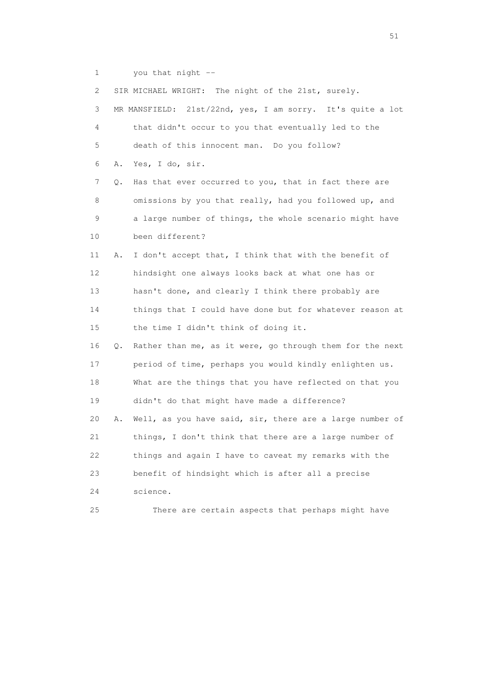1 you that night --

 2 SIR MICHAEL WRIGHT: The night of the 21st, surely. 3 MR MANSFIELD: 21st/22nd, yes, I am sorry. It's quite a lot 4 that didn't occur to you that eventually led to the 5 death of this innocent man. Do you follow? 6 A. Yes, I do, sir. 7 Q. Has that ever occurred to you, that in fact there are 8 omissions by you that really, had you followed up, and 9 a large number of things, the whole scenario might have 10 been different? 11 A. I don't accept that, I think that with the benefit of 12 hindsight one always looks back at what one has or 13 hasn't done, and clearly I think there probably are 14 things that I could have done but for whatever reason at 15 the time I didn't think of doing it. 16 Q. Rather than me, as it were, go through them for the next 17 period of time, perhaps you would kindly enlighten us. 18 What are the things that you have reflected on that you 19 didn't do that might have made a difference? 20 A. Well, as you have said, sir, there are a large number of 21 things, I don't think that there are a large number of 22 things and again I have to caveat my remarks with the 23 benefit of hindsight which is after all a precise 24 science. 25 There are certain aspects that perhaps might have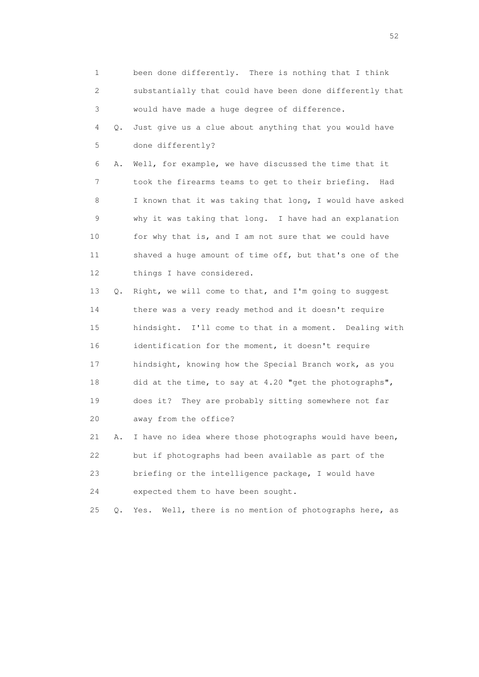1 been done differently. There is nothing that I think 2 substantially that could have been done differently that 3 would have made a huge degree of difference. 4 Q. Just give us a clue about anything that you would have 5 done differently? 6 A. Well, for example, we have discussed the time that it 7 took the firearms teams to get to their briefing. Had 8 I known that it was taking that long, I would have asked 9 why it was taking that long. I have had an explanation 10 for why that is, and I am not sure that we could have 11 shaved a huge amount of time off, but that's one of the 12 things I have considered. 13 Q. Right, we will come to that, and I'm going to suggest 14 there was a very ready method and it doesn't require 15 hindsight. I'll come to that in a moment. Dealing with 16 identification for the moment, it doesn't require 17 hindsight, knowing how the Special Branch work, as you 18 did at the time, to say at 4.20 "get the photographs", 19 does it? They are probably sitting somewhere not far 20 away from the office? 21 A. I have no idea where those photographs would have been, 22 but if photographs had been available as part of the 23 briefing or the intelligence package, I would have 24 expected them to have been sought. 25 Q. Yes. Well, there is no mention of photographs here, as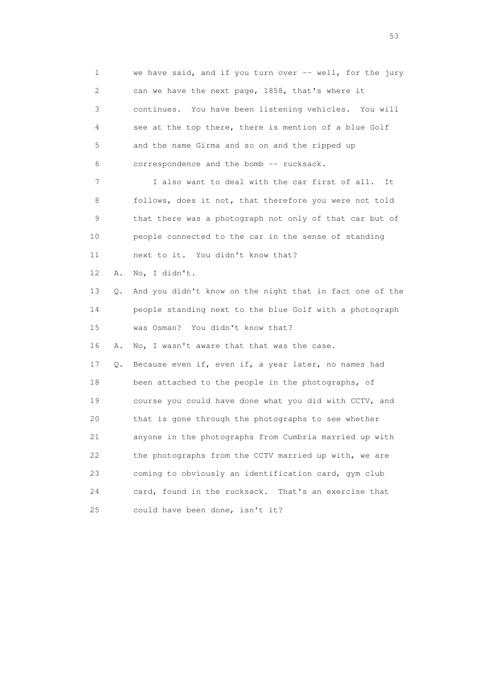1 we have said, and if you turn over -- well, for the jury 2 can we have the next page, 1858, that's where it 3 continues. You have been listening vehicles. You will 4 see at the top there, there is mention of a blue Golf 5 and the name Girma and so on and the ripped up 6 correspondence and the bomb -- rucksack. 7 I also want to deal with the car first of all. It 8 follows, does it not, that therefore you were not told 9 that there was a photograph not only of that car but of 10 people connected to the car in the sense of standing 11 next to it. You didn't know that? 12 A. No, I didn't. 13 Q. And you didn't know on the night that in fact one of the 14 people standing next to the blue Golf with a photograph 15 was Osman? You didn't know that? 16 A. No, I wasn't aware that that was the case. 17 Q. Because even if, even if, a year later, no names had 18 been attached to the people in the photographs, of 19 course you could have done what you did with CCTV, and 20 that is gone through the photographs to see whether 21 anyone in the photographs from Cumbria married up with 22 the photographs from the CCTV married up with, we are 23 coming to obviously an identification card, gym club 24 card, found in the rucksack. That's an exercise that

25 could have been done, isn't it?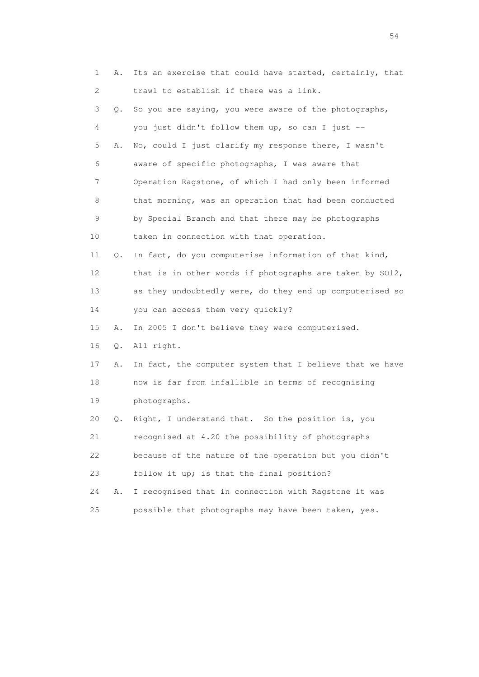| 1  | Α. | Its an exercise that could have started, certainly, that |
|----|----|----------------------------------------------------------|
| 2  |    | trawl to establish if there was a link.                  |
| 3  | Q. | So you are saying, you were aware of the photographs,    |
| 4  |    | you just didn't follow them up, so can I just --         |
| 5  | Α. | No, could I just clarify my response there, I wasn't     |
| 6  |    | aware of specific photographs, I was aware that          |
| 7  |    | Operation Ragstone, of which I had only been informed    |
| 8  |    | that morning, was an operation that had been conducted   |
| 9  |    | by Special Branch and that there may be photographs      |
| 10 |    | taken in connection with that operation.                 |
| 11 | Q. | In fact, do you computerise information of that kind,    |
| 12 |    | that is in other words if photographs are taken by SO12, |
| 13 |    | as they undoubtedly were, do they end up computerised so |
| 14 |    | you can access them very quickly?                        |
| 15 | Α. | In 2005 I don't believe they were computerised.          |
| 16 | Q. | All right.                                               |
| 17 | Α. | In fact, the computer system that I believe that we have |
| 18 |    | now is far from infallible in terms of recognising       |
| 19 |    | photographs.                                             |
| 20 | Q. | Right, I understand that. So the position is, you        |
| 21 |    | recognised at 4.20 the possibility of photographs        |
| 22 |    | because of the nature of the operation but you didn't    |
| 23 |    | follow it up; is that the final position?                |
| 24 | Α. | I recognised that in connection with Ragstone it was     |
| 25 |    | possible that photographs may have been taken, yes.      |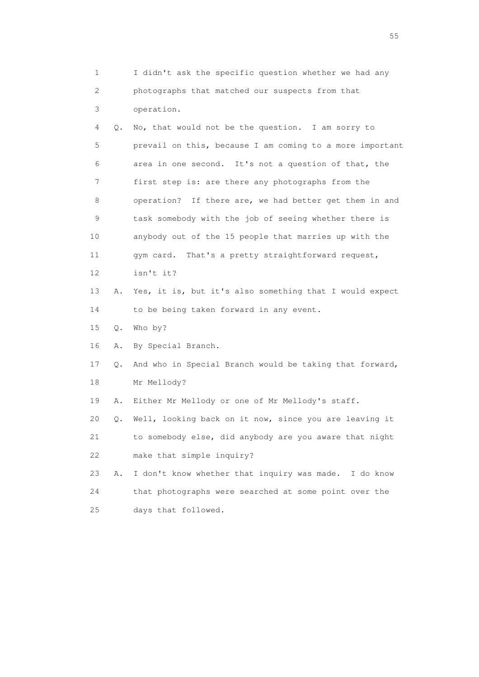1 I didn't ask the specific question whether we had any 2 photographs that matched our suspects from that 3 operation. 4 Q. No, that would not be the question. I am sorry to 5 prevail on this, because I am coming to a more important 6 area in one second. It's not a question of that, the 7 first step is: are there any photographs from the 8 operation? If there are, we had better get them in and 9 task somebody with the job of seeing whether there is 10 anybody out of the 15 people that marries up with the 11 gym card. That's a pretty straightforward request, 12 isn't it? 13 A. Yes, it is, but it's also something that I would expect 14 to be being taken forward in any event. 15 Q. Who by? 16 A. By Special Branch. 17 Q. And who in Special Branch would be taking that forward, 18 Mr Mellody? 19 A. Either Mr Mellody or one of Mr Mellody's staff. 20 Q. Well, looking back on it now, since you are leaving it 21 to somebody else, did anybody are you aware that night 22 make that simple inquiry? 23 A. I don't know whether that inquiry was made. I do know 24 that photographs were searched at some point over the 25 days that followed.

the state of the state of the state of the state of the state of the state of the state of the state of the state of the state of the state of the state of the state of the state of the state of the state of the state of t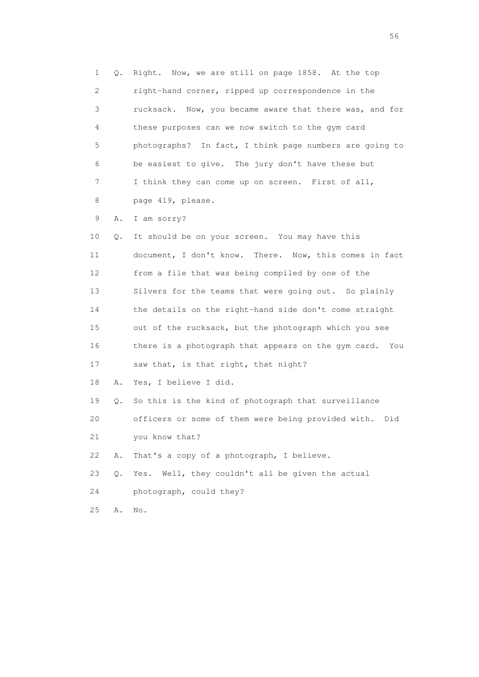1 Q. Right. Now, we are still on page 1858. At the top 2 right-hand corner, ripped up correspondence in the 3 rucksack. Now, you became aware that there was, and for 4 these purposes can we now switch to the gym card 5 photographs? In fact, I think page numbers are going to 6 be easiest to give. The jury don't have these but 7 I think they can come up on screen. First of all, 8 page 419, please. 9 A. I am sorry? 10 Q. It should be on your screen. You may have this 11 document, I don't know. There. Now, this comes in fact 12 from a file that was being compiled by one of the 13 Silvers for the teams that were going out. So plainly 14 the details on the right-hand side don't come straight 15 out of the rucksack, but the photograph which you see 16 there is a photograph that appears on the gym card. You 17 saw that, is that right, that night? 18 A. Yes, I believe I did. 19 Q. So this is the kind of photograph that surveillance 20 officers or some of them were being provided with. Did 21 you know that? 22 A. That's a copy of a photograph, I believe. 23 Q. Yes. Well, they couldn't all be given the actual 24 photograph, could they? 25 A. No.

 $56<sup>o</sup>$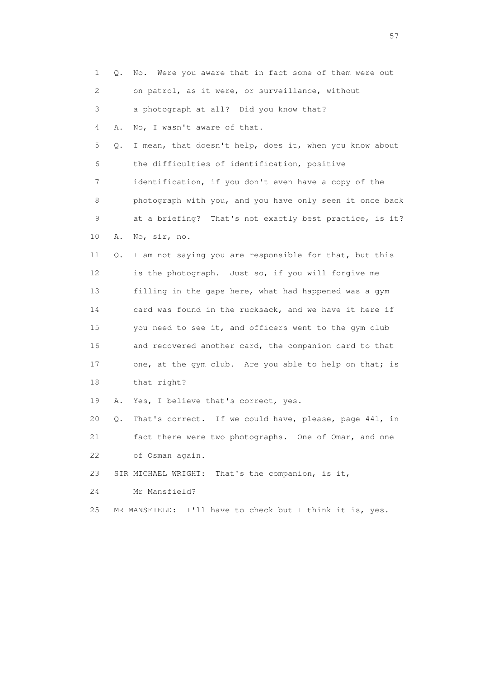| 1  | Q. | No. Were you aware that in fact some of them were out    |
|----|----|----------------------------------------------------------|
| 2  |    | on patrol, as it were, or surveillance, without          |
| 3  |    | a photograph at all? Did you know that?                  |
| 4  | Α. | No, I wasn't aware of that.                              |
| 5  | Q. | I mean, that doesn't help, does it, when you know about  |
| 6  |    | the difficulties of identification, positive             |
| 7  |    | identification, if you don't even have a copy of the     |
| 8  |    | photograph with you, and you have only seen it once back |
| 9  |    | at a briefing? That's not exactly best practice, is it?  |
| 10 | Α. | No, sir, no.                                             |
| 11 | Q. | I am not saying you are responsible for that, but this   |
| 12 |    | is the photograph. Just so, if you will forgive me       |
| 13 |    | filling in the gaps here, what had happened was a gym    |
| 14 |    | card was found in the rucksack, and we have it here if   |
| 15 |    | you need to see it, and officers went to the gym club    |
| 16 |    | and recovered another card, the companion card to that   |
| 17 |    | one, at the gym club. Are you able to help on that; is   |
| 18 |    | that right?                                              |
| 19 | Α. | Yes, I believe that's correct, yes.                      |
| 20 | Q. | That's correct. If we could have, please, page 441, in   |
| 21 |    | fact there were two photographs. One of Omar, and one    |
| 22 |    | of Osman again.                                          |
| 23 |    | SIR MICHAEL WRIGHT: That's the companion, is it,         |
| 24 |    | Mr Mansfield?                                            |
| 25 |    | MR MANSFIELD: I'll have to check but I think it is, yes. |
|    |    |                                                          |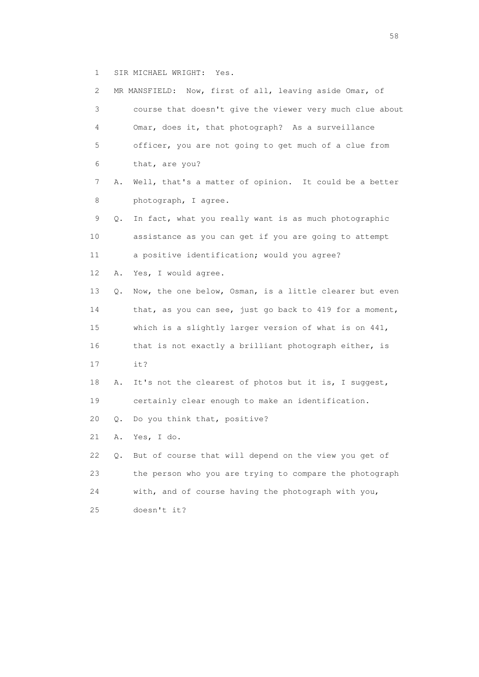1 SIR MICHAEL WRIGHT: Yes.

| 2  |           | MR MANSFIELD: Now, first of all, leaving aside Omar, of  |
|----|-----------|----------------------------------------------------------|
| 3  |           | course that doesn't give the viewer very much clue about |
| 4  |           | Omar, does it, that photograph? As a surveillance        |
| 5  |           | officer, you are not going to get much of a clue from    |
| 6  |           | that, are you?                                           |
| 7  | Α.        | Well, that's a matter of opinion. It could be a better   |
| 8  |           | photograph, I agree.                                     |
| 9  | Q.        | In fact, what you really want is as much photographic    |
| 10 |           | assistance as you can get if you are going to attempt    |
| 11 |           | a positive identification; would you agree?              |
| 12 | Α.        | Yes, I would agree.                                      |
| 13 | Q.        | Now, the one below, Osman, is a little clearer but even  |
| 14 |           | that, as you can see, just go back to 419 for a moment,  |
| 15 |           | which is a slightly larger version of what is on 441,    |
| 16 |           | that is not exactly a brilliant photograph either, is    |
| 17 |           | it?                                                      |
| 18 | Α.        | It's not the clearest of photos but it is, I suggest,    |
| 19 |           | certainly clear enough to make an identification.        |
| 20 | $\circ$ . | Do you think that, positive?                             |
| 21 | Α.        | Yes, I do.                                               |
| 22 | Q.        | But of course that will depend on the view you get of    |
| 23 |           | the person who you are trying to compare the photograph  |
| 24 |           | with, and of course having the photograph with you,      |
| 25 |           | doesn't it?                                              |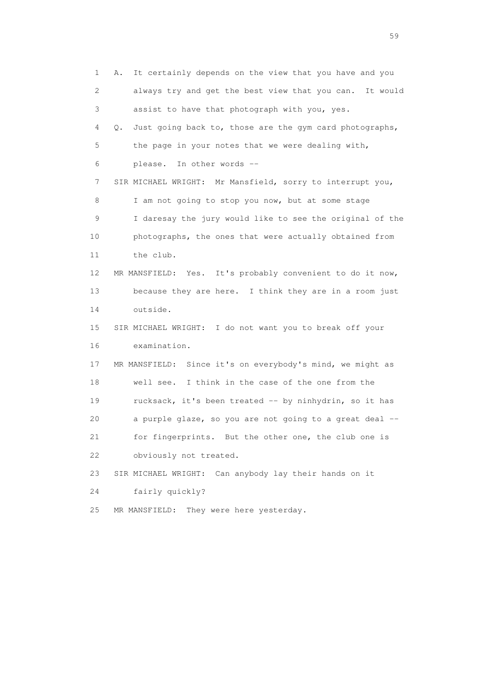1 A. It certainly depends on the view that you have and you 2 always try and get the best view that you can. It would 3 assist to have that photograph with you, yes. 4 Q. Just going back to, those are the gym card photographs, 5 the page in your notes that we were dealing with, 6 please. In other words -- 7 SIR MICHAEL WRIGHT: Mr Mansfield, sorry to interrupt you, 8 I am not going to stop you now, but at some stage 9 I daresay the jury would like to see the original of the 10 photographs, the ones that were actually obtained from 11 the club. 12 MR MANSFIELD: Yes. It's probably convenient to do it now, 13 because they are here. I think they are in a room just 14 outside. 15 SIR MICHAEL WRIGHT: I do not want you to break off your 16 examination. 17 MR MANSFIELD: Since it's on everybody's mind, we might as 18 well see. I think in the case of the one from the 19 rucksack, it's been treated -- by ninhydrin, so it has 20 a purple glaze, so you are not going to a great deal -- 21 for fingerprints. But the other one, the club one is 22 obviously not treated. 23 SIR MICHAEL WRIGHT: Can anybody lay their hands on it 24 fairly quickly? 25 MR MANSFIELD: They were here yesterday.

 $59<sub>2</sub>$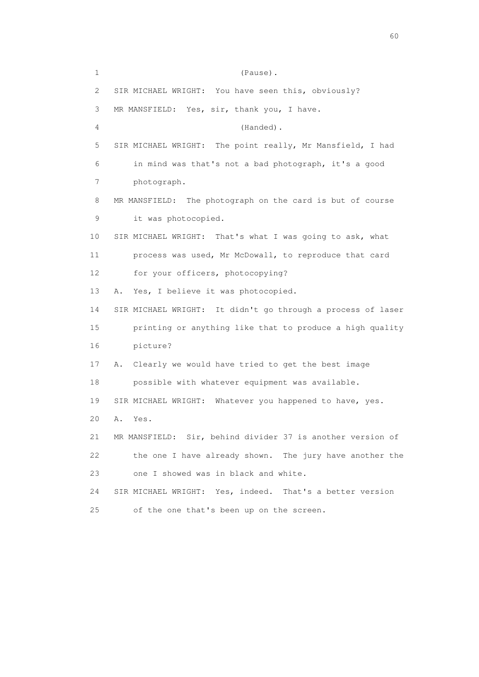1 (Pause). 2 SIR MICHAEL WRIGHT: You have seen this, obviously? 3 MR MANSFIELD: Yes, sir, thank you, I have. 4 (Handed). 5 SIR MICHAEL WRIGHT: The point really, Mr Mansfield, I had 6 in mind was that's not a bad photograph, it's a good 7 photograph. 8 MR MANSFIELD: The photograph on the card is but of course 9 it was photocopied. 10 SIR MICHAEL WRIGHT: That's what I was going to ask, what 11 process was used, Mr McDowall, to reproduce that card 12 for your officers, photocopying? 13 A. Yes, I believe it was photocopied. 14 SIR MICHAEL WRIGHT: It didn't go through a process of laser 15 printing or anything like that to produce a high quality 16 picture? 17 A. Clearly we would have tried to get the best image 18 possible with whatever equipment was available. 19 SIR MICHAEL WRIGHT: Whatever you happened to have, yes. 20 A. Yes. 21 MR MANSFIELD: Sir, behind divider 37 is another version of 22 the one I have already shown. The jury have another the 23 one I showed was in black and white. 24 SIR MICHAEL WRIGHT: Yes, indeed. That's a better version 25 of the one that's been up on the screen.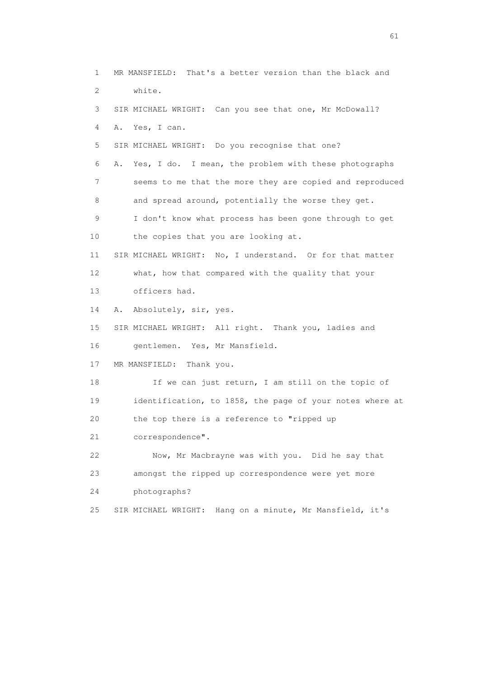1 MR MANSFIELD: That's a better version than the black and 2 white. 3 SIR MICHAEL WRIGHT: Can you see that one, Mr McDowall? 4 A. Yes, I can. 5 SIR MICHAEL WRIGHT: Do you recognise that one? 6 A. Yes, I do. I mean, the problem with these photographs 7 seems to me that the more they are copied and reproduced 8 and spread around, potentially the worse they get. 9 I don't know what process has been gone through to get 10 the copies that you are looking at. 11 SIR MICHAEL WRIGHT: No, I understand. Or for that matter 12 what, how that compared with the quality that your 13 officers had. 14 A. Absolutely, sir, yes. 15 SIR MICHAEL WRIGHT: All right. Thank you, ladies and 16 gentlemen. Yes, Mr Mansfield. 17 MR MANSFIELD: Thank you. 18 If we can just return, I am still on the topic of 19 identification, to 1858, the page of your notes where at 20 the top there is a reference to "ripped up 21 correspondence". 22 Now, Mr Macbrayne was with you. Did he say that 23 amongst the ripped up correspondence were yet more 24 photographs? 25 SIR MICHAEL WRIGHT: Hang on a minute, Mr Mansfield, it's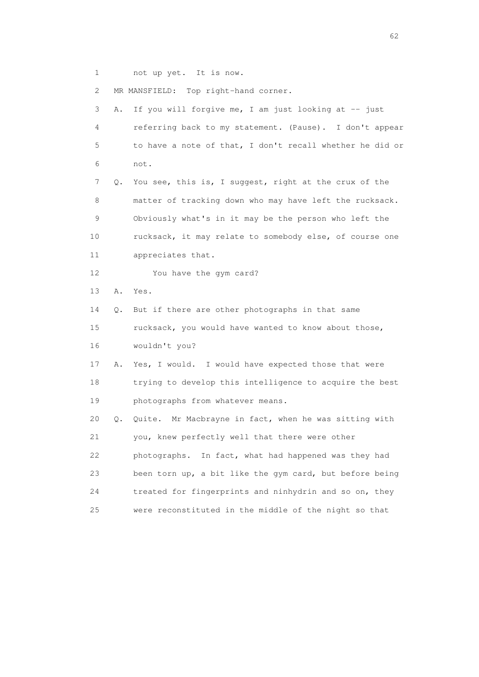1 not up yet. It is now.

2 MR MANSFIELD: Top right-hand corner.

| 3  | Α. | If you will forgive me, I am just looking at -- just     |
|----|----|----------------------------------------------------------|
| 4  |    | referring back to my statement. (Pause). I don't appear  |
| 5  |    | to have a note of that, I don't recall whether he did or |
| 6  |    | not.                                                     |
| 7  | Q. | You see, this is, I suggest, right at the crux of the    |
| 8  |    | matter of tracking down who may have left the rucksack.  |
| 9  |    | Obviously what's in it may be the person who left the    |
| 10 |    | rucksack, it may relate to somebody else, of course one  |
| 11 |    | appreciates that.                                        |
| 12 |    | You have the gym card?                                   |
| 13 | Α. | Yes.                                                     |
| 14 | Q. | But if there are other photographs in that same          |
| 15 |    | rucksack, you would have wanted to know about those,     |
| 16 |    | wouldn't you?                                            |
| 17 | Α. | Yes, I would. I would have expected those that were      |
| 18 |    | trying to develop this intelligence to acquire the best  |
| 19 |    | photographs from whatever means.                         |
| 20 | Q. | Quite. Mr Macbrayne in fact, when he was sitting with    |
| 21 |    | you, knew perfectly well that there were other           |
| 22 |    | photographs. In fact, what had happened was they had     |
| 23 |    | been torn up, a bit like the gym card, but before being  |
| 24 |    | treated for fingerprints and ninhydrin and so on, they   |
| 25 |    | were reconstituted in the middle of the night so that    |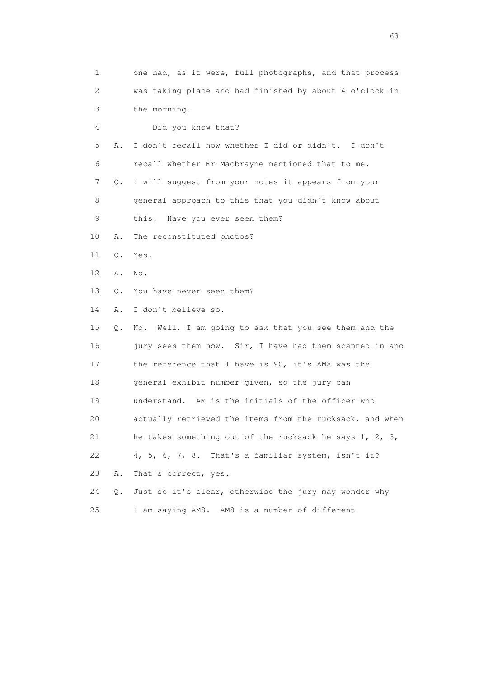| 1  |    | one had, as it were, full photographs, and that process  |
|----|----|----------------------------------------------------------|
| 2  |    | was taking place and had finished by about 4 o'clock in  |
| 3  |    | the morning.                                             |
| 4  |    | Did you know that?                                       |
| 5  | Α. | I don't recall now whether I did or didn't. I don't      |
| 6  |    | recall whether Mr Macbrayne mentioned that to me.        |
| 7  | Q. | I will suggest from your notes it appears from your      |
| 8  |    | general approach to this that you didn't know about      |
| 9  |    | Have you ever seen them?<br>this.                        |
| 10 | Α. | The reconstituted photos?                                |
| 11 | Q. | Yes.                                                     |
| 12 | Α. | No.                                                      |
| 13 | Q. | You have never seen them?                                |
| 14 | Α. | I don't believe so.                                      |
| 15 | Q. | No. Well, I am going to ask that you see them and the    |
| 16 |    | jury sees them now. Sir, I have had them scanned in and  |
| 17 |    | the reference that I have is 90, it's AM8 was the        |
| 18 |    | general exhibit number given, so the jury can            |
| 19 |    | understand. AM is the initials of the officer who        |
| 20 |    | actually retrieved the items from the rucksack, and when |
| 21 |    | he takes something out of the rucksack he says 1, 2, 3,  |
| 22 |    | $4, 5, 6, 7, 8$ . That's a familiar system, isn't it?    |
| 23 | Α. | That's correct, yes.                                     |
| 24 | Q. | Just so it's clear, otherwise the jury may wonder why    |
| 25 |    | I am saying AM8. AM8 is a number of different            |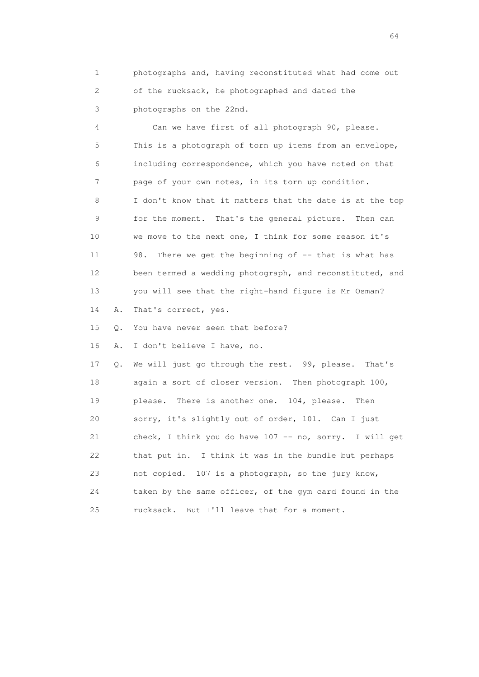1 photographs and, having reconstituted what had come out 2 of the rucksack, he photographed and dated the 3 photographs on the 22nd.

 4 Can we have first of all photograph 90, please. 5 This is a photograph of torn up items from an envelope, 6 including correspondence, which you have noted on that 7 page of your own notes, in its torn up condition. 8 I don't know that it matters that the date is at the top 9 for the moment. That's the general picture. Then can 10 we move to the next one, I think for some reason it's 11 98. There we get the beginning of -- that is what has 12 been termed a wedding photograph, and reconstituted, and 13 you will see that the right-hand figure is Mr Osman? 14 A. That's correct, yes. 15 Q. You have never seen that before? 16 A. I don't believe I have, no. 17 Q. We will just go through the rest. 99, please. That's 18 again a sort of closer version. Then photograph 100,

 19 please. There is another one. 104, please. Then 20 sorry, it's slightly out of order, 101. Can I just 21 check, I think you do have 107 -- no, sorry. I will get 22 that put in. I think it was in the bundle but perhaps 23 not copied. 107 is a photograph, so the jury know, 24 taken by the same officer, of the gym card found in the 25 rucksack. But I'll leave that for a moment.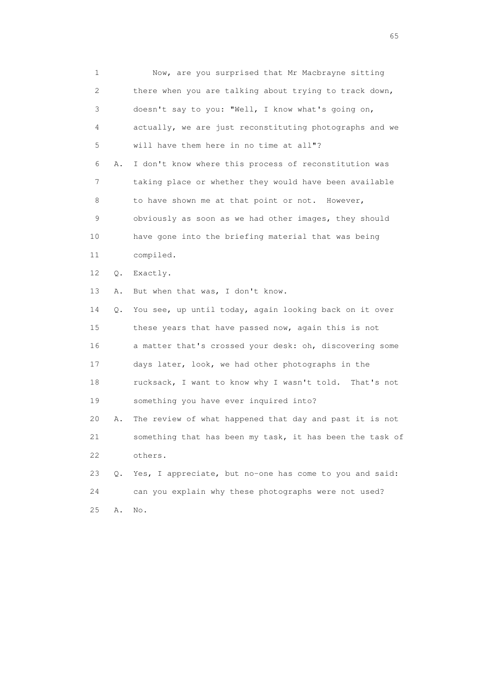1 Now, are you surprised that Mr Macbrayne sitting 2 there when you are talking about trying to track down, 3 doesn't say to you: "Well, I know what's going on, 4 actually, we are just reconstituting photographs and we 5 will have them here in no time at all"? 6 A. I don't know where this process of reconstitution was 7 taking place or whether they would have been available 8 to have shown me at that point or not. However, 9 obviously as soon as we had other images, they should 10 have gone into the briefing material that was being 11 compiled. 12 Q. Exactly. 13 A. But when that was, I don't know. 14 Q. You see, up until today, again looking back on it over 15 these years that have passed now, again this is not 16 a matter that's crossed your desk: oh, discovering some 17 days later, look, we had other photographs in the 18 rucksack, I want to know why I wasn't told. That's not 19 something you have ever inquired into? 20 A. The review of what happened that day and past it is not 21 something that has been my task, it has been the task of 22 others. 23 Q. Yes, I appreciate, but no-one has come to you and said: 24 can you explain why these photographs were not used? 25 A. No.

 $\sim$  65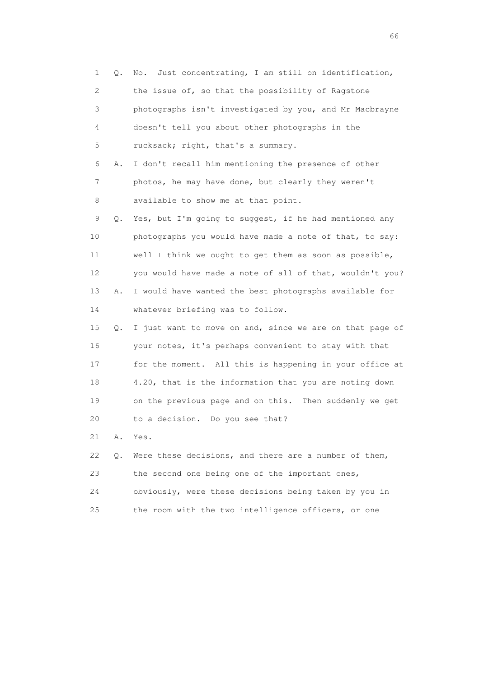| 1  | Q. | Just concentrating, I am still on identification,<br>No. |
|----|----|----------------------------------------------------------|
| 2  |    | the issue of, so that the possibility of Ragstone        |
| 3  |    | photographs isn't investigated by you, and Mr Macbrayne  |
| 4  |    | doesn't tell you about other photographs in the          |
| 5  |    | rucksack; right, that's a summary.                       |
| 6  | Α. | I don't recall him mentioning the presence of other      |
| 7  |    | photos, he may have done, but clearly they weren't       |
| 8  |    | available to show me at that point.                      |
| 9  | Q. | Yes, but I'm going to suggest, if he had mentioned any   |
| 10 |    | photographs you would have made a note of that, to say:  |
| 11 |    | well I think we ought to get them as soon as possible,   |
| 12 |    | you would have made a note of all of that, wouldn't you? |
| 13 | Α. | I would have wanted the best photographs available for   |
| 14 |    | whatever briefing was to follow.                         |
| 15 | Q. | I just want to move on and, since we are on that page of |
| 16 |    | your notes, it's perhaps convenient to stay with that    |
| 17 |    | for the moment. All this is happening in your office at  |
| 18 |    | 4.20, that is the information that you are noting down   |
| 19 |    | on the previous page and on this. Then suddenly we get   |
| 20 |    | to a decision. Do you see that?                          |
| 21 | Α. | Yes.                                                     |
| 22 | О. | Were these decisions, and there are a number of them,    |
| 23 |    | the second one being one of the important ones,          |
| 24 |    | obviously, were these decisions being taken by you in    |
| 25 |    | the room with the two intelligence officers, or one      |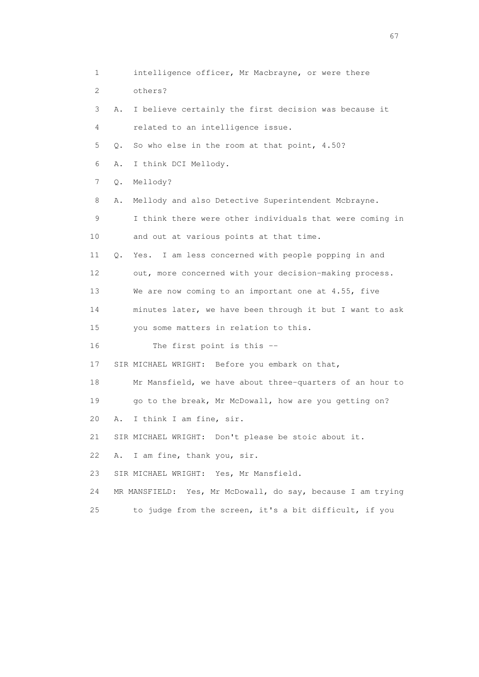1 intelligence officer, Mr Macbrayne, or were there 2 others? 3 A. I believe certainly the first decision was because it 4 related to an intelligence issue. 5 Q. So who else in the room at that point, 4.50? 6 A. I think DCI Mellody. 7 Q. Mellody? 8 A. Mellody and also Detective Superintendent Mcbrayne. 9 I think there were other individuals that were coming in 10 and out at various points at that time. 11 Q. Yes. I am less concerned with people popping in and 12 out, more concerned with your decision-making process. 13 We are now coming to an important one at 4.55, five 14 minutes later, we have been through it but I want to ask 15 you some matters in relation to this. 16 The first point is this -- 17 SIR MICHAEL WRIGHT: Before you embark on that, 18 Mr Mansfield, we have about three-quarters of an hour to 19 go to the break, Mr McDowall, how are you getting on? 20 A. I think I am fine, sir. 21 SIR MICHAEL WRIGHT: Don't please be stoic about it. 22 A. I am fine, thank you, sir. 23 SIR MICHAEL WRIGHT: Yes, Mr Mansfield. 24 MR MANSFIELD: Yes, Mr McDowall, do say, because I am trying 25 to judge from the screen, it's a bit difficult, if you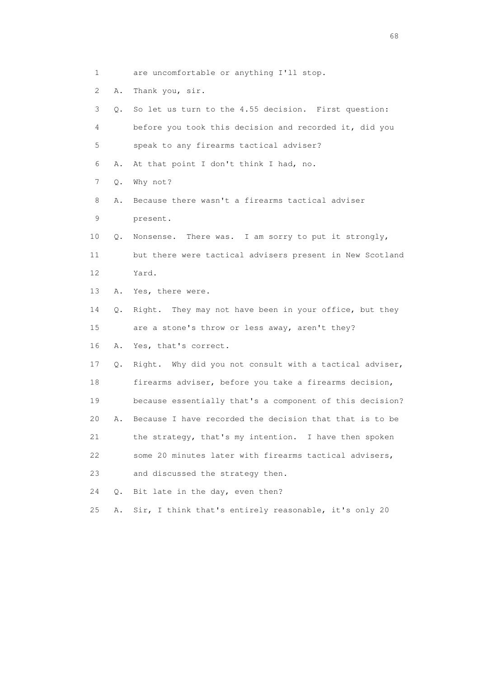- 1 are uncomfortable or anything I'll stop.
- 2 A. Thank you, sir.

| 3  | 0. | So let us turn to the 4.55 decision. First question:     |
|----|----|----------------------------------------------------------|
| 4  |    | before you took this decision and recorded it, did you   |
| 5  |    | speak to any firearms tactical adviser?                  |
| 6  | Α. | At that point I don't think I had, no.                   |
| 7  | Q. | Why not?                                                 |
| 8  | Α. | Because there wasn't a firearms tactical adviser         |
| 9  |    | present.                                                 |
| 10 | Q. | Nonsense. There was. I am sorry to put it strongly,      |
| 11 |    | but there were tactical advisers present in New Scotland |
| 12 |    | Yard.                                                    |
| 13 | Α. | Yes, there were.                                         |
| 14 | Q. | Right. They may not have been in your office, but they   |
| 15 |    | are a stone's throw or less away, aren't they?           |
| 16 | Α. | Yes, that's correct.                                     |
| 17 | Q. | Right. Why did you not consult with a tactical adviser,  |
| 18 |    | firearms adviser, before you take a firearms decision,   |
| 19 |    | because essentially that's a component of this decision? |
| 20 | Α. | Because I have recorded the decision that that is to be  |
| 21 |    | the strategy, that's my intention. I have then spoken    |
| 22 |    | some 20 minutes later with firearms tactical advisers,   |
| 23 |    | and discussed the strategy then.                         |
| 24 | Q. | Bit late in the day, even then?                          |
| 25 | Α. | Sir, I think that's entirely reasonable, it's only 20    |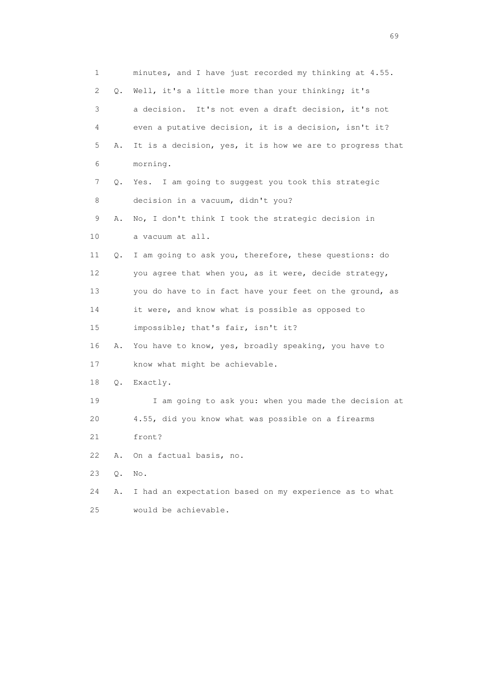1 minutes, and I have just recorded my thinking at 4.55. 2 Q. Well, it's a little more than your thinking; it's 3 a decision. It's not even a draft decision, it's not 4 even a putative decision, it is a decision, isn't it? 5 A. It is a decision, yes, it is how we are to progress that 6 morning. 7 Q. Yes. I am going to suggest you took this strategic 8 decision in a vacuum, didn't you? 9 A. No, I don't think I took the strategic decision in 10 a vacuum at all. 11 Q. I am going to ask you, therefore, these questions: do 12 you agree that when you, as it were, decide strategy, 13 you do have to in fact have your feet on the ground, as 14 it were, and know what is possible as opposed to 15 impossible; that's fair, isn't it? 16 A. You have to know, yes, broadly speaking, you have to 17 know what might be achievable. 18 Q. Exactly. 19 I am going to ask you: when you made the decision at 20 4.55, did you know what was possible on a firearms 21 front? 22 A. On a factual basis, no. 23 Q. No. 24 A. I had an expectation based on my experience as to what 25 would be achievable.

entral de la construction de la construction de la construction de la construction de la construction de la co<br>1990 : la construction de la construction de la construction de la construction de la construction de la const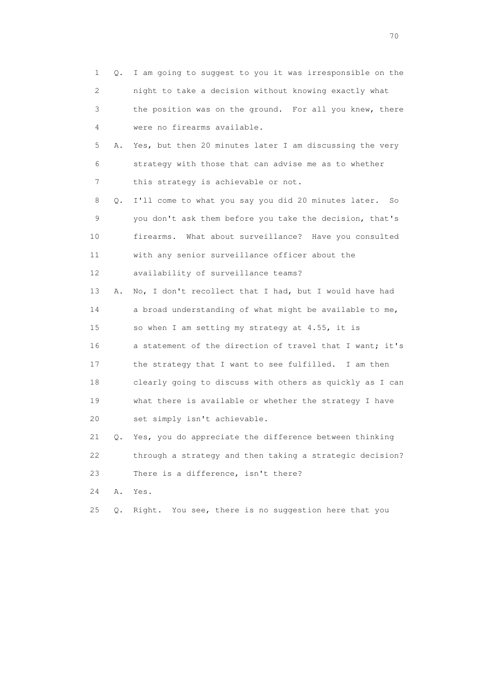| 1  | 0. | I am going to suggest to you it was irresponsible on the  |
|----|----|-----------------------------------------------------------|
| 2  |    | night to take a decision without knowing exactly what     |
| 3  |    | the position was on the ground. For all you knew, there   |
| 4  |    | were no firearms available.                               |
| 5  | Α. | Yes, but then 20 minutes later I am discussing the very   |
| 6  |    | strategy with those that can advise me as to whether      |
| 7  |    | this strategy is achievable or not.                       |
| 8  | Q. | I'll come to what you say you did 20 minutes later.<br>So |
| 9  |    | you don't ask them before you take the decision, that's   |
| 10 |    | firearms. What about surveillance? Have you consulted     |
| 11 |    | with any senior surveillance officer about the            |
| 12 |    | availability of surveillance teams?                       |
| 13 | Α. | No, I don't recollect that I had, but I would have had    |
| 14 |    | a broad understanding of what might be available to me,   |
| 15 |    | so when I am setting my strategy at 4.55, it is           |
| 16 |    | a statement of the direction of travel that I want; it's  |
| 17 |    | the strategy that I want to see fulfilled. I am then      |
| 18 |    | clearly going to discuss with others as quickly as I can  |
| 19 |    | what there is available or whether the strategy I have    |
| 20 |    | set simply isn't achievable.                              |
| 21 | Q. | Yes, you do appreciate the difference between thinking    |
| 22 |    | through a strategy and then taking a strategic decision?  |
| 23 |    | There is a difference, isn't there?                       |
| 24 | Α. | Yes.                                                      |
| 25 | Q. | You see, there is no suggestion here that you<br>Right.   |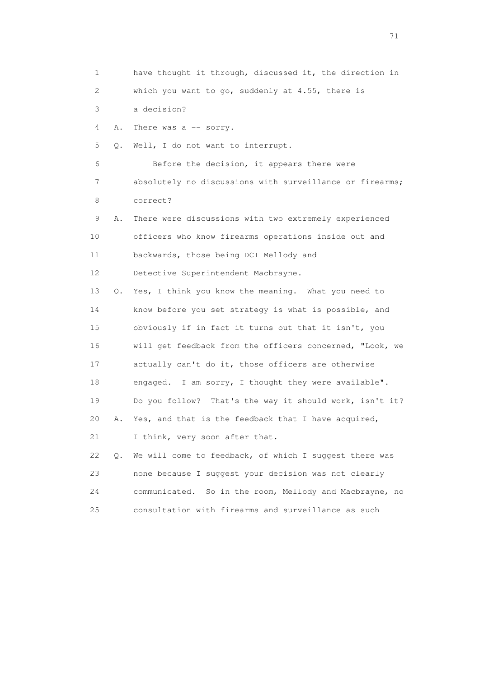1 have thought it through, discussed it, the direction in 2 which you want to go, suddenly at 4.55, there is 3 a decision? 4 A. There was a -- sorry. 5 Q. Well, I do not want to interrupt. 6 Before the decision, it appears there were 7 absolutely no discussions with surveillance or firearms; 8 correct? 9 A. There were discussions with two extremely experienced 10 officers who know firearms operations inside out and 11 backwards, those being DCI Mellody and 12 Detective Superintendent Macbrayne. 13 Q. Yes, I think you know the meaning. What you need to 14 know before you set strategy is what is possible, and 15 obviously if in fact it turns out that it isn't, you 16 will get feedback from the officers concerned, "Look, we 17 actually can't do it, those officers are otherwise 18 engaged. I am sorry, I thought they were available". 19 Do you follow? That's the way it should work, isn't it? 20 A. Yes, and that is the feedback that I have acquired, 21 I think, very soon after that. 22 Q. We will come to feedback, of which I suggest there was 23 none because I suggest your decision was not clearly 24 communicated. So in the room, Mellody and Macbrayne, no 25 consultation with firearms and surveillance as such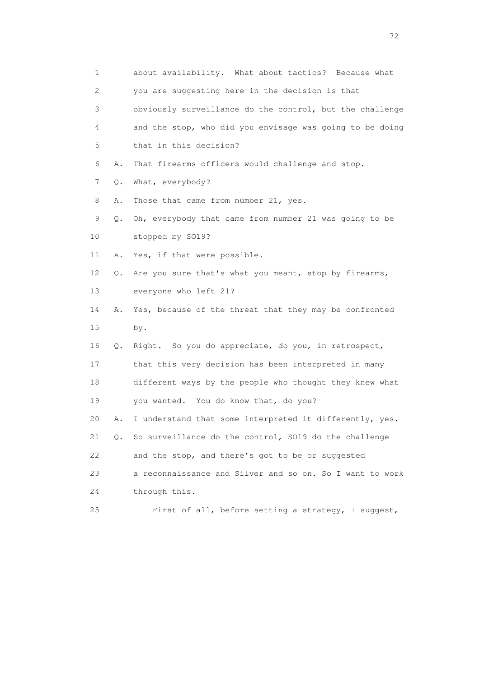| 1                         |           | about availability. What about tactics? Because what     |
|---------------------------|-----------|----------------------------------------------------------|
| $\mathbf{2}^{\mathsf{I}}$ |           | you are suggesting here in the decision is that          |
| 3                         |           | obviously surveillance do the control, but the challenge |
| 4                         |           | and the stop, who did you envisage was going to be doing |
| 5                         |           | that in this decision?                                   |
| 6                         | Α.        | That firearms officers would challenge and stop.         |
| 7                         | Q.        | What, everybody?                                         |
| 8                         | Α.        | Those that came from number 21, yes.                     |
| 9                         | Q.        | Oh, everybody that came from number 21 was going to be   |
| 10                        |           | stopped by S019?                                         |
| 11                        | Α.        | Yes, if that were possible.                              |
| 12                        | Q.        | Are you sure that's what you meant, stop by firearms,    |
| 13                        |           | everyone who left 21?                                    |
| 14                        | Α.        | Yes, because of the threat that they may be confronted   |
| 15                        |           | by.                                                      |
| 16                        | Q.        | Right. So you do appreciate, do you, in retrospect,      |
| 17                        |           | that this very decision has been interpreted in many     |
| 18                        |           | different ways by the people who thought they knew what  |
| 19                        |           | you wanted. You do know that, do you?                    |
| 20                        | Α.        | I understand that some interpreted it differently, yes.  |
| 21                        | $\circ$ . | So surveillance do the control, SO19 do the challenge    |
| 22                        |           | and the stop, and there's got to be or suggested         |
| 23                        |           | a reconnaissance and Silver and so on. So I want to work |
| 24                        |           | through this.                                            |
| 25                        |           | First of all, before setting a strategy, I suggest,      |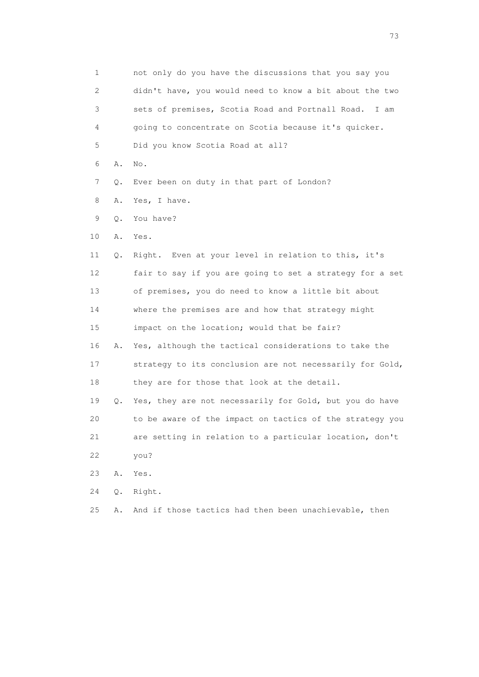1 not only do you have the discussions that you say you 2 didn't have, you would need to know a bit about the two 3 sets of premises, Scotia Road and Portnall Road. I am 4 going to concentrate on Scotia because it's quicker. 5 Did you know Scotia Road at all? 6 A. No. 7 Q. Ever been on duty in that part of London? 8 A. Yes, I have. 9 Q. You have? 10 A. Yes. 11 Q. Right. Even at your level in relation to this, it's 12 fair to say if you are going to set a strategy for a set 13 of premises, you do need to know a little bit about 14 where the premises are and how that strategy might 15 impact on the location; would that be fair? 16 A. Yes, although the tactical considerations to take the 17 strategy to its conclusion are not necessarily for Gold, 18 they are for those that look at the detail. 19 Q. Yes, they are not necessarily for Gold, but you do have 20 to be aware of the impact on tactics of the strategy you 21 are setting in relation to a particular location, don't 22 you? 23 A. Yes. 24 Q. Right. 25 A. And if those tactics had then been unachievable, then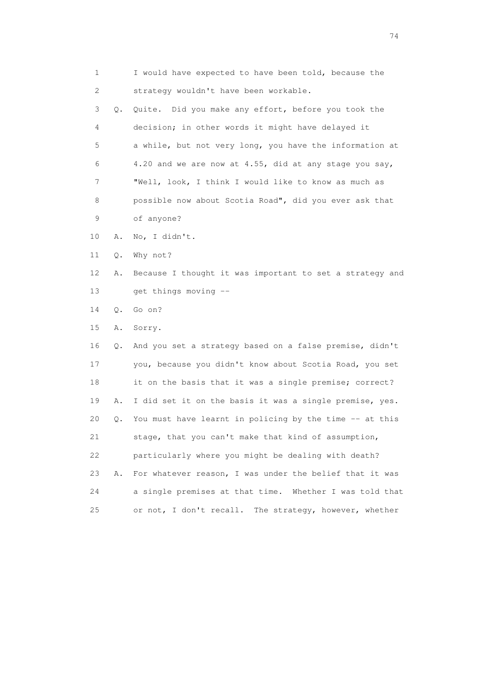1 I would have expected to have been told, because the 2 strategy wouldn't have been workable.

 3 Q. Quite. Did you make any effort, before you took the 4 decision; in other words it might have delayed it 5 a while, but not very long, you have the information at 6 4.20 and we are now at 4.55, did at any stage you say, 7 "Well, look, I think I would like to know as much as 8 possible now about Scotia Road", did you ever ask that 9 of anyone?

- 10 A. No, I didn't.
- 11 Q. Why not?
- 12 A. Because I thought it was important to set a strategy and 13 get things moving --
- 14 Q. Go on?
- 15 A. Sorry.

 16 Q. And you set a strategy based on a false premise, didn't 17 you, because you didn't know about Scotia Road, you set 18 it on the basis that it was a single premise; correct? 19 A. I did set it on the basis it was a single premise, yes. 20 Q. You must have learnt in policing by the time -- at this 21 stage, that you can't make that kind of assumption, 22 particularly where you might be dealing with death? 23 A. For whatever reason, I was under the belief that it was 24 a single premises at that time. Whether I was told that 25 or not, I don't recall. The strategy, however, whether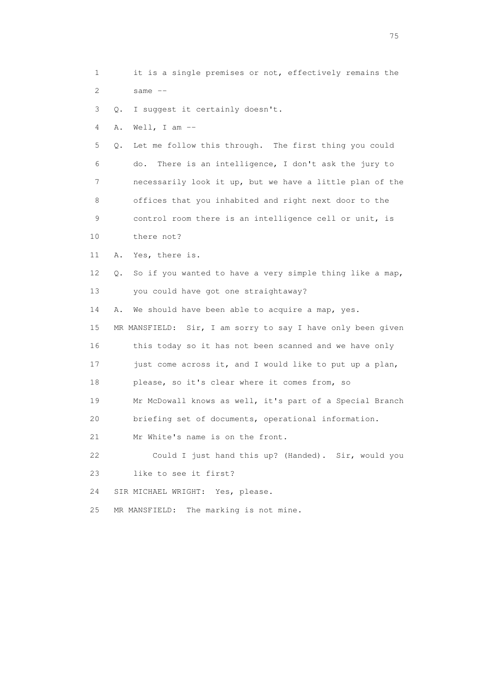1 it is a single premises or not, effectively remains the  $2$  same  $-$ 

3 Q. I suggest it certainly doesn't.

4 A. Well, I am --

 5 Q. Let me follow this through. The first thing you could 6 do. There is an intelligence, I don't ask the jury to 7 necessarily look it up, but we have a little plan of the 8 offices that you inhabited and right next door to the 9 control room there is an intelligence cell or unit, is 10 there not?

11 A. Yes, there is.

 12 Q. So if you wanted to have a very simple thing like a map, 13 you could have got one straightaway?

14 A. We should have been able to acquire a map, yes.

 15 MR MANSFIELD: Sir, I am sorry to say I have only been given 16 this today so it has not been scanned and we have only 17 just come across it, and I would like to put up a plan, 18 please, so it's clear where it comes from, so 19 Mr McDowall knows as well, it's part of a Special Branch 20 briefing set of documents, operational information. 21 Mr White's name is on the front.

 22 Could I just hand this up? (Handed). Sir, would you 23 like to see it first?

24 SIR MICHAEL WRIGHT: Yes, please.

25 MR MANSFIELD: The marking is not mine.

na matsay na katalog as na kasang na mga 175 may 2008. Ang isang isang nagsang nagsang nagsang nagsang nagsang<br>Tagapang nagsang nagsang nagsang nagsang nagsang nagsang nagsang nagsang nagsang nagsang nagsang nagsang nagsa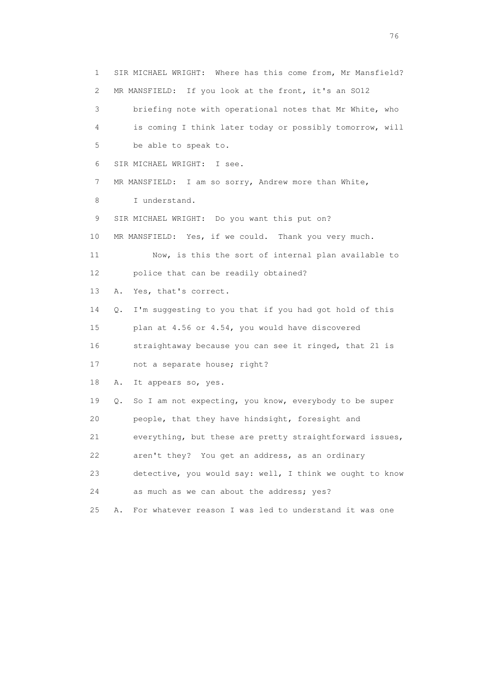1 SIR MICHAEL WRIGHT: Where has this come from, Mr Mansfield? 2 MR MANSFIELD: If you look at the front, it's an SO12 3 briefing note with operational notes that Mr White, who 4 is coming I think later today or possibly tomorrow, will 5 be able to speak to. 6 SIR MICHAEL WRIGHT: I see. 7 MR MANSFIELD: I am so sorry, Andrew more than White, 8 I understand. 9 SIR MICHAEL WRIGHT: Do you want this put on? 10 MR MANSFIELD: Yes, if we could. Thank you very much. 11 Now, is this the sort of internal plan available to 12 police that can be readily obtained? 13 A. Yes, that's correct. 14 Q. I'm suggesting to you that if you had got hold of this 15 plan at 4.56 or 4.54, you would have discovered 16 straightaway because you can see it ringed, that 21 is 17 not a separate house; right? 18 A. It appears so, yes. 19 Q. So I am not expecting, you know, everybody to be super 20 people, that they have hindsight, foresight and 21 everything, but these are pretty straightforward issues, 22 aren't they? You get an address, as an ordinary 23 detective, you would say: well, I think we ought to know 24 as much as we can about the address; yes? 25 A. For whatever reason I was led to understand it was one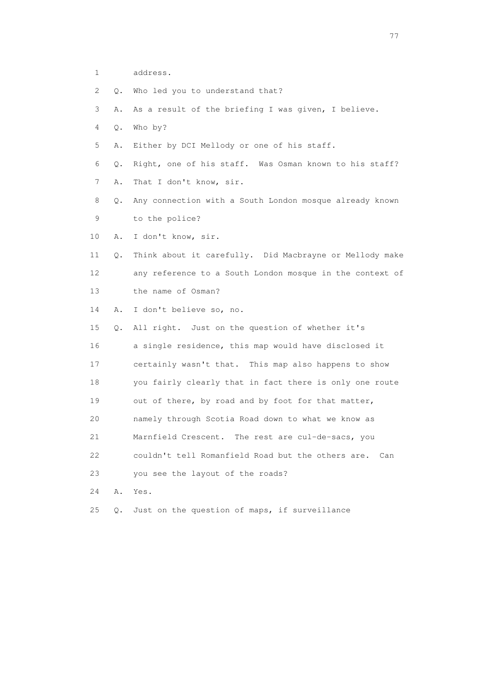- 1 address.
- 2 Q. Who led you to understand that?
- 3 A. As a result of the briefing I was given, I believe.
- 4 Q. Who by?
- 5 A. Either by DCI Mellody or one of his staff.
- 6 Q. Right, one of his staff. Was Osman known to his staff?
- 7 A. That I don't know, sir.
- 8 Q. Any connection with a South London mosque already known 9 to the police?
- 10 A. I don't know, sir.
- 11 Q. Think about it carefully. Did Macbrayne or Mellody make 12 any reference to a South London mosque in the context of 13 the name of Osman?
- 14 A. I don't believe so, no.
- 15 Q. All right. Just on the question of whether it's 16 a single residence, this map would have disclosed it 17 certainly wasn't that. This map also happens to show 18 you fairly clearly that in fact there is only one route 19 out of there, by road and by foot for that matter, 20 namely through Scotia Road down to what we know as 21 Marnfield Crescent. The rest are cul-de-sacs, you 22 couldn't tell Romanfield Road but the others are. Can 23 you see the layout of the roads? 24 A. Yes.
- 25 Q. Just on the question of maps, if surveillance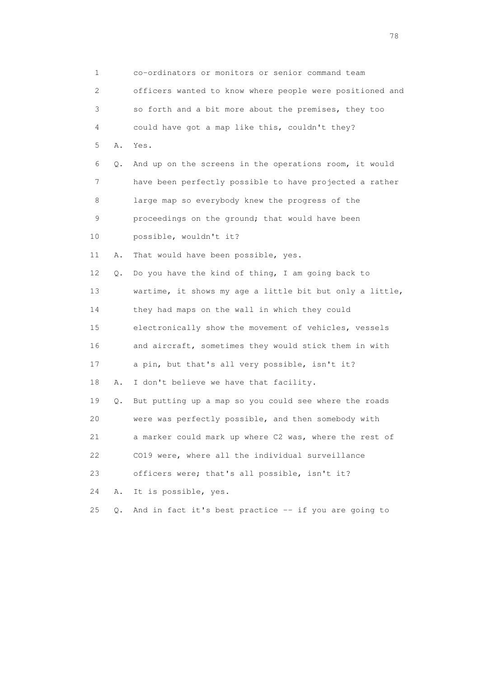1 co-ordinators or monitors or senior command team 2 officers wanted to know where people were positioned and 3 so forth and a bit more about the premises, they too 4 could have got a map like this, couldn't they? 5 A. Yes. 6 Q. And up on the screens in the operations room, it would 7 have been perfectly possible to have projected a rather 8 large map so everybody knew the progress of the 9 proceedings on the ground; that would have been 10 possible, wouldn't it? 11 A. That would have been possible, yes. 12 Q. Do you have the kind of thing, I am going back to 13 wartime, it shows my age a little bit but only a little, 14 they had maps on the wall in which they could 15 electronically show the movement of vehicles, vessels 16 and aircraft, sometimes they would stick them in with 17 a pin, but that's all very possible, isn't it? 18 A. I don't believe we have that facility. 19 Q. But putting up a map so you could see where the roads 20 were was perfectly possible, and then somebody with 21 a marker could mark up where C2 was, where the rest of 22 CO19 were, where all the individual surveillance 23 officers were; that's all possible, isn't it? 24 A. It is possible, yes. 25 Q. And in fact it's best practice -- if you are going to

na na matsayang mga kasang mga kalendaryon ng mga kasang mga kasang mga kasang mga kasang mga kasang mga kasan<br>Mga kasang mga kasang mga kasang mga kasang mga kasang mga kasang mga kasang mga kasang mga kasang mga kasang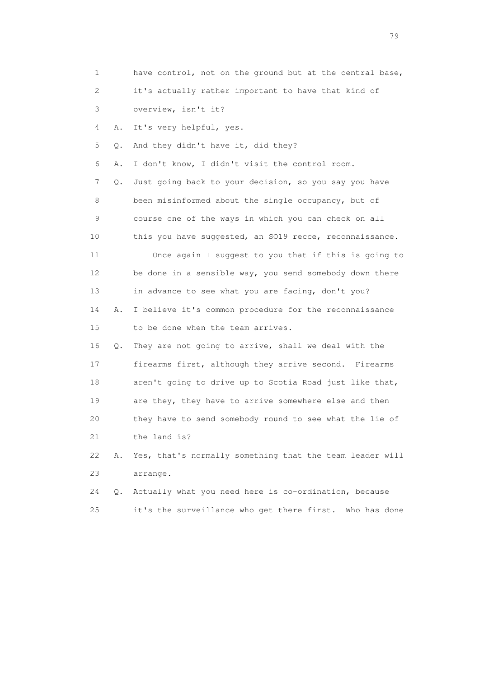| 1                         |           | have control, not on the ground but at the central base, |
|---------------------------|-----------|----------------------------------------------------------|
| $\mathbf{2}^{\mathsf{I}}$ |           | it's actually rather important to have that kind of      |
| 3                         |           | overview, isn't it?                                      |
| 4                         | Α.        | It's very helpful, yes.                                  |
| 5                         | Q.        | And they didn't have it, did they?                       |
| 6                         | Α.        | I don't know, I didn't visit the control room.           |
| 7                         | Q.        | Just going back to your decision, so you say you have    |
| 8                         |           | been misinformed about the single occupancy, but of      |
| 9                         |           | course one of the ways in which you can check on all     |
| 10                        |           | this you have suggested, an SO19 recce, reconnaissance.  |
| 11                        |           | Once again I suggest to you that if this is going to     |
| 12 <sup>°</sup>           |           | be done in a sensible way, you send somebody down there  |
| 13                        |           | in advance to see what you are facing, don't you?        |
| 14                        | Α.        | I believe it's common procedure for the reconnaissance   |
| 15                        |           | to be done when the team arrives.                        |
| 16                        | Q.        | They are not going to arrive, shall we deal with the     |
| 17                        |           | firearms first, although they arrive second. Firearms    |
| 18                        |           | aren't going to drive up to Scotia Road just like that,  |
| 19                        |           | are they, they have to arrive somewhere else and then    |
| 20                        |           | they have to send somebody round to see what the lie of  |
| 21                        |           | the land is?                                             |
| 22                        | Α.        | Yes, that's normally something that the team leader will |
| 23                        |           | arrange.                                                 |
| 24                        | $\circ$ . | Actually what you need here is co-ordination, because    |
| 25                        |           | it's the surveillance who get there first. Who has done  |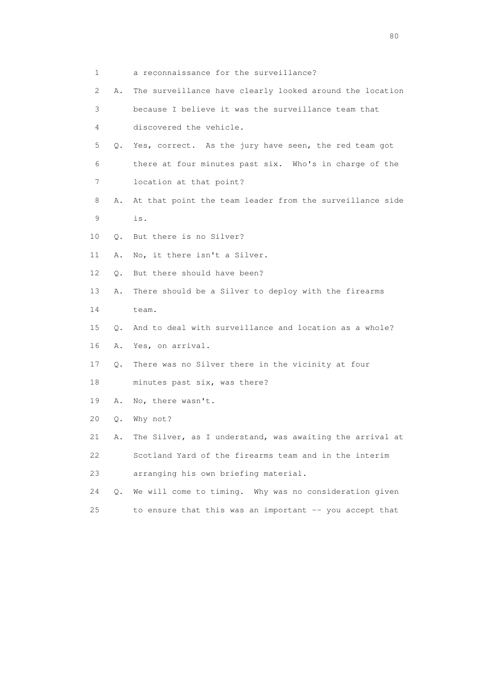| 1  |           | a reconnaissance for the surveillance?                   |
|----|-----------|----------------------------------------------------------|
| 2  | Α.        | The surveillance have clearly looked around the location |
| 3  |           | because I believe it was the surveillance team that      |
| 4  |           | discovered the vehicle.                                  |
| 5  | Q.        | Yes, correct. As the jury have seen, the red team got    |
| 6  |           | there at four minutes past six. Who's in charge of the   |
| 7  |           | location at that point?                                  |
| 8  | Α.        | At that point the team leader from the surveillance side |
| 9  |           | is.                                                      |
| 10 |           | Q. But there is no Silver?                               |
| 11 | Α.        | No, it there isn't a Silver.                             |
| 12 | О.        | But there should have been?                              |
| 13 | Α.        | There should be a Silver to deploy with the firearms     |
| 14 |           | team.                                                    |
| 15 | $\circ$ . | And to deal with surveillance and location as a whole?   |
| 16 | Α.        | Yes, on arrival.                                         |
| 17 | $Q$ .     | There was no Silver there in the vicinity at four        |
| 18 |           | minutes past six, was there?                             |
| 19 | Α.        | No, there wasn't.                                        |
| 20 | Q.        | Why not?                                                 |
| 21 | Α.        | The Silver, as I understand, was awaiting the arrival at |
| 22 |           | Scotland Yard of the firearms team and in the interim    |
| 23 |           | arranging his own briefing material.                     |
| 24 | $\circ$ . | We will come to timing. Why was no consideration given   |
| 25 |           | to ensure that this was an important -- you accept that  |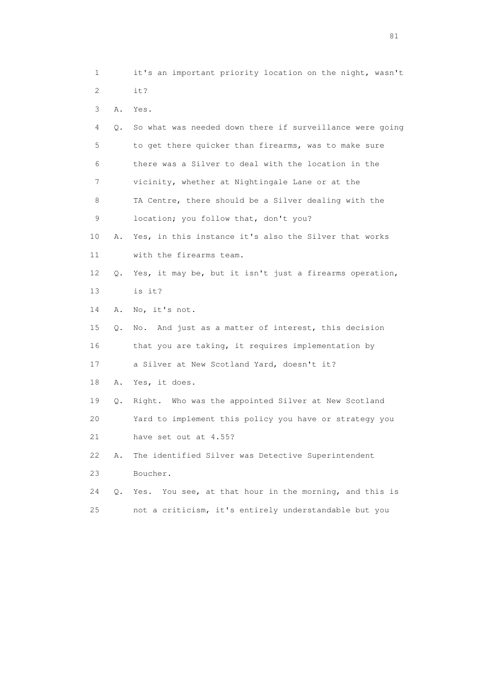1 it's an important priority location on the night, wasn't 2 it?

3 A. Yes.

| 4           | О. | So what was needed down there if surveillance were going |
|-------------|----|----------------------------------------------------------|
| 5           |    | to get there quicker than firearms, was to make sure     |
| 6           |    | there was a Silver to deal with the location in the      |
| 7           |    | vicinity, whether at Nightingale Lane or at the          |
| 8           |    | TA Centre, there should be a Silver dealing with the     |
| $\mathsf 9$ |    | location; you follow that, don't you?                    |
| 10          | Α. | Yes, in this instance it's also the Silver that works    |
| 11          |    | with the firearms team.                                  |
| 12          | Q. | Yes, it may be, but it isn't just a firearms operation,  |
| 13          |    | is it?                                                   |
| 14          | Α. | No, it's not.                                            |
| 15          | Q. | No. And just as a matter of interest, this decision      |
| 16          |    | that you are taking, it requires implementation by       |
| 17          |    | a Silver at New Scotland Yard, doesn't it?               |
| 18          | Α. | Yes, it does.                                            |
| 19          | Q. | Right. Who was the appointed Silver at New Scotland      |
| 20          |    | Yard to implement this policy you have or strategy you   |
| 21          |    | have set out at 4.55?                                    |
| 22          | Α. | The identified Silver was Detective Superintendent       |
| 23          |    | Boucher.                                                 |
| 24          | Q. | Yes. You see, at that hour in the morning, and this is   |
| 25          |    | not a criticism, it's entirely understandable but you    |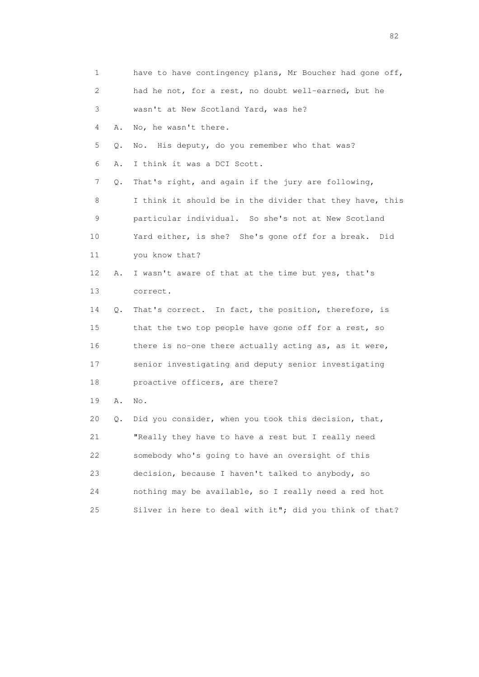1 have to have contingency plans, Mr Boucher had gone off, 2 had he not, for a rest, no doubt well-earned, but he 3 wasn't at New Scotland Yard, was he? 4 A. No, he wasn't there. 5 Q. No. His deputy, do you remember who that was? 6 A. I think it was a DCI Scott. 7 Q. That's right, and again if the jury are following, 8 I think it should be in the divider that they have, this 9 particular individual. So she's not at New Scotland 10 Yard either, is she? She's gone off for a break. Did 11 you know that? 12 A. I wasn't aware of that at the time but yes, that's 13 correct. 14 Q. That's correct. In fact, the position, therefore, is 15 that the two top people have gone off for a rest, so 16 there is no-one there actually acting as, as it were, 17 senior investigating and deputy senior investigating 18 proactive officers, are there? 19 A. No. 20 Q. Did you consider, when you took this decision, that, 21 "Really they have to have a rest but I really need 22 somebody who's going to have an oversight of this 23 decision, because I haven't talked to anybody, so 24 nothing may be available, so I really need a red hot 25 Silver in here to deal with it"; did you think of that?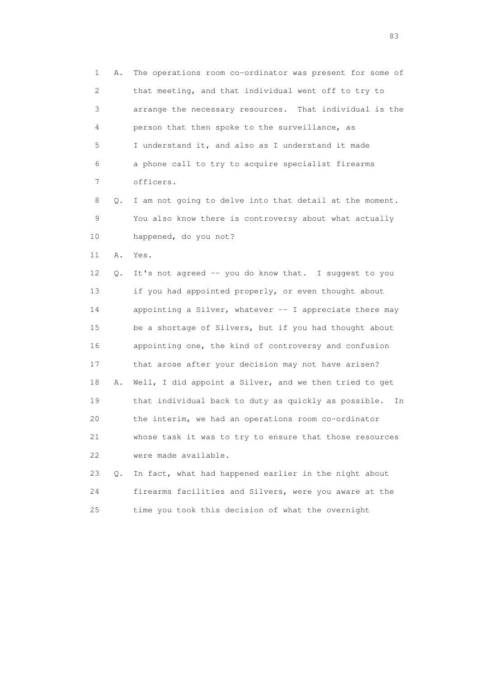1 A. The operations room co-ordinator was present for some of 2 that meeting, and that individual went off to try to 3 arrange the necessary resources. That individual is the 4 person that then spoke to the surveillance, as 5 I understand it, and also as I understand it made 6 a phone call to try to acquire specialist firearms 7 officers.

 8 Q. I am not going to delve into that detail at the moment. 9 You also know there is controversy about what actually 10 happened, do you not?

11 A. Yes.

 12 Q. It's not agreed -- you do know that. I suggest to you 13 if you had appointed properly, or even thought about 14 appointing a Silver, whatever -- I appreciate there may 15 be a shortage of Silvers, but if you had thought about 16 appointing one, the kind of controversy and confusion 17 that arose after your decision may not have arisen? 18 A. Well, I did appoint a Silver, and we then tried to get 19 that individual back to duty as quickly as possible. In 20 the interim, we had an operations room co-ordinator 21 whose task it was to try to ensure that those resources 22 were made available.

 23 Q. In fact, what had happened earlier in the night about 24 firearms facilities and Silvers, were you aware at the 25 time you took this decision of what the overnight

experience of the contract of the contract of the contract of the contract of the contract of the contract of the contract of the contract of the contract of the contract of the contract of the contract of the contract of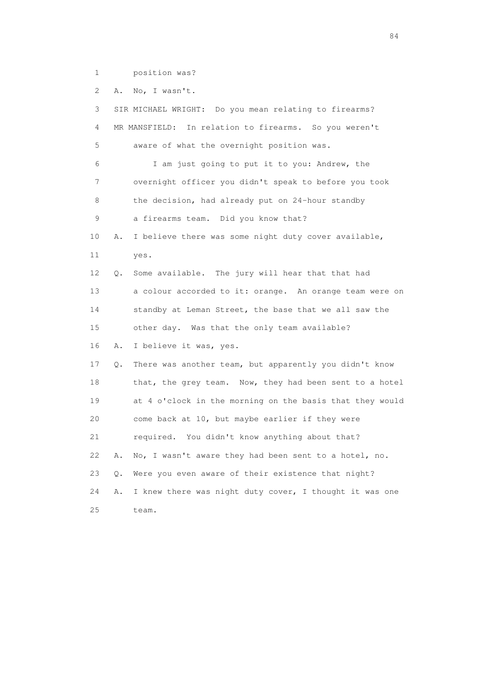1 position was?

2 A. No, I wasn't.

 3 SIR MICHAEL WRIGHT: Do you mean relating to firearms? 4 MR MANSFIELD: In relation to firearms. So you weren't 5 aware of what the overnight position was. 6 I am just going to put it to you: Andrew, the 7 overnight officer you didn't speak to before you took 8 the decision, had already put on 24-hour standby 9 a firearms team. Did you know that? 10 A. I believe there was some night duty cover available, 11 yes. 12 Q. Some available. The jury will hear that that had 13 a colour accorded to it: orange. An orange team were on 14 standby at Leman Street, the base that we all saw the 15 other day. Was that the only team available? 16 A. I believe it was, yes. 17 Q. There was another team, but apparently you didn't know 18 that, the grey team. Now, they had been sent to a hotel 19 at 4 o'clock in the morning on the basis that they would 20 come back at 10, but maybe earlier if they were 21 required. You didn't know anything about that? 22 A. No, I wasn't aware they had been sent to a hotel, no. 23 Q. Were you even aware of their existence that night? 24 A. I knew there was night duty cover, I thought it was one 25 team.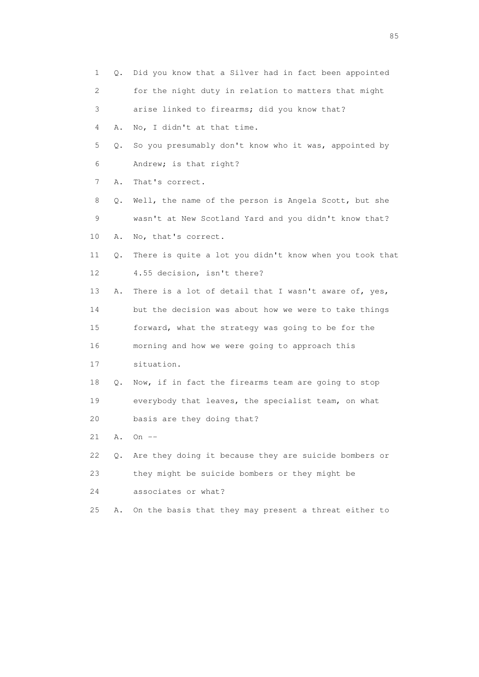| $\mathbf 1$ | 0. | Did you know that a Silver had in fact been appointed   |
|-------------|----|---------------------------------------------------------|
| 2           |    | for the night duty in relation to matters that might    |
| 3           |    | arise linked to firearms; did you know that?            |
| 4           | Α. | No, I didn't at that time.                              |
| 5           | О. | So you presumably don't know who it was, appointed by   |
| 6           |    | Andrew; is that right?                                  |
| 7           | Α. | That's correct.                                         |
| 8           | Q. | Well, the name of the person is Angela Scott, but she   |
| 9           |    | wasn't at New Scotland Yard and you didn't know that?   |
| 10          | Α. | No, that's correct.                                     |
| 11          | Q. | There is quite a lot you didn't know when you took that |
| 12          |    | 4.55 decision, isn't there?                             |
| 13          | Α. | There is a lot of detail that I wasn't aware of, yes,   |
| 14          |    | but the decision was about how we were to take things   |
| 15          |    | forward, what the strategy was going to be for the      |
| 16          |    | morning and how we were going to approach this          |
| 17          |    | situation.                                              |
| 18          | Q. | Now, if in fact the firearms team are going to stop     |
| 19          |    | everybody that leaves, the specialist team, on what     |
| 20          |    | basis are they doing that?                              |
| 21          | Α. | On $--$                                                 |
| 22          | Q. | Are they doing it because they are suicide bombers or   |
| 23          |    | they might be suicide bombers or they might be          |
| 24          |    | associates or what?                                     |
| 25          | Α. | On the basis that they may present a threat either to   |

experience of the contract of the contract of the contract of the contract of the contract of the contract of the contract of the contract of the contract of the contract of the contract of the contract of the contract of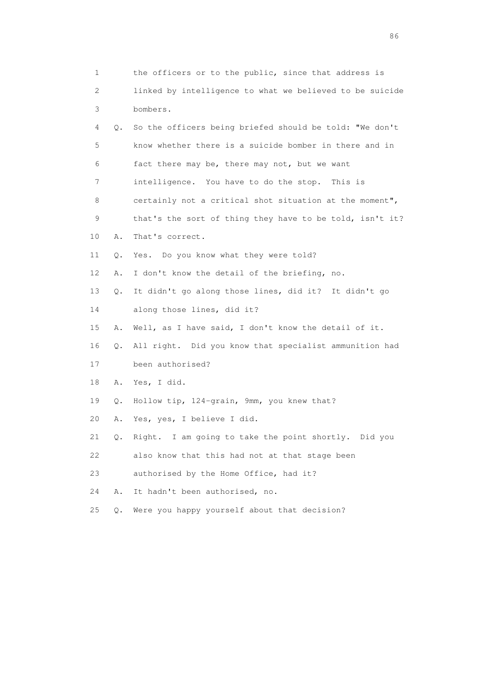1 the officers or to the public, since that address is 2 linked by intelligence to what we believed to be suicide 3 bombers. 4 Q. So the officers being briefed should be told: "We don't 5 know whether there is a suicide bomber in there and in 6 fact there may be, there may not, but we want 7 intelligence. You have to do the stop. This is 8 certainly not a critical shot situation at the moment", 9 that's the sort of thing they have to be told, isn't it? 10 A. That's correct. 11 Q. Yes. Do you know what they were told? 12 A. I don't know the detail of the briefing, no. 13 Q. It didn't go along those lines, did it? It didn't go 14 along those lines, did it? 15 A. Well, as I have said, I don't know the detail of it. 16 Q. All right. Did you know that specialist ammunition had 17 been authorised? 18 A. Yes, I did. 19 Q. Hollow tip, 124-grain, 9mm, you knew that? 20 A. Yes, yes, I believe I did. 21 Q. Right. I am going to take the point shortly. Did you 22 also know that this had not at that stage been 23 authorised by the Home Office, had it? 24 A. It hadn't been authorised, no. 25 Q. Were you happy yourself about that decision?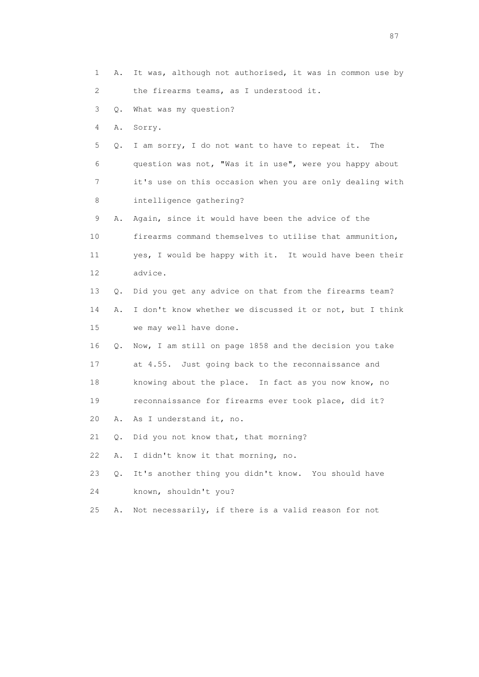1 A. It was, although not authorised, it was in common use by 2 the firearms teams, as I understood it. 3 Q. What was my question? 4 A. Sorry. 5 Q. I am sorry, I do not want to have to repeat it. The 6 question was not, "Was it in use", were you happy about 7 it's use on this occasion when you are only dealing with 8 intelligence gathering? 9 A. Again, since it would have been the advice of the 10 firearms command themselves to utilise that ammunition, 11 yes, I would be happy with it. It would have been their 12 advice. 13 Q. Did you get any advice on that from the firearms team? 14 A. I don't know whether we discussed it or not, but I think 15 we may well have done. 16 Q. Now, I am still on page 1858 and the decision you take 17 at 4.55. Just going back to the reconnaissance and 18 knowing about the place. In fact as you now know, no 19 reconnaissance for firearms ever took place, did it? 20 A. As I understand it, no. 21 Q. Did you not know that, that morning? 22 A. I didn't know it that morning, no. 23 Q. It's another thing you didn't know. You should have 24 known, shouldn't you? 25 A. Not necessarily, if there is a valid reason for not

experience of the state of the state of the state of the state of the state of the state of the state of the s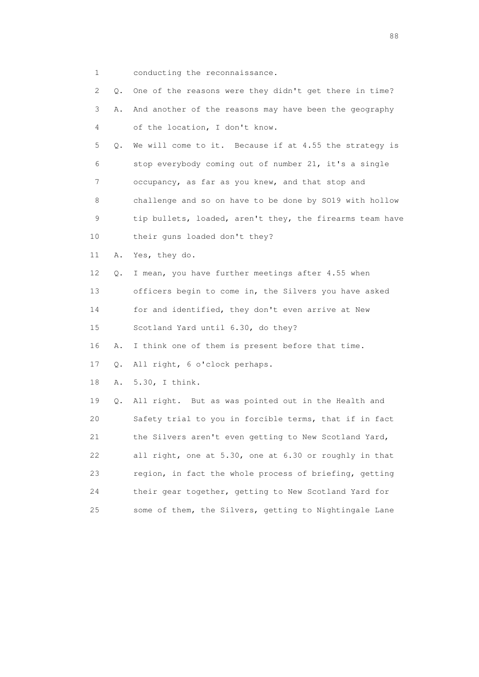1 conducting the reconnaissance.

| 2               | Q. | One of the reasons were they didn't get there in time?   |
|-----------------|----|----------------------------------------------------------|
| 3               | Α. | And another of the reasons may have been the geography   |
|                 |    |                                                          |
| 4               |    | of the location, I don't know.                           |
| 5               | Q. | We will come to it. Because if at 4.55 the strategy is   |
| 6               |    | stop everybody coming out of number 21, it's a single    |
| 7               |    | occupancy, as far as you knew, and that stop and         |
| 8               |    | challenge and so on have to be done by SO19 with hollow  |
| 9               |    | tip bullets, loaded, aren't they, the firearms team have |
| 10              |    | their guns loaded don't they?                            |
| 11              | Α. | Yes, they do.                                            |
| 12 <sup>°</sup> | Q. | I mean, you have further meetings after 4.55 when        |
| 13              |    | officers begin to come in, the Silvers you have asked    |
| 14              |    | for and identified, they don't even arrive at New        |
| 15              |    | Scotland Yard until 6.30, do they?                       |
| 16              | Α. | I think one of them is present before that time.         |
| 17              | Q. | All right, 6 o'clock perhaps.                            |
| 18              | Α. | 5.30, I think.                                           |
| 19              | Q. | All right. But as was pointed out in the Health and      |
| 20              |    | Safety trial to you in forcible terms, that if in fact   |
| 21              |    | the Silvers aren't even getting to New Scotland Yard,    |
| 22              |    | all right, one at 5.30, one at 6.30 or roughly in that   |
| 23              |    | region, in fact the whole process of briefing, getting   |
| 24              |    | their gear together, getting to New Scotland Yard for    |
| 25              |    | some of them, the Silvers, getting to Nightingale Lane   |

en de la construction de la construction de la construction de la construction de la construction de la constr<br>1880 : le construction de la construction de la construction de la construction de la construction de la const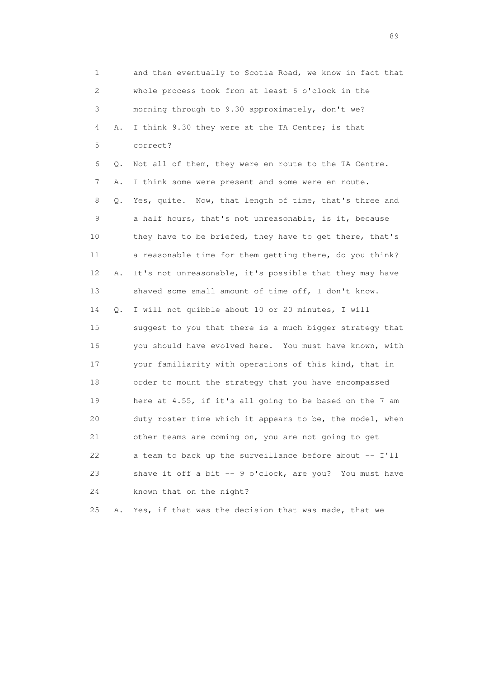1 and then eventually to Scotia Road, we know in fact that 2 whole process took from at least 6 o'clock in the 3 morning through to 9.30 approximately, don't we? 4 A. I think 9.30 they were at the TA Centre; is that 5 correct? 6 Q. Not all of them, they were en route to the TA Centre. 7 A. I think some were present and some were en route. 8 Q. Yes, quite. Now, that length of time, that's three and 9 a half hours, that's not unreasonable, is it, because 10 they have to be briefed, they have to get there, that's 11 a reasonable time for them getting there, do you think? 12 A. It's not unreasonable, it's possible that they may have 13 shaved some small amount of time off, I don't know. 14 Q. I will not quibble about 10 or 20 minutes, I will 15 suggest to you that there is a much bigger strategy that 16 you should have evolved here. You must have known, with 17 your familiarity with operations of this kind, that in 18 order to mount the strategy that you have encompassed 19 here at 4.55, if it's all going to be based on the 7 am 20 duty roster time which it appears to be, the model, when 21 other teams are coming on, you are not going to get 22 a team to back up the surveillance before about -- I'll 23 shave it off a bit -- 9 o'clock, are you? You must have 24 known that on the night?

25 A. Yes, if that was the decision that was made, that we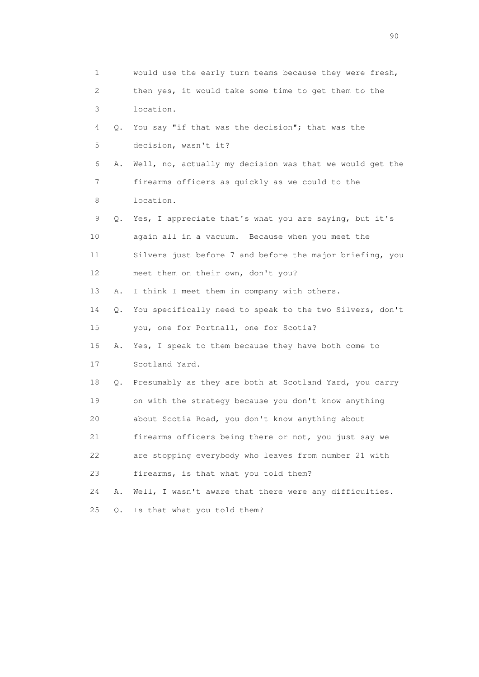1 would use the early turn teams because they were fresh, 2 then yes, it would take some time to get them to the 3 location. 4 Q. You say "if that was the decision"; that was the 5 decision, wasn't it? 6 A. Well, no, actually my decision was that we would get the 7 firearms officers as quickly as we could to the 8 location. 9 Q. Yes, I appreciate that's what you are saying, but it's 10 again all in a vacuum. Because when you meet the 11 Silvers just before 7 and before the major briefing, you 12 meet them on their own, don't you? 13 A. I think I meet them in company with others. 14 Q. You specifically need to speak to the two Silvers, don't 15 you, one for Portnall, one for Scotia? 16 A. Yes, I speak to them because they have both come to 17 Scotland Yard. 18 Q. Presumably as they are both at Scotland Yard, you carry 19 on with the strategy because you don't know anything 20 about Scotia Road, you don't know anything about 21 firearms officers being there or not, you just say we 22 are stopping everybody who leaves from number 21 with 23 firearms, is that what you told them? 24 A. Well, I wasn't aware that there were any difficulties. 25 Q. Is that what you told them?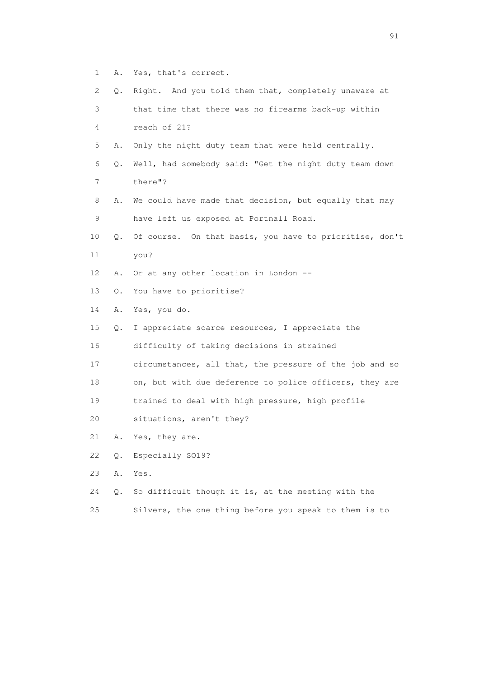- 1 A. Yes, that's correct.
- 2 Q. Right. And you told them that, completely unaware at
- 3 that time that there was no firearms back-up within 4 reach of 21?
- 5 A. Only the night duty team that were held centrally.
- 6 Q. Well, had somebody said: "Get the night duty team down 7 there"?
- 8 A. We could have made that decision, but equally that may 9 have left us exposed at Portnall Road.
- 10 Q. Of course. On that basis, you have to prioritise, don't 11 you?
- 12 A. Or at any other location in London --
- 13 Q. You have to prioritise?
- 14 A. Yes, you do.
- 15 Q. I appreciate scarce resources, I appreciate the
- 16 difficulty of taking decisions in strained
- 17 circumstances, all that, the pressure of the job and so
- 18 on, but with due deference to police officers, they are
- 19 trained to deal with high pressure, high profile
- 20 situations, aren't they?
- 21 A. Yes, they are.
- 22 Q. Especially SO19?
- 23 A. Yes.
- 24 Q. So difficult though it is, at the meeting with the
- 25 Silvers, the one thing before you speak to them is to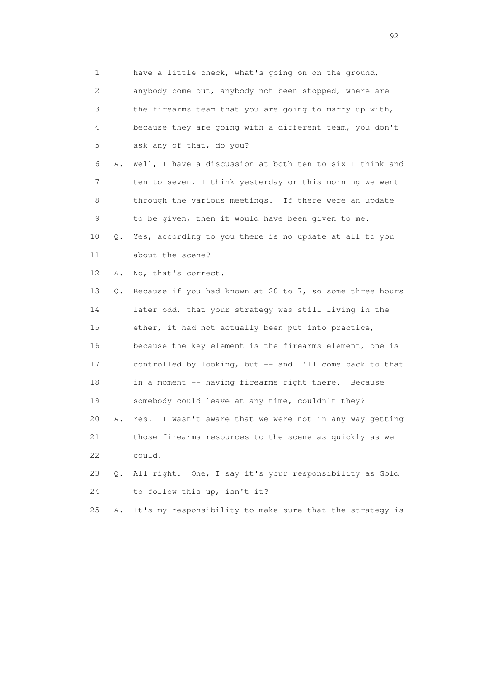| 1  |    | have a little check, what's going on on the ground,        |
|----|----|------------------------------------------------------------|
| 2  |    | anybody come out, anybody not been stopped, where are      |
| 3  |    | the firearms team that you are going to marry up with,     |
| 4  |    | because they are going with a different team, you don't    |
| 5  |    | ask any of that, do you?                                   |
| 6  | Α. | Well, I have a discussion at both ten to six I think and   |
| 7  |    | ten to seven, I think yesterday or this morning we went    |
| 8  |    | through the various meetings. If there were an update      |
| 9  |    | to be given, then it would have been given to me.          |
| 10 | Q. | Yes, according to you there is no update at all to you     |
| 11 |    | about the scene?                                           |
| 12 | Α. | No, that's correct.                                        |
| 13 | Q. | Because if you had known at 20 to 7, so some three hours   |
| 14 |    | later odd, that your strategy was still living in the      |
| 15 |    | ether, it had not actually been put into practice,         |
| 16 |    | because the key element is the firearms element, one is    |
| 17 |    | controlled by looking, but -- and I'll come back to that   |
| 18 |    | in a moment -- having firearms right there. Because        |
| 19 |    | somebody could leave at any time, couldn't they?           |
| 20 | Α. | I wasn't aware that we were not in any way getting<br>Yes. |
| 21 |    | those firearms resources to the scene as quickly as we     |
| 22 |    | could.                                                     |
| 23 | Q. | All right. One, I say it's your responsibility as Gold     |
| 24 |    | to follow this up, isn't it?                               |
| 25 | Α. | It's my responsibility to make sure that the strategy is   |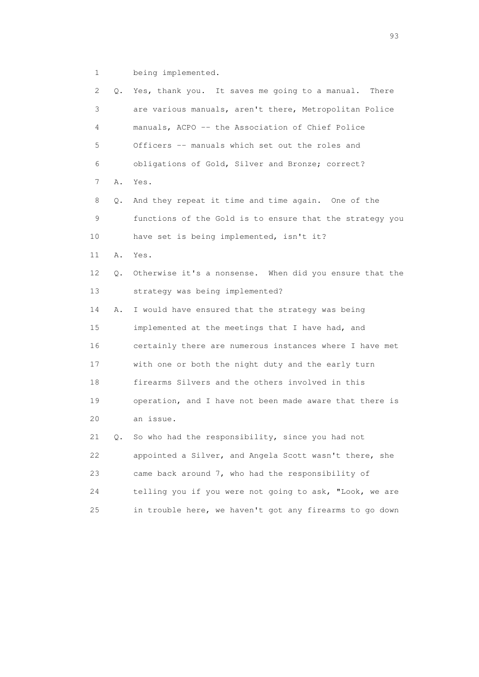1 being implemented.

| $\mathbf{2}^{\mathsf{I}}$ | Q. | Yes, thank you. It saves me going to a manual.<br>There  |
|---------------------------|----|----------------------------------------------------------|
| 3                         |    | are various manuals, aren't there, Metropolitan Police   |
| 4                         |    | manuals, ACPO -- the Association of Chief Police         |
| 5                         |    | Officers -- manuals which set out the roles and          |
| 6                         |    | obligations of Gold, Silver and Bronze; correct?         |
| 7                         | Α. | Yes.                                                     |
| 8                         | Q. | And they repeat it time and time again. One of the       |
| 9                         |    | functions of the Gold is to ensure that the strategy you |
| 10                        |    | have set is being implemented, isn't it?                 |
| 11                        | Α. | Yes.                                                     |
| 12                        | Q. | Otherwise it's a nonsense. When did you ensure that the  |
| 13                        |    | strategy was being implemented?                          |
| 14                        | Α. | I would have ensured that the strategy was being         |
| 15                        |    | implemented at the meetings that I have had, and         |
| 16                        |    | certainly there are numerous instances where I have met  |
| 17                        |    | with one or both the night duty and the early turn       |
| 18                        |    | firearms Silvers and the others involved in this         |
| 19                        |    | operation, and I have not been made aware that there is  |
| 20                        |    | an issue.                                                |
| 21                        | Q. | So who had the responsibility, since you had not         |
| 22                        |    | appointed a Silver, and Angela Scott wasn't there, she   |
| 23                        |    | came back around 7, who had the responsibility of        |
| 24                        |    | telling you if you were not going to ask, "Look, we are  |
| 25                        |    | in trouble here, we haven't got any firearms to go down  |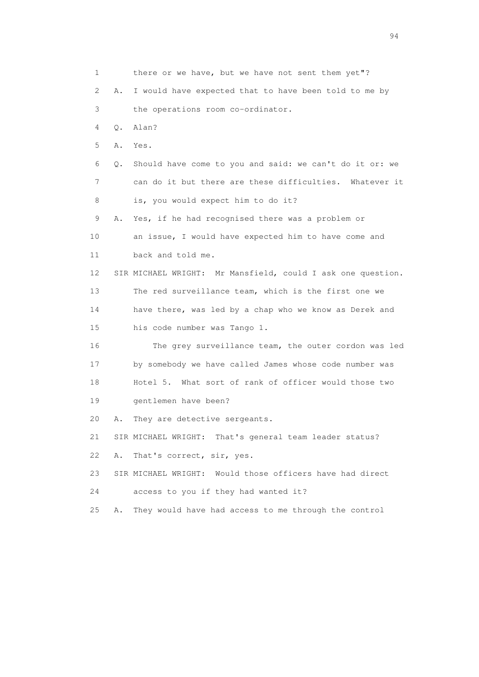1 there or we have, but we have not sent them yet"? 2 A. I would have expected that to have been told to me by 3 the operations room co-ordinator. 4 Q. Alan? 5 A. Yes. 6 Q. Should have come to you and said: we can't do it or: we 7 can do it but there are these difficulties. Whatever it 8 is, you would expect him to do it? 9 A. Yes, if he had recognised there was a problem or 10 an issue, I would have expected him to have come and 11 back and told me. 12 SIR MICHAEL WRIGHT: Mr Mansfield, could I ask one question. 13 The red surveillance team, which is the first one we 14 have there, was led by a chap who we know as Derek and 15 his code number was Tango 1. 16 The grey surveillance team, the outer cordon was led 17 by somebody we have called James whose code number was 18 Hotel 5. What sort of rank of officer would those two 19 gentlemen have been? 20 A. They are detective sergeants. 21 SIR MICHAEL WRIGHT: That's general team leader status? 22 A. That's correct, sir, yes. 23 SIR MICHAEL WRIGHT: Would those officers have had direct 24 access to you if they had wanted it? 25 A. They would have had access to me through the control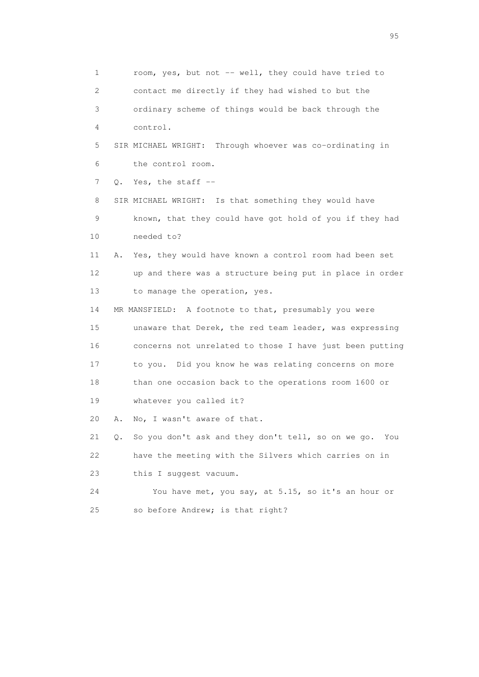1 room, yes, but not -- well, they could have tried to 2 contact me directly if they had wished to but the 3 ordinary scheme of things would be back through the 4 control. 5 SIR MICHAEL WRIGHT: Through whoever was co-ordinating in 6 the control room. 7 0. Yes, the staff -- 8 SIR MICHAEL WRIGHT: Is that something they would have 9 known, that they could have got hold of you if they had 10 needed to? 11 A. Yes, they would have known a control room had been set 12 up and there was a structure being put in place in order 13 to manage the operation, yes. 14 MR MANSFIELD: A footnote to that, presumably you were 15 unaware that Derek, the red team leader, was expressing 16 concerns not unrelated to those I have just been putting 17 to you. Did you know he was relating concerns on more 18 than one occasion back to the operations room 1600 or 19 whatever you called it? 20 A. No, I wasn't aware of that. 21 Q. So you don't ask and they don't tell, so on we go. You 22 have the meeting with the Silvers which carries on in 23 this I suggest vacuum. 24 You have met, you say, at 5.15, so it's an hour or 25 so before Andrew; is that right?

experience of the contract of the contract of the contract of the contract of the contract of the contract of the contract of the contract of the contract of the contract of the contract of the contract of the contract of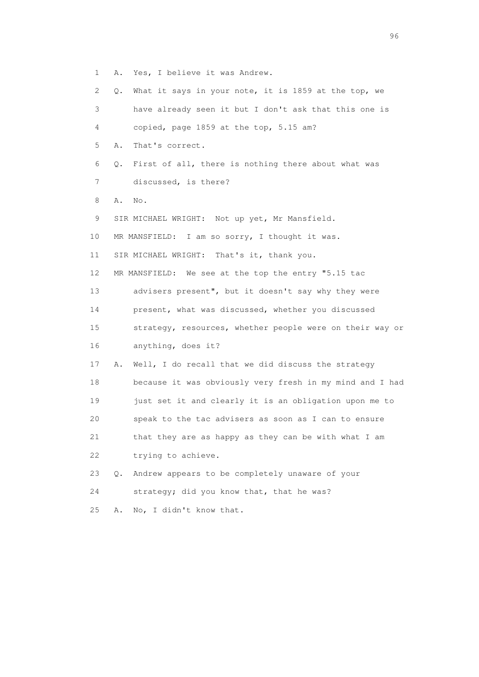1 A. Yes, I believe it was Andrew.

| $\mathbf{2}^{\prime}$ | 0. | What it says in your note, it is 1859 at the top, we     |
|-----------------------|----|----------------------------------------------------------|
| 3                     |    | have already seen it but I don't ask that this one is    |
| 4                     |    | copied, page 1859 at the top, 5.15 am?                   |
| 5                     | Α. | That's correct.                                          |
| 6                     | Q. | First of all, there is nothing there about what was      |
| 7                     |    | discussed, is there?                                     |
| 8                     | Α. | No.                                                      |
| 9                     |    | SIR MICHAEL WRIGHT: Not up yet, Mr Mansfield.            |
| 10                    |    | MR MANSFIELD: I am so sorry, I thought it was.           |
| 11                    |    | SIR MICHAEL WRIGHT: That's it, thank you.                |
| 12                    |    | MR MANSFIELD: We see at the top the entry "5.15 tac      |
| 13                    |    | advisers present", but it doesn't say why they were      |
| 14                    |    | present, what was discussed, whether you discussed       |
| 15                    |    | strategy, resources, whether people were on their way or |
| 16                    |    | anything, does it?                                       |
| 17                    | Α. | Well, I do recall that we did discuss the strategy       |
| 18                    |    | because it was obviously very fresh in my mind and I had |
| 19                    |    | just set it and clearly it is an obligation upon me to   |
| 20                    |    | speak to the tac advisers as soon as I can to ensure     |
| 21                    |    | that they are as happy as they can be with what I am     |
| 22                    |    | trying to achieve.                                       |
| 23                    | Q. | Andrew appears to be completely unaware of your          |
| 24                    |    | strategy; did you know that, that he was?                |
| 25                    | Α. | No, I didn't know that.                                  |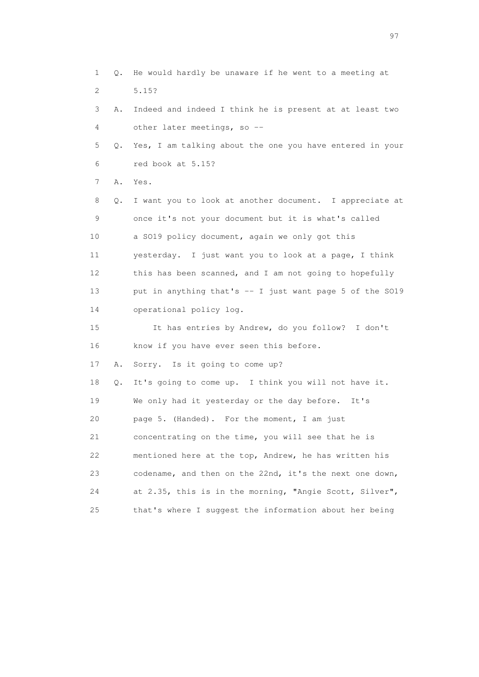1 Q. He would hardly be unaware if he went to a meeting at 2 5.15? 3 A. Indeed and indeed I think he is present at at least two 4 other later meetings, so -- 5 Q. Yes, I am talking about the one you have entered in your 6 red book at 5.15? 7 A. Yes. 8 Q. I want you to look at another document. I appreciate at 9 once it's not your document but it is what's called 10 a SO19 policy document, again we only got this 11 yesterday. I just want you to look at a page, I think 12 this has been scanned, and I am not going to hopefully 13 put in anything that's -- I just want page 5 of the SO19 14 operational policy log. 15 It has entries by Andrew, do you follow? I don't 16 know if you have ever seen this before. 17 A. Sorry. Is it going to come up? 18 Q. It's going to come up. I think you will not have it. 19 We only had it yesterday or the day before. It's 20 page 5. (Handed). For the moment, I am just 21 concentrating on the time, you will see that he is 22 mentioned here at the top, Andrew, he has written his 23 codename, and then on the 22nd, it's the next one down, 24 at 2.35, this is in the morning, "Angie Scott, Silver", 25 that's where I suggest the information about her being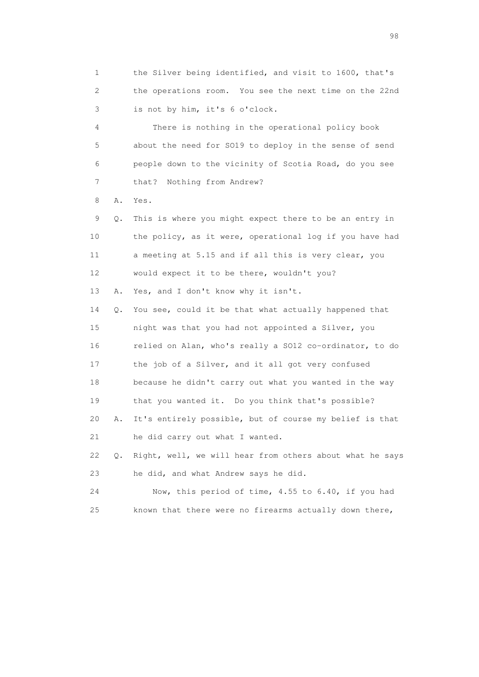1 the Silver being identified, and visit to 1600, that's 2 the operations room. You see the next time on the 22nd 3 is not by him, it's 6 o'clock.

 4 There is nothing in the operational policy book 5 about the need for SO19 to deploy in the sense of send 6 people down to the vicinity of Scotia Road, do you see 7 that? Nothing from Andrew?

8 A. Yes.

 9 Q. This is where you might expect there to be an entry in 10 the policy, as it were, operational log if you have had 11 a meeting at 5.15 and if all this is very clear, you 12 would expect it to be there, wouldn't you?

13 A. Yes, and I don't know why it isn't.

 14 Q. You see, could it be that what actually happened that 15 night was that you had not appointed a Silver, you 16 relied on Alan, who's really a SO12 co-ordinator, to do 17 the job of a Silver, and it all got very confused 18 because he didn't carry out what you wanted in the way 19 that you wanted it. Do you think that's possible? 20 A. It's entirely possible, but of course my belief is that 21 he did carry out what I wanted.

 22 Q. Right, well, we will hear from others about what he says 23 he did, and what Andrew says he did.

 24 Now, this period of time, 4.55 to 6.40, if you had 25 known that there were no firearms actually down there,

en 1988 en 1989 en 1989 en 1989 en 1989 en 1989 en 1989 en 1989 en 1989 en 1989 en 1989 en 1989 en 1989 en 19<br>De grote en 1989 en 1989 en 1989 en 1989 en 1989 en 1989 en 1989 en 1989 en 1989 en 1989 en 1989 en 1989 en 19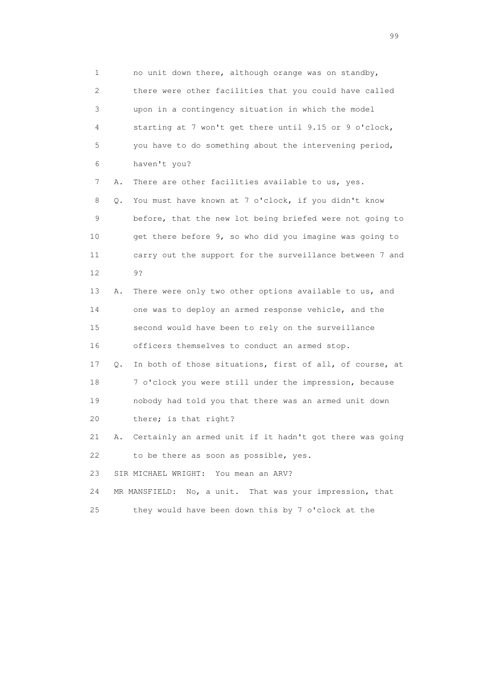1 no unit down there, although orange was on standby, 2 there were other facilities that you could have called 3 upon in a contingency situation in which the model 4 starting at 7 won't get there until 9.15 or 9 o'clock, 5 you have to do something about the intervening period, 6 haven't you?

7 A. There are other facilities available to us, yes.

 8 Q. You must have known at 7 o'clock, if you didn't know 9 before, that the new lot being briefed were not going to 10 get there before 9, so who did you imagine was going to 11 carry out the support for the surveillance between 7 and 12 9?

> 13 A. There were only two other options available to us, and 14 one was to deploy an armed response vehicle, and the 15 second would have been to rely on the surveillance 16 officers themselves to conduct an armed stop.

 17 Q. In both of those situations, first of all, of course, at 18 7 o'clock you were still under the impression, because 19 nobody had told you that there was an armed unit down 20 there; is that right?

 21 A. Certainly an armed unit if it hadn't got there was going 22 to be there as soon as possible, yes.

23 SIR MICHAEL WRIGHT: You mean an ARV?

24 MR MANSFIELD: No, a unit. That was your impression, that

25 they would have been down this by 7 o'clock at the

en de la construction de la construction de la construction de la construction de la construction de la constr<br>1990 : la construction de la construction de la construction de la construction de la construction de la const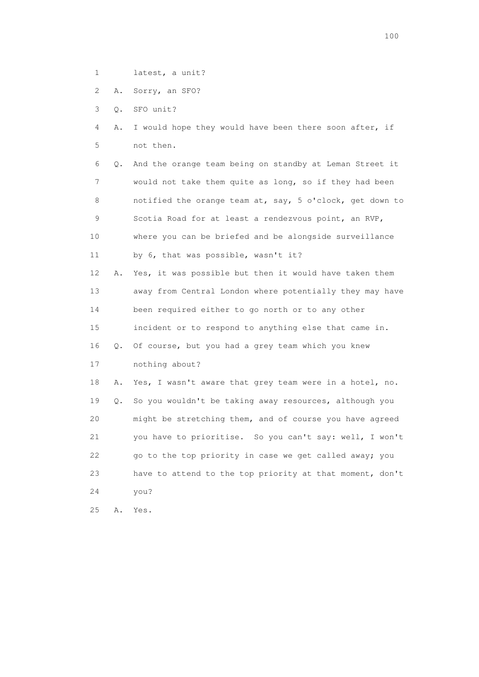- 1 latest, a unit?
- 2 A. Sorry, an SFO?

3 Q. SFO unit?

 4 A. I would hope they would have been there soon after, if 5 not then.

 6 Q. And the orange team being on standby at Leman Street it 7 would not take them quite as long, so if they had been 8 notified the orange team at, say, 5 o'clock, get down to 9 Scotia Road for at least a rendezvous point, an RVP, 10 where you can be briefed and be alongside surveillance 11 by 6, that was possible, wasn't it?

 12 A. Yes, it was possible but then it would have taken them 13 away from Central London where potentially they may have 14 been required either to go north or to any other 15 incident or to respond to anything else that came in. 16 Q. Of course, but you had a grey team which you knew 17 nothing about?

 18 A. Yes, I wasn't aware that grey team were in a hotel, no. 19 Q. So you wouldn't be taking away resources, although you 20 might be stretching them, and of course you have agreed 21 you have to prioritise. So you can't say: well, I won't 22 go to the top priority in case we get called away; you 23 have to attend to the top priority at that moment, don't 24 you?

25 A. Yes.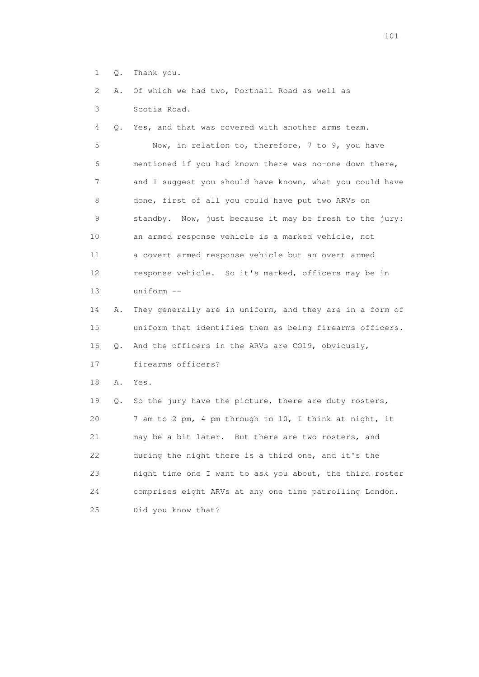- 1 Q. Thank you.
- 2 A. Of which we had two, Portnall Road as well as
- 3 Scotia Road.

4 Q. Yes, and that was covered with another arms team.

 5 Now, in relation to, therefore, 7 to 9, you have 6 mentioned if you had known there was no-one down there, 7 and I suggest you should have known, what you could have 8 done, first of all you could have put two ARVs on 9 standby. Now, just because it may be fresh to the jury: 10 an armed response vehicle is a marked vehicle, not 11 a covert armed response vehicle but an overt armed 12 response vehicle. So it's marked, officers may be in 13 uniform --

 14 A. They generally are in uniform, and they are in a form of 15 uniform that identifies them as being firearms officers. 16 Q. And the officers in the ARVs are CO19, obviously,

17 firearms officers?

18 A. Yes.

 19 Q. So the jury have the picture, there are duty rosters, 20 7 am to 2 pm, 4 pm through to 10, I think at night, it 21 may be a bit later. But there are two rosters, and 22 during the night there is a third one, and it's the 23 night time one I want to ask you about, the third roster 24 comprises eight ARVs at any one time patrolling London. 25 Did you know that?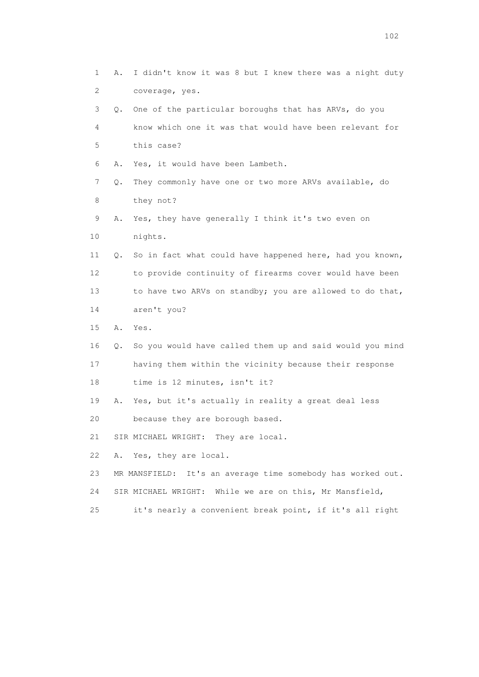| 1  | Α. | I didn't know it was 8 but I knew there was a night duty       |
|----|----|----------------------------------------------------------------|
| 2  |    | coverage, yes.                                                 |
| 3  | 0. | One of the particular boroughs that has ARVs, do you           |
| 4  |    | know which one it was that would have been relevant for        |
| 5  |    | this case?                                                     |
| 6  | Α. | Yes, it would have been Lambeth.                               |
| 7  | Q. | They commonly have one or two more ARVs available, do          |
| 8  |    | they not?                                                      |
| 9  | Α. | Yes, they have generally I think it's two even on              |
| 10 |    | nights.                                                        |
| 11 | Q. | So in fact what could have happened here, had you known,       |
| 12 |    | to provide continuity of firearms cover would have been        |
| 13 |    | to have two ARVs on standby; you are allowed to do that,       |
| 14 |    | aren't you?                                                    |
| 15 | Α. | Yes.                                                           |
| 16 | Q. | So you would have called them up and said would you mind       |
| 17 |    | having them within the vicinity because their response         |
| 18 |    | time is 12 minutes, isn't it?                                  |
| 19 |    | A. Yes, but it's actually in reality a great deal less         |
| 20 |    | because they are borough based.                                |
| 21 |    | SIR MICHAEL WRIGHT: They are local.                            |
| 22 | Α. | Yes, they are local.                                           |
| 23 |    | It's an average time somebody has worked out.<br>MR MANSFIELD: |
| 24 |    | SIR MICHAEL WRIGHT: While we are on this, Mr Mansfield,        |
| 25 |    | it's nearly a convenient break point, if it's all right        |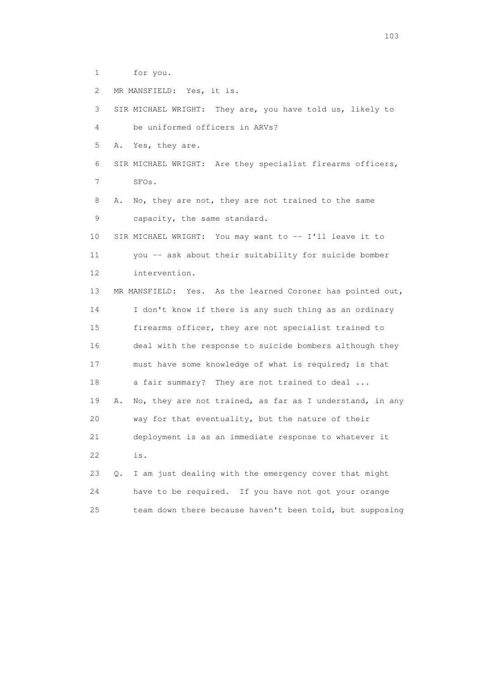1 for you.

2 MR MANSFIELD: Yes, it is.

 3 SIR MICHAEL WRIGHT: They are, you have told us, likely to 4 be uniformed officers in ARVs? 5 A. Yes, they are. 6 SIR MICHAEL WRIGHT: Are they specialist firearms officers, 7 SFOs. 8 A. No, they are not, they are not trained to the same 9 capacity, the same standard. 10 SIR MICHAEL WRIGHT: You may want to -- I'll leave it to 11 you -- ask about their suitability for suicide bomber 12 intervention. 13 MR MANSFIELD: Yes. As the learned Coroner has pointed out, 14 I don't know if there is any such thing as an ordinary 15 firearms officer, they are not specialist trained to 16 deal with the response to suicide bombers although they 17 must have some knowledge of what is required; is that 18 a fair summary? They are not trained to deal ... 19 A. No, they are not trained, as far as I understand, in any 20 way for that eventuality, but the nature of their 21 deployment is as an immediate response to whatever it 22 is. 23 Q. I am just dealing with the emergency cover that might 24 have to be required. If you have not got your orange

25 team down there because haven't been told, but supposing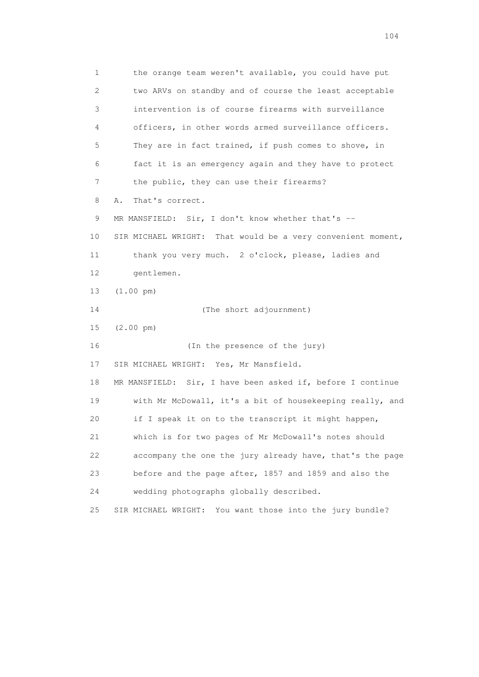1 the orange team weren't available, you could have put 2 two ARVs on standby and of course the least acceptable 3 intervention is of course firearms with surveillance 4 officers, in other words armed surveillance officers. 5 They are in fact trained, if push comes to shove, in 6 fact it is an emergency again and they have to protect 7 the public, they can use their firearms? 8 A. That's correct. 9 MR MANSFIELD: Sir, I don't know whether that's -- 10 SIR MICHAEL WRIGHT: That would be a very convenient moment, 11 thank you very much. 2 o'clock, please, ladies and 12 gentlemen. 13 (1.00 pm) 14 (The short adjournment) 15 (2.00 pm) 16 (In the presence of the jury) 17 SIR MICHAEL WRIGHT: Yes, Mr Mansfield. 18 MR MANSFIELD: Sir, I have been asked if, before I continue 19 with Mr McDowall, it's a bit of housekeeping really, and 20 if I speak it on to the transcript it might happen, 21 which is for two pages of Mr McDowall's notes should 22 accompany the one the jury already have, that's the page 23 before and the page after, 1857 and 1859 and also the 24 wedding photographs globally described. 25 SIR MICHAEL WRIGHT: You want those into the jury bundle?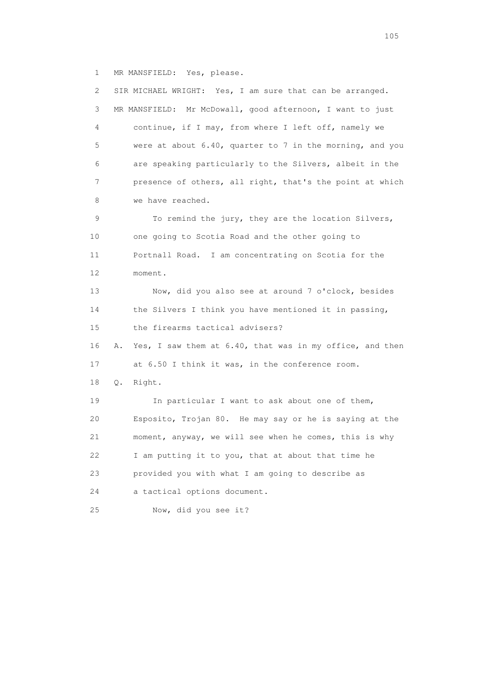1 MR MANSFIELD: Yes, please.

 2 SIR MICHAEL WRIGHT: Yes, I am sure that can be arranged. 3 MR MANSFIELD: Mr McDowall, good afternoon, I want to just 4 continue, if I may, from where I left off, namely we 5 were at about 6.40, quarter to 7 in the morning, and you 6 are speaking particularly to the Silvers, albeit in the 7 presence of others, all right, that's the point at which 8 we have reached. 9 To remind the jury, they are the location Silvers, 10 one going to Scotia Road and the other going to 11 Portnall Road. I am concentrating on Scotia for the 12 moment. 13 Now, did you also see at around 7 o'clock, besides 14 the Silvers I think you have mentioned it in passing, 15 the firearms tactical advisers? 16 A. Yes, I saw them at 6.40, that was in my office, and then 17 at 6.50 I think it was, in the conference room. 18 Q. Right. 19 In particular I want to ask about one of them, 20 Esposito, Trojan 80. He may say or he is saying at the 21 moment, anyway, we will see when he comes, this is why 22 I am putting it to you, that at about that time he 23 provided you with what I am going to describe as 24 a tactical options document. 25 Now, did you see it?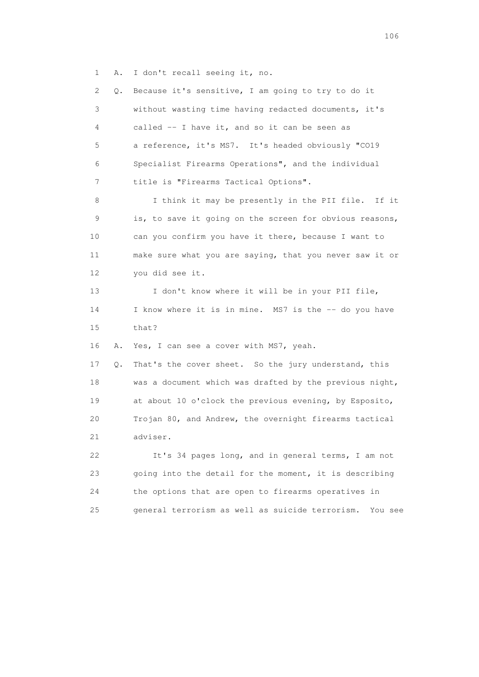1 A. I don't recall seeing it, no.

 2 Q. Because it's sensitive, I am going to try to do it 3 without wasting time having redacted documents, it's 4 called -- I have it, and so it can be seen as 5 a reference, it's MS7. It's headed obviously "CO19 6 Specialist Firearms Operations", and the individual 7 title is "Firearms Tactical Options". 8 I think it may be presently in the PII file. If it 9 is, to save it going on the screen for obvious reasons, 10 can you confirm you have it there, because I want to 11 make sure what you are saying, that you never saw it or 12 you did see it. 13 I don't know where it will be in your PII file, 14 I know where it is in mine. MS7 is the -- do you have 15 that? 16 A. Yes, I can see a cover with MS7, yeah. 17 Q. That's the cover sheet. So the jury understand, this 18 was a document which was drafted by the previous night, 19 at about 10 o'clock the previous evening, by Esposito, 20 Trojan 80, and Andrew, the overnight firearms tactical 21 adviser. 22 It's 34 pages long, and in general terms, I am not 23 going into the detail for the moment, it is describing 24 the options that are open to firearms operatives in 25 general terrorism as well as suicide terrorism. You see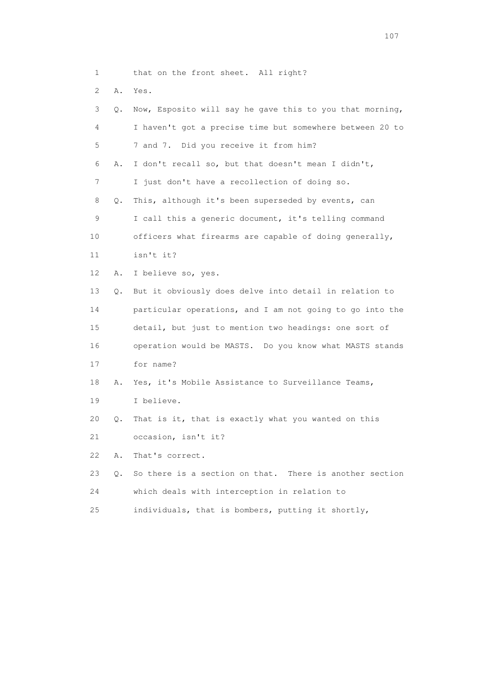| 1                         |    | that on the front sheet. All right?                      |
|---------------------------|----|----------------------------------------------------------|
| $\mathbf{2}^{\mathsf{I}}$ | Α. | Yes.                                                     |
| 3                         | Q. | Now, Esposito will say he gave this to you that morning, |
| 4                         |    | I haven't got a precise time but somewhere between 20 to |
| 5                         |    | 7 and 7. Did you receive it from him?                    |
| 6                         | Α. | I don't recall so, but that doesn't mean I didn't,       |
| 7                         |    | I just don't have a recollection of doing so.            |
| 8                         | Q. | This, although it's been superseded by events, can       |
| 9                         |    | I call this a generic document, it's telling command     |
| 10                        |    | officers what firearms are capable of doing generally,   |
| 11                        |    | isn't it?                                                |
| 12 <sup>°</sup>           | Α. | I believe so, yes.                                       |
| 13                        | Q. | But it obviously does delve into detail in relation to   |
| 14                        |    | particular operations, and I am not going to go into the |
| 15                        |    | detail, but just to mention two headings: one sort of    |
| 16                        |    | operation would be MASTS. Do you know what MASTS stands  |
| 17                        |    | for name?                                                |
| 18                        | Α. | Yes, it's Mobile Assistance to Surveillance Teams,       |
| 19                        |    | I believe.                                               |
| 20                        | Q. | That is it, that is exactly what you wanted on this      |
| 21                        |    | occasion, isn't it?                                      |
| 22                        | Α. | That's correct.                                          |
| 23                        | Q. | So there is a section on that. There is another section  |
| 24                        |    | which deals with interception in relation to             |
| 25                        |    | individuals, that is bombers, putting it shortly,        |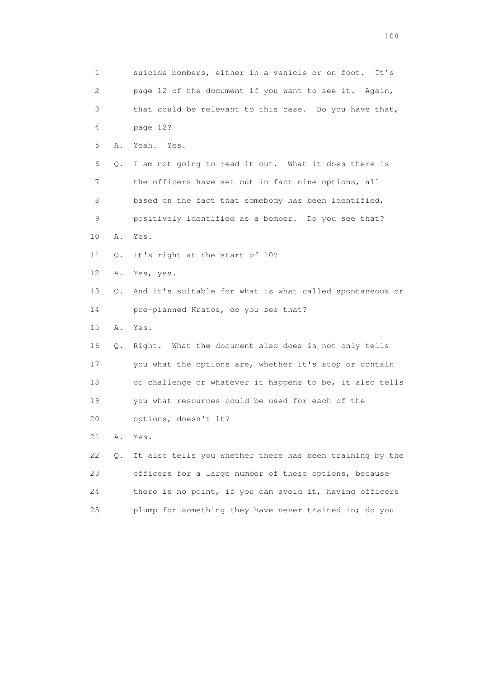| 1  |    | suicide bombers, either in a vehicle or on foot.<br>It's |
|----|----|----------------------------------------------------------|
| 2  |    | page 12 of the document if you want to see it. Again,    |
| 3  |    | that could be relevant to this case. Do you have that,   |
| 4  |    | page 12?                                                 |
| 5  | Α. | Yeah. Yes.                                               |
| 6  | Q. | I am not going to read it out. What it does there is     |
| 7  |    | the officers have set out in fact nine options, all      |
| 8  |    | based on the fact that somebody has been identified,     |
| 9  |    | positively identified as a bomber. Do you see that?      |
| 10 | Α. | Yes.                                                     |
| 11 | Q. | It's right at the start of 10?                           |
| 12 | Α. | Yes, yes.                                                |
| 13 | Q. | And it's suitable for what is what called spontaneous or |
| 14 |    | pre-planned Kratos, do you see that?                     |
| 15 | Α. | Yes.                                                     |
| 16 | Q. | Right. What the document also does is not only tells     |
| 17 |    | you what the options are, whether it's stop or contain   |
| 18 |    | or challenge or whatever it happens to be, it also tells |
| 19 |    | you what resources could be used for each of the         |
| 20 |    | options, doesn't it?                                     |
| 21 | Α. | Yes.                                                     |
| 22 | Q. | It also tells you whether there has been training by the |
| 23 |    | officers for a large number of these options, because    |
| 24 |    | there is no point, if you can avoid it, having officers  |
| 25 |    | plump for something they have never trained in; do you   |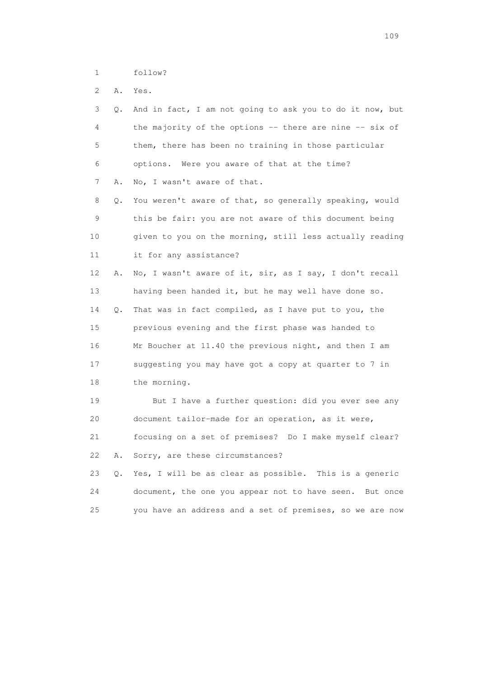1 follow?

2 A. Yes.

| 3               | Q. | And in fact, I am not going to ask you to do it now, but   |
|-----------------|----|------------------------------------------------------------|
| 4               |    | the majority of the options -- there are nine -- six of    |
| 5               |    | them, there has been no training in those particular       |
| 6               |    | options. Were you aware of that at the time?               |
| 7               | Α. | No, I wasn't aware of that.                                |
| 8               | Q. | You weren't aware of that, so generally speaking, would    |
| 9               |    | this be fair: you are not aware of this document being     |
| 10              |    | given to you on the morning, still less actually reading   |
| 11              |    | it for any assistance?                                     |
| 12 <sup>°</sup> | Α. | No, I wasn't aware of it, sir, as I say, I don't recall    |
| 13              |    | having been handed it, but he may well have done so.       |
| 14              | Q. | That was in fact compiled, as I have put to you, the       |
| 15              |    | previous evening and the first phase was handed to         |
| 16              |    | Mr Boucher at 11.40 the previous night, and then I am      |
| 17              |    | suggesting you may have got a copy at quarter to 7 in      |
| 18              |    | the morning.                                               |
| 19              |    | But I have a further question: did you ever see any        |
| 20              |    | document tailor-made for an operation, as it were,         |
| 21              |    | focusing on a set of premises? Do I make myself clear?     |
| 22              | Α. | Sorry, are these circumstances?                            |
| 23              | О. | Yes, I will be as clear as possible. This is a generic     |
| 24              |    | document, the one you appear not to have seen.<br>But once |
| 25              |    | you have an address and a set of premises, so we are now   |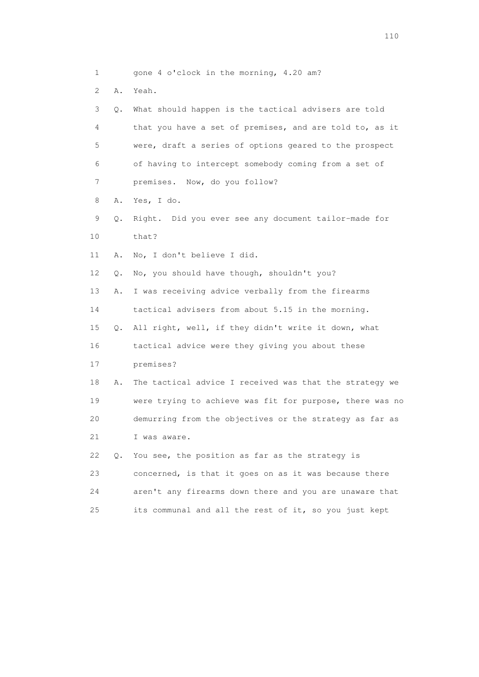| 1  |    | gone 4 o'clock in the morning, 4.20 am?                  |
|----|----|----------------------------------------------------------|
| 2  | Α. | Yeah.                                                    |
| 3  | Q. | What should happen is the tactical advisers are told     |
| 4  |    | that you have a set of premises, and are told to, as it  |
| 5  |    | were, draft a series of options geared to the prospect   |
| 6  |    | of having to intercept somebody coming from a set of     |
| 7  |    | premises. Now, do you follow?                            |
| 8  | Α. | Yes, I do.                                               |
| 9  | Q. | Right. Did you ever see any document tailor-made for     |
| 10 |    | that?                                                    |
| 11 | Α. | No, I don't believe I did.                               |
| 12 | Q. | No, you should have though, shouldn't you?               |
| 13 | Α. | I was receiving advice verbally from the firearms        |
| 14 |    | tactical advisers from about 5.15 in the morning.        |
| 15 | Q. | All right, well, if they didn't write it down, what      |
| 16 |    | tactical advice were they giving you about these         |
| 17 |    | premises?                                                |
| 18 | Α. | The tactical advice I received was that the strategy we  |
| 19 |    | were trying to achieve was fit for purpose, there was no |
| 20 |    | demurring from the objectives or the strategy as far as  |
| 21 |    | I was aware.                                             |
| 22 | Q. | You see, the position as far as the strategy is          |
| 23 |    | concerned, is that it goes on as it was because there    |
| 24 |    | aren't any firearms down there and you are unaware that  |
| 25 |    | its communal and all the rest of it, so you just kept    |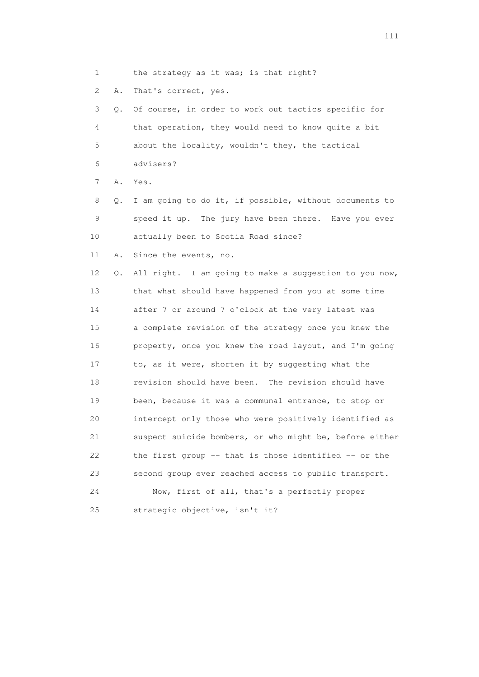- 1 the strategy as it was; is that right?
- 2 A. That's correct, yes.

 3 Q. Of course, in order to work out tactics specific for 4 that operation, they would need to know quite a bit 5 about the locality, wouldn't they, the tactical 6 advisers?

7 A. Yes.

 8 Q. I am going to do it, if possible, without documents to 9 speed it up. The jury have been there. Have you ever 10 actually been to Scotia Road since?

11 A. Since the events, no.

 12 Q. All right. I am going to make a suggestion to you now, 13 that what should have happened from you at some time 14 after 7 or around 7 o'clock at the very latest was 15 a complete revision of the strategy once you knew the 16 property, once you knew the road layout, and I'm going 17 to, as it were, shorten it by suggesting what the 18 revision should have been. The revision should have 19 been, because it was a communal entrance, to stop or 20 intercept only those who were positively identified as 21 suspect suicide bombers, or who might be, before either 22 the first group -- that is those identified -- or the 23 second group ever reached access to public transport. 24 Now, first of all, that's a perfectly proper

25 strategic objective, isn't it?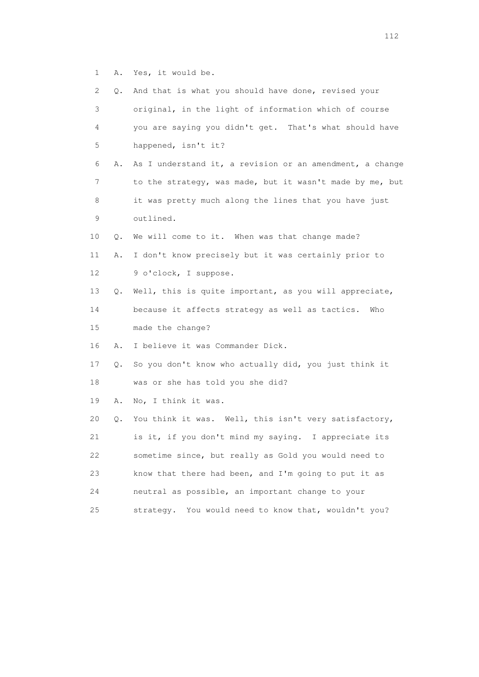1 A. Yes, it would be.

| 2  | Q. | And that is what you should have done, revised your      |
|----|----|----------------------------------------------------------|
| 3  |    | original, in the light of information which of course    |
| 4  |    | you are saying you didn't get. That's what should have   |
| 5  |    | happened, isn't it?                                      |
| 6  | Α. | As I understand it, a revision or an amendment, a change |
| 7  |    | to the strategy, was made, but it wasn't made by me, but |
| 8  |    | it was pretty much along the lines that you have just    |
| 9  |    | outlined.                                                |
| 10 | Q. | We will come to it. When was that change made?           |
| 11 | Α. | I don't know precisely but it was certainly prior to     |
| 12 |    | 9 o'clock, I suppose.                                    |
| 13 | Q. | Well, this is quite important, as you will appreciate,   |
| 14 |    | because it affects strategy as well as tactics.<br>Who   |
| 15 |    | made the change?                                         |
| 16 | Α. | I believe it was Commander Dick.                         |
| 17 | Q. | So you don't know who actually did, you just think it    |
| 18 |    | was or she has told you she did?                         |
| 19 | Α. | No, I think it was.                                      |
| 20 | Q. | You think it was. Well, this isn't very satisfactory,    |
| 21 |    | is it, if you don't mind my saying. I appreciate its     |
| 22 |    | sometime since, but really as Gold you would need to     |
| 23 |    | know that there had been, and I'm going to put it as     |
| 24 |    | neutral as possible, an important change to your         |
| 25 |    | You would need to know that, wouldn't you?<br>strategy.  |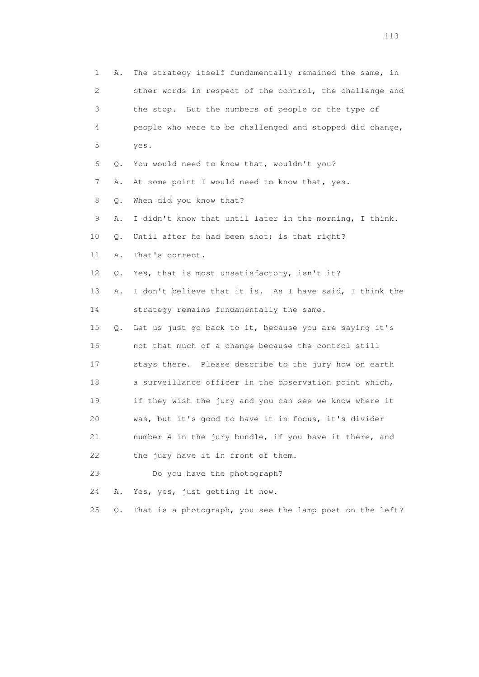1 A. The strategy itself fundamentally remained the same, in 2 other words in respect of the control, the challenge and 3 the stop. But the numbers of people or the type of 4 people who were to be challenged and stopped did change, 5 yes. 6 Q. You would need to know that, wouldn't you? 7 A. At some point I would need to know that, yes. 8 Q. When did you know that? 9 A. I didn't know that until later in the morning, I think. 10 Q. Until after he had been shot; is that right? 11 A. That's correct. 12 Q. Yes, that is most unsatisfactory, isn't it? 13 A. I don't believe that it is. As I have said, I think the 14 strategy remains fundamentally the same. 15 Q. Let us just go back to it, because you are saying it's 16 not that much of a change because the control still 17 stays there. Please describe to the jury how on earth 18 a surveillance officer in the observation point which, 19 if they wish the jury and you can see we know where it 20 was, but it's good to have it in focus, it's divider 21 number 4 in the jury bundle, if you have it there, and 22 the jury have it in front of them. 23 Do you have the photograph? 24 A. Yes, yes, just getting it now. 25 Q. That is a photograph, you see the lamp post on the left?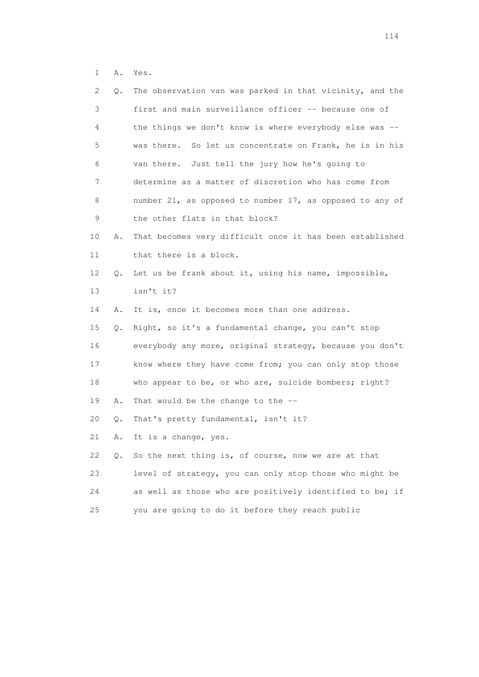1 A. Yes.

| 2  | Q. | The observation van was parked in that vicinity, and the   |
|----|----|------------------------------------------------------------|
| 3  |    | first and main surveillance officer -- because one of      |
| 4  |    | the things we don't know is where everybody else was --    |
| 5  |    | was there.<br>So let us concentrate on Frank, he is in his |
| 6  |    | van there. Just tell the jury how he's going to            |
| 7  |    | determine as a matter of discretion who has come from      |
| 8  |    | number 21, as opposed to number 17, as opposed to any of   |
| 9  |    | the other flats in that block?                             |
| 10 | Α. | That becomes very difficult once it has been established   |
| 11 |    | that there is a block.                                     |
| 12 | Q. | Let us be frank about it, using his name, impossible,      |
| 13 |    | isn't it?                                                  |
| 14 | Α. | It is, once it becomes more than one address.              |
| 15 | Q. | Right, so it's a fundamental change, you can't stop        |
| 16 |    | everybody any more, original strategy, because you don't   |
| 17 |    | know where they have come from; you can only stop those    |
| 18 |    | who appear to be, or who are, suicide bombers; right?      |
| 19 | Α. | That would be the change to the --                         |
| 20 | Q. | That's pretty fundamental, isn't it?                       |
| 21 | Α. | It is a change, yes.                                       |
| 22 | Q. | So the next thing is, of course, now we are at that        |
| 23 |    | level of strategy, you can only stop those who might be    |
| 24 |    | as well as those who are positively identified to be; if   |
| 25 |    | you are going to do it before they reach public            |
|    |    |                                                            |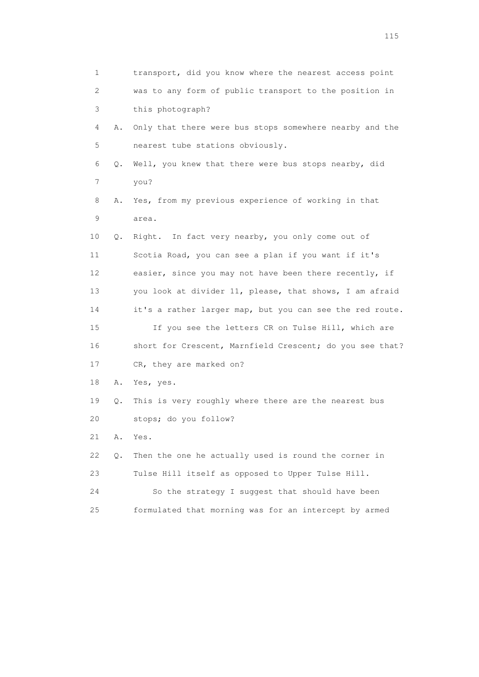| 1  |    | transport, did you know where the nearest access point   |
|----|----|----------------------------------------------------------|
| 2  |    | was to any form of public transport to the position in   |
| 3  |    | this photograph?                                         |
| 4  | Α. | Only that there were bus stops somewhere nearby and the  |
| 5  |    | nearest tube stations obviously.                         |
| 6  | Q. | Well, you knew that there were bus stops nearby, did     |
| 7  |    | you?                                                     |
| 8  | Α. | Yes, from my previous experience of working in that      |
| 9  |    | area.                                                    |
| 10 | Q. | Right. In fact very nearby, you only come out of         |
| 11 |    | Scotia Road, you can see a plan if you want if it's      |
| 12 |    | easier, since you may not have been there recently, if   |
| 13 |    | you look at divider 11, please, that shows, I am afraid  |
| 14 |    | it's a rather larger map, but you can see the red route. |
| 15 |    | If you see the letters CR on Tulse Hill, which are       |
| 16 |    | short for Crescent, Marnfield Crescent; do you see that? |
| 17 |    | CR, they are marked on?                                  |
| 18 | Α. | Yes, yes.                                                |
| 19 | Q. | This is very roughly where there are the nearest bus     |
| 20 |    | stops; do you follow?                                    |
| 21 | Α. | Yes.                                                     |
| 22 | Q. | Then the one he actually used is round the corner in     |
| 23 |    | Tulse Hill itself as opposed to Upper Tulse Hill.        |
| 24 |    | So the strategy I suggest that should have been          |
| 25 |    | formulated that morning was for an intercept by armed    |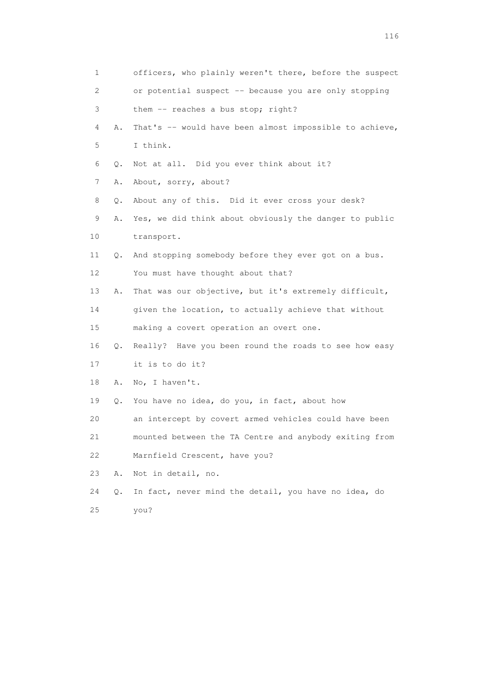| 1  |    | officers, who plainly weren't there, before the suspect |
|----|----|---------------------------------------------------------|
| 2  |    | or potential suspect -- because you are only stopping   |
| 3  |    | them -- reaches a bus stop; right?                      |
| 4  | Α. | That's -- would have been almost impossible to achieve, |
| 5  |    | I think.                                                |
| 6  | Q. | Not at all. Did you ever think about it?                |
| 7  | Α. | About, sorry, about?                                    |
| 8  | Q. | About any of this. Did it ever cross your desk?         |
| 9  | Α. | Yes, we did think about obviously the danger to public  |
| 10 |    | transport.                                              |
| 11 | Q. | And stopping somebody before they ever got on a bus.    |
| 12 |    | You must have thought about that?                       |
| 13 | Α. | That was our objective, but it's extremely difficult,   |
| 14 |    | given the location, to actually achieve that without    |
| 15 |    | making a covert operation an overt one.                 |
| 16 | Q. | Really? Have you been round the roads to see how easy   |
| 17 |    | it is to do it?                                         |
| 18 | Α. | No, I haven't.                                          |
| 19 | Q. | You have no idea, do you, in fact, about how            |
| 20 |    | an intercept by covert armed vehicles could have been   |
| 21 |    | mounted between the TA Centre and anybody exiting from  |
| 22 |    | Marnfield Crescent, have you?                           |
| 23 | Α. | Not in detail, no.                                      |
| 24 | Q. | In fact, never mind the detail, you have no idea, do    |
| 25 |    | you?                                                    |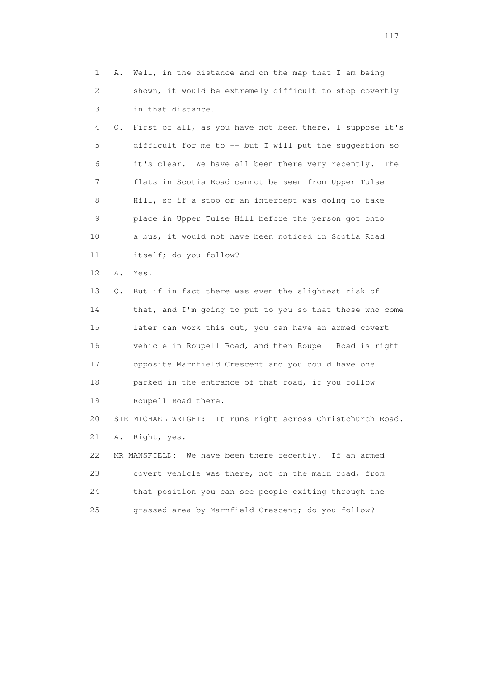1 A. Well, in the distance and on the map that I am being 2 shown, it would be extremely difficult to stop covertly 3 in that distance. 4 Q. First of all, as you have not been there, I suppose it's 5 difficult for me to -- but I will put the suggestion so 6 it's clear. We have all been there very recently. The 7 flats in Scotia Road cannot be seen from Upper Tulse 8 Hill, so if a stop or an intercept was going to take 9 place in Upper Tulse Hill before the person got onto 10 a bus, it would not have been noticed in Scotia Road 11 itself; do you follow? 12 A. Yes. 13 Q. But if in fact there was even the slightest risk of 14 that, and I'm going to put to you so that those who come 15 later can work this out, you can have an armed covert 16 vehicle in Roupell Road, and then Roupell Road is right 17 opposite Marnfield Crescent and you could have one 18 parked in the entrance of that road, if you follow 19 Roupell Road there. 20 SIR MICHAEL WRIGHT: It runs right across Christchurch Road. 21 A. Right, yes. 22 MR MANSFIELD: We have been there recently. If an armed 23 covert vehicle was there, not on the main road, from 24 that position you can see people exiting through the 25 grassed area by Marnfield Crescent; do you follow?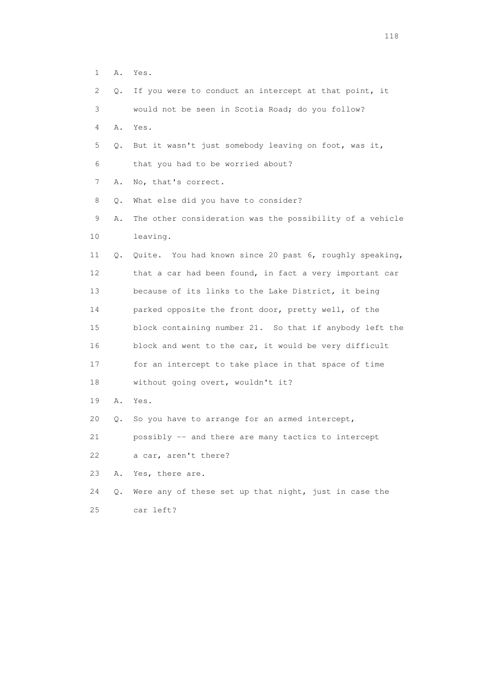1 A. Yes.

| $\mathbf{2}^{\mathsf{I}}$ | О. | If you were to conduct an intercept at that point, it    |
|---------------------------|----|----------------------------------------------------------|
| 3                         |    | would not be seen in Scotia Road; do you follow?         |
| 4                         | Α. | Yes.                                                     |
| 5                         | Q. | But it wasn't just somebody leaving on foot, was it,     |
| 6                         |    | that you had to be worried about?                        |
| 7                         | Α. | No, that's correct.                                      |
| 8                         | Q. | What else did you have to consider?                      |
| 9                         | Α. | The other consideration was the possibility of a vehicle |
| 10                        |    | leaving.                                                 |
| 11                        | Q. | Quite. You had known since 20 past 6, roughly speaking,  |
| 12                        |    | that a car had been found, in fact a very important car  |
| 13                        |    | because of its links to the Lake District, it being      |
| 14                        |    | parked opposite the front door, pretty well, of the      |
| 15                        |    | block containing number 21. So that if anybody left the  |
| 16                        |    | block and went to the car, it would be very difficult    |
| 17                        |    | for an intercept to take place in that space of time     |
| 18                        |    | without going overt, wouldn't it?                        |
| 19                        | Α. | Yes.                                                     |
| 20                        | Q. | So you have to arrange for an armed intercept,           |
| 21                        |    | possibly -- and there are many tactics to intercept      |
| 22                        |    | a car, aren't there?                                     |
| 23                        | Α. | Yes, there are.                                          |
| 24                        | Q. | Were any of these set up that night, just in case the    |
| 25                        |    | car left?                                                |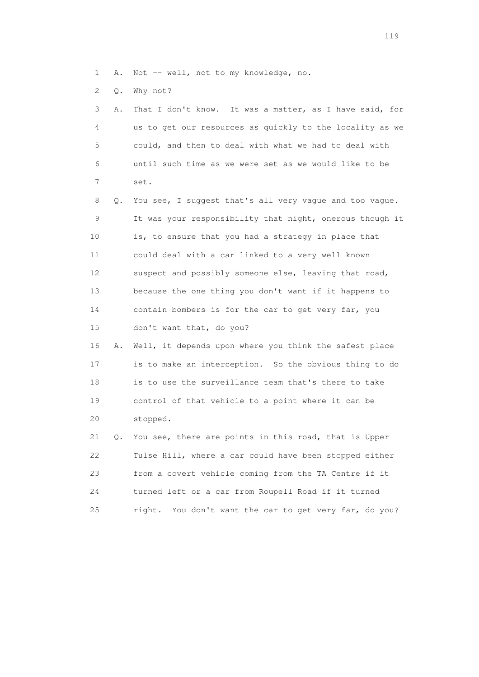- 1 A. Not -- well, not to my knowledge, no.
- 2 Q. Why not?

| 3               | Α. | That I don't know. It was a matter, as I have said, for    |
|-----------------|----|------------------------------------------------------------|
| 4               |    | us to get our resources as quickly to the locality as we   |
| 5               |    | could, and then to deal with what we had to deal with      |
| 6               |    | until such time as we were set as we would like to be      |
| 7               |    | set.                                                       |
| 8               |    | Q. You see, I suggest that's all very vague and too vague. |
| 9               |    | It was your responsibility that night, onerous though it   |
| 10 <sup>°</sup> |    | is, to ensure that you had a strategy in place that        |
| 11              |    | could deal with a car linked to a very well known          |
| 12 <sup>°</sup> |    | suspect and possibly someone else, leaving that road,      |
| 13              |    | because the one thing you don't want if it happens to      |
| 14              |    | contain bombers is for the car to get very far, you        |
| 15              |    | don't want that, do you?                                   |

 16 A. Well, it depends upon where you think the safest place 17 is to make an interception. So the obvious thing to do 18 is to use the surveillance team that's there to take 19 control of that vehicle to a point where it can be 20 stopped.

 21 Q. You see, there are points in this road, that is Upper 22 Tulse Hill, where a car could have been stopped either 23 from a covert vehicle coming from the TA Centre if it 24 turned left or a car from Roupell Road if it turned 25 right. You don't want the car to get very far, do you?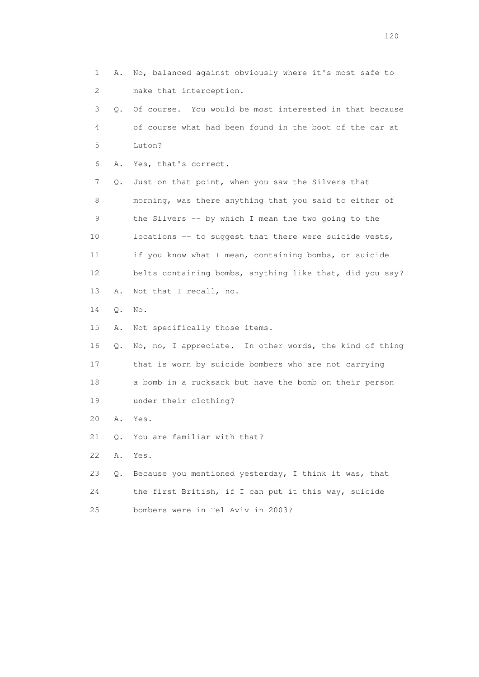1 A. No, balanced against obviously where it's most safe to 2 make that interception. 3 Q. Of course. You would be most interested in that because 4 of course what had been found in the boot of the car at 5 Luton? 6 A. Yes, that's correct. 7 Q. Just on that point, when you saw the Silvers that 8 morning, was there anything that you said to either of 9 the Silvers -- by which I mean the two going to the 10 locations -- to suggest that there were suicide vests, 11 if you know what I mean, containing bombs, or suicide 12 belts containing bombs, anything like that, did you say? 13 A. Not that I recall, no. 14 Q. No. 15 A. Not specifically those items. 16 Q. No, no, I appreciate. In other words, the kind of thing 17 that is worn by suicide bombers who are not carrying 18 a bomb in a rucksack but have the bomb on their person 19 under their clothing? 20 A. Yes. 21 Q. You are familiar with that? 22 A. Yes. 23 Q. Because you mentioned yesterday, I think it was, that 24 the first British, if I can put it this way, suicide 25 bombers were in Tel Aviv in 2003?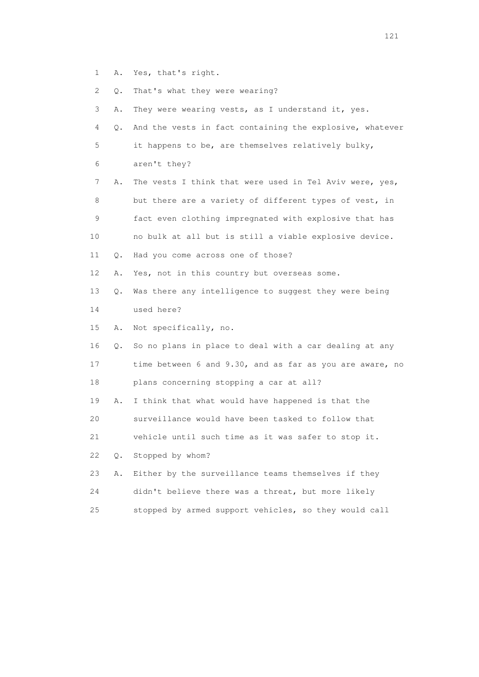1 A. Yes, that's right. 2 Q. That's what they were wearing? 3 A. They were wearing vests, as I understand it, yes. 4 Q. And the vests in fact containing the explosive, whatever 5 it happens to be, are themselves relatively bulky, 6 aren't they? 7 A. The vests I think that were used in Tel Aviv were, yes, 8 but there are a variety of different types of vest, in 9 fact even clothing impregnated with explosive that has 10 no bulk at all but is still a viable explosive device. 11 Q. Had you come across one of those? 12 A. Yes, not in this country but overseas some. 13 Q. Was there any intelligence to suggest they were being 14 used here? 15 A. Not specifically, no. 16 Q. So no plans in place to deal with a car dealing at any 17 time between 6 and 9.30, and as far as you are aware, no 18 plans concerning stopping a car at all? 19 A. I think that what would have happened is that the 20 surveillance would have been tasked to follow that 21 vehicle until such time as it was safer to stop it. 22 Q. Stopped by whom? 23 A. Either by the surveillance teams themselves if they 24 didn't believe there was a threat, but more likely 25 stopped by armed support vehicles, so they would call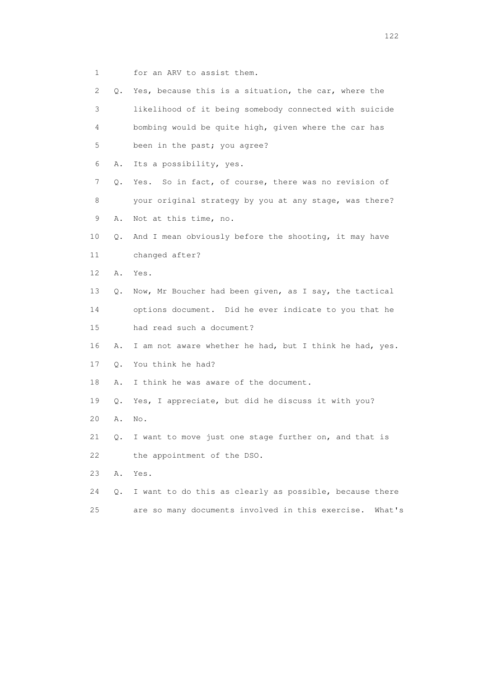1 for an ARV to assist them.

| 2  | Q. | Yes, because this is a situation, the car, where the    |
|----|----|---------------------------------------------------------|
| 3  |    | likelihood of it being somebody connected with suicide  |
| 4  |    | bombing would be quite high, given where the car has    |
| 5  |    | been in the past; you agree?                            |
| 6  | Α. | Its a possibility, yes.                                 |
| 7  | Q. | Yes. So in fact, of course, there was no revision of    |
| 8  |    | your original strategy by you at any stage, was there?  |
| 9  | Α. | Not at this time, no.                                   |
| 10 | Q. | And I mean obviously before the shooting, it may have   |
| 11 |    | changed after?                                          |
| 12 | Α. | Yes.                                                    |
| 13 | Q. | Now, Mr Boucher had been given, as I say, the tactical  |
| 14 |    | options document. Did he ever indicate to you that he   |
| 15 |    | had read such a document?                               |
| 16 | Α. | I am not aware whether he had, but I think he had, yes. |
| 17 | 0. | You think he had?                                       |
| 18 | Α. | I think he was aware of the document.                   |
| 19 | О. | Yes, I appreciate, but did he discuss it with you?      |
| 20 | Α. | No.                                                     |
| 21 | Q. | I want to move just one stage further on, and that is   |
| 22 |    | the appointment of the DSO.                             |
| 23 | Α. | Yes.                                                    |
| 24 | Q. | I want to do this as clearly as possible, because there |

25 are so many documents involved in this exercise. What's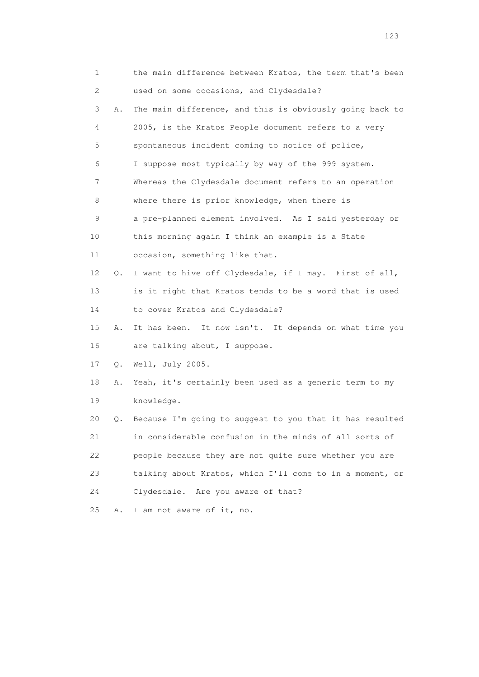|    | 1  | the main difference between Kratos, the term that's been |
|----|----|----------------------------------------------------------|
| 2  |    | used on some occasions, and Clydesdale?                  |
| 3  | Α. | The main difference, and this is obviously going back to |
|    | 4  | 2005, is the Kratos People document refers to a very     |
| 5  |    | spontaneous incident coming to notice of police,         |
| 6  |    | I suppose most typically by way of the 999 system.       |
| 7  |    | Whereas the Clydesdale document refers to an operation   |
| 8  |    | where there is prior knowledge, when there is            |
| 9  |    | a pre-planned element involved. As I said yesterday or   |
| 10 |    | this morning again I think an example is a State         |
| 11 |    | occasion, something like that.                           |
| 12 | Q. | I want to hive off Clydesdale, if I may. First of all,   |
| 13 |    | is it right that Kratos tends to be a word that is used  |
| 14 |    | to cover Kratos and Clydesdale?                          |
| 15 | Α. | It has been. It now isn't. It depends on what time you   |
| 16 |    | are talking about, I suppose.                            |
| 17 | Q. | Well, July 2005.                                         |
| 18 | Α. | Yeah, it's certainly been used as a generic term to my   |
| 19 |    | knowledge.                                               |
| 20 | Q. | Because I'm going to suggest to you that it has resulted |
| 21 |    | in considerable confusion in the minds of all sorts of   |
| 22 |    | people because they are not quite sure whether you are   |
| 23 |    | talking about Kratos, which I'll come to in a moment, or |
| 24 |    | Clydesdale. Are you aware of that?                       |
| 25 | Α. | I am not aware of it, no.                                |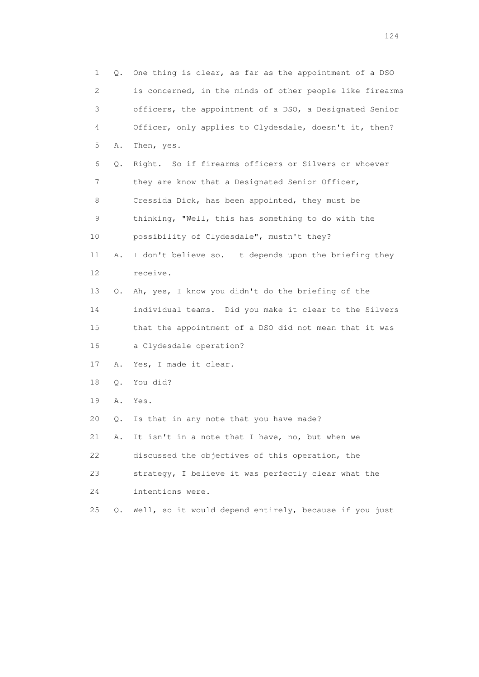1 Q. One thing is clear, as far as the appointment of a DSO 2 is concerned, in the minds of other people like firearms 3 officers, the appointment of a DSO, a Designated Senior 4 Officer, only applies to Clydesdale, doesn't it, then? 5 A. Then, yes. 6 Q. Right. So if firearms officers or Silvers or whoever 7 they are know that a Designated Senior Officer, 8 Cressida Dick, has been appointed, they must be 9 thinking, "Well, this has something to do with the 10 possibility of Clydesdale", mustn't they? 11 A. I don't believe so. It depends upon the briefing they 12 receive. 13 Q. Ah, yes, I know you didn't do the briefing of the 14 individual teams. Did you make it clear to the Silvers 15 that the appointment of a DSO did not mean that it was 16 a Clydesdale operation? 17 A. Yes, I made it clear. 18 Q. You did? 19 A. Yes. 20 Q. Is that in any note that you have made? 21 A. It isn't in a note that I have, no, but when we 22 discussed the objectives of this operation, the 23 strategy, I believe it was perfectly clear what the 24 intentions were. 25 Q. Well, so it would depend entirely, because if you just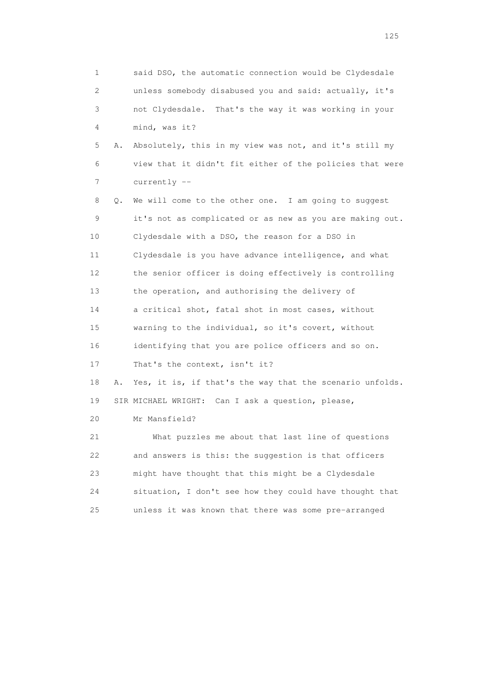1 said DSO, the automatic connection would be Clydesdale 2 unless somebody disabused you and said: actually, it's 3 not Clydesdale. That's the way it was working in your 4 mind, was it? 5 A. Absolutely, this in my view was not, and it's still my 6 view that it didn't fit either of the policies that were 7 currently -- 8 Q. We will come to the other one. I am going to suggest 9 it's not as complicated or as new as you are making out. 10 Clydesdale with a DSO, the reason for a DSO in 11 Clydesdale is you have advance intelligence, and what 12 the senior officer is doing effectively is controlling 13 the operation, and authorising the delivery of 14 a critical shot, fatal shot in most cases, without 15 warning to the individual, so it's covert, without 16 identifying that you are police officers and so on. 17 That's the context, isn't it? 18 A. Yes, it is, if that's the way that the scenario unfolds. 19 SIR MICHAEL WRIGHT: Can I ask a question, please, 20 Mr Mansfield? 21 What puzzles me about that last line of questions 22 and answers is this: the suggestion is that officers 23 might have thought that this might be a Clydesdale 24 situation, I don't see how they could have thought that 25 unless it was known that there was some pre-arranged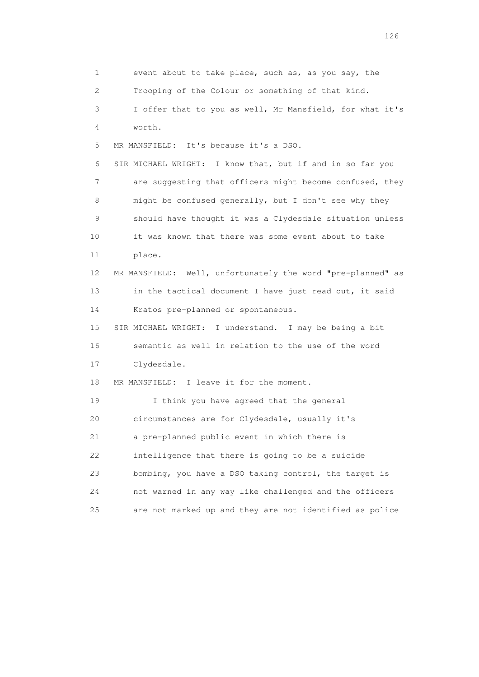1 event about to take place, such as, as you say, the 2 Trooping of the Colour or something of that kind. 3 I offer that to you as well, Mr Mansfield, for what it's 4 worth. 5 MR MANSFIELD: It's because it's a DSO. 6 SIR MICHAEL WRIGHT: I know that, but if and in so far you 7 are suggesting that officers might become confused, they 8 might be confused generally, but I don't see why they 9 should have thought it was a Clydesdale situation unless 10 it was known that there was some event about to take 11 place. 12 MR MANSFIELD: Well, unfortunately the word "pre-planned" as 13 in the tactical document I have just read out, it said 14 Kratos pre-planned or spontaneous. 15 SIR MICHAEL WRIGHT: I understand. I may be being a bit 16 semantic as well in relation to the use of the word 17 Clydesdale. 18 MR MANSFIELD: I leave it for the moment. 19 I think you have agreed that the general 20 circumstances are for Clydesdale, usually it's 21 a pre-planned public event in which there is 22 intelligence that there is going to be a suicide 23 bombing, you have a DSO taking control, the target is 24 not warned in any way like challenged and the officers 25 are not marked up and they are not identified as police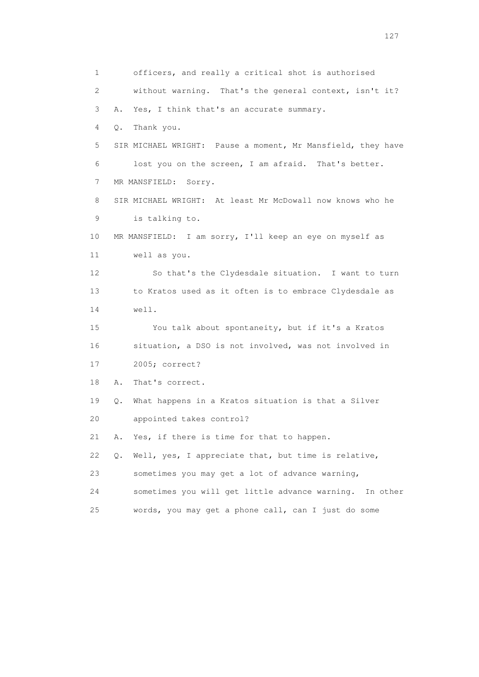1 officers, and really a critical shot is authorised 2 without warning. That's the general context, isn't it? 3 A. Yes, I think that's an accurate summary. 4 Q. Thank you. 5 SIR MICHAEL WRIGHT: Pause a moment, Mr Mansfield, they have 6 lost you on the screen, I am afraid. That's better. 7 MR MANSFIELD: Sorry. 8 SIR MICHAEL WRIGHT: At least Mr McDowall now knows who he 9 is talking to. 10 MR MANSFIELD: I am sorry, I'll keep an eye on myself as 11 well as you. 12 So that's the Clydesdale situation. I want to turn 13 to Kratos used as it often is to embrace Clydesdale as 14 well. 15 You talk about spontaneity, but if it's a Kratos 16 situation, a DSO is not involved, was not involved in 17 2005; correct? 18 A. That's correct. 19 Q. What happens in a Kratos situation is that a Silver 20 appointed takes control? 21 A. Yes, if there is time for that to happen. 22 Q. Well, yes, I appreciate that, but time is relative, 23 sometimes you may get a lot of advance warning, 24 sometimes you will get little advance warning. In other 25 words, you may get a phone call, can I just do some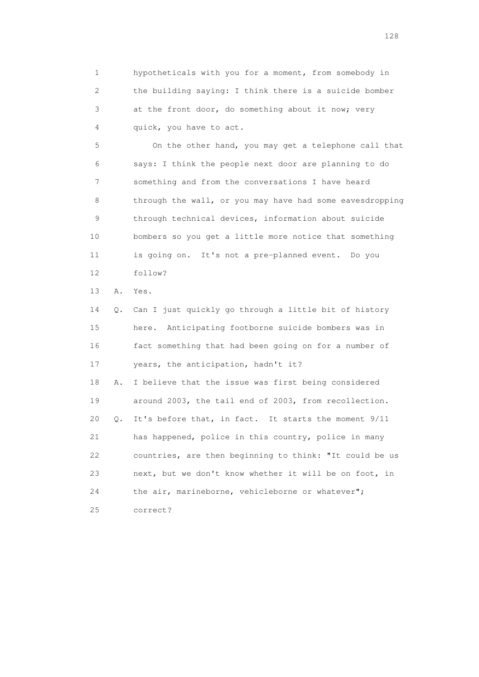1 hypotheticals with you for a moment, from somebody in 2 the building saying: I think there is a suicide bomber 3 at the front door, do something about it now; very 4 quick, you have to act.

 5 On the other hand, you may get a telephone call that 6 says: I think the people next door are planning to do 7 something and from the conversations I have heard 8 through the wall, or you may have had some eavesdropping 9 through technical devices, information about suicide 10 bombers so you get a little more notice that something 11 is going on. It's not a pre-planned event. Do you 12 follow?

13 A. Yes.

 14 Q. Can I just quickly go through a little bit of history 15 here. Anticipating footborne suicide bombers was in 16 fact something that had been going on for a number of 17 years, the anticipation, hadn't it? 18 A. I believe that the issue was first being considered 19 around 2003, the tail end of 2003, from recollection. 20 Q. It's before that, in fact. It starts the moment 9/11 21 has happened, police in this country, police in many 22 countries, are then beginning to think: "It could be us 23 next, but we don't know whether it will be on foot, in 24 the air, marineborne, vehicleborne or whatever"; 25 correct?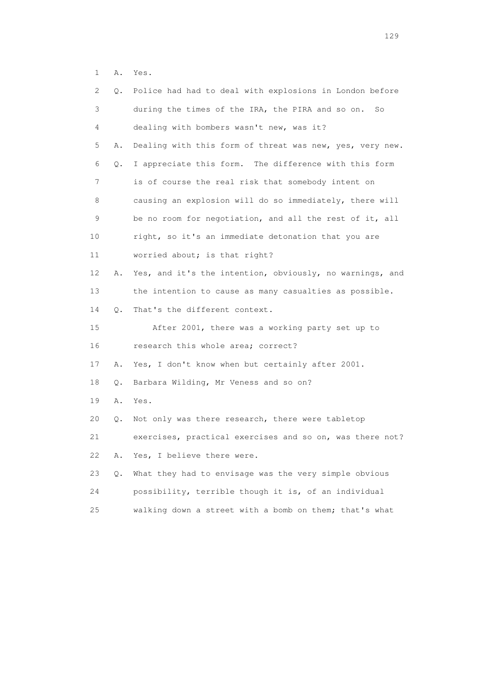1 A. Yes.

| 2  | Q.    | Police had had to deal with explosions in London before  |
|----|-------|----------------------------------------------------------|
| 3  |       | during the times of the IRA, the PIRA and so on.<br>So   |
| 4  |       | dealing with bombers wasn't new, was it?                 |
| 5  | Α.    | Dealing with this form of threat was new, yes, very new. |
| 6  | Q.    | I appreciate this form. The difference with this form    |
| 7  |       | is of course the real risk that somebody intent on       |
| 8  |       | causing an explosion will do so immediately, there will  |
| 9  |       | be no room for negotiation, and all the rest of it, all  |
| 10 |       | right, so it's an immediate detonation that you are      |
| 11 |       | worried about; is that right?                            |
| 12 | Α.    | Yes, and it's the intention, obviously, no warnings, and |
| 13 |       | the intention to cause as many casualties as possible.   |
| 14 | Q.    | That's the different context.                            |
| 15 |       | After 2001, there was a working party set up to          |
| 16 |       | research this whole area; correct?                       |
| 17 | Α.    | Yes, I don't know when but certainly after 2001.         |
| 18 | Q.    | Barbara Wilding, Mr Veness and so on?                    |
| 19 | Α.    | Yes.                                                     |
| 20 | Q.    | Not only was there research, there were tabletop         |
| 21 |       | exercises, practical exercises and so on, was there not? |
| 22 | Α.    | Yes, I believe there were.                               |
| 23 | $Q$ . | What they had to envisage was the very simple obvious    |
| 24 |       | possibility, terrible though it is, of an individual     |
| 25 |       | walking down a street with a bomb on them; that's what   |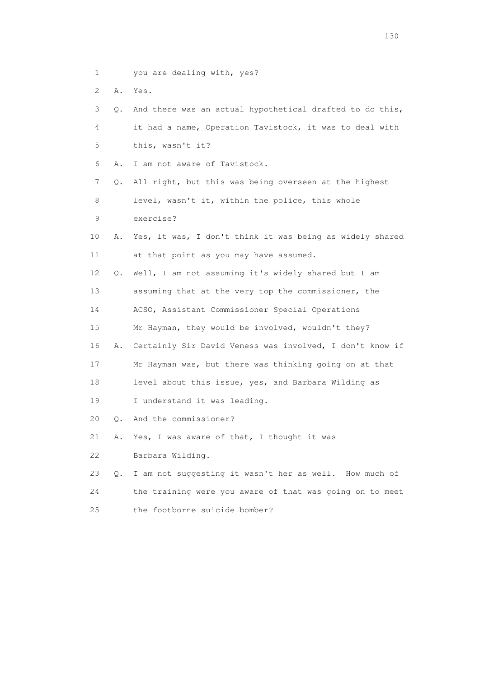- 1 you are dealing with, yes?
- 2 A. Yes.

| 3  | Q. | And there was an actual hypothetical drafted to do this, |
|----|----|----------------------------------------------------------|
| 4  |    | it had a name, Operation Tavistock, it was to deal with  |
| 5  |    | this, wasn't it?                                         |
| 6  | Α. | I am not aware of Tavistock.                             |
| 7  | Q. | All right, but this was being overseen at the highest    |
| 8  |    | level, wasn't it, within the police, this whole          |
| 9  |    | exercise?                                                |
| 10 | Α. | Yes, it was, I don't think it was being as widely shared |
| 11 |    | at that point as you may have assumed.                   |
| 12 | Q. | Well, I am not assuming it's widely shared but I am      |
| 13 |    | assuming that at the very top the commissioner, the      |
| 14 |    | ACSO, Assistant Commissioner Special Operations          |
| 15 |    | Mr Hayman, they would be involved, wouldn't they?        |
| 16 | Α. | Certainly Sir David Veness was involved, I don't know if |
| 17 |    | Mr Hayman was, but there was thinking going on at that   |
| 18 |    | level about this issue, yes, and Barbara Wilding as      |
| 19 |    | I understand it was leading.                             |
| 20 | О. | And the commissioner?                                    |
| 21 | Α. | Yes, I was aware of that, I thought it was               |
| 22 |    | Barbara Wilding.                                         |
| 23 | О. | I am not suggesting it wasn't her as well. How much of   |
| 24 |    | the training were you aware of that was going on to meet |
| 25 |    | the footborne suicide bomber?                            |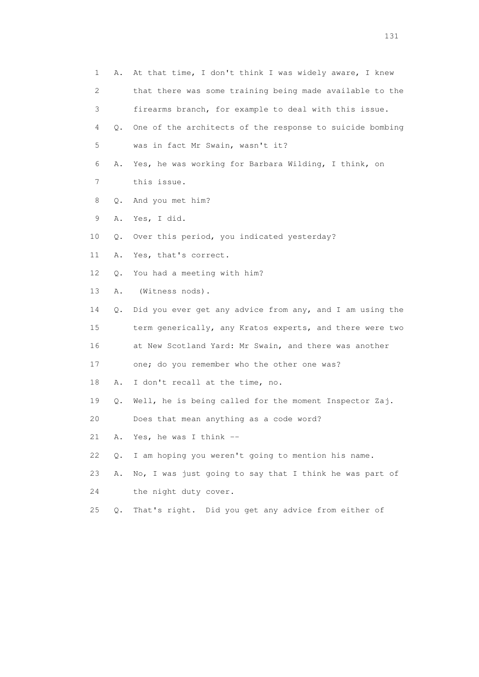| 1  | Α.    | At that time, I don't think I was widely aware, I knew   |
|----|-------|----------------------------------------------------------|
| 2  |       | that there was some training being made available to the |
| 3  |       | firearms branch, for example to deal with this issue.    |
| 4  | 0.    | One of the architects of the response to suicide bombing |
| 5  |       | was in fact Mr Swain, wasn't it?                         |
| 6  | Α.    | Yes, he was working for Barbara Wilding, I think, on     |
| 7  |       | this issue.                                              |
| 8  | Q.    | And you met him?                                         |
| 9  | Α.    | Yes, I did.                                              |
| 10 | Q.    | Over this period, you indicated yesterday?               |
| 11 | Α.    | Yes, that's correct.                                     |
| 12 | Q.    | You had a meeting with him?                              |
| 13 | Α.    | (Witness nods).                                          |
| 14 | Q.    | Did you ever get any advice from any, and I am using the |
| 15 |       | term generically, any Kratos experts, and there were two |
| 16 |       | at New Scotland Yard: Mr Swain, and there was another    |
| 17 |       | one; do you remember who the other one was?              |
| 18 | Α.    | I don't recall at the time, no.                          |
| 19 | Q.    | Well, he is being called for the moment Inspector Zaj.   |
| 20 |       | Does that mean anything as a code word?                  |
| 21 | Α.    | Yes, he was I think $-$                                  |
| 22 | Q.    | I am hoping you weren't going to mention his name.       |
| 23 | Α.    | No, I was just going to say that I think he was part of  |
| 24 |       | the night duty cover.                                    |
| 25 | $Q$ . | That's right. Did you get any advice from either of      |
|    |       |                                                          |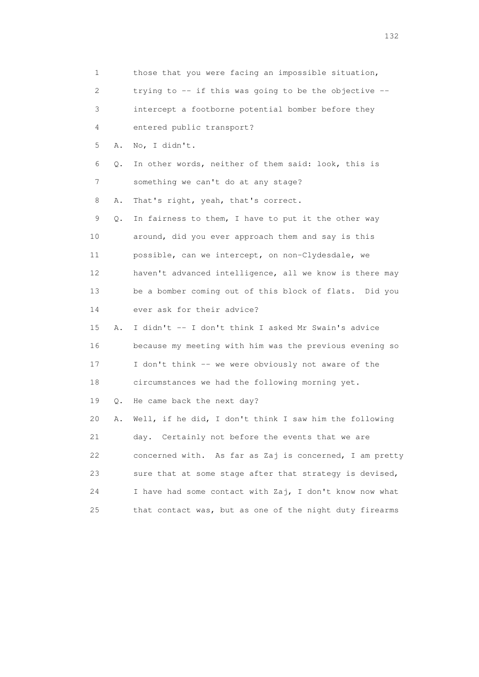1 those that you were facing an impossible situation, 2 trying to -- if this was going to be the objective -- 3 intercept a footborne potential bomber before they 4 entered public transport? 5 A. No, I didn't. 6 Q. In other words, neither of them said: look, this is 7 something we can't do at any stage? 8 A. That's right, yeah, that's correct. 9 Q. In fairness to them, I have to put it the other way 10 around, did you ever approach them and say is this 11 possible, can we intercept, on non-Clydesdale, we 12 haven't advanced intelligence, all we know is there may 13 be a bomber coming out of this block of flats. Did you 14 ever ask for their advice? 15 A. I didn't -- I don't think I asked Mr Swain's advice 16 because my meeting with him was the previous evening so 17 I don't think -- we were obviously not aware of the 18 circumstances we had the following morning yet. 19 Q. He came back the next day? 20 A. Well, if he did, I don't think I saw him the following 21 day. Certainly not before the events that we are 22 concerned with. As far as Zaj is concerned, I am pretty 23 sure that at some stage after that strategy is devised, 24 I have had some contact with Zaj, I don't know now what 25 that contact was, but as one of the night duty firearms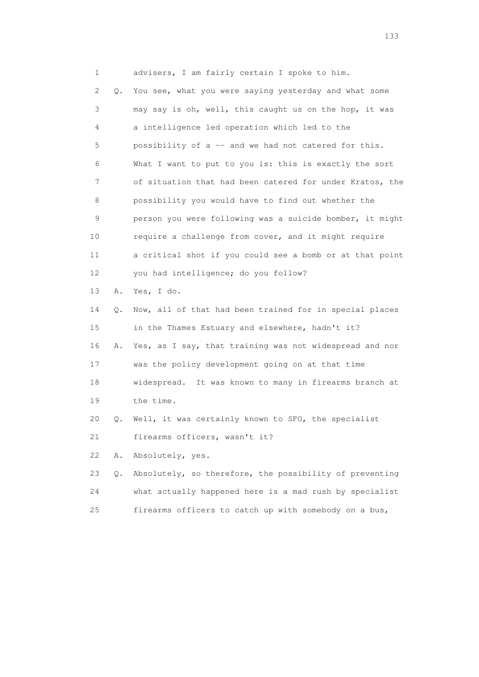1 advisers, I am fairly certain I spoke to him. 2 Q. You see, what you were saying yesterday and what some 3 may say is oh, well, this caught us on the hop, it was 4 a intelligence led operation which led to the 5 possibility of a -- and we had not catered for this. 6 What I want to put to you is: this is exactly the sort 7 of situation that had been catered for under Kratos, the 8 possibility you would have to find out whether the 9 person you were following was a suicide bomber, it might 10 require a challenge from cover, and it might require 11 a critical shot if you could see a bomb or at that point 12 you had intelligence; do you follow? 13 A. Yes, I do. 14 Q. Now, all of that had been trained for in special places 15 in the Thames Estuary and elsewhere, hadn't it? 16 A. Yes, as I say, that training was not widespread and nor 17 was the policy development going on at that time 18 widespread. It was known to many in firearms branch at 19 the time. 20 Q. Well, it was certainly known to SFO, the specialist 21 firearms officers, wasn't it? 22 A. Absolutely, yes. 23 Q. Absolutely, so therefore, the possibility of preventing 24 what actually happened here is a mad rush by specialist 25 firearms officers to catch up with somebody on a bus,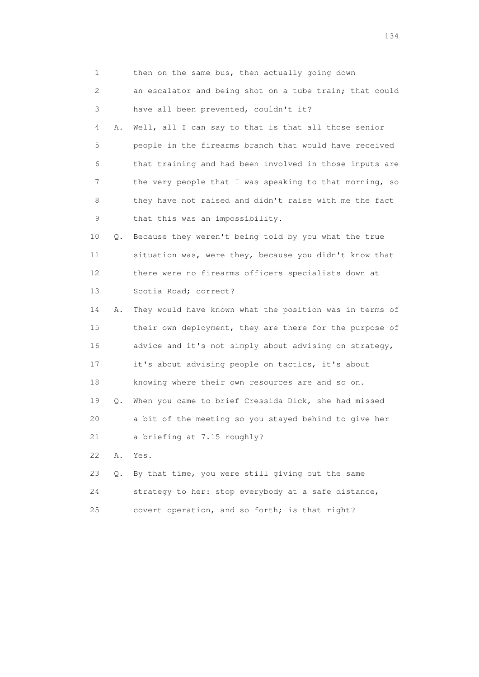| $\mathbf 1$ |    | then on the same bus, then actually going down          |
|-------------|----|---------------------------------------------------------|
| 2           |    | an escalator and being shot on a tube train; that could |
| 3           |    | have all been prevented, couldn't it?                   |
| 4           | Α. | Well, all I can say to that is that all those senior    |
| 5           |    | people in the firearms branch that would have received  |
| 6           |    | that training and had been involved in those inputs are |
| 7           |    | the very people that I was speaking to that morning, so |
| 8           |    | they have not raised and didn't raise with me the fact  |
| 9           |    | that this was an impossibility.                         |
| 10          | Q. | Because they weren't being told by you what the true    |
| 11          |    | situation was, were they, because you didn't know that  |
| 12          |    | there were no firearms officers specialists down at     |
| 13          |    | Scotia Road; correct?                                   |
| 14          | Α. | They would have known what the position was in terms of |
| 15          |    | their own deployment, they are there for the purpose of |
| 16          |    | advice and it's not simply about advising on strategy,  |
| 17          |    | it's about advising people on tactics, it's about       |
| 18          |    | knowing where their own resources are and so on.        |
| 19          | Q. | When you came to brief Cressida Dick, she had missed    |
| 20          |    | a bit of the meeting so you stayed behind to give her   |
| 21          |    | a briefing at 7.15 roughly?                             |
| 22          | Α. | Yes.                                                    |
| 23          | О. | By that time, you were still giving out the same        |
| 24          |    | strategy to her: stop everybody at a safe distance,     |
| 25          |    | covert operation, and so forth; is that right?          |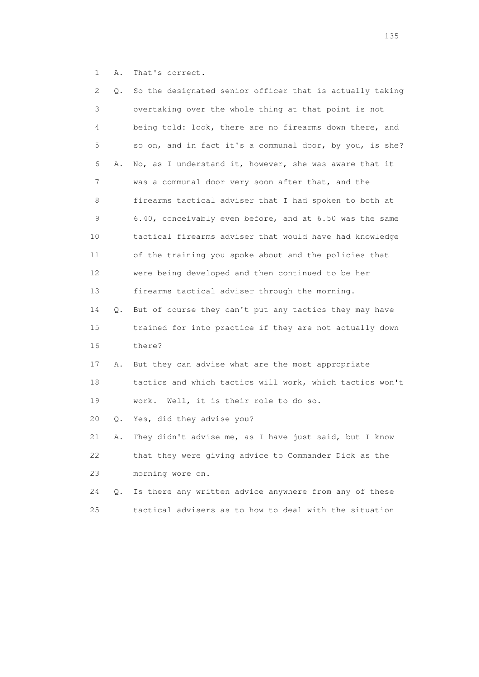1 A. That's correct.

| 2  | Q.    | So the designated senior officer that is actually taking |
|----|-------|----------------------------------------------------------|
| 3  |       | overtaking over the whole thing at that point is not     |
| 4  |       | being told: look, there are no firearms down there, and  |
| 5  |       | so on, and in fact it's a communal door, by you, is she? |
| 6  | Α.    | No, as I understand it, however, she was aware that it   |
| 7  |       | was a communal door very soon after that, and the        |
| 8  |       | firearms tactical adviser that I had spoken to both at   |
| 9  |       | 6.40, conceivably even before, and at 6.50 was the same  |
| 10 |       | tactical firearms adviser that would have had knowledge  |
| 11 |       | of the training you spoke about and the policies that    |
| 12 |       | were being developed and then continued to be her        |
| 13 |       | firearms tactical adviser through the morning.           |
| 14 | Q.    | But of course they can't put any tactics they may have   |
| 15 |       | trained for into practice if they are not actually down  |
| 16 |       | there?                                                   |
| 17 | Α.    | But they can advise what are the most appropriate        |
| 18 |       | tactics and which tactics will work, which tactics won't |
| 19 |       | work. Well, it is their role to do so.                   |
| 20 | Q.    | Yes, did they advise you?                                |
| 21 | Α.    | They didn't advise me, as I have just said, but I know   |
| 22 |       | that they were giving advice to Commander Dick as the    |
| 23 |       | morning wore on.                                         |
| 24 | $Q$ . | Is there any written advice anywhere from any of these   |
| 25 |       | tactical advisers as to how to deal with the situation   |

n 135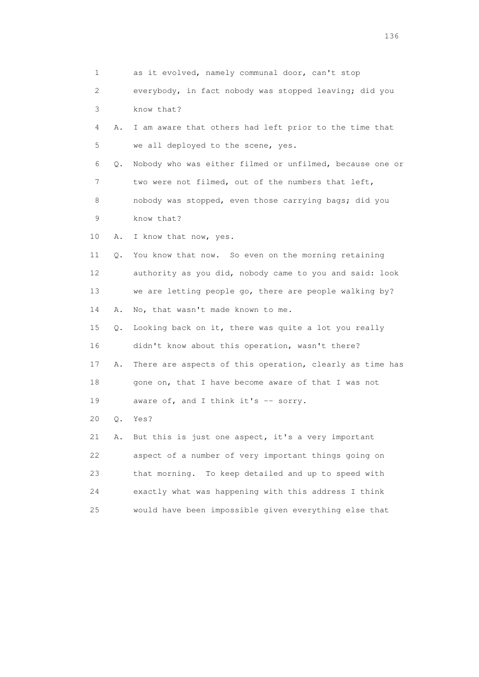1 as it evolved, namely communal door, can't stop 2 everybody, in fact nobody was stopped leaving; did you 3 know that? 4 A. I am aware that others had left prior to the time that 5 we all deployed to the scene, yes. 6 Q. Nobody who was either filmed or unfilmed, because one or 7 two were not filmed, out of the numbers that left, 8 nobody was stopped, even those carrying bags; did you 9 know that? 10 A. I know that now, yes. 11 Q. You know that now. So even on the morning retaining 12 authority as you did, nobody came to you and said: look 13 we are letting people go, there are people walking by? 14 A. No, that wasn't made known to me. 15 Q. Looking back on it, there was quite a lot you really 16 didn't know about this operation, wasn't there? 17 A. There are aspects of this operation, clearly as time has 18 gone on, that I have become aware of that I was not 19 aware of, and I think it's -- sorry. 20 Q. Yes? 21 A. But this is just one aspect, it's a very important 22 aspect of a number of very important things going on 23 that morning. To keep detailed and up to speed with 24 exactly what was happening with this address I think 25 would have been impossible given everything else that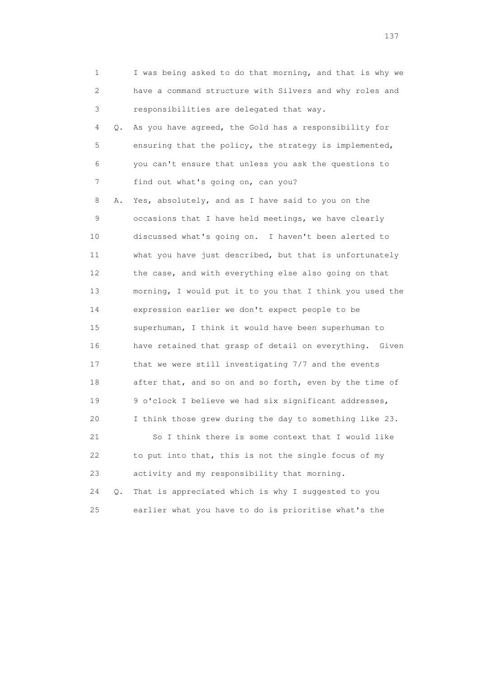| 1                         |       | I was being asked to do that morning, and that is why we |
|---------------------------|-------|----------------------------------------------------------|
| $\mathbf{2}^{\mathsf{I}}$ |       | have a command structure with Silvers and why roles and  |
| 3                         |       | responsibilities are delegated that way.                 |
| 4                         | Q.    | As you have agreed, the Gold has a responsibility for    |
| 5                         |       | ensuring that the policy, the strategy is implemented,   |
| 6                         |       | you can't ensure that unless you ask the questions to    |
| 7                         |       | find out what's going on, can you?                       |
| 8                         | Α.    | Yes, absolutely, and as I have said to you on the        |
| 9                         |       | occasions that I have held meetings, we have clearly     |
| 10                        |       | discussed what's going on. I haven't been alerted to     |
| 11                        |       | what you have just described, but that is unfortunately  |
| 12 <sup>°</sup>           |       | the case, and with everything else also going on that    |
| 13                        |       | morning, I would put it to you that I think you used the |
| 14                        |       | expression earlier we don't expect people to be          |
| 15                        |       | superhuman, I think it would have been superhuman to     |
| 16                        |       | have retained that grasp of detail on everything. Given  |
| 17                        |       | that we were still investigating 7/7 and the events      |
| 18                        |       | after that, and so on and so forth, even by the time of  |
| 19                        |       | 9 o'clock I believe we had six significant addresses,    |
| 20                        |       | I think those grew during the day to something like 23.  |
| 21                        |       | So I think there is some context that I would like       |
| 22                        |       | to put into that, this is not the single focus of my     |
| 23                        |       | activity and my responsibility that morning.             |
| 24                        | $Q$ . | That is appreciated which is why I suggested to you      |
| 25                        |       | earlier what you have to do is prioritise what's the     |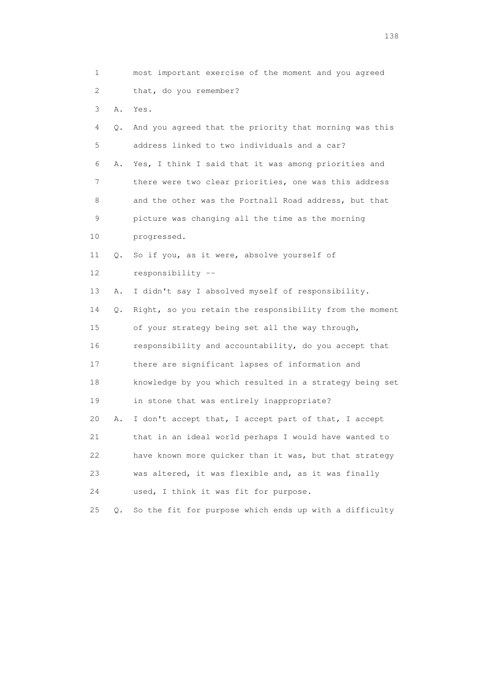| $\mathbf 1$ |    | most important exercise of the moment and you agreed    |
|-------------|----|---------------------------------------------------------|
| 2           |    | that, do you remember?                                  |
| 3           | Α. | Yes.                                                    |
| 4           | Q. | And you agreed that the priority that morning was this  |
| 5           |    | address linked to two individuals and a car?            |
| 6           | Α. | Yes, I think I said that it was among priorities and    |
| 7           |    | there were two clear priorities, one was this address   |
| 8           |    | and the other was the Portnall Road address, but that   |
| 9           |    | picture was changing all the time as the morning        |
| 10          |    | progressed.                                             |
| 11          | Q. | So if you, as it were, absolve yourself of              |
| 12          |    | responsibility --                                       |
| 13          | Α. | I didn't say I absolved myself of responsibility.       |
| 14          | Q. | Right, so you retain the responsibility from the moment |
| 15          |    | of your strategy being set all the way through,         |
| 16          |    | responsibility and accountability, do you accept that   |
| 17          |    | there are significant lapses of information and         |
| 18          |    | knowledge by you which resulted in a strategy being set |
| 19          |    | in stone that was entirely inappropriate?               |
| 20          | Α. | I don't accept that, I accept part of that, I accept    |
| 21          |    | that in an ideal world perhaps I would have wanted to   |
| 22          |    | have known more quicker than it was, but that strategy  |
| 23          |    | was altered, it was flexible and, as it was finally     |
| 24          |    | used, I think it was fit for purpose.                   |
| 25          | Q. | So the fit for purpose which ends up with a difficulty  |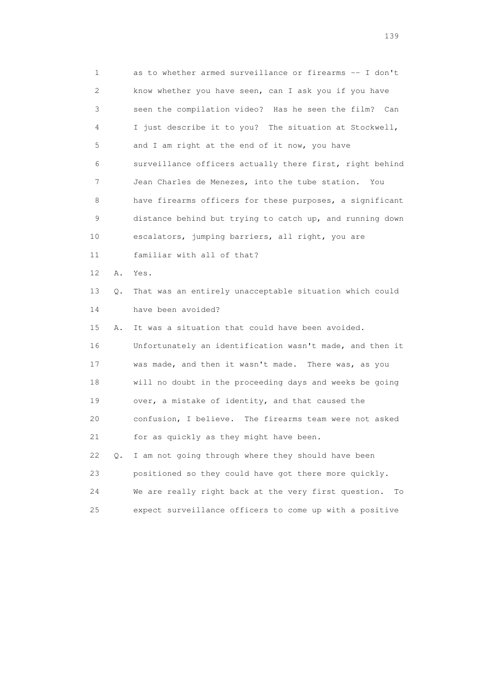1 as to whether armed surveillance or firearms -- I don't 2 know whether you have seen, can I ask you if you have 3 seen the compilation video? Has he seen the film? Can 4 I just describe it to you? The situation at Stockwell, 5 and I am right at the end of it now, you have 6 surveillance officers actually there first, right behind 7 Jean Charles de Menezes, into the tube station. You 8 have firearms officers for these purposes, a significant 9 distance behind but trying to catch up, and running down 10 escalators, jumping barriers, all right, you are 11 familiar with all of that? 12 A. Yes. 13 Q. That was an entirely unacceptable situation which could 14 have been avoided? 15 A. It was a situation that could have been avoided. 16 Unfortunately an identification wasn't made, and then it 17 was made, and then it wasn't made. There was, as you 18 will no doubt in the proceeding days and weeks be going 19 over, a mistake of identity, and that caused the 20 confusion, I believe. The firearms team were not asked 21 for as quickly as they might have been. 22 Q. I am not going through where they should have been 23 positioned so they could have got there more quickly. 24 We are really right back at the very first question. To 25 expect surveillance officers to come up with a positive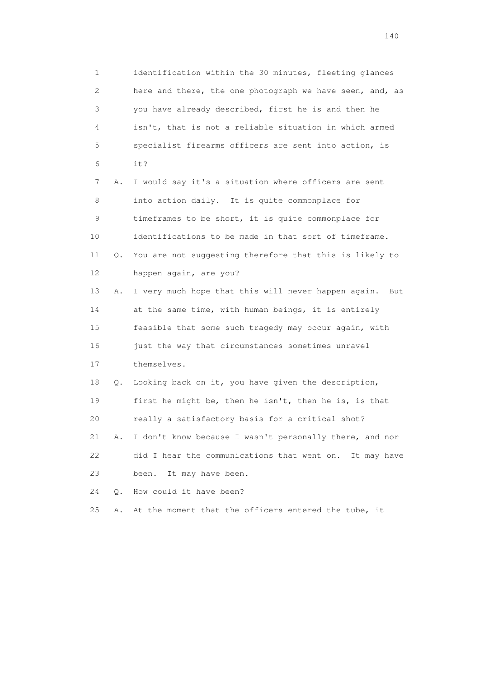1 identification within the 30 minutes, fleeting glances 2 here and there, the one photograph we have seen, and, as 3 you have already described, first he is and then he 4 isn't, that is not a reliable situation in which armed 5 specialist firearms officers are sent into action, is 6 it? 7 A. I would say it's a situation where officers are sent 8 into action daily. It is quite commonplace for 9 timeframes to be short, it is quite commonplace for 10 identifications to be made in that sort of timeframe. 11 Q. You are not suggesting therefore that this is likely to 12 happen again, are you? 13 A. I very much hope that this will never happen again. But 14 at the same time, with human beings, it is entirely 15 feasible that some such tragedy may occur again, with 16 just the way that circumstances sometimes unravel 17 themselves. 18 Q. Looking back on it, you have given the description, 19 first he might be, then he isn't, then he is, is that 20 really a satisfactory basis for a critical shot? 21 A. I don't know because I wasn't personally there, and nor 22 did I hear the communications that went on. It may have 23 been. It may have been. 24 O. How could it have been?

25 A. At the moment that the officers entered the tube, it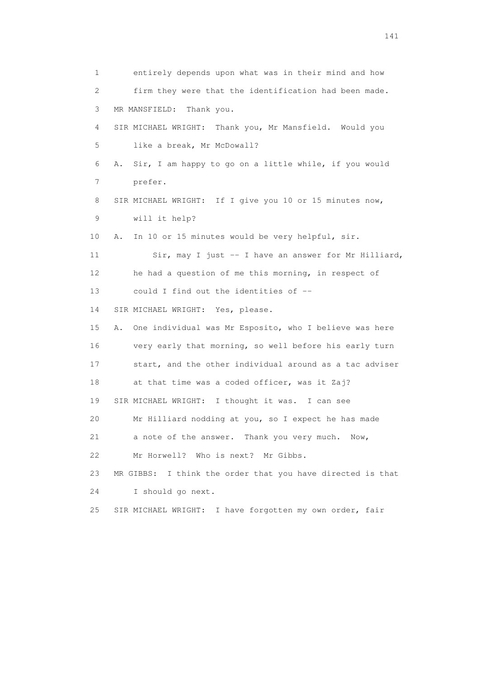1 entirely depends upon what was in their mind and how 2 firm they were that the identification had been made. 3 MR MANSFIELD: Thank you. 4 SIR MICHAEL WRIGHT: Thank you, Mr Mansfield. Would you 5 like a break, Mr McDowall? 6 A. Sir, I am happy to go on a little while, if you would 7 prefer. 8 SIR MICHAEL WRIGHT: If I give you 10 or 15 minutes now, 9 will it help? 10 A. In 10 or 15 minutes would be very helpful, sir. 11 Sir, may I just -- I have an answer for Mr Hilliard, 12 he had a question of me this morning, in respect of 13 could I find out the identities of -- 14 SIR MICHAEL WRIGHT: Yes, please. 15 A. One individual was Mr Esposito, who I believe was here 16 very early that morning, so well before his early turn 17 start, and the other individual around as a tac adviser 18 at that time was a coded officer, was it Zaj? 19 SIR MICHAEL WRIGHT: I thought it was. I can see 20 Mr Hilliard nodding at you, so I expect he has made 21 a note of the answer. Thank you very much. Now, 22 Mr Horwell? Who is next? Mr Gibbs. 23 MR GIBBS: I think the order that you have directed is that 24 I should go next. 25 SIR MICHAEL WRIGHT: I have forgotten my own order, fair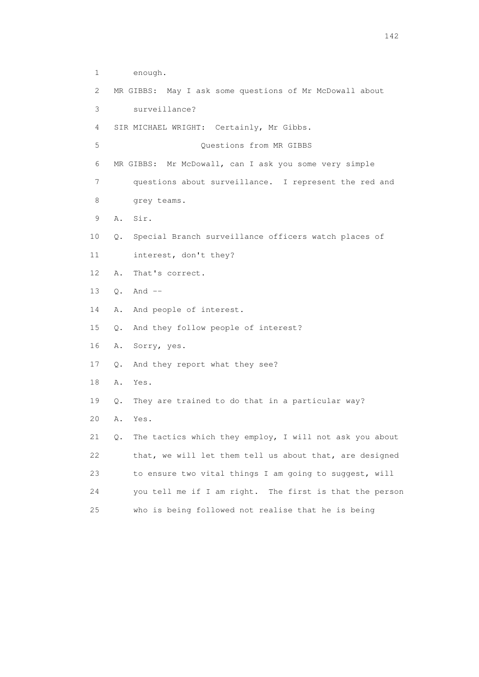| 1  | enough.                                                       |
|----|---------------------------------------------------------------|
| 2  | MR GIBBS: May I ask some questions of Mr McDowall about       |
| 3  | surveillance?                                                 |
| 4  | SIR MICHAEL WRIGHT: Certainly, Mr Gibbs.                      |
| 5  | Questions from MR GIBBS                                       |
| 6  | MR GIBBS: Mr McDowall, can I ask you some very simple         |
| 7  | questions about surveillance. I represent the red and         |
| 8  | grey teams.                                                   |
| 9  | Sir.<br>Α.                                                    |
| 10 | Special Branch surveillance officers watch places of<br>Q.    |
| 11 | interest, don't they?                                         |
| 12 | Α.<br>That's correct.                                         |
| 13 | $Q.$ And $--$                                                 |
| 14 | Α.<br>And people of interest.                                 |
| 15 | And they follow people of interest?<br>Q.                     |
| 16 | Sorry, yes.<br>Α.                                             |
| 17 | And they report what they see?<br>Q.                          |
| 18 | Α.<br>Yes.                                                    |
| 19 | They are trained to do that in a particular way?<br>$\circ$ . |
| 20 | Α.<br>Yes.                                                    |
| 21 | The tactics which they employ, I will not ask you about<br>Q. |
| 22 | that, we will let them tell us about that, are designed       |
| 23 | to ensure two vital things I am going to suggest, will        |
| 24 | you tell me if I am right. The first is that the person       |
| 25 | who is being followed not realise that he is being            |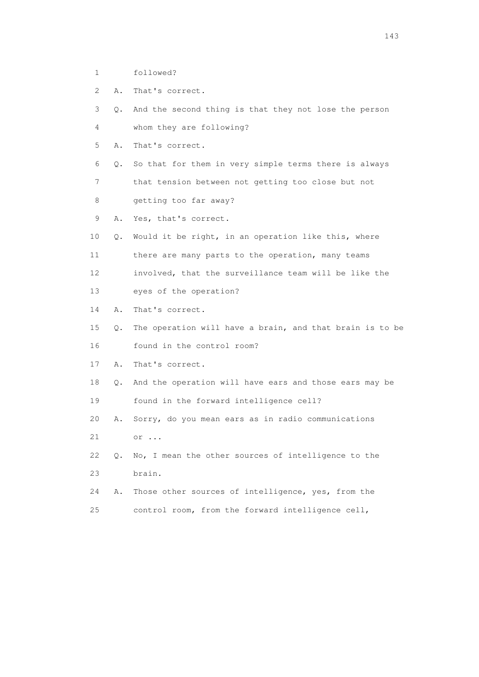- 1 followed?
- 2 A. That's correct.
- 3 Q. And the second thing is that they not lose the person 4 whom they are following?
- 5 A. That's correct.
- 6 Q. So that for them in very simple terms there is always

 7 that tension between not getting too close but not 8 getting too far away?

- 9 A. Yes, that's correct.
- 10 Q. Would it be right, in an operation like this, where
- 11 there are many parts to the operation, many teams
- 12 involved, that the surveillance team will be like the
- 13 eyes of the operation?
- 14 A. That's correct.
- 15 Q. The operation will have a brain, and that brain is to be 16 found in the control room?
- 17 A. That's correct.
- 18 Q. And the operation will have ears and those ears may be 19 found in the forward intelligence cell?
- 20 A. Sorry, do you mean ears as in radio communications 21 or ...
- 22 Q. No, I mean the other sources of intelligence to the 23 brain.
- 24 A. Those other sources of intelligence, yes, from the 25 control room, from the forward intelligence cell,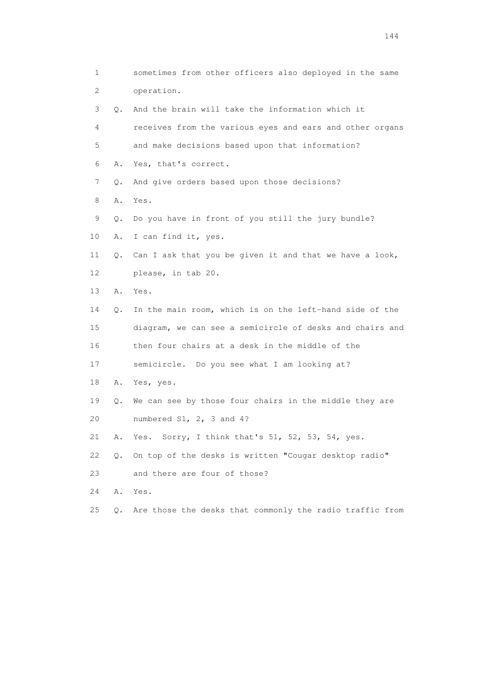1 sometimes from other officers also deployed in the same 2 operation. 3 Q. And the brain will take the information which it 4 receives from the various eyes and ears and other organs 5 and make decisions based upon that information? 6 A. Yes, that's correct. 7 Q. And give orders based upon those decisions? 8 A. Yes. 9 Q. Do you have in front of you still the jury bundle? 10 A. I can find it, yes. 11 Q. Can I ask that you be given it and that we have a look, 12 please, in tab 20. 13 A. Yes. 14 Q. In the main room, which is on the left-hand side of the 15 diagram, we can see a semicircle of desks and chairs and 16 then four chairs at a desk in the middle of the 17 semicircle. Do you see what I am looking at? 18 A. Yes, yes. 19 Q. We can see by those four chairs in the middle they are 20 numbered S1, 2, 3 and 4? 21 A. Yes. Sorry, I think that's 51, 52, 53, 54, yes. 22 Q. On top of the desks is written "Cougar desktop radio" 23 and there are four of those? 24 A. Yes. 25 Q. Are those the desks that commonly the radio traffic from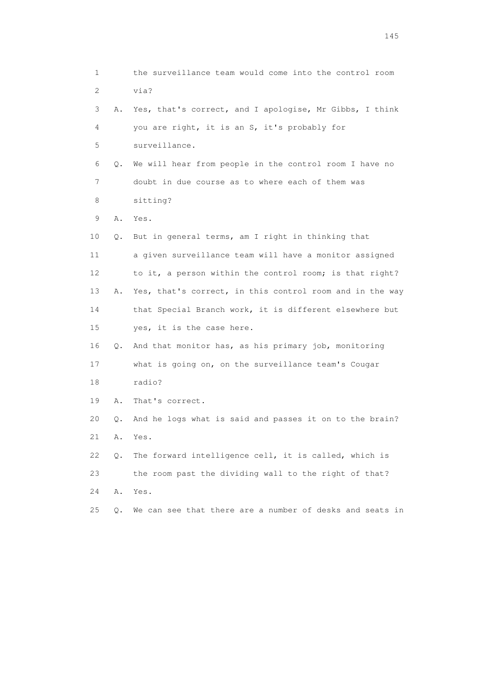1 the surveillance team would come into the control room 2 via? 3 A. Yes, that's correct, and I apologise, Mr Gibbs, I think 4 you are right, it is an S, it's probably for 5 surveillance. 6 Q. We will hear from people in the control room I have no 7 doubt in due course as to where each of them was 8 sitting? 9 A. Yes. 10 Q. But in general terms, am I right in thinking that 11 a given surveillance team will have a monitor assigned 12 to it, a person within the control room; is that right? 13 A. Yes, that's correct, in this control room and in the way 14 that Special Branch work, it is different elsewhere but 15 yes, it is the case here. 16 Q. And that monitor has, as his primary job, monitoring 17 what is going on, on the surveillance team's Cougar 18 radio? 19 A. That's correct. 20 Q. And he logs what is said and passes it on to the brain? 21 A. Yes. 22 Q. The forward intelligence cell, it is called, which is 23 the room past the dividing wall to the right of that? 24 A. Yes. 25 Q. We can see that there are a number of desks and seats in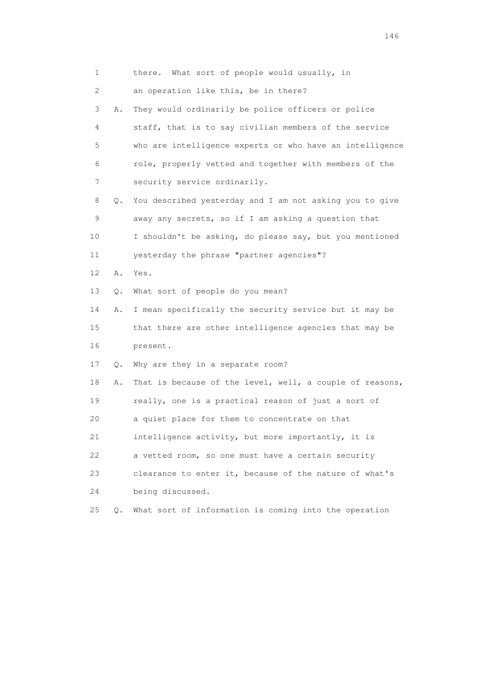| $\mathbf 1$ |           | there. What sort of people would usually, in             |
|-------------|-----------|----------------------------------------------------------|
| 2           |           | an operation like this, be in there?                     |
| 3           | Α.        | They would ordinarily be police officers or police       |
| 4           |           | staff, that is to say civilian members of the service    |
| 5           |           | who are intelligence experts or who have an intelligence |
| 6           |           | role, properly vetted and together with members of the   |
| 7           |           | security service ordinarily.                             |
| 8           | Q.        | You described yesterday and I am not asking you to give  |
| 9           |           | away any secrets, so if I am asking a question that      |
| 10          |           | I shouldn't be asking, do please say, but you mentioned  |
| 11          |           | yesterday the phrase "partner agencies"?                 |
| 12          | Α.        | Yes.                                                     |
| 13          | Q.        | What sort of people do you mean?                         |
| 14          | Α.        | I mean specifically the security service but it may be   |
| 15          |           | that there are other intelligence agencies that may be   |
| 16          |           | present.                                                 |
| 17          | Q.        | Why are they in a separate room?                         |
| 18          | Α.        | That is because of the level, well, a couple of reasons, |
| 19          |           | really, one is a practical reason of just a sort of      |
| 20          |           | a quiet place for them to concentrate on that            |
| 21          |           | intelligence activity, but more importantly, it is       |
| 22          |           | a vetted room, so one must have a certain security       |
| 23          |           | clearance to enter it, because of the nature of what's   |
| 24          |           | being discussed.                                         |
| 25          | $\circ$ . | What sort of information is coming into the operation    |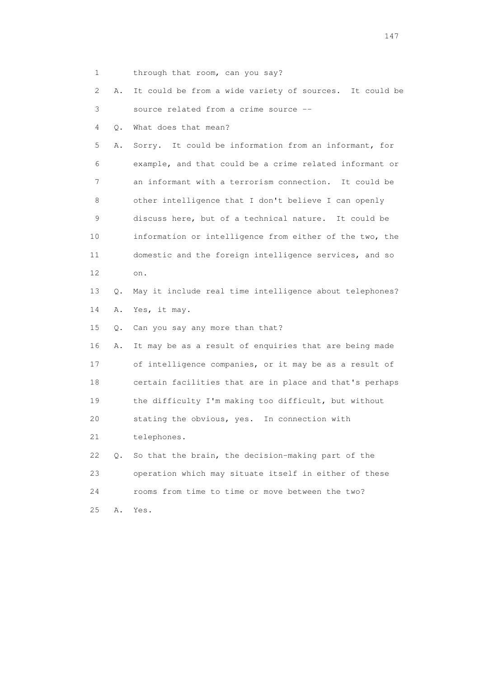1 through that room, can you say?

 2 A. It could be from a wide variety of sources. It could be 3 source related from a crime source --

4 Q. What does that mean?

 5 A. Sorry. It could be information from an informant, for 6 example, and that could be a crime related informant or 7 an informant with a terrorism connection. It could be 8 other intelligence that I don't believe I can openly 9 discuss here, but of a technical nature. It could be 10 information or intelligence from either of the two, the 11 domestic and the foreign intelligence services, and so 12 on.

 13 Q. May it include real time intelligence about telephones? 14 A. Yes, it may.

15 Q. Can you say any more than that?

 16 A. It may be as a result of enquiries that are being made 17 of intelligence companies, or it may be as a result of 18 certain facilities that are in place and that's perhaps 19 the difficulty I'm making too difficult, but without 20 stating the obvious, yes. In connection with 21 telephones. 22 Q. So that the brain, the decision-making part of the

 23 operation which may situate itself in either of these 24 rooms from time to time or move between the two? 25 A. Yes.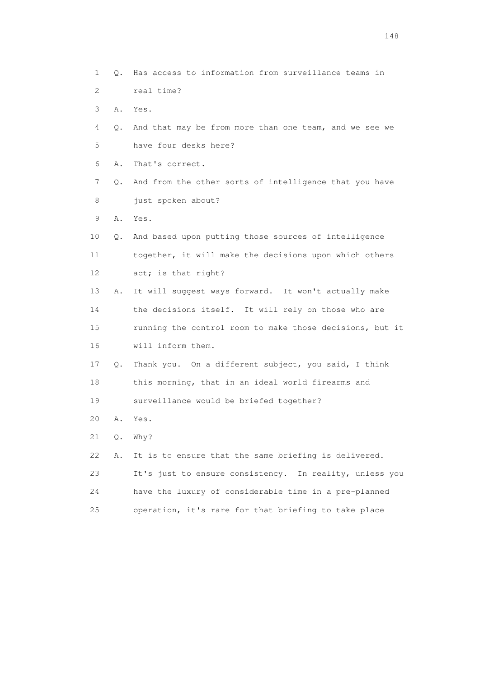1 Q. Has access to information from surveillance teams in 2 real time? 3 A. Yes. 4 Q. And that may be from more than one team, and we see we 5 have four desks here? 6 A. That's correct. 7 Q. And from the other sorts of intelligence that you have 8 just spoken about? 9 A. Yes. 10 Q. And based upon putting those sources of intelligence 11 together, it will make the decisions upon which others 12 act; is that right? 13 A. It will suggest ways forward. It won't actually make 14 the decisions itself. It will rely on those who are 15 running the control room to make those decisions, but it 16 will inform them. 17 Q. Thank you. On a different subject, you said, I think 18 this morning, that in an ideal world firearms and 19 surveillance would be briefed together? 20 A. Yes. 21 Q. Why? 22 A. It is to ensure that the same briefing is delivered. 23 It's just to ensure consistency. In reality, unless you 24 have the luxury of considerable time in a pre-planned 25 operation, it's rare for that briefing to take place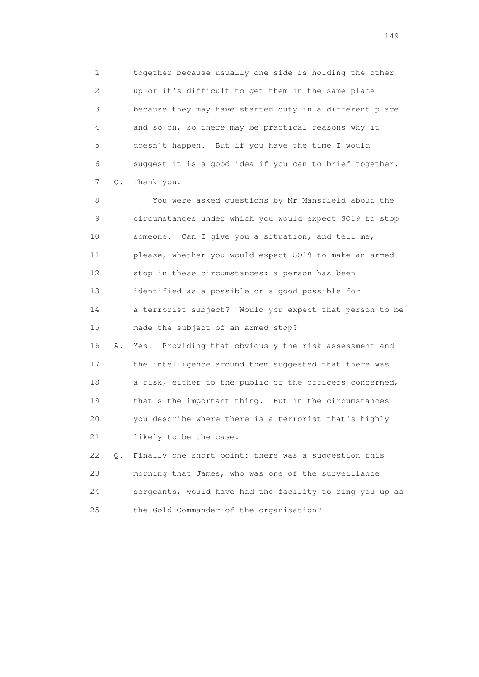1 together because usually one side is holding the other 2 up or it's difficult to get them in the same place 3 because they may have started duty in a different place 4 and so on, so there may be practical reasons why it 5 doesn't happen. But if you have the time I would 6 suggest it is a good idea if you can to brief together. 7 Q. Thank you.

 8 You were asked questions by Mr Mansfield about the 9 circumstances under which you would expect SO19 to stop 10 someone. Can I give you a situation, and tell me, 11 please, whether you would expect SO19 to make an armed 12 stop in these circumstances: a person has been 13 identified as a possible or a good possible for 14 a terrorist subject? Would you expect that person to be 15 made the subject of an armed stop? 16 A. Yes. Providing that obviously the risk assessment and 17 the intelligence around them suggested that there was 18 a risk, either to the public or the officers concerned, 19 that's the important thing. But in the circumstances 20 you describe where there is a terrorist that's highly 21 likely to be the case. 22 Q. Finally one short point: there was a suggestion this

 23 morning that James, who was one of the surveillance 24 sergeants, would have had the facility to ring you up as 25 the Gold Commander of the organisation?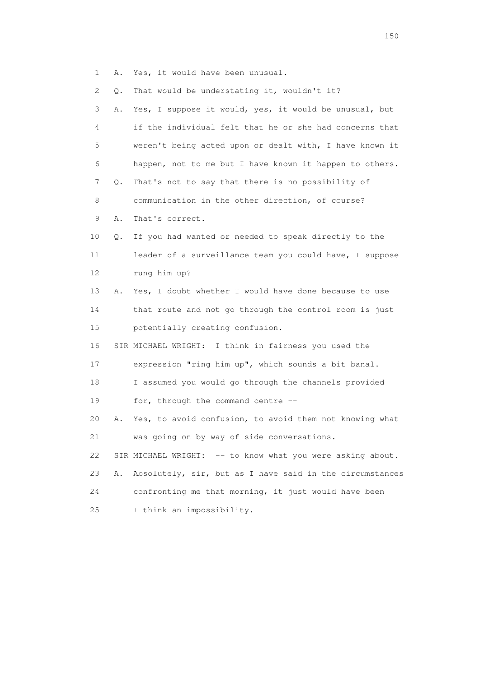1 A. Yes, it would have been unusual.

2 Q. That would be understating it, wouldn't it?

| 3  | Α. | Yes, I suppose it would, yes, it would be unusual, but     |
|----|----|------------------------------------------------------------|
| 4  |    | if the individual felt that he or she had concerns that    |
| 5  |    | weren't being acted upon or dealt with, I have known it    |
| 6  |    | happen, not to me but I have known it happen to others.    |
| 7  | Q. | That's not to say that there is no possibility of          |
| 8  |    | communication in the other direction, of course?           |
| 9  | Α. | That's correct.                                            |
| 10 | Q. | If you had wanted or needed to speak directly to the       |
| 11 |    | leader of a surveillance team you could have, I suppose    |
| 12 |    | rung him up?                                               |
| 13 | Α. | Yes, I doubt whether I would have done because to use      |
| 14 |    | that route and not go through the control room is just     |
| 15 |    | potentially creating confusion.                            |
| 16 |    | SIR MICHAEL WRIGHT: I think in fairness you used the       |
| 17 |    | expression "ring him up", which sounds a bit banal.        |
| 18 |    | I assumed you would go through the channels provided       |
| 19 |    | for, through the command centre --                         |
| 20 | Α. | Yes, to avoid confusion, to avoid them not knowing what    |
| 21 |    | was going on by way of side conversations.                 |
| 22 |    | SIR MICHAEL WRIGHT: -- to know what you were asking about. |
| 23 | Α. | Absolutely, sir, but as I have said in the circumstances   |
| 24 |    | confronting me that morning, it just would have been       |
| 25 |    | I think an impossibility.                                  |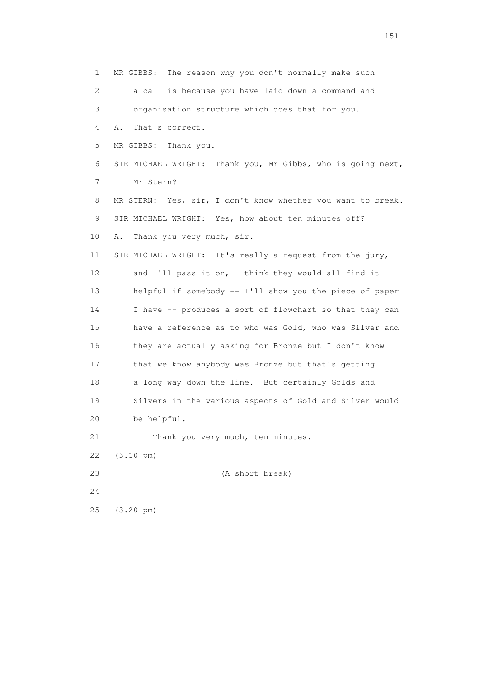1 MR GIBBS: The reason why you don't normally make such 2 a call is because you have laid down a command and 3 organisation structure which does that for you. 4 A. That's correct. 5 MR GIBBS: Thank you. 6 SIR MICHAEL WRIGHT: Thank you, Mr Gibbs, who is going next, 7 Mr Stern? 8 MR STERN: Yes, sir, I don't know whether you want to break. 9 SIR MICHAEL WRIGHT: Yes, how about ten minutes off? 10 A. Thank you very much, sir. 11 SIR MICHAEL WRIGHT: It's really a request from the jury, 12 and I'll pass it on, I think they would all find it 13 helpful if somebody -- I'll show you the piece of paper 14 I have -- produces a sort of flowchart so that they can 15 have a reference as to who was Gold, who was Silver and 16 they are actually asking for Bronze but I don't know 17 that we know anybody was Bronze but that's getting 18 a long way down the line. But certainly Golds and 19 Silvers in the various aspects of Gold and Silver would 20 be helpful. 21 Thank you very much, ten minutes. 22 (3.10 pm) 23 (A short break) 24 25 (3.20 pm)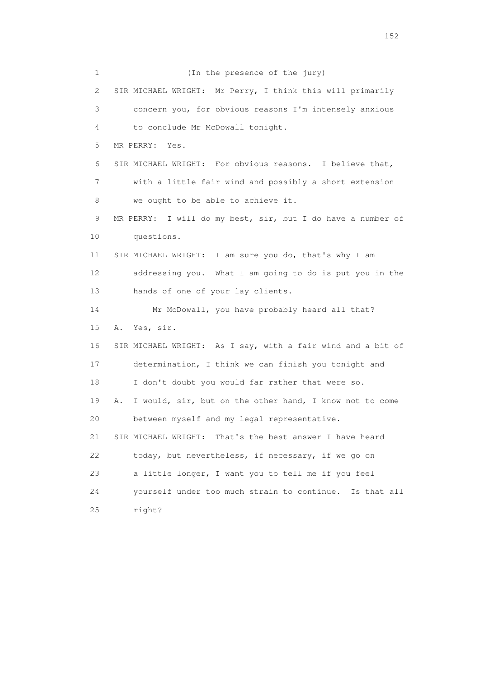1 (In the presence of the jury) 2 SIR MICHAEL WRIGHT: Mr Perry, I think this will primarily 3 concern you, for obvious reasons I'm intensely anxious 4 to conclude Mr McDowall tonight. 5 MR PERRY: Yes. 6 SIR MICHAEL WRIGHT: For obvious reasons. I believe that, 7 with a little fair wind and possibly a short extension 8 we ought to be able to achieve it. 9 MR PERRY: I will do my best, sir, but I do have a number of 10 questions. 11 SIR MICHAEL WRIGHT: I am sure you do, that's why I am 12 addressing you. What I am going to do is put you in the 13 hands of one of your lay clients. 14 Mr McDowall, you have probably heard all that? 15 A. Yes, sir. 16 SIR MICHAEL WRIGHT: As I say, with a fair wind and a bit of 17 determination, I think we can finish you tonight and 18 I don't doubt you would far rather that were so. 19 A. I would, sir, but on the other hand, I know not to come 20 between myself and my legal representative. 21 SIR MICHAEL WRIGHT: That's the best answer I have heard 22 today, but nevertheless, if necessary, if we go on 23 a little longer, I want you to tell me if you feel 24 yourself under too much strain to continue. Is that all 25 right?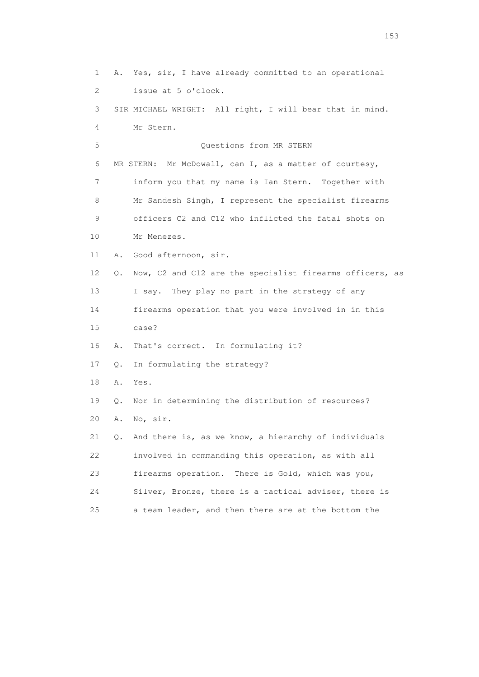1 A. Yes, sir, I have already committed to an operational 2 issue at 5 o'clock. 3 SIR MICHAEL WRIGHT: All right, I will bear that in mind. 4 Mr Stern. 5 Questions from MR STERN 6 MR STERN: Mr McDowall, can I, as a matter of courtesy, 7 inform you that my name is Ian Stern. Together with 8 Mr Sandesh Singh, I represent the specialist firearms 9 officers C2 and C12 who inflicted the fatal shots on 10 Mr Menezes. 11 A. Good afternoon, sir. 12 Q. Now, C2 and C12 are the specialist firearms officers, as 13 I say. They play no part in the strategy of any 14 firearms operation that you were involved in in this 15 case? 16 A. That's correct. In formulating it? 17 Q. In formulating the strategy? 18 A. Yes. 19 Q. Nor in determining the distribution of resources? 20 A. No, sir. 21 Q. And there is, as we know, a hierarchy of individuals 22 involved in commanding this operation, as with all 23 firearms operation. There is Gold, which was you, 24 Silver, Bronze, there is a tactical adviser, there is 25 a team leader, and then there are at the bottom the

<u>153</u>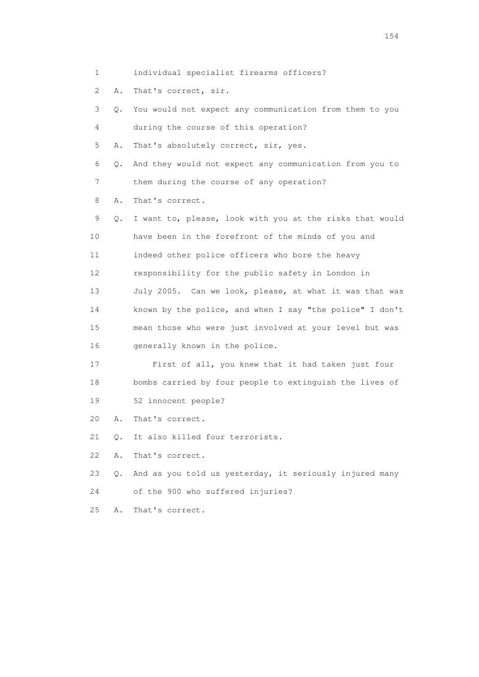2 A. That's correct, sir.

| 3  | Q. | You would not expect any communication from them to you  |
|----|----|----------------------------------------------------------|
| 4  |    | during the course of this operation?                     |
| 5  | Α. | That's absolutely correct, sir, yes.                     |
| 6  | Q. | And they would not expect any communication from you to  |
| 7  |    | them during the course of any operation?                 |
| 8  | Α. | That's correct.                                          |
| 9  | Q. | I want to, please, look with you at the risks that would |
| 10 |    | have been in the forefront of the minds of you and       |
| 11 |    | indeed other police officers who bore the heavy          |
| 12 |    | responsibility for the public safety in London in        |
| 13 |    | July 2005. Can we look, please, at what it was that was  |
| 14 |    | known by the police, and when I say "the police" I don't |
| 15 |    | mean those who were just involved at your level but was  |
| 16 |    | generally known in the police.                           |
| 17 |    | First of all, you knew that it had taken just four       |
| 18 |    | bombs carried by four people to extinguish the lives of  |
| 19 |    | 52 innocent people?                                      |
| 20 | Α. | That's correct.                                          |
| 21 | Q. | It also killed four terrorists.                          |
| 22 | Α. | That's correct.                                          |
|    |    |                                                          |

- 23 Q. And as you told us yesterday, it seriously injured many 24 of the 900 who suffered injuries?
- 
- 25 A. That's correct.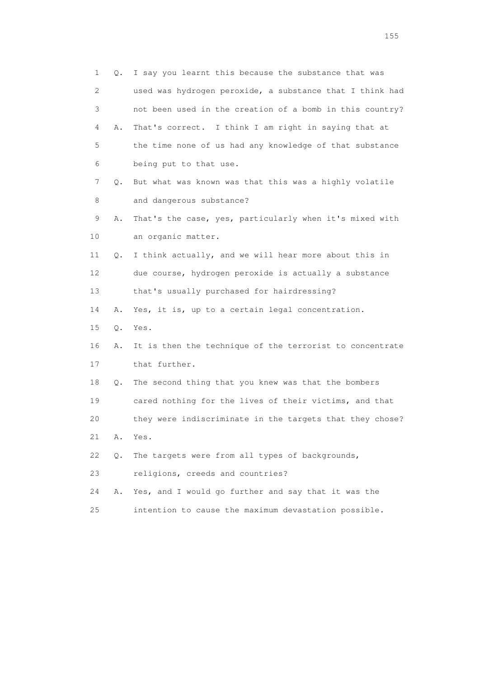1 Q. I say you learnt this because the substance that was 2 used was hydrogen peroxide, a substance that I think had 3 not been used in the creation of a bomb in this country? 4 A. That's correct. I think I am right in saying that at 5 the time none of us had any knowledge of that substance 6 being put to that use. 7 Q. But what was known was that this was a highly volatile 8 and dangerous substance? 9 A. That's the case, yes, particularly when it's mixed with 10 an organic matter. 11 Q. I think actually, and we will hear more about this in 12 due course, hydrogen peroxide is actually a substance 13 that's usually purchased for hairdressing? 14 A. Yes, it is, up to a certain legal concentration. 15 Q. Yes. 16 A. It is then the technique of the terrorist to concentrate 17 that further. 18 Q. The second thing that you knew was that the bombers 19 cared nothing for the lives of their victims, and that 20 they were indiscriminate in the targets that they chose? 21 A. Yes. 22 Q. The targets were from all types of backgrounds, 23 religions, creeds and countries? 24 A. Yes, and I would go further and say that it was the 25 intention to cause the maximum devastation possible.

n 155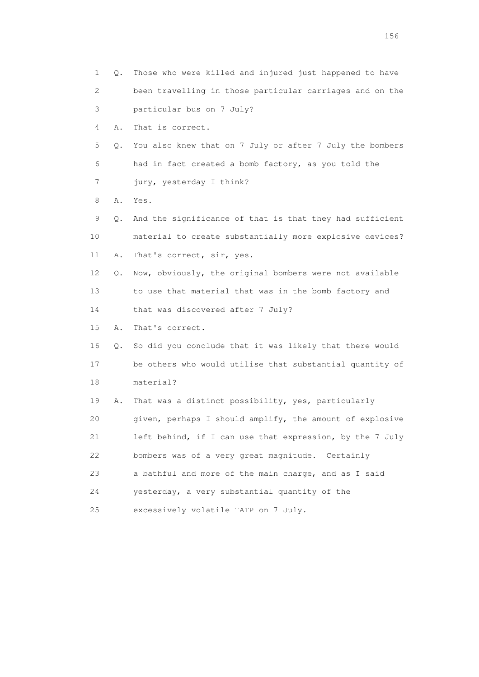| 1               | Q. | Those who were killed and injured just happened to have  |
|-----------------|----|----------------------------------------------------------|
| 2               |    | been travelling in those particular carriages and on the |
| 3               |    | particular bus on 7 July?                                |
| 4               | Α. | That is correct.                                         |
| 5               | Q. | You also knew that on 7 July or after 7 July the bombers |
| 6               |    | had in fact created a bomb factory, as you told the      |
| 7               |    | jury, yesterday I think?                                 |
| 8               | Α. | Yes.                                                     |
| 9               | Q. | And the significance of that is that they had sufficient |
| 10              |    | material to create substantially more explosive devices? |
| 11              | Α. | That's correct, sir, yes.                                |
| 12 <sup>°</sup> | Q. | Now, obviously, the original bombers were not available  |
| 13              |    | to use that material that was in the bomb factory and    |
| 14              |    | that was discovered after 7 July?                        |
| 15              | Α. | That's correct.                                          |
| 16              | Q. | So did you conclude that it was likely that there would  |
| 17              |    | be others who would utilise that substantial quantity of |
| 18              |    | material?                                                |
| 19              | Α. | That was a distinct possibility, yes, particularly       |
| 20              |    | given, perhaps I should amplify, the amount of explosive |
| 21              |    | left behind, if I can use that expression, by the 7 July |
| 22              |    | bombers was of a very great magnitude. Certainly         |
| 23              |    | a bathful and more of the main charge, and as I said     |
| 24              |    | yesterday, a very substantial quantity of the            |
| 25              |    | excessively volatile TATP on 7 July.                     |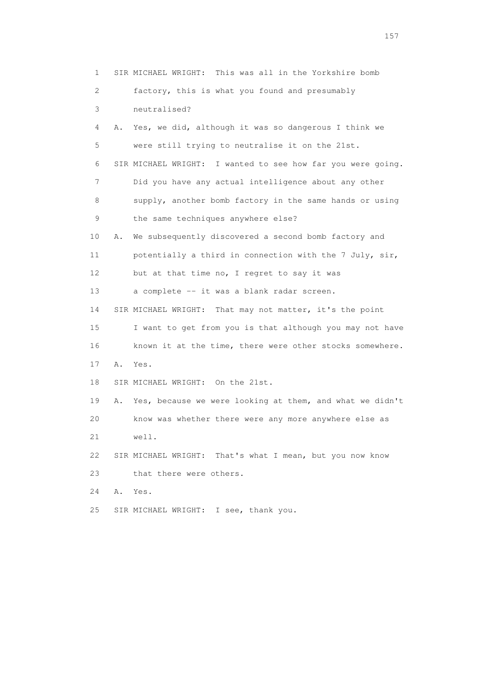1 SIR MICHAEL WRIGHT: This was all in the Yorkshire bomb 2 factory, this is what you found and presumably 3 neutralised? 4 A. Yes, we did, although it was so dangerous I think we 5 were still trying to neutralise it on the 21st. 6 SIR MICHAEL WRIGHT: I wanted to see how far you were going. 7 Did you have any actual intelligence about any other 8 supply, another bomb factory in the same hands or using 9 the same techniques anywhere else? 10 A. We subsequently discovered a second bomb factory and 11 potentially a third in connection with the 7 July, sir, 12 but at that time no, I regret to say it was 13 a complete -- it was a blank radar screen. 14 SIR MICHAEL WRIGHT: That may not matter, it's the point 15 I want to get from you is that although you may not have 16 known it at the time, there were other stocks somewhere. 17 A. Yes. 18 SIR MICHAEL WRIGHT: On the 21st. 19 A. Yes, because we were looking at them, and what we didn't 20 know was whether there were any more anywhere else as 21 well. 22 SIR MICHAEL WRIGHT: That's what I mean, but you now know 23 that there were others. 24 A. Yes. 25 SIR MICHAEL WRIGHT: I see, thank you.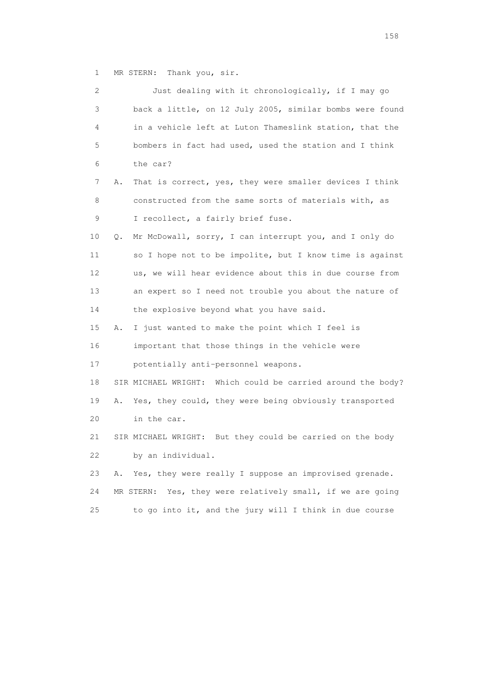1 MR STERN: Thank you, sir.

| 2  | Just dealing with it chronologically, if I may go             |
|----|---------------------------------------------------------------|
| 3  | back a little, on 12 July 2005, similar bombs were found      |
| 4  | in a vehicle left at Luton Thameslink station, that the       |
| 5  | bombers in fact had used, used the station and I think        |
| 6  | the car?                                                      |
| 7  | That is correct, yes, they were smaller devices I think<br>Α. |
| 8  | constructed from the same sorts of materials with, as         |
| 9  | I recollect, a fairly brief fuse.                             |
| 10 | Mr McDowall, sorry, I can interrupt you, and I only do<br>Q.  |
| 11 | so I hope not to be impolite, but I know time is against      |
| 12 | us, we will hear evidence about this in due course from       |
| 13 | an expert so I need not trouble you about the nature of       |
| 14 | the explosive beyond what you have said.                      |
| 15 | I just wanted to make the point which I feel is<br>Α.         |
| 16 | important that those things in the vehicle were               |
| 17 | potentially anti-personnel weapons.                           |
| 18 | SIR MICHAEL WRIGHT: Which could be carried around the body?   |
| 19 | Yes, they could, they were being obviously transported<br>Α.  |
| 20 | in the car.                                                   |
| 21 | But they could be carried on the body<br>SIR MICHAEL WRIGHT:  |
| 22 | by an individual.                                             |
| 23 | Yes, they were really I suppose an improvised grenade.<br>Α.  |
| 24 | MR STERN: Yes, they were relatively small, if we are going    |
| 25 | to go into it, and the jury will I think in due course        |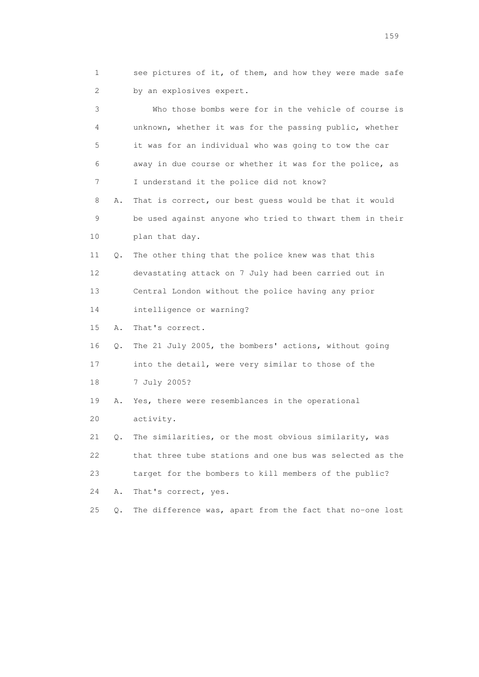1 see pictures of it, of them, and how they were made safe 2 by an explosives expert.

 3 Who those bombs were for in the vehicle of course is 4 unknown, whether it was for the passing public, whether 5 it was for an individual who was going to tow the car 6 away in due course or whether it was for the police, as 7 I understand it the police did not know? 8 A. That is correct, our best guess would be that it would 9 be used against anyone who tried to thwart them in their 10 plan that day. 11 Q. The other thing that the police knew was that this 12 devastating attack on 7 July had been carried out in 13 Central London without the police having any prior 14 intelligence or warning? 15 A. That's correct. 16 Q. The 21 July 2005, the bombers' actions, without going 17 into the detail, were very similar to those of the 18 7 July 2005? 19 A. Yes, there were resemblances in the operational 20 activity. 21 Q. The similarities, or the most obvious similarity, was 22 that three tube stations and one bus was selected as the 23 target for the bombers to kill members of the public?

24 A. That's correct, yes.

25 Q. The difference was, apart from the fact that no-one lost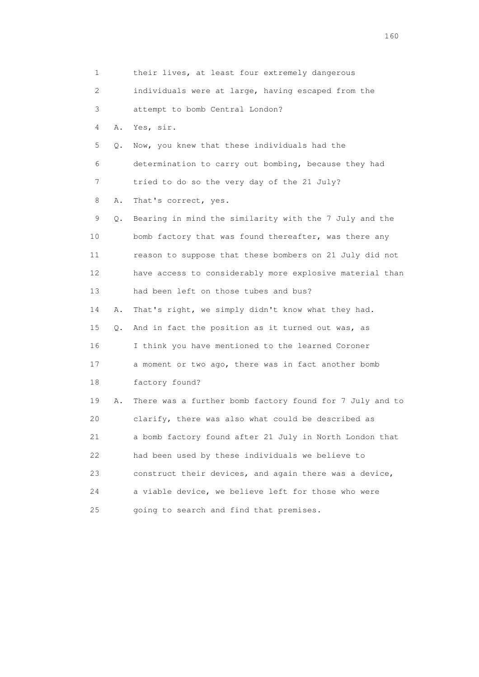1 their lives, at least four extremely dangerous 2 individuals were at large, having escaped from the 3 attempt to bomb Central London? 4 A. Yes, sir. 5 Q. Now, you knew that these individuals had the 6 determination to carry out bombing, because they had 7 tried to do so the very day of the 21 July? 8 A. That's correct, yes. 9 Q. Bearing in mind the similarity with the 7 July and the 10 bomb factory that was found thereafter, was there any 11 reason to suppose that these bombers on 21 July did not 12 have access to considerably more explosive material than 13 had been left on those tubes and bus? 14 A. That's right, we simply didn't know what they had. 15 Q. And in fact the position as it turned out was, as 16 I think you have mentioned to the learned Coroner 17 a moment or two ago, there was in fact another bomb 18 factory found? 19 A. There was a further bomb factory found for 7 July and to 20 clarify, there was also what could be described as 21 a bomb factory found after 21 July in North London that 22 had been used by these individuals we believe to 23 construct their devices, and again there was a device, 24 a viable device, we believe left for those who were 25 going to search and find that premises.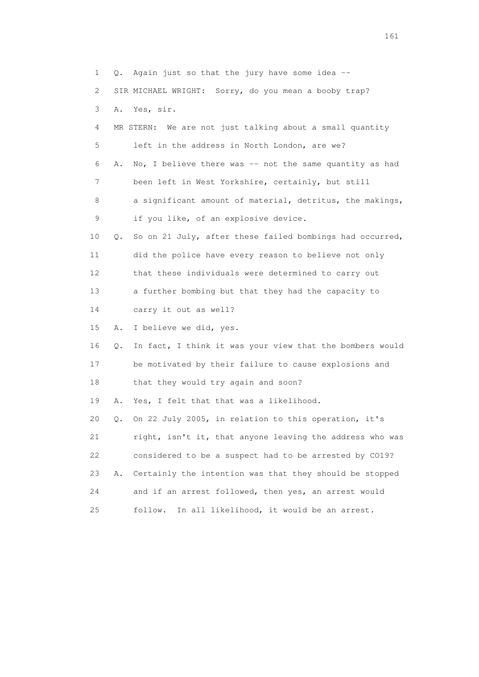1 Q. Again just so that the jury have some idea -- 2 SIR MICHAEL WRIGHT: Sorry, do you mean a booby trap? 3 A. Yes, sir. 4 MR STERN: We are not just talking about a small quantity 5 left in the address in North London, are we? 6 A. No, I believe there was -- not the same quantity as had 7 been left in West Yorkshire, certainly, but still 8 a significant amount of material, detritus, the makings, 9 if you like, of an explosive device. 10 Q. So on 21 July, after these failed bombings had occurred, 11 did the police have every reason to believe not only 12 that these individuals were determined to carry out 13 a further bombing but that they had the capacity to 14 carry it out as well? 15 A. I believe we did, yes. 16 Q. In fact, I think it was your view that the bombers would 17 be motivated by their failure to cause explosions and 18 that they would try again and soon? 19 A. Yes, I felt that that was a likelihood. 20 Q. On 22 July 2005, in relation to this operation, it's 21 right, isn't it, that anyone leaving the address who was 22 considered to be a suspect had to be arrested by CO19? 23 A. Certainly the intention was that they should be stopped 24 and if an arrest followed, then yes, an arrest would 25 follow. In all likelihood, it would be an arrest.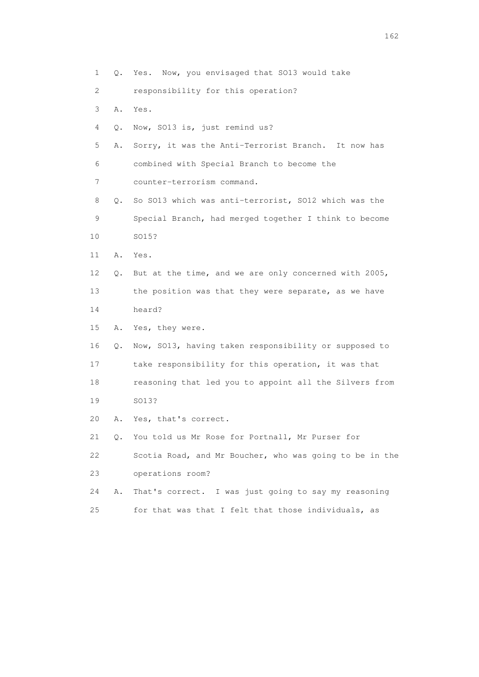1 Q. Yes. Now, you envisaged that SO13 would take 2 responsibility for this operation? 3 A. Yes. 4 Q. Now, SO13 is, just remind us? 5 A. Sorry, it was the Anti-Terrorist Branch. It now has 6 combined with Special Branch to become the 7 counter-terrorism command. 8 Q. So SO13 which was anti-terrorist, SO12 which was the 9 Special Branch, had merged together I think to become 10 SO15? 11 A. Yes. 12 Q. But at the time, and we are only concerned with 2005, 13 the position was that they were separate, as we have 14 heard? 15 A. Yes, they were. 16 Q. Now, SO13, having taken responsibility or supposed to 17 take responsibility for this operation, it was that 18 reasoning that led you to appoint all the Silvers from 19 SO13? 20 A. Yes, that's correct. 21 Q. You told us Mr Rose for Portnall, Mr Purser for 22 Scotia Road, and Mr Boucher, who was going to be in the 23 operations room? 24 A. That's correct. I was just going to say my reasoning 25 for that was that I felt that those individuals, as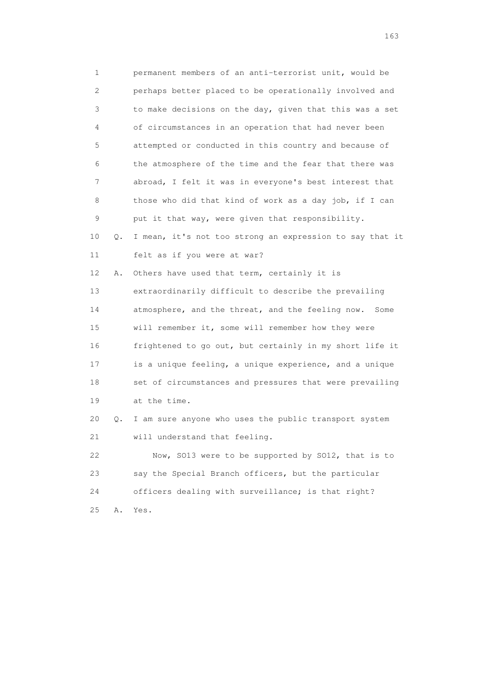1 permanent members of an anti-terrorist unit, would be 2 perhaps better placed to be operationally involved and 3 to make decisions on the day, given that this was a set 4 of circumstances in an operation that had never been 5 attempted or conducted in this country and because of 6 the atmosphere of the time and the fear that there was 7 abroad, I felt it was in everyone's best interest that 8 those who did that kind of work as a day job, if I can 9 put it that way, were given that responsibility. 10 Q. I mean, it's not too strong an expression to say that it 11 felt as if you were at war? 12 A. Others have used that term, certainly it is 13 extraordinarily difficult to describe the prevailing 14 atmosphere, and the threat, and the feeling now. Some 15 will remember it, some will remember how they were 16 frightened to go out, but certainly in my short life it 17 is a unique feeling, a unique experience, and a unique 18 set of circumstances and pressures that were prevailing 19 at the time. 20 Q. I am sure anyone who uses the public transport system 21 will understand that feeling. 22 Now, SO13 were to be supported by SO12, that is to 23 say the Special Branch officers, but the particular 24 officers dealing with surveillance; is that right? 25 A. Yes.

<u>163</u>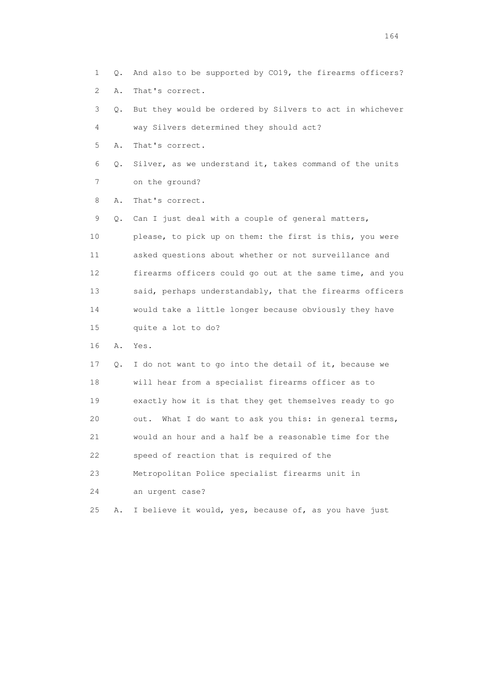- 1 Q. And also to be supported by CO19, the firearms officers? 2 A. That's correct.
- 3 Q. But they would be ordered by Silvers to act in whichever 4 way Silvers determined they should act?
- 5 A. That's correct.
- 6 Q. Silver, as we understand it, takes command of the units 7 on the ground?
- 8 A. That's correct.
- 9 Q. Can I just deal with a couple of general matters, 10 please, to pick up on them: the first is this, you were 11 asked questions about whether or not surveillance and 12 firearms officers could go out at the same time, and you 13 said, perhaps understandably, that the firearms officers 14 would take a little longer because obviously they have 15 quite a lot to do?
- 16 A. Yes.
- 17 Q. I do not want to go into the detail of it, because we 18 will hear from a specialist firearms officer as to 19 exactly how it is that they get themselves ready to go 20 out. What I do want to ask you this: in general terms, 21 would an hour and a half be a reasonable time for the 22 speed of reaction that is required of the 23 Metropolitan Police specialist firearms unit in 24 an urgent case?
- 25 A. I believe it would, yes, because of, as you have just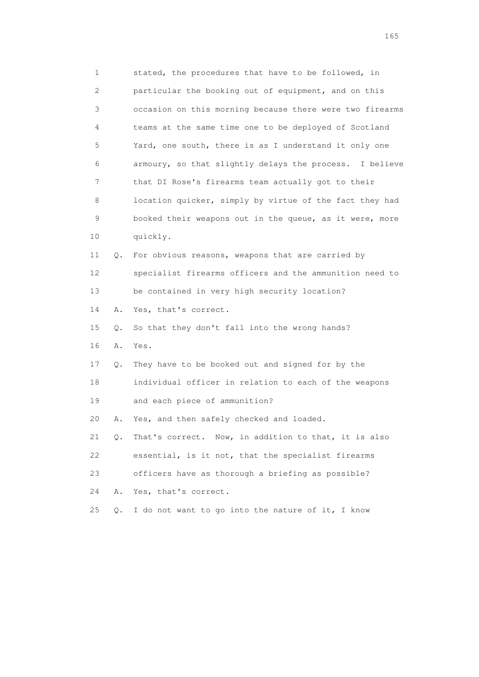1 stated, the procedures that have to be followed, in 2 particular the booking out of equipment, and on this 3 occasion on this morning because there were two firearms 4 teams at the same time one to be deployed of Scotland 5 Yard, one south, there is as I understand it only one 6 armoury, so that slightly delays the process. I believe 7 that DI Rose's firearms team actually got to their 8 location quicker, simply by virtue of the fact they had 9 booked their weapons out in the queue, as it were, more 10 quickly. 11 Q. For obvious reasons, weapons that are carried by 12 specialist firearms officers and the ammunition need to 13 be contained in very high security location? 14 A. Yes, that's correct. 15 Q. So that they don't fall into the wrong hands? 16 A. Yes. 17 Q. They have to be booked out and signed for by the 18 individual officer in relation to each of the weapons 19 and each piece of ammunition? 20 A. Yes, and then safely checked and loaded. 21 Q. That's correct. Now, in addition to that, it is also 22 essential, is it not, that the specialist firearms 23 officers have as thorough a briefing as possible? 24 A. Yes, that's correct. 25 Q. I do not want to go into the nature of it, I know

<u>165</u>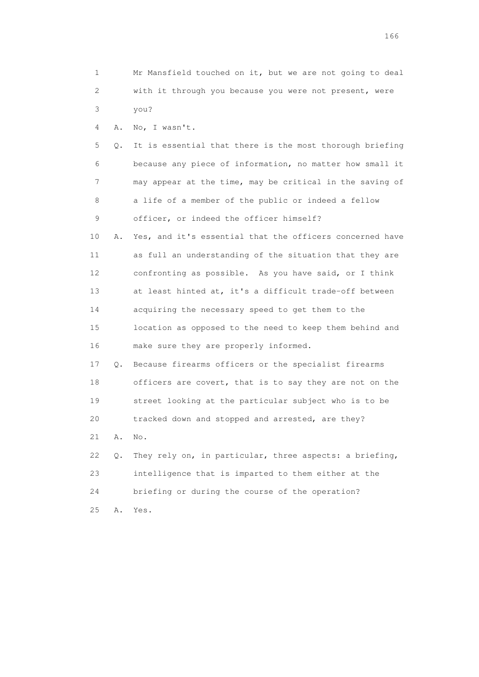1 Mr Mansfield touched on it, but we are not going to deal 2 with it through you because you were not present, were 3 you?

4 A. No, I wasn't.

 5 Q. It is essential that there is the most thorough briefing 6 because any piece of information, no matter how small it 7 may appear at the time, may be critical in the saving of 8 a life of a member of the public or indeed a fellow 9 officer, or indeed the officer himself?

 10 A. Yes, and it's essential that the officers concerned have 11 as full an understanding of the situation that they are 12 confronting as possible. As you have said, or I think 13 at least hinted at, it's a difficult trade-off between 14 acquiring the necessary speed to get them to the 15 location as opposed to the need to keep them behind and 16 make sure they are properly informed.

 17 Q. Because firearms officers or the specialist firearms 18 officers are covert, that is to say they are not on the 19 street looking at the particular subject who is to be 20 tracked down and stopped and arrested, are they?

21 A. No.

 22 Q. They rely on, in particular, three aspects: a briefing, 23 intelligence that is imparted to them either at the 24 briefing or during the course of the operation? 25 A. Yes.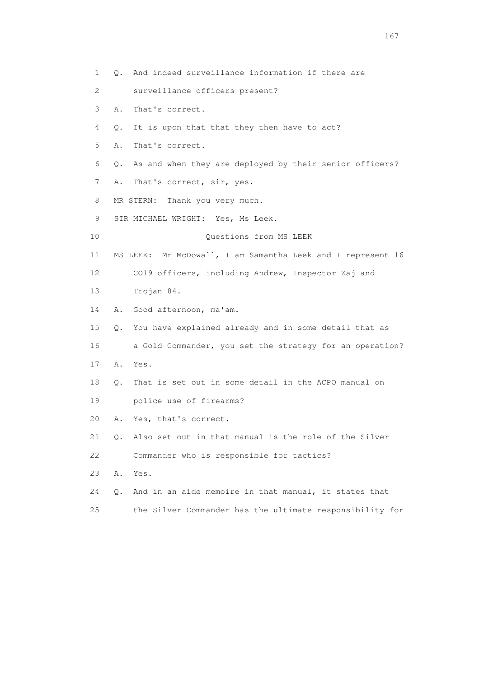1 Q. And indeed surveillance information if there are 2 surveillance officers present? 3 A. That's correct. 4 Q. It is upon that that they then have to act? 5 A. That's correct. 6 Q. As and when they are deployed by their senior officers? 7 A. That's correct, sir, yes. 8 MR STERN: Thank you very much. 9 SIR MICHAEL WRIGHT: Yes, Ms Leek. 10 Questions from MS LEEK 11 MS LEEK: Mr McDowall, I am Samantha Leek and I represent 16 12 CO19 officers, including Andrew, Inspector Zaj and 13 Trojan 84. 14 A. Good afternoon, ma'am. 15 Q. You have explained already and in some detail that as 16 a Gold Commander, you set the strategy for an operation? 17 A. Yes. 18 Q. That is set out in some detail in the ACPO manual on 19 police use of firearms? 20 A. Yes, that's correct. 21 Q. Also set out in that manual is the role of the Silver 22 Commander who is responsible for tactics? 23 A. Yes. 24 Q. And in an aide memoire in that manual, it states that 25 the Silver Commander has the ultimate responsibility for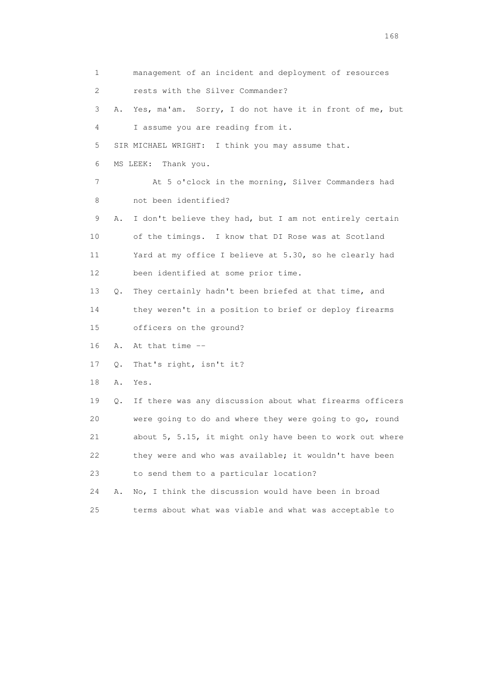1 management of an incident and deployment of resources 2 rests with the Silver Commander? 3 A. Yes, ma'am. Sorry, I do not have it in front of me, but 4 I assume you are reading from it. 5 SIR MICHAEL WRIGHT: I think you may assume that. 6 MS LEEK: Thank you. 7 At 5 o'clock in the morning, Silver Commanders had 8 not been identified? 9 A. I don't believe they had, but I am not entirely certain 10 of the timings. I know that DI Rose was at Scotland 11 Yard at my office I believe at 5.30, so he clearly had 12 been identified at some prior time. 13 Q. They certainly hadn't been briefed at that time, and 14 they weren't in a position to brief or deploy firearms 15 officers on the ground? 16 A. At that time -- 17 Q. That's right, isn't it? 18 A. Yes. 19 Q. If there was any discussion about what firearms officers 20 were going to do and where they were going to go, round 21 about 5, 5.15, it might only have been to work out where 22 they were and who was available; it wouldn't have been 23 to send them to a particular location? 24 A. No, I think the discussion would have been in broad 25 terms about what was viable and what was acceptable to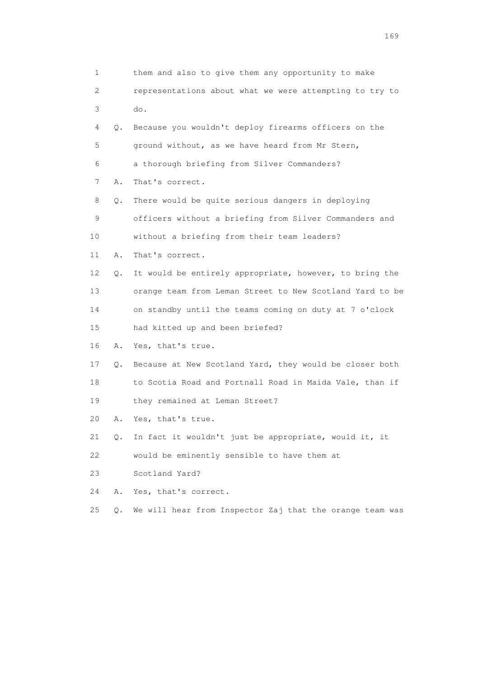| 1                         |    | them and also to give them any opportunity to make       |
|---------------------------|----|----------------------------------------------------------|
| $\mathbf{2}^{\mathsf{I}}$ |    | representations about what we were attempting to try to  |
| 3                         |    | do.                                                      |
| 4                         | Q. | Because you wouldn't deploy firearms officers on the     |
| 5                         |    | ground without, as we have heard from Mr Stern,          |
| 6                         |    | a thorough briefing from Silver Commanders?              |
| 7                         | Α. | That's correct.                                          |
| 8                         | Q. | There would be quite serious dangers in deploying        |
| 9                         |    | officers without a briefing from Silver Commanders and   |
| 10                        |    | without a briefing from their team leaders?              |
| 11                        | Α. | That's correct.                                          |
| 12 <sup>°</sup>           | Q. | It would be entirely appropriate, however, to bring the  |
| 13                        |    | orange team from Leman Street to New Scotland Yard to be |
| 14                        |    | on standby until the teams coming on duty at 7 o'clock   |
| 15                        |    | had kitted up and been briefed?                          |
| 16                        | Α. | Yes, that's true.                                        |
| 17                        | Q. | Because at New Scotland Yard, they would be closer both  |
| 18                        |    | to Scotia Road and Portnall Road in Maida Vale, than if  |
| 19                        |    | they remained at Leman Street?                           |
| 20                        | Α. | Yes, that's true.                                        |
| 21                        | Q. | In fact it wouldn't just be appropriate, would it, it    |
| 22                        |    | would be eminently sensible to have them at              |
| 23                        |    | Scotland Yard?                                           |
| 24                        | Α. | Yes, that's correct.                                     |
| 25                        | Q. | We will hear from Inspector Zaj that the orange team was |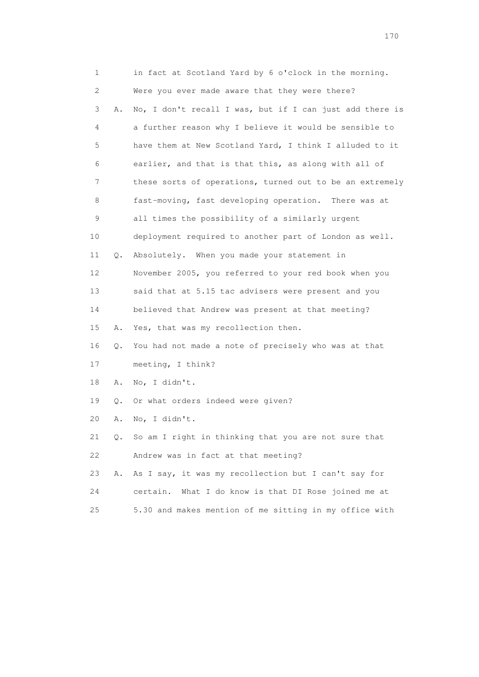| 1  |    | in fact at Scotland Yard by 6 o'clock in the morning.    |
|----|----|----------------------------------------------------------|
| 2  |    | Were you ever made aware that they were there?           |
| 3  | Α. | No, I don't recall I was, but if I can just add there is |
| 4  |    | a further reason why I believe it would be sensible to   |
| 5  |    | have them at New Scotland Yard, I think I alluded to it  |
| 6  |    | earlier, and that is that this, as along with all of     |
| 7  |    | these sorts of operations, turned out to be an extremely |
| 8  |    | fast-moving, fast developing operation. There was at     |
| 9  |    | all times the possibility of a similarly urgent          |
| 10 |    | deployment required to another part of London as well.   |
| 11 | Q. | Absolutely. When you made your statement in              |
| 12 |    | November 2005, you referred to your red book when you    |
| 13 |    | said that at 5.15 tac advisers were present and you      |
| 14 |    | believed that Andrew was present at that meeting?        |
| 15 | Α. | Yes, that was my recollection then.                      |
| 16 | Q. | You had not made a note of precisely who was at that     |
| 17 |    | meeting, I think?                                        |
| 18 | Α. | No, I didn't.                                            |
| 19 | Q. | Or what orders indeed were given?                        |
| 20 | Α. | No, I didn't.                                            |
| 21 | Q. | So am I right in thinking that you are not sure that     |
| 22 |    | Andrew was in fact at that meeting?                      |
| 23 | Α. | As I say, it was my recollection but I can't say for     |
| 24 |    | What I do know is that DI Rose joined me at<br>certain.  |
| 25 |    | 5.30 and makes mention of me sitting in my office with   |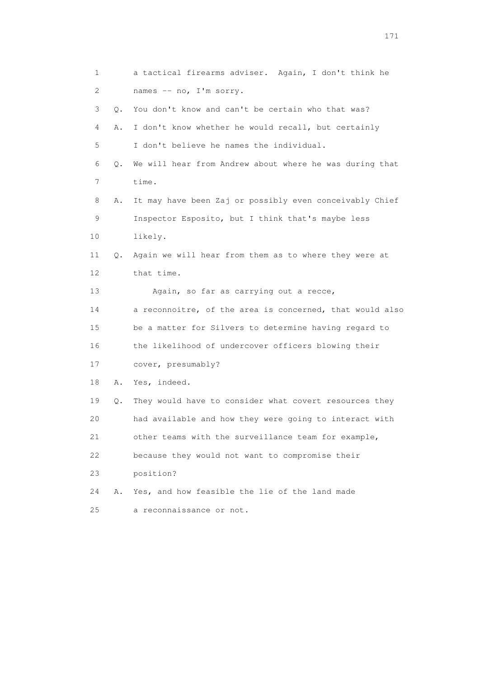| 1  |           | a tactical firearms adviser. Again, I don't think he     |
|----|-----------|----------------------------------------------------------|
| 2  |           | names -- no, I'm sorry.                                  |
| 3  | $\circ$ . | You don't know and can't be certain who that was?        |
| 4  | Α.        | I don't know whether he would recall, but certainly      |
| 5  |           | I don't believe he names the individual.                 |
| 6  | Q.        | We will hear from Andrew about where he was during that  |
| 7  |           | time.                                                    |
| 8  | Α.        | It may have been Zaj or possibly even conceivably Chief  |
| 9  |           | Inspector Esposito, but I think that's maybe less        |
| 10 |           | likely.                                                  |
| 11 | 0.        | Again we will hear from them as to where they were at    |
| 12 |           | that time.                                               |
| 13 |           | Again, so far as carrying out a recce,                   |
| 14 |           | a reconnoitre, of the area is concerned, that would also |
| 15 |           | be a matter for Silvers to determine having regard to    |
| 16 |           | the likelihood of undercover officers blowing their      |
| 17 |           | cover, presumably?                                       |
| 18 | Α.        | Yes, indeed.                                             |
| 19 | Q.        | They would have to consider what covert resources they   |
| 20 |           | had available and how they were going to interact with   |
| 21 |           | other teams with the surveillance team for example,      |
| 22 |           | because they would not want to compromise their          |
| 23 |           | position?                                                |
| 24 | Α.        | Yes, and how feasible the lie of the land made           |
| 25 |           | a reconnaissance or not.                                 |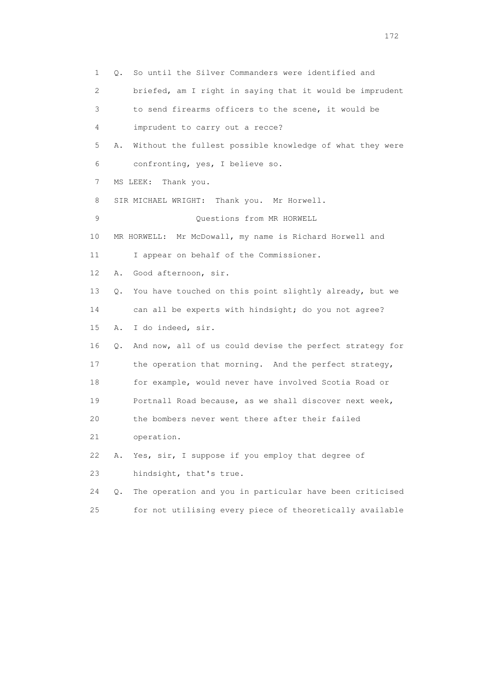1 Q. So until the Silver Commanders were identified and 2 briefed, am I right in saying that it would be imprudent 3 to send firearms officers to the scene, it would be 4 imprudent to carry out a recce? 5 A. Without the fullest possible knowledge of what they were 6 confronting, yes, I believe so. 7 MS LEEK: Thank you. 8 SIR MICHAEL WRIGHT: Thank you. Mr Horwell. 9 Questions from MR HORWELL 10 MR HORWELL: Mr McDowall, my name is Richard Horwell and 11 I appear on behalf of the Commissioner. 12 A. Good afternoon, sir. 13 Q. You have touched on this point slightly already, but we 14 can all be experts with hindsight; do you not agree? 15 A. I do indeed, sir. 16 Q. And now, all of us could devise the perfect strategy for 17 the operation that morning. And the perfect strategy, 18 for example, would never have involved Scotia Road or 19 Portnall Road because, as we shall discover next week, 20 the bombers never went there after their failed 21 operation. 22 A. Yes, sir, I suppose if you employ that degree of 23 hindsight, that's true. 24 Q. The operation and you in particular have been criticised 25 for not utilising every piece of theoretically available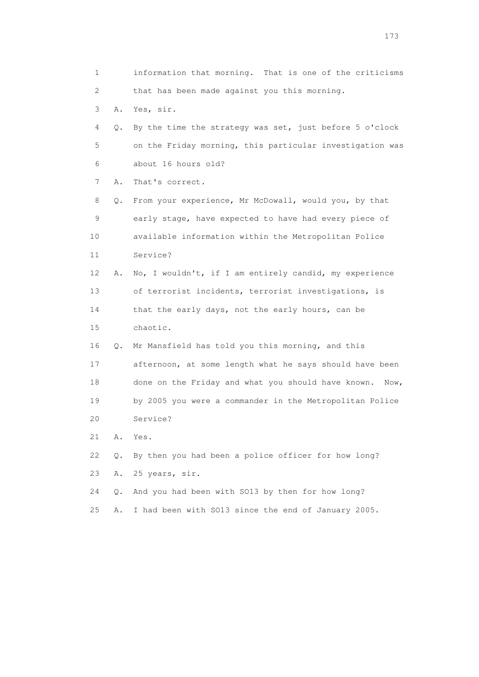1 information that morning. That is one of the criticisms 2 that has been made against you this morning. 3 A. Yes, sir. 4 Q. By the time the strategy was set, just before 5 o'clock 5 on the Friday morning, this particular investigation was 6 about 16 hours old? 7 A. That's correct. 8 Q. From your experience, Mr McDowall, would you, by that 9 early stage, have expected to have had every piece of 10 available information within the Metropolitan Police 11 Service? 12 A. No, I wouldn't, if I am entirely candid, my experience 13 of terrorist incidents, terrorist investigations, is 14 that the early days, not the early hours, can be 15 chaotic. 16 Q. Mr Mansfield has told you this morning, and this 17 afternoon, at some length what he says should have been 18 done on the Friday and what you should have known. Now, 19 by 2005 you were a commander in the Metropolitan Police 20 Service? 21 A. Yes. 22 Q. By then you had been a police officer for how long? 23 A. 25 years, sir. 24 Q. And you had been with SO13 by then for how long? 25 A. I had been with SO13 since the end of January 2005.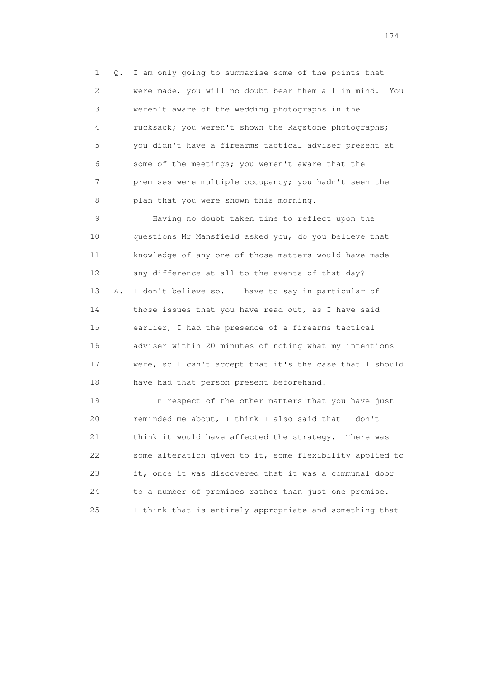1 Q. I am only going to summarise some of the points that 2 were made, you will no doubt bear them all in mind. You 3 weren't aware of the wedding photographs in the 4 rucksack; you weren't shown the Ragstone photographs; 5 you didn't have a firearms tactical adviser present at 6 some of the meetings; you weren't aware that the 7 premises were multiple occupancy; you hadn't seen the 8 plan that you were shown this morning.

 9 Having no doubt taken time to reflect upon the 10 questions Mr Mansfield asked you, do you believe that 11 knowledge of any one of those matters would have made 12 any difference at all to the events of that day? 13 A. I don't believe so. I have to say in particular of 14 those issues that you have read out, as I have said 15 earlier, I had the presence of a firearms tactical 16 adviser within 20 minutes of noting what my intentions 17 were, so I can't accept that it's the case that I should 18 have had that person present beforehand.

 19 In respect of the other matters that you have just 20 reminded me about, I think I also said that I don't 21 think it would have affected the strategy. There was 22 some alteration given to it, some flexibility applied to 23 it, once it was discovered that it was a communal door 24 to a number of premises rather than just one premise. 25 I think that is entirely appropriate and something that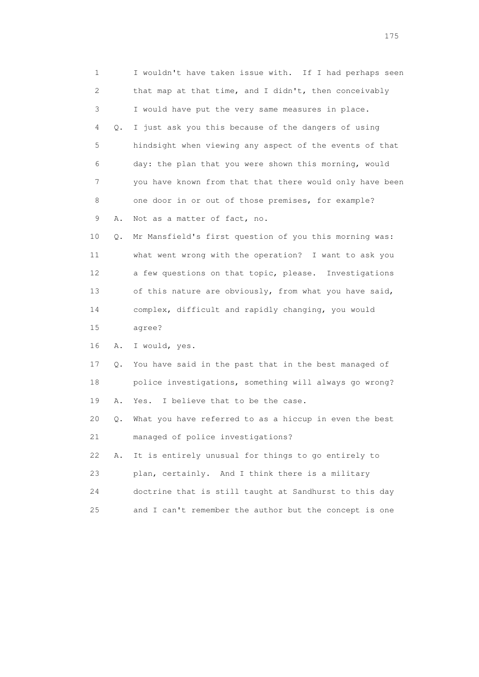1 I wouldn't have taken issue with. If I had perhaps seen 2 that map at that time, and I didn't, then conceivably 3 I would have put the very same measures in place. 4 Q. I just ask you this because of the dangers of using 5 hindsight when viewing any aspect of the events of that 6 day: the plan that you were shown this morning, would 7 you have known from that that there would only have been 8 one door in or out of those premises, for example? 9 A. Not as a matter of fact, no. 10 Q. Mr Mansfield's first question of you this morning was: 11 what went wrong with the operation? I want to ask you 12 a few questions on that topic, please. Investigations 13 of this nature are obviously, from what you have said, 14 complex, difficult and rapidly changing, you would 15 agree? 16 A. I would, yes. 17 Q. You have said in the past that in the best managed of 18 police investigations, something will always go wrong? 19 A. Yes. I believe that to be the case. 20 Q. What you have referred to as a hiccup in even the best 21 managed of police investigations? 22 A. It is entirely unusual for things to go entirely to 23 plan, certainly. And I think there is a military 24 doctrine that is still taught at Sandhurst to this day 25 and I can't remember the author but the concept is one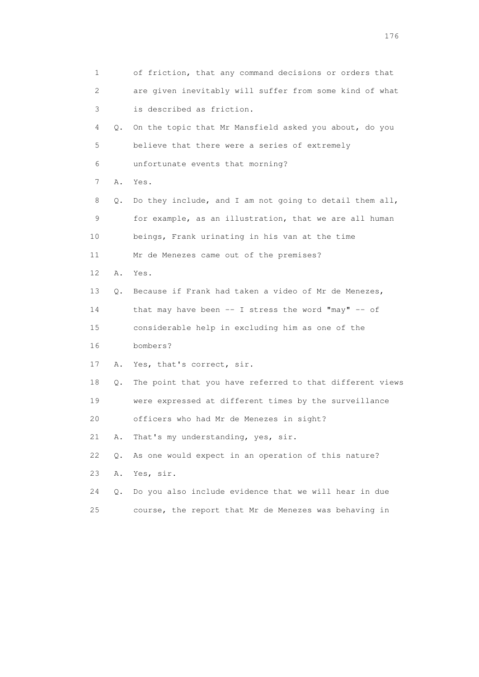| 1               |       | of friction, that any command decisions or orders that   |
|-----------------|-------|----------------------------------------------------------|
| 2               |       | are given inevitably will suffer from some kind of what  |
| 3               |       | is described as friction.                                |
| 4               | Q.    | On the topic that Mr Mansfield asked you about, do you   |
| 5               |       | believe that there were a series of extremely            |
| 6               |       | unfortunate events that morning?                         |
| 7               | Α.    | Yes.                                                     |
| 8               | Q.    | Do they include, and I am not going to detail them all,  |
| 9               |       | for example, as an illustration, that we are all human   |
| 10              |       | beings, Frank urinating in his van at the time           |
| 11              |       | Mr de Menezes came out of the premises?                  |
| 12 <sup>°</sup> | Α.    | Yes.                                                     |
| 13              | Q.    | Because if Frank had taken a video of Mr de Menezes,     |
| 14              |       | that may have been -- I stress the word "may" -- of      |
| 15              |       | considerable help in excluding him as one of the         |
| 16              |       | bombers?                                                 |
| 17              | Α.    | Yes, that's correct, sir.                                |
| 18              | Q.    | The point that you have referred to that different views |
| 19              |       | were expressed at different times by the surveillance    |
| 20              |       | officers who had Mr de Menezes in sight?                 |
| 21              | Α.    | That's my understanding, yes, sir.                       |
| 22              | $Q$ . | As one would expect in an operation of this nature?      |
| 23              | Α.    | Yes, sir.                                                |
| 24              | О.    | Do you also include evidence that we will hear in due    |
| 25              |       | course, the report that Mr de Menezes was behaving in    |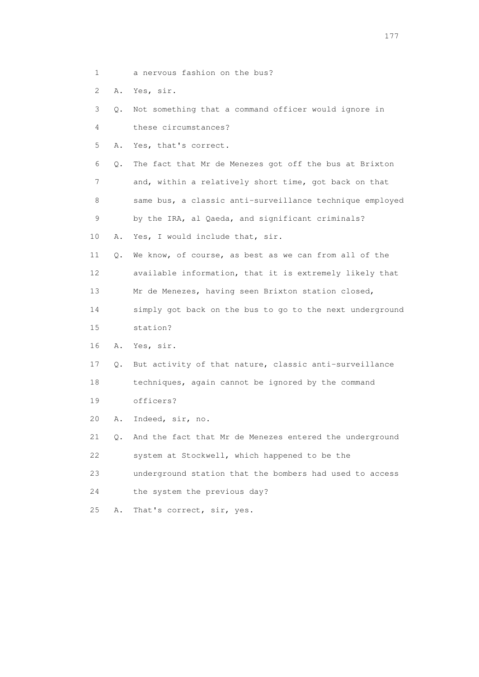- 1 a nervous fashion on the bus?
- 2 A. Yes, sir.
- 3 Q. Not something that a command officer would ignore in
- 4 these circumstances?
- 5 A. Yes, that's correct.
- 6 Q. The fact that Mr de Menezes got off the bus at Brixton 7 and, within a relatively short time, got back on that 8 same bus, a classic anti-surveillance technique employed 9 by the IRA, al Qaeda, and significant criminals?
- 10 A. Yes, I would include that, sir.
- 11 Q. We know, of course, as best as we can from all of the 12 available information, that it is extremely likely that
- 13 Mr de Menezes, having seen Brixton station closed,
- 14 simply got back on the bus to go to the next underground 15 station?
- 16 A. Yes, sir.
- 17 Q. But activity of that nature, classic anti-surveillance 18 techniques, again cannot be ignored by the command 19 officers?
- 20 A. Indeed, sir, no.
- 21 Q. And the fact that Mr de Menezes entered the underground 22 system at Stockwell, which happened to be the
- 23 underground station that the bombers had used to access
- 24 the system the previous day?
- 25 A. That's correct, sir, yes.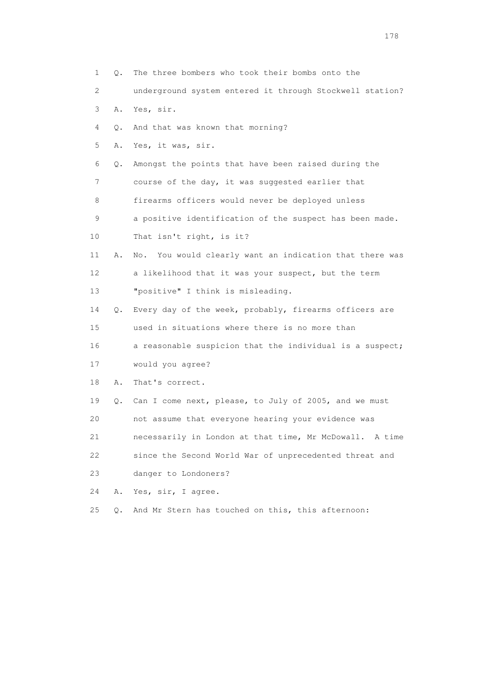1 Q. The three bombers who took their bombs onto the 2 underground system entered it through Stockwell station? 3 A. Yes, sir. 4 Q. And that was known that morning? 5 A. Yes, it was, sir. 6 Q. Amongst the points that have been raised during the 7 course of the day, it was suggested earlier that 8 firearms officers would never be deployed unless 9 a positive identification of the suspect has been made. 10 That isn't right, is it? 11 A. No. You would clearly want an indication that there was 12 a likelihood that it was your suspect, but the term 13 "positive" I think is misleading. 14 Q. Every day of the week, probably, firearms officers are 15 used in situations where there is no more than 16 a reasonable suspicion that the individual is a suspect; 17 would you agree? 18 A. That's correct. 19 Q. Can I come next, please, to July of 2005, and we must 20 not assume that everyone hearing your evidence was 21 necessarily in London at that time, Mr McDowall. A time 22 since the Second World War of unprecedented threat and 23 danger to Londoners? 24 A. Yes, sir, I agree. 25 Q. And Mr Stern has touched on this, this afternoon: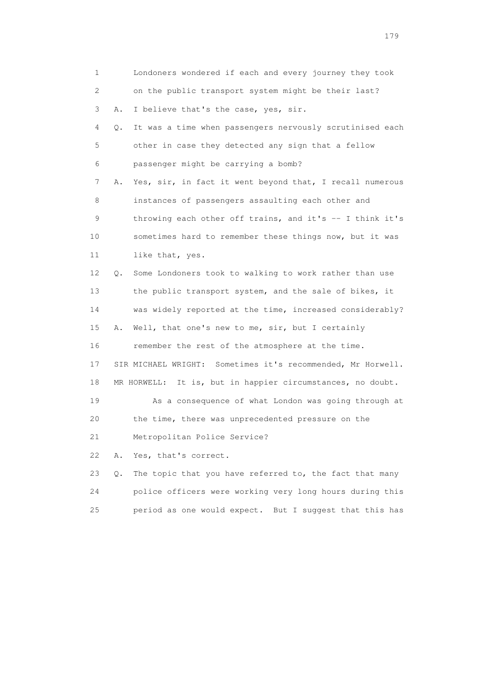| 1  |    | Londoners wondered if each and every journey they took      |
|----|----|-------------------------------------------------------------|
| 2  |    | on the public transport system might be their last?         |
| 3  | Α. | I believe that's the case, yes, sir.                        |
| 4  | Q. | It was a time when passengers nervously scrutinised each    |
| 5  |    | other in case they detected any sign that a fellow          |
| 6  |    | passenger might be carrying a bomb?                         |
| 7  | Α. | Yes, sir, in fact it went beyond that, I recall numerous    |
| 8  |    | instances of passengers assaulting each other and           |
| 9  |    | throwing each other off trains, and it's -- I think it's    |
| 10 |    | sometimes hard to remember these things now, but it was     |
| 11 |    | like that, yes.                                             |
| 12 | Q. | Some Londoners took to walking to work rather than use      |
| 13 |    | the public transport system, and the sale of bikes, it      |
| 14 |    | was widely reported at the time, increased considerably?    |
| 15 | Α. | Well, that one's new to me, sir, but I certainly            |
| 16 |    | remember the rest of the atmosphere at the time.            |
| 17 |    | SIR MICHAEL WRIGHT: Sometimes it's recommended, Mr Horwell. |
| 18 |    | MR HORWELL: It is, but in happier circumstances, no doubt.  |
| 19 |    | As a consequence of what London was going through at        |
| 20 |    | the time, there was unprecedented pressure on the           |
| 21 |    | Metropolitan Police Service?                                |
| 22 | Α. | Yes, that's correct.                                        |
| 23 | Q. | The topic that you have referred to, the fact that many     |
| 24 |    | police officers were working very long hours during this    |
| 25 |    | period as one would expect. But I suggest that this has     |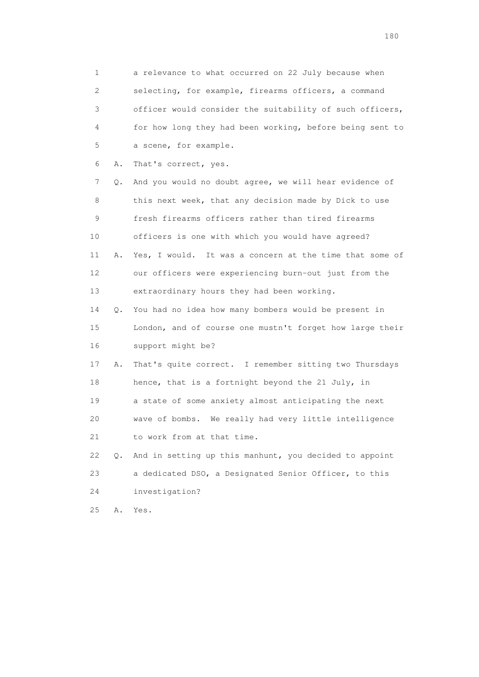1 a relevance to what occurred on 22 July because when 2 selecting, for example, firearms officers, a command 3 officer would consider the suitability of such officers, 4 for how long they had been working, before being sent to 5 a scene, for example.

6 A. That's correct, yes.

 7 Q. And you would no doubt agree, we will hear evidence of 8 this next week, that any decision made by Dick to use 9 fresh firearms officers rather than tired firearms 10 officers is one with which you would have agreed? 11 A. Yes, I would. It was a concern at the time that some of 12 our officers were experiencing burn-out just from the 13 extraordinary hours they had been working.

 14 Q. You had no idea how many bombers would be present in 15 London, and of course one mustn't forget how large their 16 support might be?

 17 A. That's quite correct. I remember sitting two Thursdays 18 hence, that is a fortnight beyond the 21 July, in 19 a state of some anxiety almost anticipating the next 20 wave of bombs. We really had very little intelligence 21 to work from at that time.

 22 Q. And in setting up this manhunt, you decided to appoint 23 a dedicated DSO, a Designated Senior Officer, to this 24 investigation?

25 A. Yes.

180 and 180 and 180 and 180 and 180 and 180 and 180 and 180 and 180 and 180 and 180 and 180 and 180 and 180 and 180 and 180 and 180 and 180 and 180 and 180 and 180 and 180 and 180 and 180 and 180 and 180 and 180 and 180 an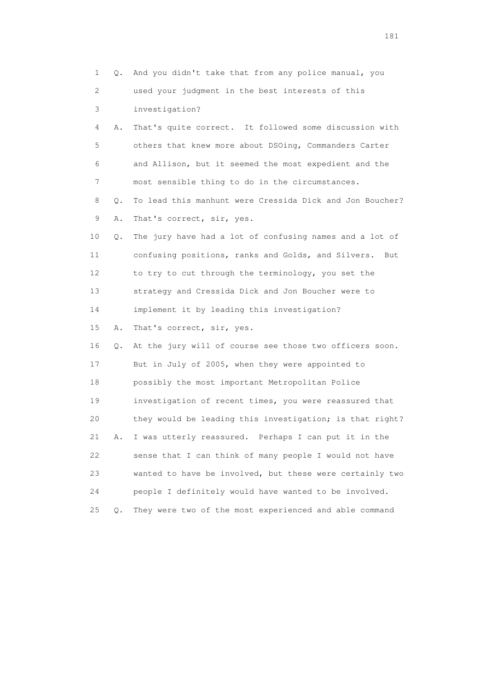| 1  | Q.    | And you didn't take that from any police manual, you      |
|----|-------|-----------------------------------------------------------|
| 2  |       | used your judgment in the best interests of this          |
| 3  |       | investigation?                                            |
| 4  | Α.    | That's quite correct. It followed some discussion with    |
| 5  |       | others that knew more about DSOing, Commanders Carter     |
| 6  |       | and Allison, but it seemed the most expedient and the     |
| 7  |       | most sensible thing to do in the circumstances.           |
| 8  | Q.    | To lead this manhunt were Cressida Dick and Jon Boucher?  |
| 9  | Α.    | That's correct, sir, yes.                                 |
| 10 | Q.    | The jury have had a lot of confusing names and a lot of   |
| 11 |       | confusing positions, ranks and Golds, and Silvers.<br>But |
| 12 |       | to try to cut through the terminology, you set the        |
| 13 |       | strategy and Cressida Dick and Jon Boucher were to        |
| 14 |       | implement it by leading this investigation?               |
| 15 | Α.    | That's correct, sir, yes.                                 |
| 16 | Q.    | At the jury will of course see those two officers soon.   |
| 17 |       | But in July of 2005, when they were appointed to          |
| 18 |       | possibly the most important Metropolitan Police           |
| 19 |       | investigation of recent times, you were reassured that    |
| 20 |       | they would be leading this investigation; is that right?  |
| 21 | Α.    | I was utterly reassured. Perhaps I can put it in the      |
| 22 |       | sense that I can think of many people I would not have    |
| 23 |       | wanted to have be involved, but these were certainly two  |
| 24 |       | people I definitely would have wanted to be involved.     |
| 25 | $Q$ . | They were two of the most experienced and able command    |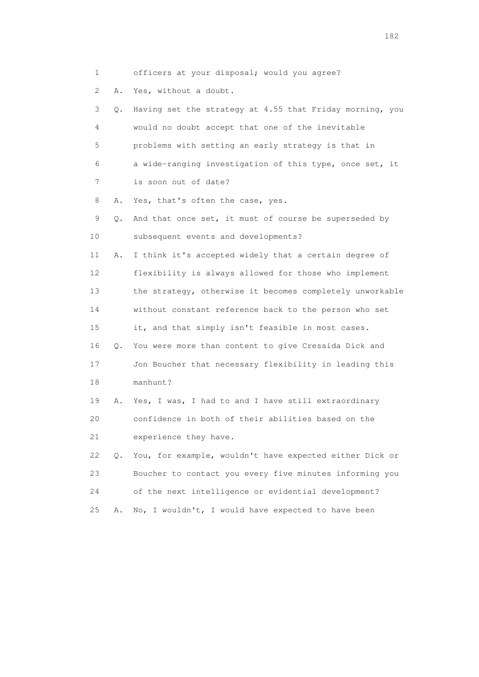1 officers at your disposal; would you agree? 2 A. Yes, without a doubt. 3 Q. Having set the strategy at 4.55 that Friday morning, you 4 would no doubt accept that one of the inevitable 5 problems with setting an early strategy is that in 6 a wide-ranging investigation of this type, once set, it 7 is soon out of date? 8 A. Yes, that's often the case, yes. 9 Q. And that once set, it must of course be superseded by 10 subsequent events and developments? 11 A. I think it's accepted widely that a certain degree of 12 flexibility is always allowed for those who implement 13 the strategy, otherwise it becomes completely unworkable 14 without constant reference back to the person who set 15 it, and that simply isn't feasible in most cases. 16 Q. You were more than content to give Cressida Dick and 17 Jon Boucher that necessary flexibility in leading this 18 manhunt? 19 A. Yes, I was, I had to and I have still extraordinary 20 confidence in both of their abilities based on the 21 experience they have. 22 Q. You, for example, wouldn't have expected either Dick or 23 Boucher to contact you every five minutes informing you 24 of the next intelligence or evidential development? 25 A. No, I wouldn't, I would have expected to have been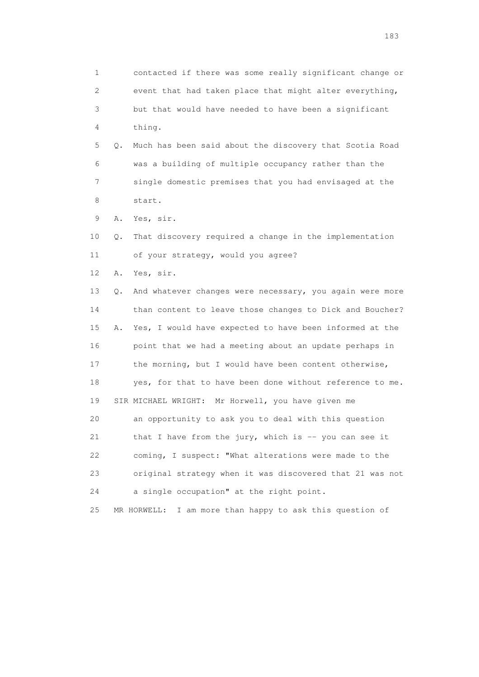1 contacted if there was some really significant change or 2 event that had taken place that might alter everything, 3 but that would have needed to have been a significant 4 thing. 5 Q. Much has been said about the discovery that Scotia Road 6 was a building of multiple occupancy rather than the 7 single domestic premises that you had envisaged at the 8 start. 9 A. Yes, sir. 10 Q. That discovery required a change in the implementation 11 of your strategy, would you agree? 12 A. Yes, sir. 13 Q. And whatever changes were necessary, you again were more 14 than content to leave those changes to Dick and Boucher? 15 A. Yes, I would have expected to have been informed at the 16 point that we had a meeting about an update perhaps in 17 the morning, but I would have been content otherwise, 18 yes, for that to have been done without reference to me. 19 SIR MICHAEL WRIGHT: Mr Horwell, you have given me 20 an opportunity to ask you to deal with this question 21 that I have from the jury, which is -- you can see it 22 coming, I suspect: "What alterations were made to the 23 original strategy when it was discovered that 21 was not 24 a single occupation" at the right point. 25 MR HORWELL: I am more than happy to ask this question of

183 and the contract of the contract of the contract of the contract of the contract of the contract of the contract of the contract of the contract of the contract of the contract of the contract of the contract of the co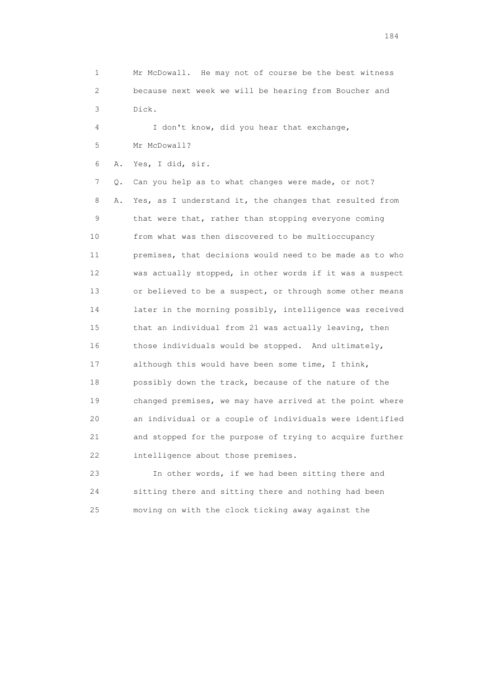1 Mr McDowall. He may not of course be the best witness 2 because next week we will be hearing from Boucher and 3 Dick.

 4 I don't know, did you hear that exchange, 5 Mr McDowall?

6 A. Yes, I did, sir.

 7 Q. Can you help as to what changes were made, or not? 8 A. Yes, as I understand it, the changes that resulted from 9 that were that, rather than stopping everyone coming 10 from what was then discovered to be multioccupancy 11 premises, that decisions would need to be made as to who 12 was actually stopped, in other words if it was a suspect 13 or believed to be a suspect, or through some other means 14 later in the morning possibly, intelligence was received 15 that an individual from 21 was actually leaving, then 16 those individuals would be stopped. And ultimately, 17 although this would have been some time, I think, 18 possibly down the track, because of the nature of the 19 changed premises, we may have arrived at the point where 20 an individual or a couple of individuals were identified 21 and stopped for the purpose of trying to acquire further 22 intelligence about those premises.

 23 In other words, if we had been sitting there and 24 sitting there and sitting there and nothing had been 25 moving on with the clock ticking away against the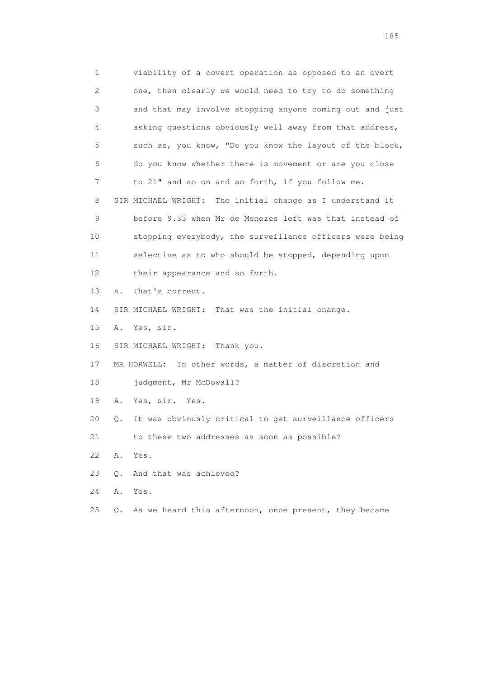1 viability of a covert operation as opposed to an overt 2 one, then clearly we would need to try to do something 3 and that may involve stopping anyone coming out and just 4 asking questions obviously well away from that address, 5 such as, you know, "Do you know the layout of the block, 6 do you know whether there is movement or are you close 7 to 21" and so on and so forth, if you follow me. 8 SIR MICHAEL WRIGHT: The initial change as I understand it 9 before 9.33 when Mr de Menezes left was that instead of 10 stopping everybody, the surveillance officers were being 11 selective as to who should be stopped, depending upon 12 their appearance and so forth. 13 A. That's correct. 14 SIR MICHAEL WRIGHT: That was the initial change. 15 A. Yes, sir. 16 SIR MICHAEL WRIGHT: Thank you. 17 MR HORWELL: In other words, a matter of discretion and 18 judgment, Mr McDowall? 19 A. Yes, sir. Yes. 20 Q. It was obviously critical to get surveillance officers 21 to these two addresses as soon as possible? 22 A. Yes. 23 Q. And that was achieved? 24 A. Yes. 25 Q. As we heard this afternoon, once present, they became

<u>185</u>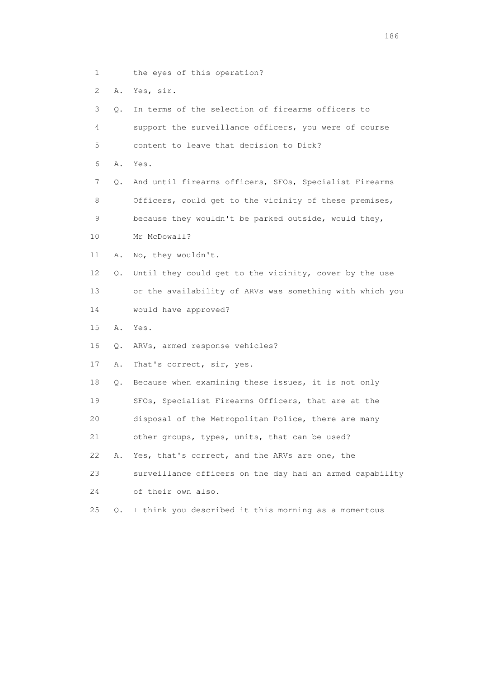- 1 the eyes of this operation?
- 2 A. Yes, sir.

3 Q. In terms of the selection of firearms officers to

 4 support the surveillance officers, you were of course 5 content to leave that decision to Dick?

6 A. Yes.

 7 Q. And until firearms officers, SFOs, Specialist Firearms 8 Officers, could get to the vicinity of these premises, 9 because they wouldn't be parked outside, would they,

- 10 Mr McDowall?
- 11 A. No, they wouldn't.

 12 Q. Until they could get to the vicinity, cover by the use 13 or the availability of ARVs was something with which you 14 would have approved?

15 A. Yes.

16 Q. ARVs, armed response vehicles?

17 A. That's correct, sir, yes.

18 Q. Because when examining these issues, it is not only

19 SFOs, Specialist Firearms Officers, that are at the

20 disposal of the Metropolitan Police, there are many

21 other groups, types, units, that can be used?

22 A. Yes, that's correct, and the ARVs are one, the

23 surveillance officers on the day had an armed capability

24 of their own also.

25 Q. I think you described it this morning as a momentous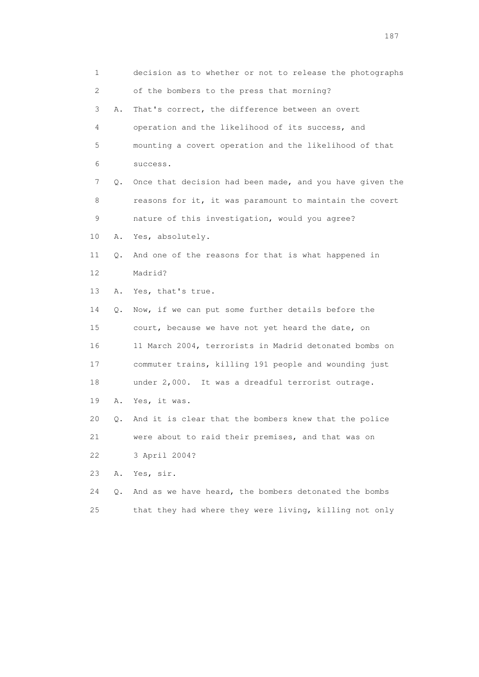1 decision as to whether or not to release the photographs 2 of the bombers to the press that morning? 3 A. That's correct, the difference between an overt 4 operation and the likelihood of its success, and 5 mounting a covert operation and the likelihood of that 6 success. 7 Q. Once that decision had been made, and you have given the 8 reasons for it, it was paramount to maintain the covert 9 nature of this investigation, would you agree? 10 A. Yes, absolutely. 11 Q. And one of the reasons for that is what happened in 12 Madrid? 13 A. Yes, that's true. 14 Q. Now, if we can put some further details before the 15 court, because we have not yet heard the date, on 16 11 March 2004, terrorists in Madrid detonated bombs on 17 commuter trains, killing 191 people and wounding just 18 under 2,000. It was a dreadful terrorist outrage. 19 A. Yes, it was. 20 Q. And it is clear that the bombers knew that the police 21 were about to raid their premises, and that was on 22 3 April 2004? 23 A. Yes, sir. 24 Q. And as we have heard, the bombers detonated the bombs 25 that they had where they were living, killing not only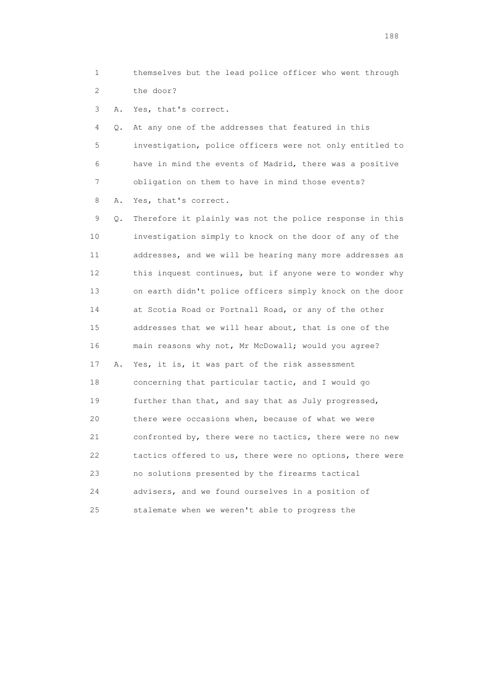1 themselves but the lead police officer who went through 2 the door?

3 A. Yes, that's correct.

 4 Q. At any one of the addresses that featured in this 5 investigation, police officers were not only entitled to 6 have in mind the events of Madrid, there was a positive 7 obligation on them to have in mind those events?

8 A. Yes, that's correct.

 9 Q. Therefore it plainly was not the police response in this 10 investigation simply to knock on the door of any of the 11 addresses, and we will be hearing many more addresses as 12 this inquest continues, but if anyone were to wonder why 13 on earth didn't police officers simply knock on the door 14 at Scotia Road or Portnall Road, or any of the other 15 addresses that we will hear about, that is one of the 16 main reasons why not, Mr McDowall; would you agree? 17 A. Yes, it is, it was part of the risk assessment 18 concerning that particular tactic, and I would go 19 further than that, and say that as July progressed, 20 there were occasions when, because of what we were 21 confronted by, there were no tactics, there were no new 22 tactics offered to us, there were no options, there were 23 no solutions presented by the firearms tactical 24 advisers, and we found ourselves in a position of 25 stalemate when we weren't able to progress the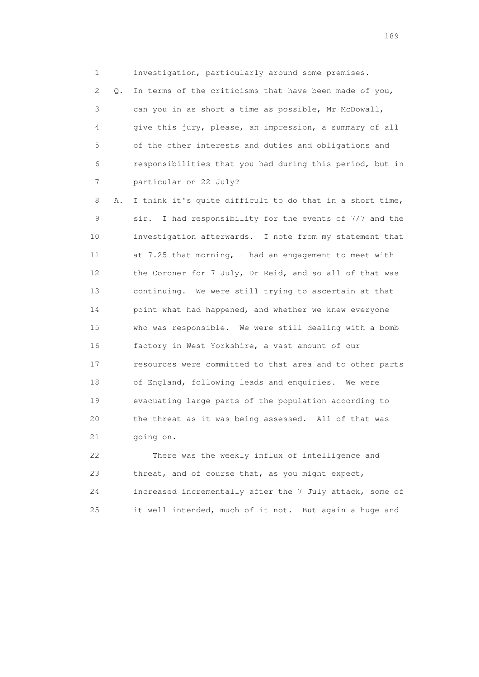1 investigation, particularly around some premises. 2 Q. In terms of the criticisms that have been made of you, 3 can you in as short a time as possible, Mr McDowall, 4 give this jury, please, an impression, a summary of all 5 of the other interests and duties and obligations and 6 responsibilities that you had during this period, but in 7 particular on 22 July?

 8 A. I think it's quite difficult to do that in a short time, 9 sir. I had responsibility for the events of 7/7 and the 10 investigation afterwards. I note from my statement that 11 at 7.25 that morning, I had an engagement to meet with 12 the Coroner for 7 July, Dr Reid, and so all of that was 13 continuing. We were still trying to ascertain at that 14 point what had happened, and whether we knew everyone 15 who was responsible. We were still dealing with a bomb 16 factory in West Yorkshire, a vast amount of our 17 resources were committed to that area and to other parts 18 of England, following leads and enquiries. We were 19 evacuating large parts of the population according to 20 the threat as it was being assessed. All of that was 21 going on.

 22 There was the weekly influx of intelligence and 23 threat, and of course that, as you might expect, 24 increased incrementally after the 7 July attack, some of 25 it well intended, much of it not. But again a huge and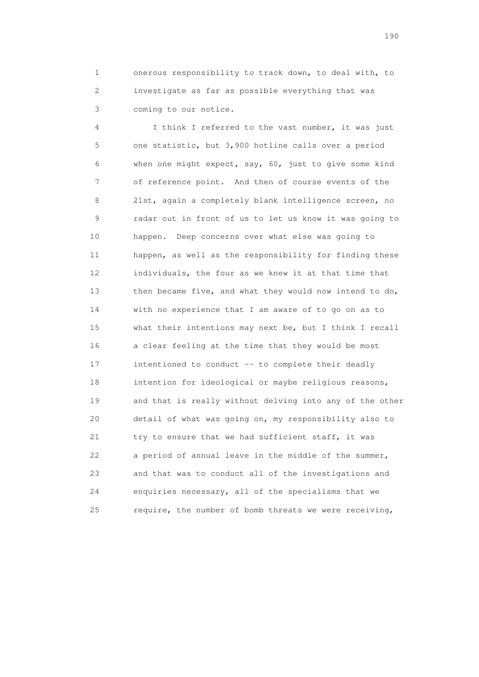1 onerous responsibility to track down, to deal with, to 2 investigate as far as possible everything that was 3 coming to our notice.

 4 I think I referred to the vast number, it was just 5 one statistic, but 3,900 hotline calls over a period 6 when one might expect, say, 60, just to give some kind 7 of reference point. And then of course events of the 8 21st, again a completely blank intelligence screen, no 9 radar out in front of us to let us know it was going to 10 happen. Deep concerns over what else was going to 11 happen, as well as the responsibility for finding these 12 individuals, the four as we knew it at that time that 13 then became five, and what they would now intend to do, 14 with no experience that I am aware of to go on as to 15 what their intentions may next be, but I think I recall 16 a clear feeling at the time that they would be most 17 intentioned to conduct -- to complete their deadly 18 intention for ideological or maybe religious reasons, 19 and that is really without delving into any of the other 20 detail of what was going on, my responsibility also to 21 try to ensure that we had sufficient staff, it was 22 a period of annual leave in the middle of the summer, 23 and that was to conduct all of the investigations and 24 enquiries necessary, all of the specialisms that we 25 require, the number of bomb threats we were receiving,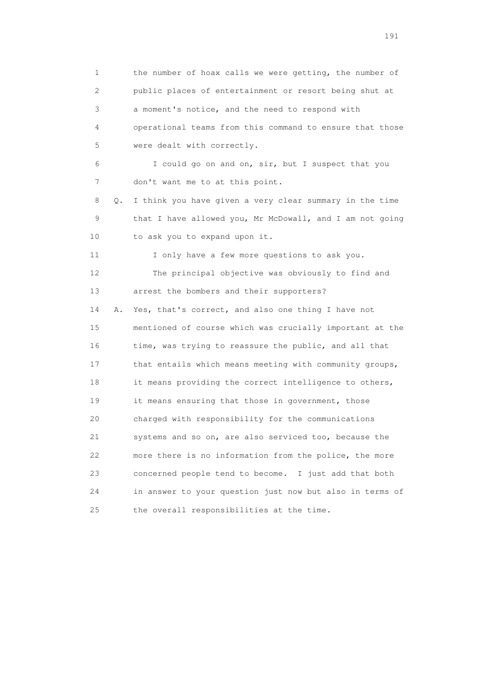1 the number of hoax calls we were getting, the number of 2 public places of entertainment or resort being shut at 3 a moment's notice, and the need to respond with 4 operational teams from this command to ensure that those 5 were dealt with correctly. 6 I could go on and on, sir, but I suspect that you 7 don't want me to at this point. 8 Q. I think you have given a very clear summary in the time 9 that I have allowed you, Mr McDowall, and I am not going 10 to ask you to expand upon it. 11 I only have a few more questions to ask you. 12 The principal objective was obviously to find and 13 arrest the bombers and their supporters? 14 A. Yes, that's correct, and also one thing I have not 15 mentioned of course which was crucially important at the 16 time, was trying to reassure the public, and all that 17 that entails which means meeting with community groups, 18 it means providing the correct intelligence to others, 19 it means ensuring that those in government, those 20 charged with responsibility for the communications 21 systems and so on, are also serviced too, because the 22 more there is no information from the police, the more 23 concerned people tend to become. I just add that both 24 in answer to your question just now but also in terms of 25 the overall responsibilities at the time.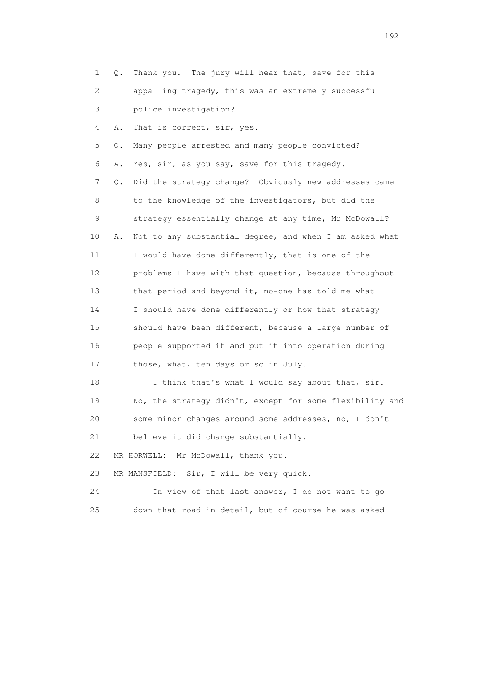| 1                         | Q. | Thank you. The jury will hear that, save for this        |
|---------------------------|----|----------------------------------------------------------|
| $\mathbf{2}^{\mathsf{I}}$ |    | appalling tragedy, this was an extremely successful      |
| 3                         |    | police investigation?                                    |
| 4                         | Α. | That is correct, sir, yes.                               |
| 5                         | Q. | Many people arrested and many people convicted?          |
| 6                         | Α. | Yes, sir, as you say, save for this tragedy.             |
| 7                         | Q. | Did the strategy change? Obviously new addresses came    |
| 8                         |    | to the knowledge of the investigators, but did the       |
| 9                         |    | strategy essentially change at any time, Mr McDowall?    |
| 10                        | Α. | Not to any substantial degree, and when I am asked what  |
| 11                        |    | I would have done differently, that is one of the        |
| 12                        |    | problems I have with that question, because throughout   |
| 13                        |    | that period and beyond it, no-one has told me what       |
| 14                        |    | I should have done differently or how that strategy      |
| 15                        |    | should have been different, because a large number of    |
| 16                        |    | people supported it and put it into operation during     |
| 17                        |    | those, what, ten days or so in July.                     |
| 18                        |    | I think that's what I would say about that, sir.         |
| 19                        |    | No, the strategy didn't, except for some flexibility and |
| 20                        |    | some minor changes around some addresses, no, I don't    |
| 21                        |    | believe it did change substantially.                     |
| 22                        |    | MR HORWELL:<br>Mr McDowall, thank you.                   |
| 23                        |    | Sir, I will be very quick.<br>MR MANSFIELD:              |
| 24                        |    | In view of that last answer, I do not want to go         |
| 25                        |    | down that road in detail, but of course he was asked     |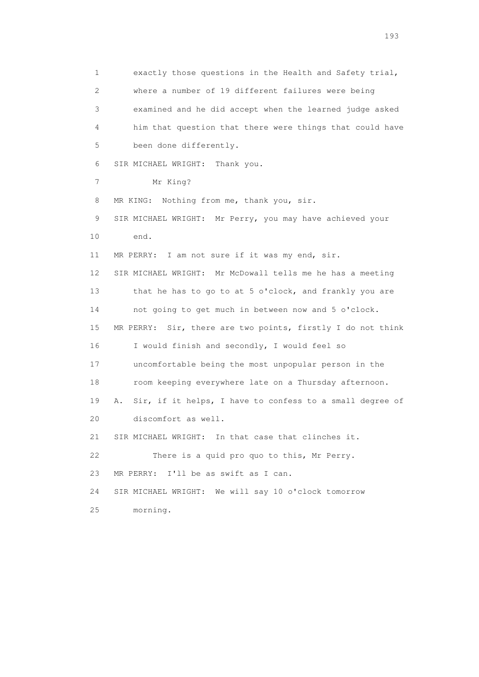1 exactly those questions in the Health and Safety trial, 2 where a number of 19 different failures were being 3 examined and he did accept when the learned judge asked 4 him that question that there were things that could have 5 been done differently. 6 SIR MICHAEL WRIGHT: Thank you. 7 Mr King? 8 MR KING: Nothing from me, thank you, sir. 9 SIR MICHAEL WRIGHT: Mr Perry, you may have achieved your 10 end. 11 MR PERRY: I am not sure if it was my end, sir. 12 SIR MICHAEL WRIGHT: Mr McDowall tells me he has a meeting 13 that he has to go to at 5 o'clock, and frankly you are 14 not going to get much in between now and 5 o'clock. 15 MR PERRY: Sir, there are two points, firstly I do not think 16 I would finish and secondly, I would feel so 17 uncomfortable being the most unpopular person in the 18 room keeping everywhere late on a Thursday afternoon. 19 A. Sir, if it helps, I have to confess to a small degree of 20 discomfort as well. 21 SIR MICHAEL WRIGHT: In that case that clinches it. 22 There is a quid pro quo to this, Mr Perry. 23 MR PERRY: I'll be as swift as I can. 24 SIR MICHAEL WRIGHT: We will say 10 o'clock tomorrow 25 morning.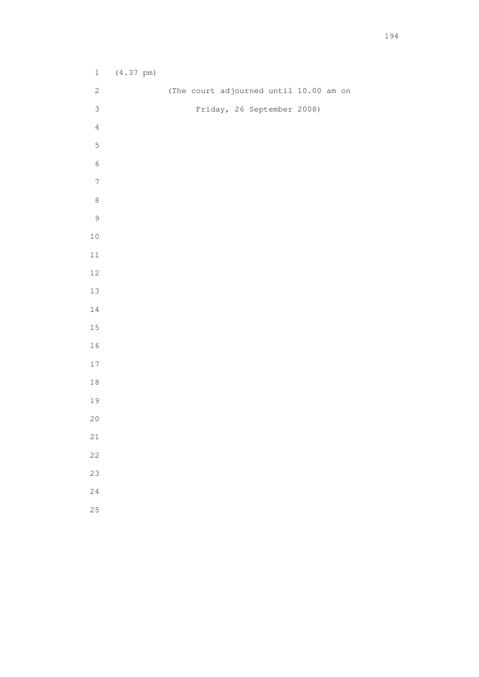| $1\,$            | $(4.37 \text{ pm})$ |                                        |
|------------------|---------------------|----------------------------------------|
| $\sqrt{2}$       |                     | (The court adjourned until 10.00 am on |
| $\mathsf 3$      |                     | Friday, 26 September 2008)             |
| $\sqrt{4}$       |                     |                                        |
| $\mathsf S$      |                     |                                        |
| $\sqrt{6}$       |                     |                                        |
| $\boldsymbol{7}$ |                     |                                        |
| $\,8\,$          |                     |                                        |
| $\mathcal{G}$    |                     |                                        |
| $10$             |                     |                                        |
| $11\,$           |                     |                                        |
| $12$             |                     |                                        |
| $13\,$           |                     |                                        |
| $1\,4$           |                     |                                        |
| $15\,$           |                     |                                        |
| $1\,6$           |                     |                                        |
| $1\,7$           |                     |                                        |
| $1\,8$           |                     |                                        |
| 19               |                     |                                        |
| $20$             |                     |                                        |
| $2\sqrt{1}$      |                     |                                        |
| 22               |                     |                                        |
| 23               |                     |                                        |
| 24               |                     |                                        |
| 25               |                     |                                        |